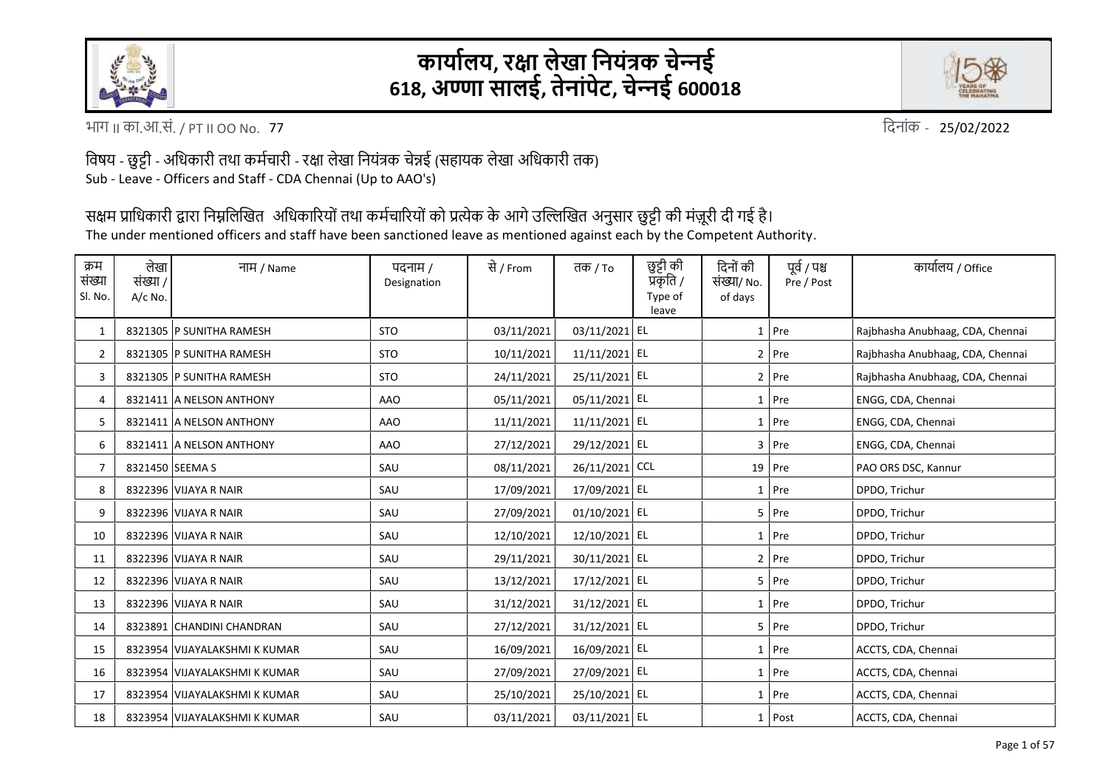

## **कार्ाालर्, रक्षा लेखा निर्ंत्रक चेन्िई 618, अण्णा सालई, तेिांपेट, चेन्िई 600018**



77 भाग II का.आ.सं. / PT II OO No. वदिांक -

25/02/2022

विषय - छुट्टी - अविकारी तथा कर्मचारी - रक्षा लेखा वियंत्रक चेन्नई (सहायक लेखा अविकारी तक) Sub - Leave - Officers and Staff - CDA Chennai (Up to AAO's)

सक्षम प्राधिकारी द्वारा निम्नलिखित अधिकारियों तथा कर्मचारियों को प्रत्येक के आगे उल्लिखित अनुसार छुट्टी की मंज़ूरी दी गई है।

The under mentioned officers and staff have been sanctioned leave as mentioned against each by the Competent Authority.

| क्रम<br>संख्या<br>Sl. No. | लेखा<br>संख्या /<br>A/c No. | नाम / Name                    | पदनाम /<br>Designation | से / From  | तक / $To$      | छुट्टी की<br>प्रकृति /<br>Type of<br>leave | दिनों की<br>संख्या/ No.<br>of days | पूर्व / पश्च<br>Pre / Post | कार्यालय / Office                |
|---------------------------|-----------------------------|-------------------------------|------------------------|------------|----------------|--------------------------------------------|------------------------------------|----------------------------|----------------------------------|
| $\mathbf{1}$              |                             | 8321305 P SUNITHA RAMESH      | <b>STO</b>             | 03/11/2021 | 03/11/2021 EL  |                                            |                                    | $1$ Pre                    | Rajbhasha Anubhaag, CDA, Chennai |
| $\overline{2}$            |                             | 8321305 P SUNITHA RAMESH      | <b>STO</b>             | 10/11/2021 | 11/11/2021 EL  |                                            |                                    | $2$ Pre                    | Rajbhasha Anubhaag, CDA, Chennai |
| 3                         |                             | 8321305 P SUNITHA RAMESH      | <b>STO</b>             | 24/11/2021 | 25/11/2021 EL  |                                            |                                    | $2$ Pre                    | Rajbhasha Anubhaag, CDA, Chennai |
| 4                         |                             | 8321411 A NELSON ANTHONY      | AAO                    | 05/11/2021 | 05/11/2021 EL  |                                            | 1                                  | Pre                        | ENGG, CDA, Chennai               |
| 5                         |                             | 8321411 A NELSON ANTHONY      | AAO                    | 11/11/2021 | 11/11/2021 EL  |                                            | $1\vert$                           | Pre                        | ENGG, CDA, Chennai               |
| 6                         |                             | 8321411 A NELSON ANTHONY      | <b>AAO</b>             | 27/12/2021 | 29/12/2021 EL  |                                            |                                    | 3 Pre                      | ENGG, CDA, Chennai               |
| 7                         | 8321450 SEEMA S             |                               | SAU                    | 08/11/2021 | 26/11/2021 CCL |                                            |                                    | $19$ Pre                   | PAO ORS DSC, Kannur              |
| 8                         |                             | 8322396 VIJAYA R NAIR         | SAU                    | 17/09/2021 | 17/09/2021 EL  |                                            |                                    | 1 Pre                      | DPDO, Trichur                    |
| 9                         |                             | 8322396 VIJAYA R NAIR         | SAU                    | 27/09/2021 | 01/10/2021 EL  |                                            |                                    | $5$ Pre                    | DPDO, Trichur                    |
| 10                        |                             | 8322396 VIJAYA R NAIR         | SAU                    | 12/10/2021 | 12/10/2021 EL  |                                            |                                    | $1$ Pre                    | DPDO, Trichur                    |
| 11                        |                             | 8322396 VIJAYA R NAIR         | SAU                    | 29/11/2021 | 30/11/2021 EL  |                                            |                                    | $2$ Pre                    | DPDO, Trichur                    |
| 12                        |                             | 8322396 VIJAYA R NAIR         | SAU                    | 13/12/2021 | 17/12/2021 EL  |                                            |                                    | $5$ Pre                    | DPDO, Trichur                    |
| 13                        |                             | 8322396 VIJAYA R NAIR         | SAU                    | 31/12/2021 | 31/12/2021 EL  |                                            |                                    | 1 Pre                      | DPDO, Trichur                    |
| 14                        |                             | 8323891 CHANDINI CHANDRAN     | SAU                    | 27/12/2021 | 31/12/2021 EL  |                                            |                                    | $5$ Pre                    | DPDO, Trichur                    |
| 15                        |                             | 8323954 VIJAYALAKSHMI K KUMAR | SAU                    | 16/09/2021 | 16/09/2021 EL  |                                            |                                    | $1$ Pre                    | ACCTS, CDA, Chennai              |
| 16                        |                             | 8323954 VIJAYALAKSHMI K KUMAR | SAU                    | 27/09/2021 | 27/09/2021 EL  |                                            |                                    | 1 Pre                      | ACCTS, CDA, Chennai              |
| 17                        |                             | 8323954 VIJAYALAKSHMI K KUMAR | SAU                    | 25/10/2021 | 25/10/2021 EL  |                                            |                                    | 1 Pre                      | ACCTS, CDA, Chennai              |
| 18                        |                             | 8323954 VIJAYALAKSHMI K KUMAR | SAU                    | 03/11/2021 | 03/11/2021 EL  |                                            |                                    | 1 Post                     | ACCTS, CDA, Chennai              |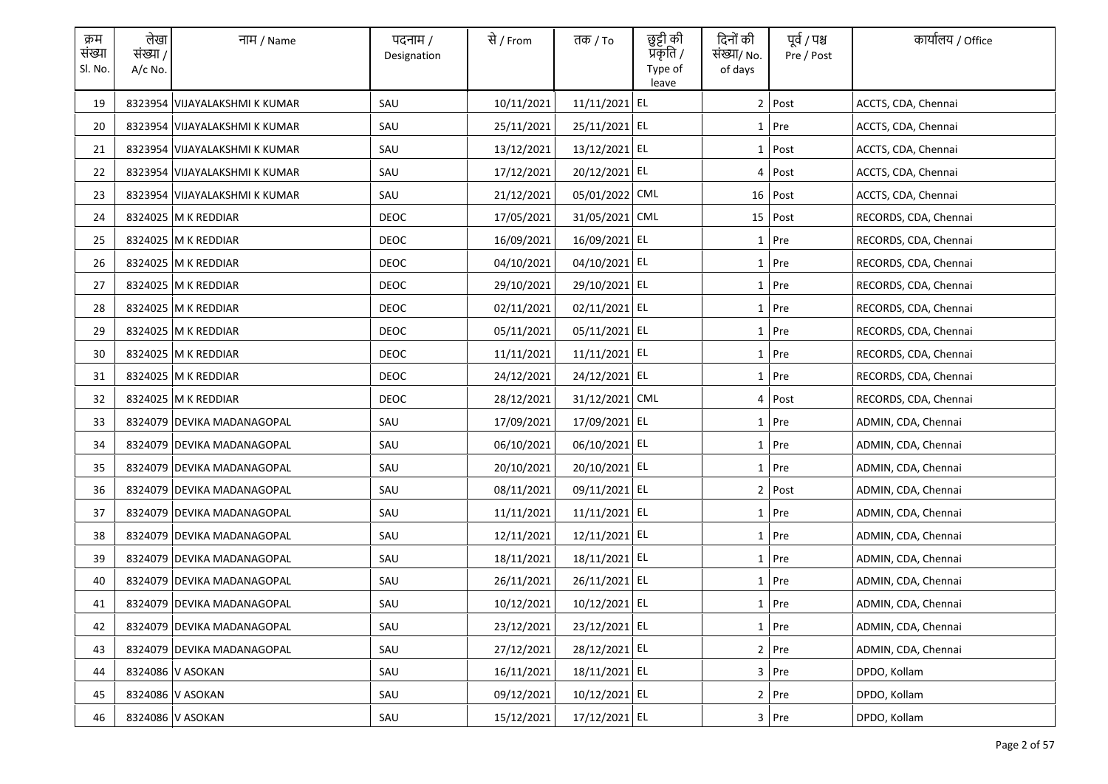| क्रम<br>संख्या<br>Sl. No. | लेखा<br>संख्या /<br>$A/c$ No. | नाम / Name                    | पदनाम /<br>Designation | से / From  | तक / To        | छुट्टी की<br>प्रकृति /<br>Type of<br>leave | दिनों की<br>संख्या/ No.<br>of days | पूर्व / पश्च<br>Pre / Post | कार्यालय / Office     |
|---------------------------|-------------------------------|-------------------------------|------------------------|------------|----------------|--------------------------------------------|------------------------------------|----------------------------|-----------------------|
| 19                        |                               | 8323954 VIJAYALAKSHMI K KUMAR | SAU                    | 10/11/2021 | 11/11/2021 EL  |                                            |                                    | 2 Post                     | ACCTS, CDA, Chennai   |
| 20                        |                               | 8323954 VIJAYALAKSHMI K KUMAR | SAU                    | 25/11/2021 | 25/11/2021 EL  |                                            |                                    | 1 Pre                      | ACCTS, CDA, Chennai   |
| 21                        |                               | 8323954 VIJAYALAKSHMI K KUMAR | SAU                    | 13/12/2021 | 13/12/2021 EL  |                                            |                                    | 1 Post                     | ACCTS, CDA, Chennai   |
| 22                        |                               | 8323954 VIJAYALAKSHMI K KUMAR | SAU                    | 17/12/2021 | 20/12/2021 EL  |                                            |                                    | 4 Post                     | ACCTS, CDA, Chennai   |
| 23                        |                               | 8323954 VIJAYALAKSHMI K KUMAR | SAU                    | 21/12/2021 | 05/01/2022 CML |                                            |                                    | $16$ Post                  | ACCTS, CDA, Chennai   |
| 24                        |                               | 8324025 M K REDDIAR           | <b>DEOC</b>            | 17/05/2021 | 31/05/2021 CML |                                            |                                    | $15$   Post                | RECORDS, CDA, Chennai |
| 25                        |                               | 8324025 M K REDDIAR           | <b>DEOC</b>            | 16/09/2021 | 16/09/2021 EL  |                                            |                                    | 1 Pre                      | RECORDS, CDA, Chennai |
| 26                        |                               | 8324025 M K REDDIAR           | <b>DEOC</b>            | 04/10/2021 | 04/10/2021 EL  |                                            |                                    | 1 Pre                      | RECORDS, CDA, Chennai |
| 27                        |                               | 8324025 M K REDDIAR           | DEOC                   | 29/10/2021 | 29/10/2021 EL  |                                            |                                    | 1 Pre                      | RECORDS, CDA, Chennai |
| 28                        |                               | 8324025 M K REDDIAR           | DEOC                   | 02/11/2021 | 02/11/2021 EL  |                                            |                                    | 1 Pre                      | RECORDS, CDA, Chennai |
| 29                        |                               | 8324025 M K REDDIAR           | <b>DEOC</b>            | 05/11/2021 | 05/11/2021 EL  |                                            |                                    | 1 Pre                      | RECORDS, CDA, Chennai |
| 30                        |                               | 8324025 M K REDDIAR           | DEOC                   | 11/11/2021 | 11/11/2021 EL  |                                            |                                    | 1 Pre                      | RECORDS, CDA, Chennai |
| 31                        |                               | 8324025 M K REDDIAR           | <b>DEOC</b>            | 24/12/2021 | 24/12/2021 EL  |                                            |                                    | 1 Pre                      | RECORDS, CDA, Chennai |
| 32                        |                               | 8324025 M K REDDIAR           | DEOC                   | 28/12/2021 | 31/12/2021 CML |                                            |                                    | 4 Post                     | RECORDS, CDA, Chennai |
| 33                        |                               | 8324079 DEVIKA MADANAGOPAL    | SAU                    | 17/09/2021 | 17/09/2021 EL  |                                            |                                    | 1 Pre                      | ADMIN, CDA, Chennai   |
| 34                        |                               | 8324079 DEVIKA MADANAGOPAL    | SAU                    | 06/10/2021 | 06/10/2021 EL  |                                            |                                    | 1 Pre                      | ADMIN, CDA, Chennai   |
| 35                        |                               | 8324079 DEVIKA MADANAGOPAL    | SAU                    | 20/10/2021 | 20/10/2021 EL  |                                            |                                    | 1 Pre                      | ADMIN, CDA, Chennai   |
| 36                        |                               | 8324079 DEVIKA MADANAGOPAL    | SAU                    | 08/11/2021 | 09/11/2021 EL  |                                            |                                    | 2 Post                     | ADMIN, CDA, Chennai   |
| 37                        |                               | 8324079 DEVIKA MADANAGOPAL    | SAU                    | 11/11/2021 | 11/11/2021 EL  |                                            |                                    | 1 Pre                      | ADMIN, CDA, Chennai   |
| 38                        |                               | 8324079 DEVIKA MADANAGOPAL    | SAU                    | 12/11/2021 | 12/11/2021 EL  |                                            |                                    | 1 Pre                      | ADMIN, CDA, Chennai   |
| 39                        |                               | 8324079 DEVIKA MADANAGOPAL    | SAU                    | 18/11/2021 | 18/11/2021 EL  |                                            |                                    | 1 Pre                      | ADMIN, CDA, Chennai   |
| 40                        |                               | 8324079 DEVIKA MADANAGOPAL    | SAU                    | 26/11/2021 | 26/11/2021 EL  |                                            |                                    | 1 Pre                      | ADMIN, CDA, Chennai   |
| 41                        |                               | 8324079 DEVIKA MADANAGOPAL    | SAU                    | 10/12/2021 | 10/12/2021 EL  |                                            |                                    | 1 Pre                      | ADMIN, CDA, Chennai   |
| 42                        |                               | 8324079 DEVIKA MADANAGOPAL    | SAU                    | 23/12/2021 | 23/12/2021 EL  |                                            |                                    | 1 Pre                      | ADMIN, CDA, Chennai   |
| 43                        |                               | 8324079 DEVIKA MADANAGOPAL    | SAU                    | 27/12/2021 | 28/12/2021 EL  |                                            |                                    | 2 Pre                      | ADMIN, CDA, Chennai   |
| 44                        |                               | 8324086 V ASOKAN              | SAU                    | 16/11/2021 | 18/11/2021 EL  |                                            |                                    | 3 Pre                      | DPDO, Kollam          |
| 45                        |                               | 8324086 V ASOKAN              | SAU                    | 09/12/2021 | 10/12/2021 EL  |                                            |                                    | $2$ Pre                    | DPDO, Kollam          |
| 46                        |                               | 8324086 V ASOKAN              | SAU                    | 15/12/2021 | 17/12/2021 EL  |                                            |                                    | $3$ Pre                    | DPDO, Kollam          |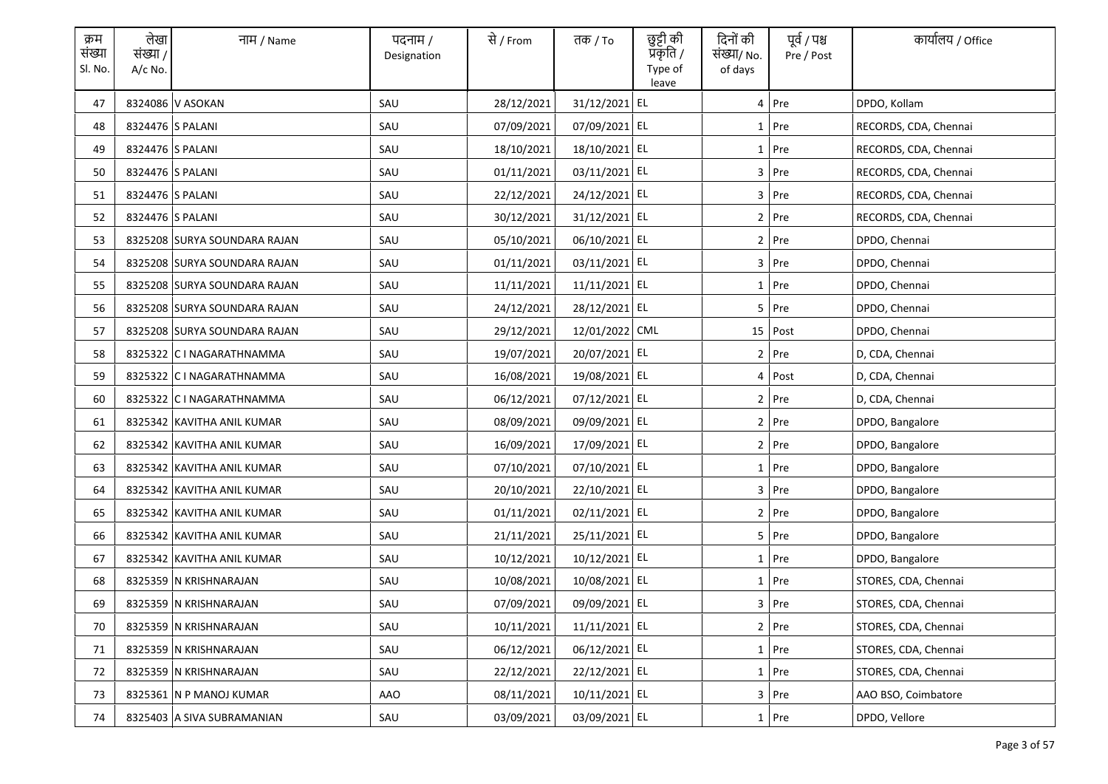| क्रम<br>संख्या<br>Sl. No. | लेखा<br>संख्या /<br>A/c No. | नाम / Name                   | पदनाम /<br>Designation | से / From  | तक / To        | छुट्टी की<br>प्रकृति /<br>Type of<br>leave | दिनों की<br>संख्या/ No.<br>of days | पूर्व / पश्च<br>Pre / Post | कार्यालय / Office     |
|---------------------------|-----------------------------|------------------------------|------------------------|------------|----------------|--------------------------------------------|------------------------------------|----------------------------|-----------------------|
| 47                        |                             | 8324086 V ASOKAN             | SAU                    | 28/12/2021 | 31/12/2021 EL  |                                            |                                    | 4 Pre                      | DPDO, Kollam          |
| 48                        |                             | 8324476 S PALANI             | SAU                    | 07/09/2021 | 07/09/2021 EL  |                                            |                                    | $1$ Pre                    | RECORDS, CDA, Chennai |
| 49                        |                             | 8324476 S PALANI             | SAU                    | 18/10/2021 | 18/10/2021 EL  |                                            |                                    | $1$ Pre                    | RECORDS, CDA, Chennai |
| 50                        |                             | 8324476 S PALANI             | SAU                    | 01/11/2021 | 03/11/2021 EL  |                                            |                                    | $3$ Pre                    | RECORDS, CDA, Chennai |
| 51                        |                             | 8324476 S PALANI             | SAU                    | 22/12/2021 | 24/12/2021 EL  |                                            |                                    | $3$ Pre                    | RECORDS, CDA, Chennai |
| 52                        |                             | 8324476 S PALANI             | SAU                    | 30/12/2021 | 31/12/2021 EL  |                                            |                                    | $2$ Pre                    | RECORDS, CDA, Chennai |
| 53                        |                             | 8325208 SURYA SOUNDARA RAJAN | SAU                    | 05/10/2021 | 06/10/2021 EL  |                                            |                                    | $2$ Pre                    | DPDO, Chennai         |
| 54                        |                             | 8325208 SURYA SOUNDARA RAJAN | SAU                    | 01/11/2021 | 03/11/2021 EL  |                                            |                                    | $3$ Pre                    | DPDO, Chennai         |
| 55                        |                             | 8325208 SURYA SOUNDARA RAJAN | SAU                    | 11/11/2021 | 11/11/2021 EL  |                                            |                                    | $1$ Pre                    | DPDO, Chennai         |
| 56                        |                             | 8325208 SURYA SOUNDARA RAJAN | SAU                    | 24/12/2021 | 28/12/2021 EL  |                                            |                                    | 5 Pre                      | DPDO, Chennai         |
| 57                        |                             | 8325208 SURYA SOUNDARA RAJAN | SAU                    | 29/12/2021 | 12/01/2022 CML |                                            |                                    | 15 Post                    | DPDO, Chennai         |
| 58                        |                             | 8325322 C I NAGARATHNAMMA    | SAU                    | 19/07/2021 | 20/07/2021 EL  |                                            |                                    | $2$ Pre                    | D, CDA, Chennai       |
| 59                        |                             | 8325322 C I NAGARATHNAMMA    | SAU                    | 16/08/2021 | 19/08/2021 EL  |                                            |                                    | 4 Post                     | D, CDA, Chennai       |
| 60                        |                             | 8325322 C I NAGARATHNAMMA    | SAU                    | 06/12/2021 | 07/12/2021 EL  |                                            |                                    | $2$ Pre                    | D, CDA, Chennai       |
| 61                        |                             | 8325342 KAVITHA ANIL KUMAR   | SAU                    | 08/09/2021 | 09/09/2021 EL  |                                            |                                    | 2 Pre                      | DPDO, Bangalore       |
| 62                        |                             | 8325342 KAVITHA ANIL KUMAR   | SAU                    | 16/09/2021 | 17/09/2021 EL  |                                            |                                    | 2 Pre                      | DPDO, Bangalore       |
| 63                        |                             | 8325342 KAVITHA ANIL KUMAR   | SAU                    | 07/10/2021 | 07/10/2021 EL  |                                            |                                    | $1$ Pre                    | DPDO, Bangalore       |
| 64                        |                             | 8325342 KAVITHA ANIL KUMAR   | SAU                    | 20/10/2021 | 22/10/2021 EL  |                                            |                                    | 3 Pre                      | DPDO, Bangalore       |
| 65                        |                             | 8325342 KAVITHA ANIL KUMAR   | SAU                    | 01/11/2021 | 02/11/2021 EL  |                                            |                                    | 2 Pre                      | DPDO, Bangalore       |
| 66                        |                             | 8325342 KAVITHA ANIL KUMAR   | SAU                    | 21/11/2021 | 25/11/2021 EL  |                                            |                                    | 5 Pre                      | DPDO, Bangalore       |
| 67                        |                             | 8325342 KAVITHA ANIL KUMAR   | SAU                    | 10/12/2021 | 10/12/2021 EL  |                                            |                                    | $1$ Pre                    | DPDO, Bangalore       |
| 68                        |                             | 8325359 N KRISHNARAJAN       | SAU                    | 10/08/2021 | 10/08/2021 EL  |                                            |                                    | $1$ Pre                    | STORES, CDA, Chennai  |
| 69                        |                             | 8325359 N KRISHNARAJAN       | SAU                    | 07/09/2021 | 09/09/2021 EL  |                                            |                                    | 3 Pre                      | STORES, CDA, Chennai  |
| 70                        |                             | 8325359 N KRISHNARAJAN       | SAU                    | 10/11/2021 | 11/11/2021 EL  |                                            |                                    | 2 Pre                      | STORES, CDA, Chennai  |
| 71                        |                             | 8325359 N KRISHNARAJAN       | SAU                    | 06/12/2021 | 06/12/2021 EL  |                                            |                                    | 1 Pre                      | STORES, CDA, Chennai  |
| 72                        |                             | 8325359 N KRISHNARAJAN       | SAU                    | 22/12/2021 | 22/12/2021 EL  |                                            |                                    | 1 Pre                      | STORES, CDA, Chennai  |
| 73                        |                             | 8325361 N P MANOJ KUMAR      | AAO                    | 08/11/2021 | 10/11/2021 EL  |                                            |                                    | 3 Pre                      | AAO BSO, Coimbatore   |
| 74                        |                             | 8325403 A SIVA SUBRAMANIAN   | SAU                    | 03/09/2021 | 03/09/2021 EL  |                                            |                                    | $1$ Pre                    | DPDO, Vellore         |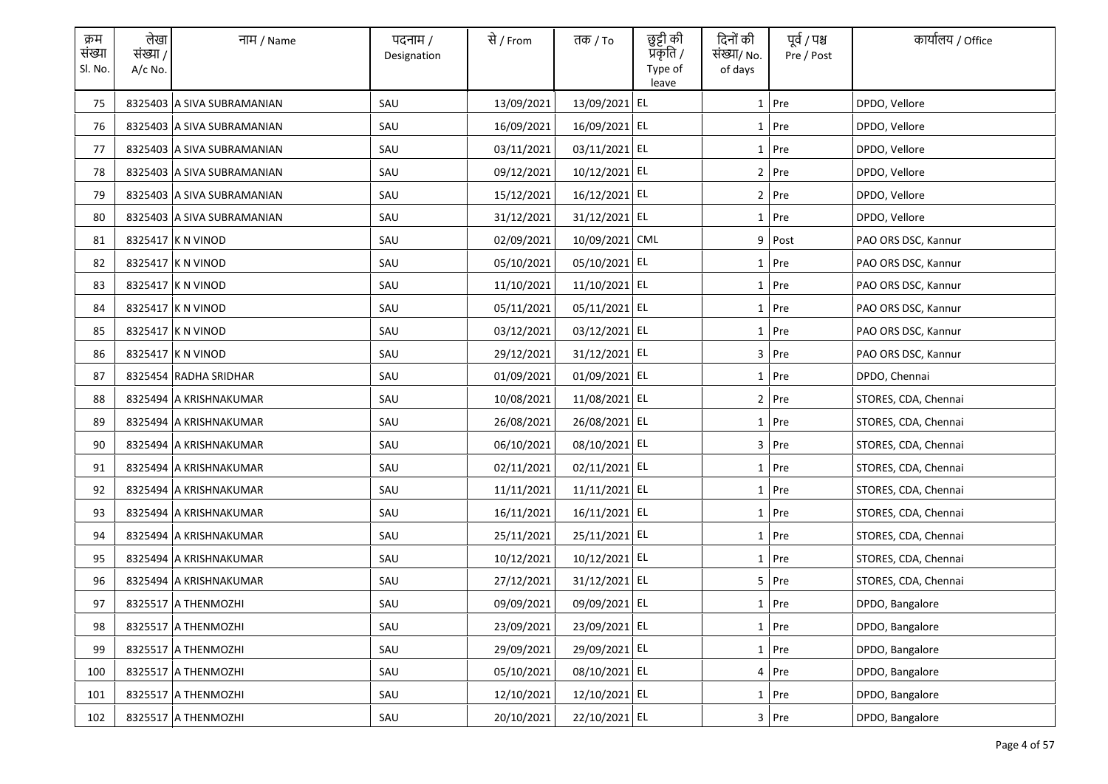| क्रम<br>संख्या<br>Sl. No. | लेखा<br>संख्या /<br>$A/c$ No. | नाम / Name                 | पदनाम /<br>Designation | से / From  | तक <i>/</i> To | छुट्टी की<br>प्रकृति /<br>Type of<br>leave | दिनों की<br>संख्या/ No.<br>of days | पूर्व / पश्च<br>Pre / Post | कार्यालय / Office    |
|---------------------------|-------------------------------|----------------------------|------------------------|------------|----------------|--------------------------------------------|------------------------------------|----------------------------|----------------------|
| 75                        |                               | 8325403 A SIVA SUBRAMANIAN | SAU                    | 13/09/2021 | 13/09/2021 EL  |                                            |                                    | $1$ Pre                    | DPDO, Vellore        |
| 76                        |                               | 8325403 A SIVA SUBRAMANIAN | SAU                    | 16/09/2021 | 16/09/2021 EL  |                                            |                                    | 1 Pre                      | DPDO, Vellore        |
| 77                        |                               | 8325403 A SIVA SUBRAMANIAN | SAU                    | 03/11/2021 | 03/11/2021 EL  |                                            |                                    | $1$ Pre                    | DPDO, Vellore        |
| 78                        |                               | 8325403 A SIVA SUBRAMANIAN | SAU                    | 09/12/2021 | 10/12/2021 EL  |                                            |                                    | $2$ Pre                    | DPDO, Vellore        |
| 79                        |                               | 8325403 A SIVA SUBRAMANIAN | SAU                    | 15/12/2021 | 16/12/2021 EL  |                                            |                                    | 2 Pre                      | DPDO, Vellore        |
| 80                        |                               | 8325403 A SIVA SUBRAMANIAN | SAU                    | 31/12/2021 | 31/12/2021 EL  |                                            |                                    | 1 Pre                      | DPDO, Vellore        |
| 81                        |                               | 8325417 K N VINOD          | SAU                    | 02/09/2021 | 10/09/2021 CML |                                            | 9                                  | Post                       | PAO ORS DSC, Kannur  |
| 82                        |                               | 8325417 K N VINOD          | SAU                    | 05/10/2021 | 05/10/2021 EL  |                                            |                                    | $1$ Pre                    | PAO ORS DSC, Kannur  |
| 83                        |                               | 8325417 K N VINOD          | SAU                    | 11/10/2021 | 11/10/2021 EL  |                                            |                                    | 1 Pre                      | PAO ORS DSC, Kannur  |
| 84                        |                               | 8325417 K N VINOD          | SAU                    | 05/11/2021 | 05/11/2021 EL  |                                            |                                    | $1$ Pre                    | PAO ORS DSC, Kannur  |
| 85                        |                               | 8325417 K N VINOD          | SAU                    | 03/12/2021 | 03/12/2021 EL  |                                            |                                    | $1$ Pre                    | PAO ORS DSC, Kannur  |
| 86                        |                               | 8325417 K N VINOD          | SAU                    | 29/12/2021 | 31/12/2021 EL  |                                            |                                    | $3$ Pre                    | PAO ORS DSC, Kannur  |
| 87                        |                               | 8325454 RADHA SRIDHAR      | SAU                    | 01/09/2021 | 01/09/2021 EL  |                                            |                                    | $1$ Pre                    | DPDO, Chennai        |
| 88                        |                               | 8325494 A KRISHNAKUMAR     | SAU                    | 10/08/2021 | 11/08/2021 EL  |                                            |                                    | 2 Pre                      | STORES, CDA, Chennai |
| 89                        |                               | 8325494 A KRISHNAKUMAR     | SAU                    | 26/08/2021 | 26/08/2021 EL  |                                            |                                    | $1$ Pre                    | STORES, CDA, Chennai |
| 90                        |                               | 8325494 A KRISHNAKUMAR     | SAU                    | 06/10/2021 | 08/10/2021 EL  |                                            |                                    | 3 Pre                      | STORES, CDA, Chennai |
| 91                        |                               | 8325494 A KRISHNAKUMAR     | SAU                    | 02/11/2021 | 02/11/2021 EL  |                                            |                                    | 1 Pre                      | STORES, CDA, Chennai |
| 92                        |                               | 8325494 A KRISHNAKUMAR     | SAU                    | 11/11/2021 | 11/11/2021 EL  |                                            |                                    | 1 Pre                      | STORES, CDA, Chennai |
| 93                        |                               | 8325494 A KRISHNAKUMAR     | SAU                    | 16/11/2021 | 16/11/2021 EL  |                                            |                                    | $1$ Pre                    | STORES, CDA, Chennai |
| 94                        |                               | 8325494 A KRISHNAKUMAR     | SAU                    | 25/11/2021 | 25/11/2021 EL  |                                            |                                    | $1$ Pre                    | STORES, CDA, Chennai |
| 95                        |                               | 8325494 A KRISHNAKUMAR     | SAU                    | 10/12/2021 | 10/12/2021 EL  |                                            |                                    | $1$ Pre                    | STORES, CDA, Chennai |
| 96                        |                               | 8325494 A KRISHNAKUMAR     | SAU                    | 27/12/2021 | 31/12/2021 EL  |                                            |                                    | 5 Pre                      | STORES, CDA, Chennai |
| 97                        |                               | 8325517 A THENMOZHI        | SAU                    | 09/09/2021 | 09/09/2021 EL  |                                            |                                    | 1 Pre                      | DPDO, Bangalore      |
| 98                        |                               | 8325517 A THENMOZHI        | SAU                    | 23/09/2021 | 23/09/2021 EL  |                                            |                                    | $1$ Pre                    | DPDO, Bangalore      |
| 99                        |                               | 8325517 A THENMOZHI        | SAU                    | 29/09/2021 | 29/09/2021 EL  |                                            |                                    | 1 Pre                      | DPDO, Bangalore      |
| 100                       |                               | 8325517 A THENMOZHI        | SAU                    | 05/10/2021 | 08/10/2021 EL  |                                            |                                    | 4 Pre                      | DPDO, Bangalore      |
| 101                       |                               | 8325517 A THENMOZHI        | SAU                    | 12/10/2021 | 12/10/2021 EL  |                                            |                                    | $1$ Pre                    | DPDO, Bangalore      |
| 102                       |                               | 8325517 A THENMOZHI        | SAU                    | 20/10/2021 | 22/10/2021 EL  |                                            |                                    | $3$ Pre                    | DPDO, Bangalore      |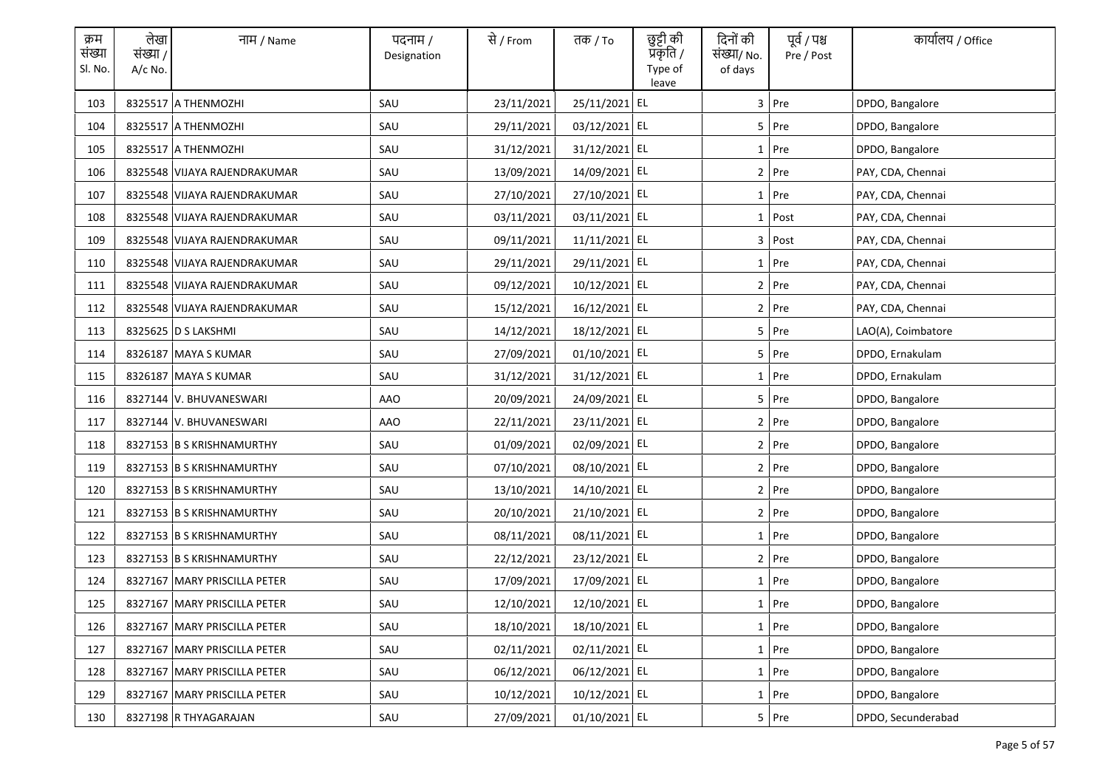| क्रम<br>संख्या<br>Sl. No. | लेखा<br>संख्या /<br>$A/c$ No. | नाम / Name                   | पदनाम /<br>Designation | से / From  | तक <i>/</i> To | छुट्टी की<br>प्रकृति /<br>Type of<br>leave | दिनों की<br>संख्या/ No.<br>of days | पूर्व / पश्च<br>Pre / Post | कार्यालय / Office  |
|---------------------------|-------------------------------|------------------------------|------------------------|------------|----------------|--------------------------------------------|------------------------------------|----------------------------|--------------------|
| 103                       |                               | 8325517 A THENMOZHI          | SAU                    | 23/11/2021 | 25/11/2021 EL  |                                            |                                    | 3 Pre                      | DPDO, Bangalore    |
| 104                       |                               | 8325517 A THENMOZHI          | SAU                    | 29/11/2021 | 03/12/2021 EL  |                                            |                                    | 5 Pre                      | DPDO, Bangalore    |
| 105                       |                               | 8325517 A THENMOZHI          | SAU                    | 31/12/2021 | 31/12/2021 EL  |                                            |                                    | $1$ Pre                    | DPDO, Bangalore    |
| 106                       |                               | 8325548 VIJAYA RAJENDRAKUMAR | SAU                    | 13/09/2021 | 14/09/2021 EL  |                                            |                                    | $2$ Pre                    | PAY, CDA, Chennai  |
| 107                       |                               | 8325548 VIJAYA RAJENDRAKUMAR | SAU                    | 27/10/2021 | 27/10/2021 EL  |                                            |                                    | 1 Pre                      | PAY, CDA, Chennai  |
| 108                       |                               | 8325548 VIJAYA RAJENDRAKUMAR | SAU                    | 03/11/2021 | 03/11/2021 EL  |                                            |                                    | 1 Post                     | PAY, CDA, Chennai  |
| 109                       |                               | 8325548 VIJAYA RAJENDRAKUMAR | SAU                    | 09/11/2021 | 11/11/2021 EL  |                                            | 3                                  | Post                       | PAY, CDA, Chennai  |
| 110                       |                               | 8325548 VIJAYA RAJENDRAKUMAR | SAU                    | 29/11/2021 | 29/11/2021 EL  |                                            |                                    | 1 Pre                      | PAY, CDA, Chennai  |
| 111                       |                               | 8325548 VIJAYA RAJENDRAKUMAR | SAU                    | 09/12/2021 | 10/12/2021 EL  |                                            |                                    | $2$ Pre                    | PAY, CDA, Chennai  |
| 112                       |                               | 8325548 VIJAYA RAJENDRAKUMAR | SAU                    | 15/12/2021 | 16/12/2021 EL  |                                            |                                    | 2 Pre                      | PAY, CDA, Chennai  |
| 113                       |                               | 8325625 D S LAKSHMI          | SAU                    | 14/12/2021 | 18/12/2021 EL  |                                            |                                    | 5 Pre                      | LAO(A), Coimbatore |
| 114                       |                               | 8326187 MAYA S KUMAR         | SAU                    | 27/09/2021 | 01/10/2021 EL  |                                            |                                    | $5$ Pre                    | DPDO, Ernakulam    |
| 115                       |                               | 8326187 MAYA S KUMAR         | SAU                    | 31/12/2021 | 31/12/2021 EL  |                                            |                                    | $1$ Pre                    | DPDO, Ernakulam    |
| 116                       |                               | 8327144 V. BHUVANESWARI      | AAO                    | 20/09/2021 | 24/09/2021 EL  |                                            |                                    | $5$ Pre                    | DPDO, Bangalore    |
| 117                       |                               | 8327144 V. BHUVANESWARI      | <b>AAO</b>             | 22/11/2021 | 23/11/2021 EL  |                                            |                                    | 2 Pre                      | DPDO, Bangalore    |
| 118                       |                               | 8327153 B S KRISHNAMURTHY    | SAU                    | 01/09/2021 | 02/09/2021 EL  |                                            |                                    | 2 Pre                      | DPDO, Bangalore    |
| 119                       |                               | 8327153 B S KRISHNAMURTHY    | SAU                    | 07/10/2021 | 08/10/2021 EL  |                                            |                                    | 2 Pre                      | DPDO, Bangalore    |
| 120                       |                               | 8327153 B S KRISHNAMURTHY    | SAU                    | 13/10/2021 | 14/10/2021 EL  |                                            |                                    | 2 Pre                      | DPDO, Bangalore    |
| 121                       |                               | 8327153 B S KRISHNAMURTHY    | SAU                    | 20/10/2021 | 21/10/2021 EL  |                                            |                                    | $2$ Pre                    | DPDO, Bangalore    |
| 122                       |                               | 8327153 B S KRISHNAMURTHY    | SAU                    | 08/11/2021 | 08/11/2021 EL  |                                            |                                    | $1$ Pre                    | DPDO, Bangalore    |
| 123                       |                               | 8327153 B S KRISHNAMURTHY    | SAU                    | 22/12/2021 | 23/12/2021 EL  |                                            |                                    | 2 Pre                      | DPDO, Bangalore    |
| 124                       |                               | 8327167 MARY PRISCILLA PETER | SAU                    | 17/09/2021 | 17/09/2021 EL  |                                            |                                    | 1 Pre                      | DPDO, Bangalore    |
| 125                       |                               | 8327167 MARY PRISCILLA PETER | SAU                    | 12/10/2021 | 12/10/2021 EL  |                                            |                                    | 1 Pre                      | DPDO, Bangalore    |
| 126                       |                               | 8327167 MARY PRISCILLA PETER | SAU                    | 18/10/2021 | 18/10/2021 EL  |                                            |                                    | $1$ Pre                    | DPDO, Bangalore    |
| 127                       |                               | 8327167 MARY PRISCILLA PETER | SAU                    | 02/11/2021 | 02/11/2021 EL  |                                            |                                    | 1 Pre                      | DPDO, Bangalore    |
| 128                       |                               | 8327167 MARY PRISCILLA PETER | SAU                    | 06/12/2021 | 06/12/2021 EL  |                                            |                                    | 1 Pre                      | DPDO, Bangalore    |
| 129                       |                               | 8327167 MARY PRISCILLA PETER | SAU                    | 10/12/2021 | 10/12/2021 EL  |                                            |                                    | $1$ Pre                    | DPDO, Bangalore    |
| 130                       |                               | 8327198 R THYAGARAJAN        | SAU                    | 27/09/2021 | 01/10/2021 EL  |                                            |                                    | 5 Pre                      | DPDO, Secunderabad |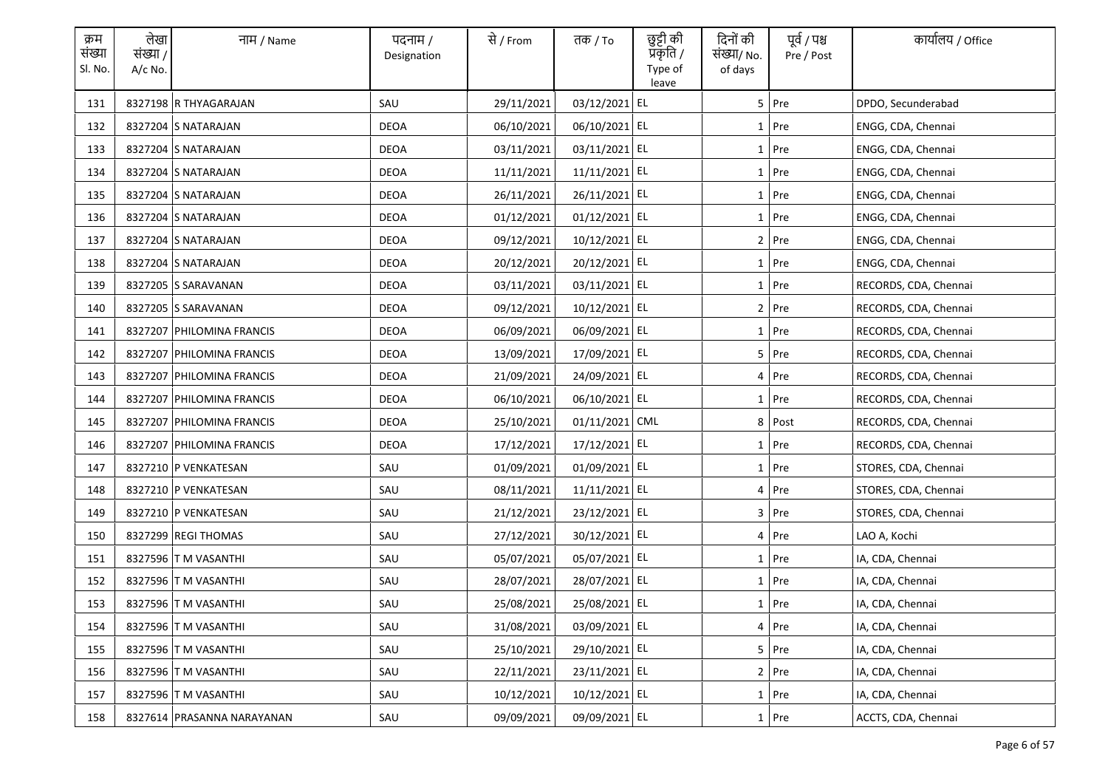| क्रम<br>संख्या<br>Sl. No. | लेखा<br>संख्या /<br>A/c No. | नाम / Name                 | पदनाम /<br>Designation | से / From  | तक / To        | छुट्टी की<br>प्रकृति /<br>Type of | दिनों की<br>संख्या/ No.<br>of days | पूर्व / पश्च<br>Pre / Post | कार्यालय / Office     |
|---------------------------|-----------------------------|----------------------------|------------------------|------------|----------------|-----------------------------------|------------------------------------|----------------------------|-----------------------|
| 131                       |                             | 8327198 R THYAGARAJAN      | SAU                    | 29/11/2021 | 03/12/2021 EL  | leave                             |                                    | 5 Pre                      | DPDO, Secunderabad    |
| 132                       |                             | 8327204 S NATARAJAN        | <b>DEOA</b>            | 06/10/2021 | 06/10/2021 EL  |                                   |                                    | 1 Pre                      | ENGG, CDA, Chennai    |
| 133                       |                             | 8327204 S NATARAJAN        | DEOA                   | 03/11/2021 | 03/11/2021 EL  |                                   |                                    | 1 Pre                      | ENGG, CDA, Chennai    |
| 134                       |                             | 8327204 S NATARAJAN        | DEOA                   | 11/11/2021 | 11/11/2021 EL  |                                   |                                    | 1 Pre                      | ENGG, CDA, Chennai    |
| 135                       |                             | 8327204 S NATARAJAN        | DEOA                   | 26/11/2021 | 26/11/2021 EL  |                                   |                                    | 1 Pre                      | ENGG, CDA, Chennai    |
| 136                       |                             | 8327204 S NATARAJAN        | DEOA                   | 01/12/2021 | 01/12/2021 EL  |                                   |                                    | 1 Pre                      | ENGG, CDA, Chennai    |
| 137                       |                             | 8327204 S NATARAJAN        | <b>DEOA</b>            | 09/12/2021 | 10/12/2021 EL  |                                   |                                    | 2 Pre                      | ENGG, CDA, Chennai    |
| 138                       |                             | 8327204 S NATARAJAN        | DEOA                   | 20/12/2021 | 20/12/2021 EL  |                                   |                                    | 1 Pre                      | ENGG, CDA, Chennai    |
| 139                       |                             | 8327205 S SARAVANAN        | <b>DEOA</b>            | 03/11/2021 | 03/11/2021 EL  |                                   |                                    | 1 Pre                      | RECORDS, CDA, Chennai |
| 140                       |                             | 8327205 S SARAVANAN        | DEOA                   | 09/12/2021 | 10/12/2021 EL  |                                   |                                    | 2 Pre                      | RECORDS, CDA, Chennai |
| 141                       |                             | 8327207 PHILOMINA FRANCIS  | <b>DEOA</b>            | 06/09/2021 | 06/09/2021 EL  |                                   |                                    | 1 Pre                      | RECORDS, CDA, Chennai |
| 142                       |                             | 8327207 PHILOMINA FRANCIS  | DEOA                   | 13/09/2021 | 17/09/2021 EL  |                                   |                                    | 5 Pre                      | RECORDS, CDA, Chennai |
| 143                       |                             | 8327207 PHILOMINA FRANCIS  | DEOA                   | 21/09/2021 | 24/09/2021 EL  |                                   |                                    | 4 Pre                      | RECORDS, CDA, Chennai |
| 144                       |                             | 8327207 PHILOMINA FRANCIS  | DEOA                   | 06/10/2021 | 06/10/2021 EL  |                                   |                                    | 1 Pre                      | RECORDS, CDA, Chennai |
| 145                       |                             | 8327207 PHILOMINA FRANCIS  | <b>DEOA</b>            | 25/10/2021 | 01/11/2021 CML |                                   |                                    | 8 Post                     | RECORDS, CDA, Chennai |
| 146                       |                             | 8327207 PHILOMINA FRANCIS  | <b>DEOA</b>            | 17/12/2021 | 17/12/2021 EL  |                                   |                                    | 1 Pre                      | RECORDS, CDA, Chennai |
| 147                       |                             | 8327210 P VENKATESAN       | SAU                    | 01/09/2021 | 01/09/2021 EL  |                                   |                                    | 1 Pre                      | STORES, CDA, Chennai  |
| 148                       |                             | 8327210 P VENKATESAN       | SAU                    | 08/11/2021 | 11/11/2021 EL  |                                   |                                    | 4 Pre                      | STORES, CDA, Chennai  |
| 149                       |                             | 8327210 P VENKATESAN       | SAU                    | 21/12/2021 | 23/12/2021 EL  |                                   |                                    | 3 Pre                      | STORES, CDA, Chennai  |
| 150                       |                             | 8327299 REGI THOMAS        | SAU                    | 27/12/2021 | 30/12/2021 EL  |                                   |                                    | 4 Pre                      | LAO A, Kochi          |
| 151                       |                             | 8327596 T M VASANTHI       | SAU                    | 05/07/2021 | 05/07/2021 EL  |                                   |                                    | 1 Pre                      | IA, CDA, Chennai      |
| 152                       |                             | 8327596 T M VASANTHI       | SAU                    | 28/07/2021 | 28/07/2021 EL  |                                   |                                    | 1 Pre                      | IA, CDA, Chennai      |
| 153                       |                             | 8327596 T M VASANTHI       | SAU                    | 25/08/2021 | 25/08/2021 EL  |                                   |                                    | 1 Pre                      | IA, CDA, Chennai      |
| 154                       |                             | 8327596 T M VASANTHI       | SAU                    | 31/08/2021 | 03/09/2021 EL  |                                   |                                    | 4 Pre                      | IA, CDA, Chennai      |
| 155                       |                             | 8327596 T M VASANTHI       | SAU                    | 25/10/2021 | 29/10/2021 EL  |                                   |                                    | 5 Pre                      | IA, CDA, Chennai      |
| 156                       |                             | 8327596 T M VASANTHI       | SAU                    | 22/11/2021 | 23/11/2021 EL  |                                   |                                    | 2 Pre                      | IA, CDA, Chennai      |
| 157                       |                             | 8327596 T M VASANTHI       | SAU                    | 10/12/2021 | 10/12/2021 EL  |                                   |                                    | 1 Pre                      | IA, CDA, Chennai      |
| 158                       |                             | 8327614 PRASANNA NARAYANAN | SAU                    | 09/09/2021 | 09/09/2021 EL  |                                   |                                    | 1 Pre                      | ACCTS, CDA, Chennai   |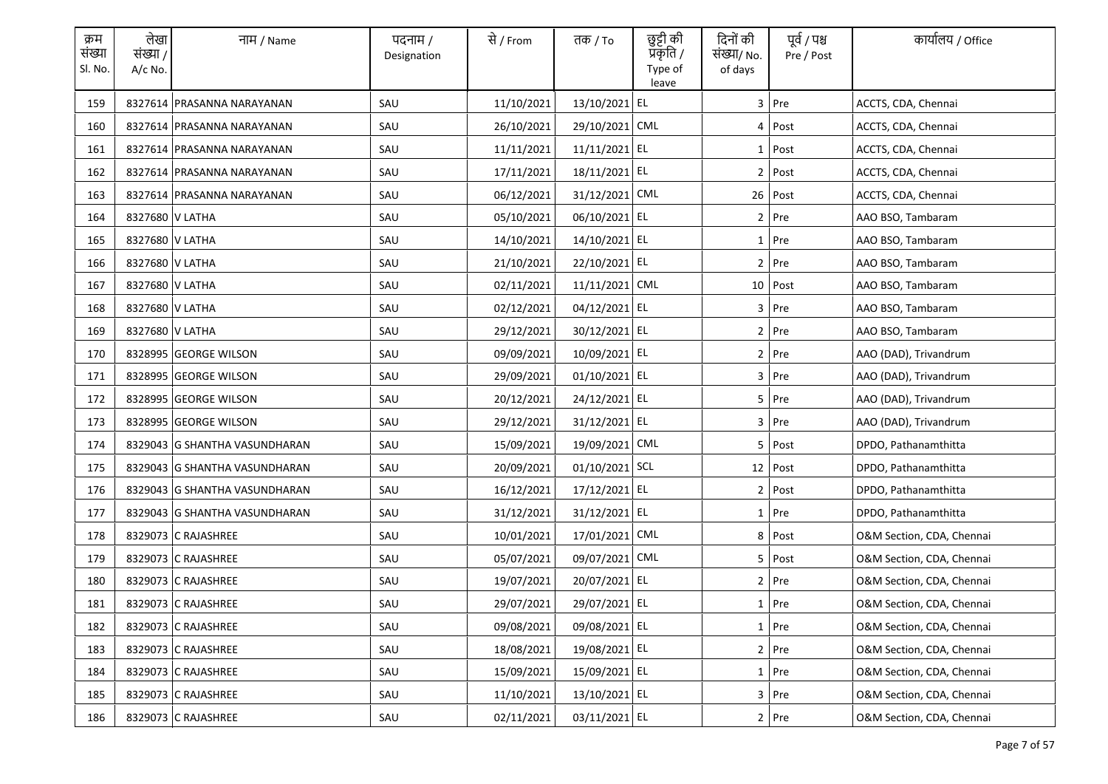| क्रम<br>संख्या<br>Sl. No. | लेखा<br>संख्या /<br>A/c No. | नाम / Name                    | पदनाम /<br>Designation | से / From  | तक / To        | छुट्टी की<br>प्रकृति /<br>Type of<br>leave | दिनों की<br>संख्या/ No.<br>of days | पूर्व / पश्च<br>Pre / Post | कार्यालय / Office         |
|---------------------------|-----------------------------|-------------------------------|------------------------|------------|----------------|--------------------------------------------|------------------------------------|----------------------------|---------------------------|
| 159                       |                             | 8327614 PRASANNA NARAYANAN    | SAU                    | 11/10/2021 | 13/10/2021 EL  |                                            |                                    | 3 Pre                      | ACCTS, CDA, Chennai       |
| 160                       |                             | 8327614 PRASANNA NARAYANAN    | SAU                    | 26/10/2021 | 29/10/2021 CML |                                            |                                    | 4 Post                     | ACCTS, CDA, Chennai       |
| 161                       |                             | 8327614 PRASANNA NARAYANAN    | SAU                    | 11/11/2021 | 11/11/2021 EL  |                                            |                                    | $1$ Post                   | ACCTS, CDA, Chennai       |
| 162                       |                             | 8327614 PRASANNA NARAYANAN    | SAU                    | 17/11/2021 | 18/11/2021 EL  |                                            |                                    | 2 Post                     | ACCTS, CDA, Chennai       |
| 163                       |                             | 8327614 PRASANNA NARAYANAN    | SAU                    | 06/12/2021 | 31/12/2021 CML |                                            |                                    | $26$ Post                  | ACCTS, CDA, Chennai       |
| 164                       | 8327680 V LATHA             |                               | SAU                    | 05/10/2021 | 06/10/2021 EL  |                                            |                                    | $2$ Pre                    | AAO BSO, Tambaram         |
| 165                       | 8327680 V LATHA             |                               | SAU                    | 14/10/2021 | 14/10/2021 EL  |                                            |                                    | $1$ Pre                    | AAO BSO, Tambaram         |
| 166                       | 8327680 V LATHA             |                               | SAU                    | 21/10/2021 | 22/10/2021 EL  |                                            |                                    | 2 Pre                      | AAO BSO, Tambaram         |
| 167                       | 8327680 V LATHA             |                               | SAU                    | 02/11/2021 | 11/11/2021 CML |                                            |                                    | 10 Post                    | AAO BSO, Tambaram         |
| 168                       | 8327680 V LATHA             |                               | SAU                    | 02/12/2021 | 04/12/2021 EL  |                                            |                                    | 3 Pre                      | AAO BSO, Tambaram         |
| 169                       | 8327680 V LATHA             |                               | SAU                    | 29/12/2021 | 30/12/2021 EL  |                                            |                                    | 2 Pre                      | AAO BSO, Tambaram         |
| 170                       |                             | 8328995 GEORGE WILSON         | SAU                    | 09/09/2021 | 10/09/2021 EL  |                                            |                                    | $2$ Pre                    | AAO (DAD), Trivandrum     |
| 171                       |                             | 8328995 GEORGE WILSON         | SAU                    | 29/09/2021 | 01/10/2021 EL  |                                            |                                    | 3 Pre                      | AAO (DAD), Trivandrum     |
| 172                       |                             | 8328995 GEORGE WILSON         | SAU                    | 20/12/2021 | 24/12/2021 EL  |                                            |                                    | $5$ Pre                    | AAO (DAD), Trivandrum     |
| 173                       |                             | 8328995 GEORGE WILSON         | SAU                    | 29/12/2021 | 31/12/2021 EL  |                                            |                                    | 3 Pre                      | AAO (DAD), Trivandrum     |
| 174                       |                             | 8329043 G SHANTHA VASUNDHARAN | SAU                    | 15/09/2021 | 19/09/2021 CML |                                            |                                    | 5 Post                     | DPDO, Pathanamthitta      |
| 175                       |                             | 8329043 G SHANTHA VASUNDHARAN | SAU                    | 20/09/2021 | 01/10/2021 SCL |                                            |                                    | 12 Post                    | DPDO, Pathanamthitta      |
| 176                       |                             | 8329043 G SHANTHA VASUNDHARAN | SAU                    | 16/12/2021 | 17/12/2021 EL  |                                            | $\mathbf{2}$                       | Post                       | DPDO, Pathanamthitta      |
| 177                       |                             | 8329043 G SHANTHA VASUNDHARAN | SAU                    | 31/12/2021 | 31/12/2021 EL  |                                            |                                    | $1$ Pre                    | DPDO, Pathanamthitta      |
| 178                       |                             | 8329073 C RAJASHREE           | SAU                    | 10/01/2021 | 17/01/2021 CML |                                            |                                    | 8 Post                     | O&M Section, CDA, Chennai |
| 179                       |                             | 8329073 C RAJASHREE           | SAU                    | 05/07/2021 | 09/07/2021 CML |                                            |                                    | 5 Post                     | O&M Section, CDA, Chennai |
| 180                       |                             | 8329073 C RAJASHREE           | SAU                    | 19/07/2021 | 20/07/2021 EL  |                                            |                                    | $2$ Pre                    | O&M Section, CDA, Chennai |
| 181                       |                             | 8329073 C RAJASHREE           | SAU                    | 29/07/2021 | 29/07/2021 EL  |                                            |                                    | 1 Pre                      | O&M Section, CDA, Chennai |
| 182                       |                             | 8329073 C RAJASHREE           | SAU                    | 09/08/2021 | 09/08/2021 EL  |                                            |                                    | 1 Pre                      | O&M Section, CDA, Chennai |
| 183                       |                             | 8329073 C RAJASHREE           | SAU                    | 18/08/2021 | 19/08/2021 EL  |                                            |                                    | 2 Pre                      | O&M Section, CDA, Chennai |
| 184                       |                             | 8329073 C RAJASHREE           | SAU                    | 15/09/2021 | 15/09/2021 EL  |                                            |                                    | 1 Pre                      | O&M Section, CDA, Chennai |
| 185                       |                             | 8329073 C RAJASHREE           | SAU                    | 11/10/2021 | 13/10/2021 EL  |                                            |                                    | 3 Pre                      | O&M Section, CDA, Chennai |
| 186                       |                             | 8329073 C RAJASHREE           | SAU                    | 02/11/2021 | 03/11/2021 EL  |                                            |                                    | $2$ Pre                    | O&M Section, CDA, Chennai |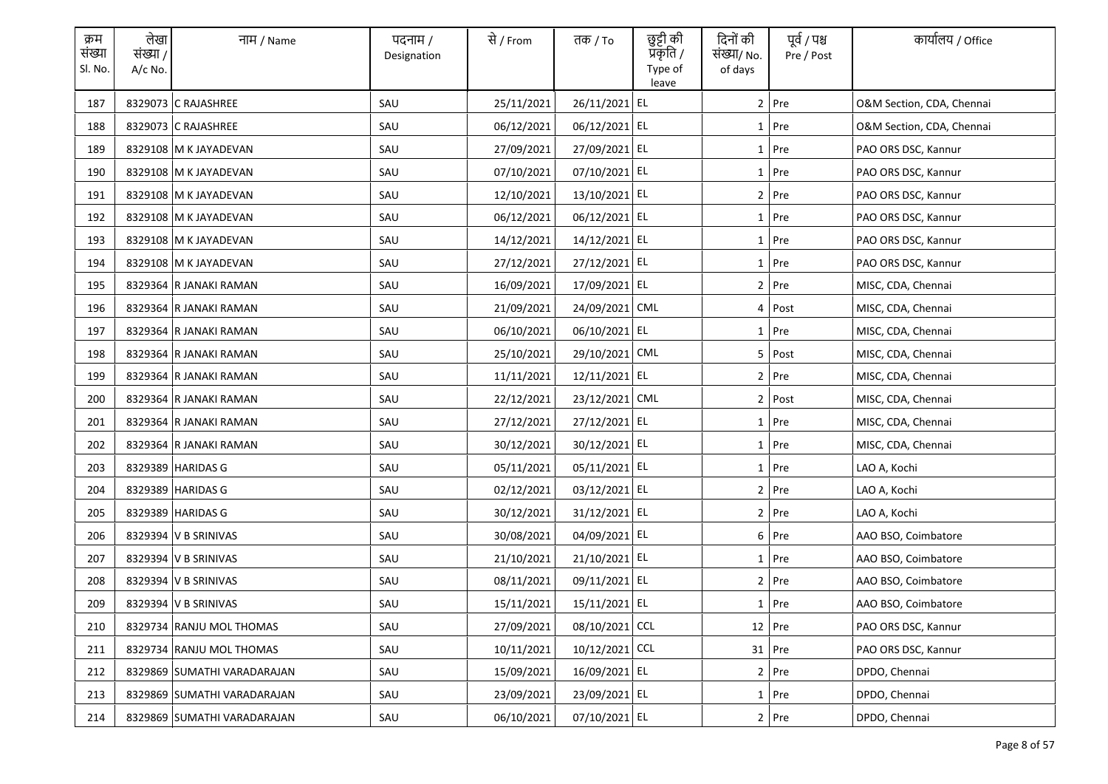| क्रम<br>संख्या<br>Sl. No. | लेखा<br>संख्या /<br>$A/c$ No. | नाम / Name                  | पदनाम /<br>Designation | से / From  | तक <i>/</i> To | छुट्टी की<br>प्रकृति /<br>Type of<br>leave | दिनों की<br>संख्या/ No.<br>of days | पूर्व / पश्च<br>Pre / Post | कार्यालय / Office         |
|---------------------------|-------------------------------|-----------------------------|------------------------|------------|----------------|--------------------------------------------|------------------------------------|----------------------------|---------------------------|
| 187                       |                               | 8329073 C RAJASHREE         | SAU                    | 25/11/2021 | 26/11/2021 EL  |                                            |                                    | $2$ Pre                    | O&M Section, CDA, Chennai |
| 188                       |                               | 8329073 C RAJASHREE         | SAU                    | 06/12/2021 | 06/12/2021 EL  |                                            |                                    | 1 Pre                      | O&M Section, CDA, Chennai |
| 189                       |                               | 8329108 M K JAYADEVAN       | SAU                    | 27/09/2021 | 27/09/2021 EL  |                                            |                                    | $1$ Pre                    | PAO ORS DSC, Kannur       |
| 190                       |                               | 8329108 M K JAYADEVAN       | SAU                    | 07/10/2021 | 07/10/2021 EL  |                                            |                                    | 1 Pre                      | PAO ORS DSC, Kannur       |
| 191                       |                               | 8329108 M K JAYADEVAN       | SAU                    | 12/10/2021 | 13/10/2021 EL  |                                            |                                    | 2 Pre                      | PAO ORS DSC, Kannur       |
| 192                       |                               | 8329108 M K JAYADEVAN       | SAU                    | 06/12/2021 | 06/12/2021 EL  |                                            |                                    | 1 Pre                      | PAO ORS DSC, Kannur       |
| 193                       |                               | 8329108 M K JAYADEVAN       | SAU                    | 14/12/2021 | 14/12/2021 EL  |                                            |                                    | 1 Pre                      | PAO ORS DSC, Kannur       |
| 194                       |                               | 8329108 M K JAYADEVAN       | SAU                    | 27/12/2021 | 27/12/2021 EL  |                                            |                                    | 1 Pre                      | PAO ORS DSC, Kannur       |
| 195                       |                               | 8329364 R JANAKI RAMAN      | SAU                    | 16/09/2021 | 17/09/2021 EL  |                                            |                                    | $2$ Pre                    | MISC, CDA, Chennai        |
| 196                       |                               | 8329364 R JANAKI RAMAN      | SAU                    | 21/09/2021 | 24/09/2021 CML |                                            |                                    | 4 Post                     | MISC, CDA, Chennai        |
| 197                       |                               | 8329364 R JANAKI RAMAN      | SAU                    | 06/10/2021 | 06/10/2021 EL  |                                            |                                    | $1$ Pre                    | MISC, CDA, Chennai        |
| 198                       |                               | 8329364 R JANAKI RAMAN      | SAU                    | 25/10/2021 | 29/10/2021 CML |                                            |                                    | 5 Post                     | MISC, CDA, Chennai        |
| 199                       |                               | 8329364 R JANAKI RAMAN      | SAU                    | 11/11/2021 | 12/11/2021 EL  |                                            |                                    | $2$ Pre                    | MISC, CDA, Chennai        |
| 200                       |                               | 8329364 R JANAKI RAMAN      | SAU                    | 22/12/2021 | 23/12/2021 CML |                                            |                                    | $2$ Post                   | MISC, CDA, Chennai        |
| 201                       |                               | 8329364 R JANAKI RAMAN      | SAU                    | 27/12/2021 | 27/12/2021 EL  |                                            |                                    | $1$ Pre                    | MISC, CDA, Chennai        |
| 202                       |                               | 8329364 R JANAKI RAMAN      | SAU                    | 30/12/2021 | 30/12/2021 EL  |                                            |                                    | 1 Pre                      | MISC, CDA, Chennai        |
| 203                       |                               | 8329389 HARIDAS G           | SAU                    | 05/11/2021 | 05/11/2021 EL  |                                            |                                    | 1 Pre                      | LAO A, Kochi              |
| 204                       |                               | 8329389 HARIDAS G           | SAU                    | 02/12/2021 | 03/12/2021 EL  |                                            |                                    | 2 Pre                      | LAO A, Kochi              |
| 205                       |                               | 8329389 HARIDAS G           | SAU                    | 30/12/2021 | 31/12/2021 EL  |                                            |                                    | $2$ Pre                    | LAO A, Kochi              |
| 206                       |                               | 8329394 V B SRINIVAS        | SAU                    | 30/08/2021 | 04/09/2021 EL  |                                            |                                    | 6 Pre                      | AAO BSO, Coimbatore       |
| 207                       |                               | 8329394 V B SRINIVAS        | SAU                    | 21/10/2021 | 21/10/2021 EL  |                                            |                                    | $1$ Pre                    | AAO BSO, Coimbatore       |
| 208                       |                               | 8329394 V B SRINIVAS        | SAU                    | 08/11/2021 | 09/11/2021 EL  |                                            |                                    | 2 Pre                      | AAO BSO, Coimbatore       |
| 209                       |                               | 8329394 V B SRINIVAS        | SAU                    | 15/11/2021 | 15/11/2021 EL  |                                            |                                    | 1 Pre                      | AAO BSO, Coimbatore       |
| 210                       |                               | 8329734 RANJU MOL THOMAS    | SAU                    | 27/09/2021 | 08/10/2021 CCL |                                            |                                    | 12 Pre                     | PAO ORS DSC, Kannur       |
| 211                       |                               | 8329734 RANJU MOL THOMAS    | SAU                    | 10/11/2021 | 10/12/2021 CCL |                                            |                                    | 31 Pre                     | PAO ORS DSC, Kannur       |
| 212                       |                               | 8329869 SUMATHI VARADARAJAN | SAU                    | 15/09/2021 | 16/09/2021 EL  |                                            |                                    | 2 Pre                      | DPDO, Chennai             |
| 213                       |                               | 8329869 SUMATHI VARADARAJAN | SAU                    | 23/09/2021 | 23/09/2021 EL  |                                            |                                    | $1$ Pre                    | DPDO, Chennai             |
| 214                       |                               | 8329869 SUMATHI VARADARAJAN | SAU                    | 06/10/2021 | 07/10/2021 EL  |                                            |                                    | 2 Pre                      | DPDO, Chennai             |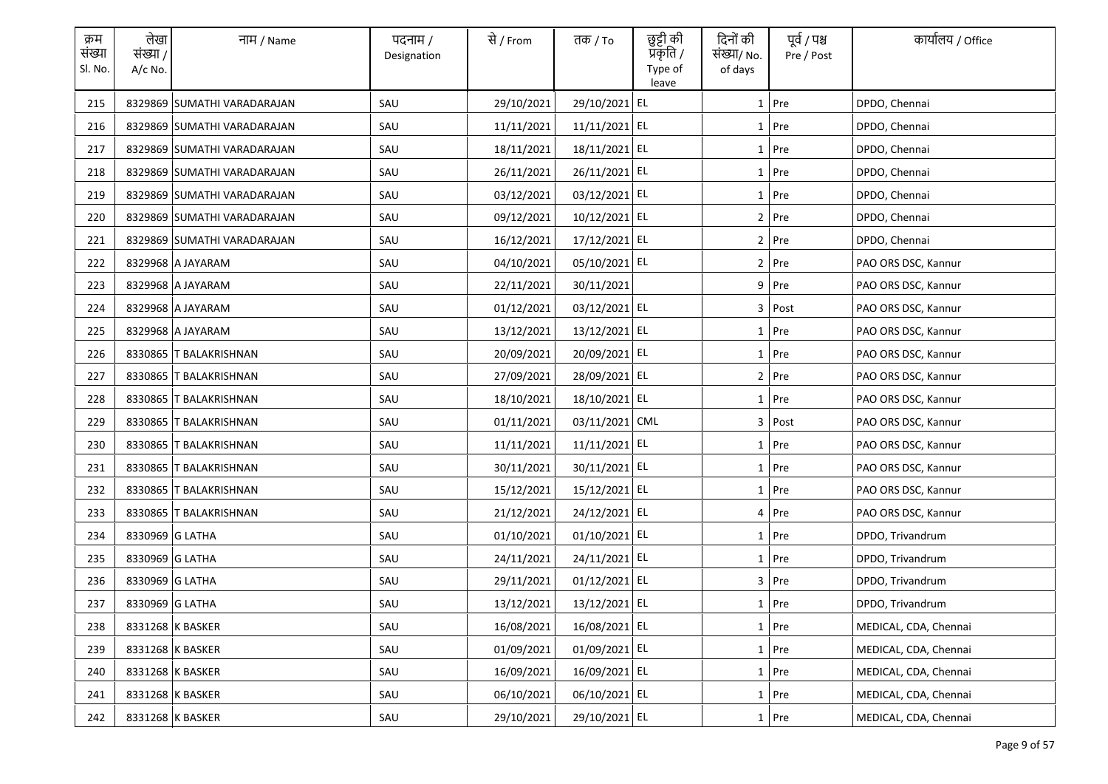| क्रम<br>संख्या<br>Sl. No. | लेखा<br>संख्या /<br>$A/c$ No. | नाम / Name                  | पदनाम /<br>Designation | से / From  | तक <i>/</i> To | छुट्टी की<br>प्रकृति /<br>Type of<br>leave | दिनों की<br>संख्या/ No.<br>of days | पूर्व / पश्च<br>Pre / Post | कार्यालय / Office     |
|---------------------------|-------------------------------|-----------------------------|------------------------|------------|----------------|--------------------------------------------|------------------------------------|----------------------------|-----------------------|
| 215                       |                               | 8329869 SUMATHI VARADARAJAN | SAU                    | 29/10/2021 | 29/10/2021 EL  |                                            |                                    | $1$ Pre                    | DPDO, Chennai         |
| 216                       |                               | 8329869 SUMATHI VARADARAJAN | SAU                    | 11/11/2021 | 11/11/2021 EL  |                                            |                                    | 1 Pre                      | DPDO, Chennai         |
| 217                       |                               | 8329869 SUMATHI VARADARAJAN | SAU                    | 18/11/2021 | 18/11/2021 EL  |                                            |                                    | $1$ Pre                    | DPDO, Chennai         |
| 218                       |                               | 8329869 SUMATHI VARADARAJAN | SAU                    | 26/11/2021 | 26/11/2021 EL  |                                            |                                    | 1 Pre                      | DPDO, Chennai         |
| 219                       |                               | 8329869 SUMATHI VARADARAJAN | SAU                    | 03/12/2021 | 03/12/2021 EL  |                                            |                                    | $1$ Pre                    | DPDO, Chennai         |
| 220                       |                               | 8329869 SUMATHI VARADARAJAN | SAU                    | 09/12/2021 | 10/12/2021 EL  |                                            |                                    | 2 Pre                      | DPDO, Chennai         |
| 221                       |                               | 8329869 SUMATHI VARADARAJAN | SAU                    | 16/12/2021 | 17/12/2021 EL  |                                            |                                    | 2 Pre                      | DPDO, Chennai         |
| 222                       |                               | 8329968 A JAYARAM           | SAU                    | 04/10/2021 | 05/10/2021 EL  |                                            |                                    | 2 Pre                      | PAO ORS DSC, Kannur   |
| 223                       |                               | 8329968 A JAYARAM           | SAU                    | 22/11/2021 | 30/11/2021     |                                            |                                    | $9$ Pre                    | PAO ORS DSC, Kannur   |
| 224                       |                               | 8329968 A JAYARAM           | SAU                    | 01/12/2021 | 03/12/2021 EL  |                                            |                                    | 3 Post                     | PAO ORS DSC, Kannur   |
| 225                       |                               | 8329968 A JAYARAM           | SAU                    | 13/12/2021 | 13/12/2021 EL  |                                            |                                    | $1$ Pre                    | PAO ORS DSC, Kannur   |
| 226                       |                               | 8330865 T BALAKRISHNAN      | SAU                    | 20/09/2021 | 20/09/2021 EL  |                                            |                                    | 1 Pre                      | PAO ORS DSC, Kannur   |
| 227                       |                               | 8330865 T BALAKRISHNAN      | SAU                    | 27/09/2021 | 28/09/2021 EL  |                                            |                                    | $2$ Pre                    | PAO ORS DSC, Kannur   |
| 228                       |                               | 8330865 T BALAKRISHNAN      | SAU                    | 18/10/2021 | 18/10/2021 EL  |                                            |                                    | 1 Pre                      | PAO ORS DSC, Kannur   |
| 229                       | 8330865                       | <b>T BALAKRISHNAN</b>       | SAU                    | 01/11/2021 | 03/11/2021 CML |                                            |                                    | 3 Post                     | PAO ORS DSC, Kannur   |
| 230                       |                               | 8330865 T BALAKRISHNAN      | SAU                    | 11/11/2021 | 11/11/2021 EL  |                                            |                                    | 1 Pre                      | PAO ORS DSC, Kannur   |
| 231                       |                               | 8330865 T BALAKRISHNAN      | SAU                    | 30/11/2021 | 30/11/2021 EL  |                                            |                                    | 1 Pre                      | PAO ORS DSC, Kannur   |
| 232                       |                               | 8330865 T BALAKRISHNAN      | SAU                    | 15/12/2021 | 15/12/2021 EL  |                                            |                                    | 1 Pre                      | PAO ORS DSC, Kannur   |
| 233                       |                               | 8330865 T BALAKRISHNAN      | SAU                    | 21/12/2021 | 24/12/2021 EL  |                                            |                                    | 4 Pre                      | PAO ORS DSC, Kannur   |
| 234                       | 8330969 G LATHA               |                             | SAU                    | 01/10/2021 | 01/10/2021 EL  |                                            |                                    | $1$ Pre                    | DPDO, Trivandrum      |
| 235                       | 8330969 G LATHA               |                             | SAU                    | 24/11/2021 | 24/11/2021 EL  |                                            |                                    | $1$ Pre                    | DPDO, Trivandrum      |
| 236                       | 8330969 G LATHA               |                             | SAU                    | 29/11/2021 | 01/12/2021 EL  |                                            |                                    | 3 Pre                      | DPDO, Trivandrum      |
| 237                       | 8330969 G LATHA               |                             | SAU                    | 13/12/2021 | 13/12/2021 EL  |                                            |                                    | 1 Pre                      | DPDO, Trivandrum      |
| 238                       |                               | 8331268 K BASKER            | SAU                    | 16/08/2021 | 16/08/2021 EL  |                                            |                                    | $1$ Pre                    | MEDICAL, CDA, Chennai |
| 239                       |                               | 8331268 K BASKER            | SAU                    | 01/09/2021 | 01/09/2021 EL  |                                            |                                    | 1 Pre                      | MEDICAL, CDA, Chennai |
| 240                       |                               | 8331268 K BASKER            | SAU                    | 16/09/2021 | 16/09/2021 EL  |                                            |                                    | 1 Pre                      | MEDICAL, CDA, Chennai |
| 241                       |                               | 8331268 K BASKER            | SAU                    | 06/10/2021 | 06/10/2021 EL  |                                            |                                    | $1$ Pre                    | MEDICAL, CDA, Chennai |
| 242                       |                               | 8331268 K BASKER            | SAU                    | 29/10/2021 | 29/10/2021 EL  |                                            |                                    | 1 Pre                      | MEDICAL, CDA, Chennai |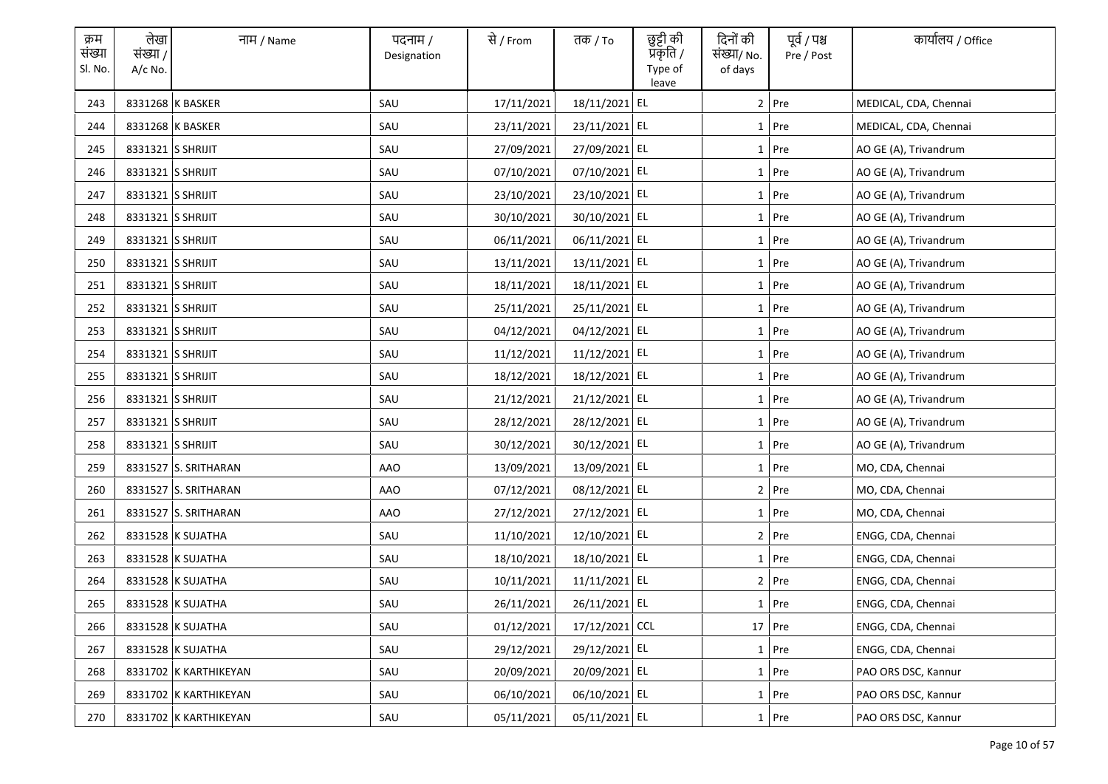| क्रम<br>संख्या<br>Sl. No. | लेखा<br>संख्या /<br>$A/c$ No. | नाम / Name            | पदनाम /<br>Designation | से / From  | तक <i>/</i> To | छुट्टी की<br>प्रॅकृति /<br>Type of<br>leave | दिनों की<br>संख्या/ No.<br>of days | पूर्व / पश्च<br>Pre / Post | कार्यालय / Office     |
|---------------------------|-------------------------------|-----------------------|------------------------|------------|----------------|---------------------------------------------|------------------------------------|----------------------------|-----------------------|
| 243                       |                               | 8331268 K BASKER      | SAU                    | 17/11/2021 | 18/11/2021 EL  |                                             |                                    | $2$ Pre                    | MEDICAL, CDA, Chennai |
| 244                       |                               | 8331268 K BASKER      | SAU                    | 23/11/2021 | 23/11/2021 EL  |                                             |                                    | $1$ Pre                    | MEDICAL, CDA, Chennai |
| 245                       | 8331321 S SHRIJIT             |                       | SAU                    | 27/09/2021 | 27/09/2021 EL  |                                             |                                    | $1$ Pre                    | AO GE (A), Trivandrum |
| 246                       | 8331321 S SHRIJIT             |                       | SAU                    | 07/10/2021 | 07/10/2021 EL  |                                             |                                    | $1$ Pre                    | AO GE (A), Trivandrum |
| 247                       | 8331321 S SHRIJIT             |                       | SAU                    | 23/10/2021 | 23/10/2021 EL  |                                             |                                    | $1$ Pre                    | AO GE (A), Trivandrum |
| 248                       | 8331321 S SHRIJIT             |                       | SAU                    | 30/10/2021 | 30/10/2021 EL  |                                             |                                    | $1$ Pre                    | AO GE (A), Trivandrum |
| 249                       | 8331321 S SHRIJIT             |                       | SAU                    | 06/11/2021 | 06/11/2021 EL  |                                             |                                    | $1$ Pre                    | AO GE (A), Trivandrum |
| 250                       | 8331321 S SHRIJIT             |                       | SAU                    | 13/11/2021 | 13/11/2021 EL  |                                             |                                    | $1$ Pre                    | AO GE (A), Trivandrum |
| 251                       | 8331321 S SHRIJIT             |                       | SAU                    | 18/11/2021 | 18/11/2021 EL  |                                             |                                    | 1 Pre                      | AO GE (A), Trivandrum |
| 252                       | 8331321 S SHRIJIT             |                       | SAU                    | 25/11/2021 | 25/11/2021 EL  |                                             |                                    | $1$ Pre                    | AO GE (A), Trivandrum |
| 253                       | 8331321 S SHRIJIT             |                       | SAU                    | 04/12/2021 | 04/12/2021 EL  |                                             |                                    | $1$ Pre                    | AO GE (A), Trivandrum |
| 254                       | 8331321 S SHRIJIT             |                       | SAU                    | 11/12/2021 | 11/12/2021 EL  |                                             |                                    | $1$ Pre                    | AO GE (A), Trivandrum |
| 255                       | 8331321 S SHRIJIT             |                       | SAU                    | 18/12/2021 | 18/12/2021 EL  |                                             |                                    | $1$ Pre                    | AO GE (A), Trivandrum |
| 256                       | 8331321 S SHRIJIT             |                       | SAU                    | 21/12/2021 | 21/12/2021 EL  |                                             |                                    | 1 Pre                      | AO GE (A), Trivandrum |
| 257                       | 8331321 S SHRIJIT             |                       | SAU                    | 28/12/2021 | 28/12/2021 EL  |                                             |                                    | $1$ Pre                    | AO GE (A), Trivandrum |
| 258                       | 8331321 S SHRIJIT             |                       | SAU                    | 30/12/2021 | 30/12/2021 EL  |                                             |                                    | 1 Pre                      | AO GE (A), Trivandrum |
| 259                       |                               | 8331527 S. SRITHARAN  | <b>AAO</b>             | 13/09/2021 | 13/09/2021 EL  |                                             |                                    | $1$ Pre                    | MO, CDA, Chennai      |
| 260                       |                               | 8331527 S. SRITHARAN  | AAO                    | 07/12/2021 | 08/12/2021 EL  |                                             |                                    | 2 Pre                      | MO, CDA, Chennai      |
| 261                       |                               | 8331527 S. SRITHARAN  | AAO                    | 27/12/2021 | 27/12/2021 EL  |                                             |                                    | $1$ Pre                    | MO, CDA, Chennai      |
| 262                       |                               | 8331528 K SUJATHA     | SAU                    | 11/10/2021 | 12/10/2021 EL  |                                             |                                    | 2 Pre                      | ENGG, CDA, Chennai    |
| 263                       |                               | 8331528 K SUJATHA     | SAU                    | 18/10/2021 | 18/10/2021 EL  |                                             |                                    | $1$ Pre                    | ENGG, CDA, Chennai    |
| 264                       |                               | 8331528 K SUJATHA     | SAU                    | 10/11/2021 | 11/11/2021 EL  |                                             |                                    | $2$ Pre                    | ENGG, CDA, Chennai    |
| 265                       |                               | 8331528 K SUJATHA     | SAU                    | 26/11/2021 | 26/11/2021 EL  |                                             |                                    | 1 Pre                      | ENGG, CDA, Chennai    |
| 266                       |                               | 8331528 K SUJATHA     | SAU                    | 01/12/2021 | 17/12/2021 CCL |                                             |                                    | 17 Pre                     | ENGG, CDA, Chennai    |
| 267                       |                               | 8331528 K SUJATHA     | SAU                    | 29/12/2021 | 29/12/2021 EL  |                                             |                                    | $1$ Pre                    | ENGG, CDA, Chennai    |
| 268                       |                               | 8331702 K KARTHIKEYAN | SAU                    | 20/09/2021 | 20/09/2021 EL  |                                             |                                    | 1 Pre                      | PAO ORS DSC, Kannur   |
| 269                       |                               | 8331702 K KARTHIKEYAN | SAU                    | 06/10/2021 | 06/10/2021 EL  |                                             |                                    | $1$ Pre                    | PAO ORS DSC, Kannur   |
| 270                       |                               | 8331702 K KARTHIKEYAN | SAU                    | 05/11/2021 | 05/11/2021 EL  |                                             |                                    | 1 Pre                      | PAO ORS DSC, Kannur   |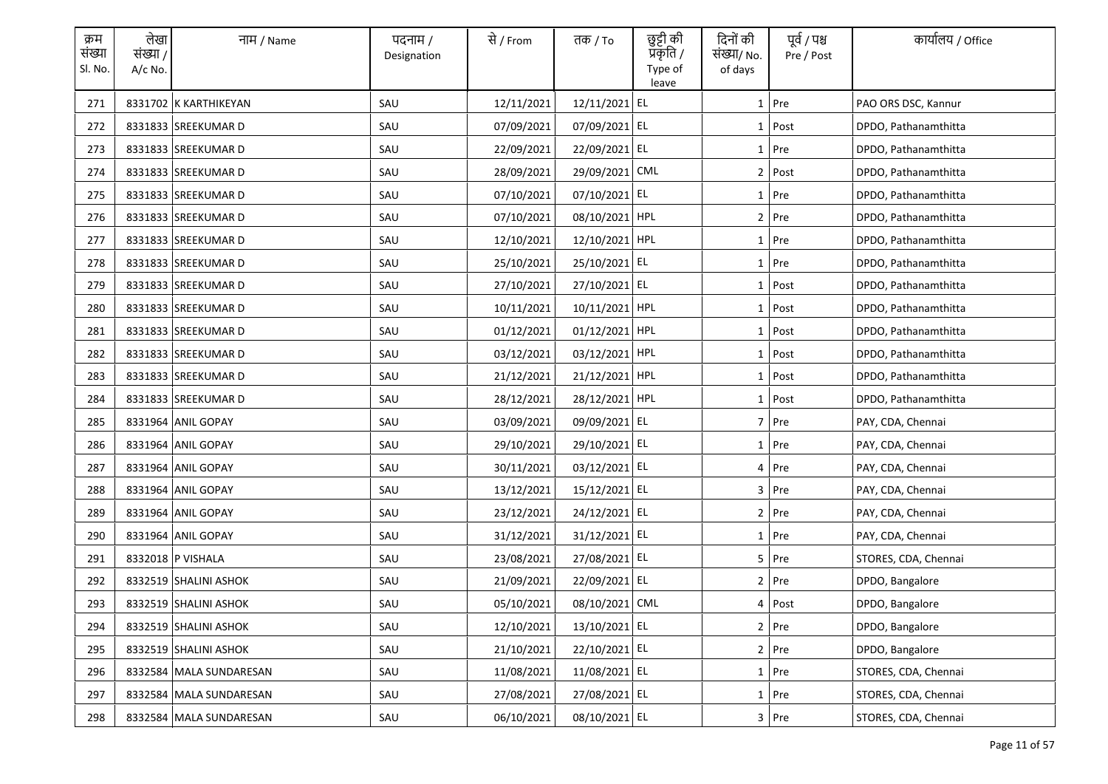| क्रम<br>संख्या<br>Sl. No. | लेखा<br>संख्या /<br>A/c No. | नाम / Name              | पदनाम /<br>Designation | से / From  | तक <i>/</i> To | छुट्टी की<br>प्रकृति /<br>Type of<br>leave | दिनों की<br>संख्या/ No.<br>of days | पूर्व / पश्च<br>Pre / Post | कार्यालय / Office    |
|---------------------------|-----------------------------|-------------------------|------------------------|------------|----------------|--------------------------------------------|------------------------------------|----------------------------|----------------------|
| 271                       |                             | 8331702 K KARTHIKEYAN   | SAU                    | 12/11/2021 | 12/11/2021 EL  |                                            |                                    | $1$ Pre                    | PAO ORS DSC, Kannur  |
| 272                       |                             | 8331833 SREEKUMAR D     | SAU                    | 07/09/2021 | 07/09/2021 EL  |                                            |                                    | $1$ Post                   | DPDO, Pathanamthitta |
| 273                       |                             | 8331833 SREEKUMAR D     | SAU                    | 22/09/2021 | 22/09/2021 EL  |                                            |                                    | $1$ Pre                    | DPDO, Pathanamthitta |
| 274                       |                             | 8331833 SREEKUMAR D     | SAU                    | 28/09/2021 | 29/09/2021 CML |                                            |                                    | $2$ Post                   | DPDO, Pathanamthitta |
| 275                       |                             | 8331833 SREEKUMAR D     | SAU                    | 07/10/2021 | 07/10/2021 EL  |                                            |                                    | $1$ Pre                    | DPDO, Pathanamthitta |
| 276                       |                             | 8331833 SREEKUMAR D     | SAU                    | 07/10/2021 | 08/10/2021 HPL |                                            |                                    | $2$ Pre                    | DPDO, Pathanamthitta |
| 277                       |                             | 8331833 SREEKUMAR D     | SAU                    | 12/10/2021 | 12/10/2021 HPL |                                            |                                    | 1 Pre                      | DPDO, Pathanamthitta |
| 278                       |                             | 8331833 SREEKUMAR D     | SAU                    | 25/10/2021 | 25/10/2021 EL  |                                            |                                    | $1$ Pre                    | DPDO, Pathanamthitta |
| 279                       |                             | 8331833 SREEKUMAR D     | SAU                    | 27/10/2021 | 27/10/2021 EL  |                                            |                                    | $1$ Post                   | DPDO, Pathanamthitta |
| 280                       |                             | 8331833 SREEKUMAR D     | SAU                    | 10/11/2021 | 10/11/2021 HPL |                                            |                                    | $1$ Post                   | DPDO, Pathanamthitta |
| 281                       |                             | 8331833 SREEKUMAR D     | SAU                    | 01/12/2021 | 01/12/2021 HPL |                                            |                                    | 1 Post                     | DPDO, Pathanamthitta |
| 282                       |                             | 8331833 SREEKUMAR D     | SAU                    | 03/12/2021 | 03/12/2021 HPL |                                            |                                    | $1$ Post                   | DPDO, Pathanamthitta |
| 283                       |                             | 8331833 SREEKUMAR D     | SAU                    | 21/12/2021 | 21/12/2021 HPL |                                            |                                    | 1 Post                     | DPDO, Pathanamthitta |
| 284                       |                             | 8331833 SREEKUMAR D     | SAU                    | 28/12/2021 | 28/12/2021 HPL |                                            |                                    | $1$ Post                   | DPDO, Pathanamthitta |
| 285                       |                             | 8331964 ANIL GOPAY      | SAU                    | 03/09/2021 | 09/09/2021 EL  |                                            |                                    | 7 Pre                      | PAY, CDA, Chennai    |
| 286                       |                             | 8331964 ANIL GOPAY      | SAU                    | 29/10/2021 | 29/10/2021 EL  |                                            |                                    | 1 Pre                      | PAY, CDA, Chennai    |
| 287                       |                             | 8331964 ANIL GOPAY      | SAU                    | 30/11/2021 | 03/12/2021 EL  |                                            |                                    | 4 Pre                      | PAY, CDA, Chennai    |
| 288                       |                             | 8331964 ANIL GOPAY      | SAU                    | 13/12/2021 | 15/12/2021 EL  |                                            |                                    | 3 Pre                      | PAY, CDA, Chennai    |
| 289                       |                             | 8331964 ANIL GOPAY      | SAU                    | 23/12/2021 | 24/12/2021 EL  |                                            |                                    | $2$ Pre                    | PAY, CDA, Chennai    |
| 290                       |                             | 8331964 ANIL GOPAY      | SAU                    | 31/12/2021 | 31/12/2021 EL  |                                            |                                    | $1$ Pre                    | PAY, CDA, Chennai    |
| 291                       |                             | 8332018 P VISHALA       | SAU                    | 23/08/2021 | 27/08/2021 EL  |                                            |                                    | 5 Pre                      | STORES, CDA, Chennai |
| 292                       |                             | 8332519 SHALINI ASHOK   | SAU                    | 21/09/2021 | 22/09/2021 EL  |                                            |                                    | $2$ Pre                    | DPDO, Bangalore      |
| 293                       |                             | 8332519 SHALINI ASHOK   | SAU                    | 05/10/2021 | 08/10/2021 CML |                                            |                                    | 4 Post                     | DPDO, Bangalore      |
| 294                       |                             | 8332519 SHALINI ASHOK   | SAU                    | 12/10/2021 | 13/10/2021 EL  |                                            |                                    | $2$ Pre                    | DPDO, Bangalore      |
| 295                       |                             | 8332519 SHALINI ASHOK   | SAU                    | 21/10/2021 | 22/10/2021 EL  |                                            |                                    | 2 Pre                      | DPDO, Bangalore      |
| 296                       |                             | 8332584 MALA SUNDARESAN | SAU                    | 11/08/2021 | 11/08/2021 EL  |                                            |                                    | 1 Pre                      | STORES, CDA, Chennai |
| 297                       |                             | 8332584 MALA SUNDARESAN | SAU                    | 27/08/2021 | 27/08/2021 EL  |                                            |                                    | $1$ Pre                    | STORES, CDA, Chennai |
| 298                       |                             | 8332584 MALA SUNDARESAN | SAU                    | 06/10/2021 | 08/10/2021 EL  |                                            |                                    | $3$ Pre                    | STORES, CDA, Chennai |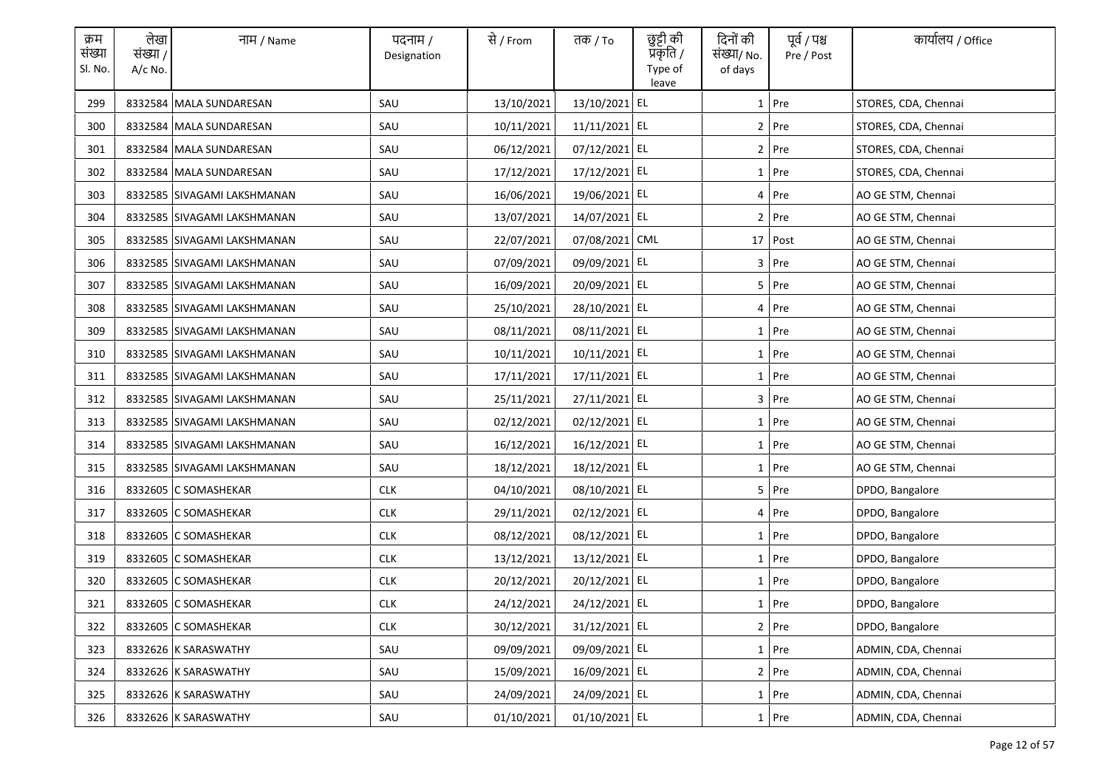| क्रम<br>संख्या<br>Sl. No. | लेखा<br>संख्या /<br>$A/c$ No. | नाम / Name                  | पदनाम /<br>Designation | से / From  | तक <i>/</i> To | छुट्टी की<br>प्रॅकृति /<br>Type of<br>leave | दिनों की<br>संख्या/ No.<br>of days | पूर्व / पश्च<br>Pre / Post | कार्यालय / Office    |
|---------------------------|-------------------------------|-----------------------------|------------------------|------------|----------------|---------------------------------------------|------------------------------------|----------------------------|----------------------|
| 299                       |                               | 8332584 MALA SUNDARESAN     | SAU                    | 13/10/2021 | 13/10/2021 EL  |                                             |                                    | $1$ Pre                    | STORES, CDA, Chennai |
| 300                       |                               | 8332584 MALA SUNDARESAN     | SAU                    | 10/11/2021 | 11/11/2021 EL  |                                             |                                    | 2 Pre                      | STORES, CDA, Chennai |
| 301                       |                               | 8332584 MALA SUNDARESAN     | SAU                    | 06/12/2021 | 07/12/2021 EL  |                                             |                                    | $2$ Pre                    | STORES, CDA, Chennai |
| 302                       |                               | 8332584 MALA SUNDARESAN     | SAU                    | 17/12/2021 | 17/12/2021 EL  |                                             |                                    | 1 Pre                      | STORES, CDA, Chennai |
| 303                       |                               | 8332585 SIVAGAMI LAKSHMANAN | SAU                    | 16/06/2021 | 19/06/2021 EL  |                                             |                                    | 4 Pre                      | AO GE STM, Chennai   |
| 304                       |                               | 8332585 SIVAGAMI LAKSHMANAN | SAU                    | 13/07/2021 | 14/07/2021 EL  |                                             |                                    | $2$ Pre                    | AO GE STM, Chennai   |
| 305                       |                               | 8332585 SIVAGAMI LAKSHMANAN | SAU                    | 22/07/2021 | 07/08/2021 CML |                                             |                                    | 17 Post                    | AO GE STM, Chennai   |
| 306                       |                               | 8332585 SIVAGAMI LAKSHMANAN | SAU                    | 07/09/2021 | 09/09/2021 EL  |                                             |                                    | $3$ Pre                    | AO GE STM, Chennai   |
| 307                       |                               | 8332585 SIVAGAMI LAKSHMANAN | SAU                    | 16/09/2021 | 20/09/2021 EL  |                                             |                                    | $5$ Pre                    | AO GE STM, Chennai   |
| 308                       |                               | 8332585 SIVAGAMI LAKSHMANAN | SAU                    | 25/10/2021 | 28/10/2021 EL  |                                             |                                    | 4 Pre                      | AO GE STM, Chennai   |
| 309                       |                               | 8332585 SIVAGAMI LAKSHMANAN | SAU                    | 08/11/2021 | 08/11/2021 EL  |                                             |                                    | $1$ Pre                    | AO GE STM, Chennai   |
| 310                       |                               | 8332585 SIVAGAMI LAKSHMANAN | SAU                    | 10/11/2021 | 10/11/2021 EL  |                                             |                                    | 1 Pre                      | AO GE STM, Chennai   |
| 311                       |                               | 8332585 SIVAGAMI LAKSHMANAN | SAU                    | 17/11/2021 | 17/11/2021 EL  |                                             |                                    | $1$ Pre                    | AO GE STM, Chennai   |
| 312                       |                               | 8332585 SIVAGAMI LAKSHMANAN | SAU                    | 25/11/2021 | 27/11/2021 EL  |                                             |                                    | $3$ Pre                    | AO GE STM, Chennai   |
| 313                       |                               | 8332585 SIVAGAMI LAKSHMANAN | SAU                    | 02/12/2021 | 02/12/2021 EL  |                                             |                                    | $1$ Pre                    | AO GE STM, Chennai   |
| 314                       |                               | 8332585 SIVAGAMI LAKSHMANAN | SAU                    | 16/12/2021 | 16/12/2021 EL  |                                             |                                    | 1 Pre                      | AO GE STM, Chennai   |
| 315                       |                               | 8332585 SIVAGAMI LAKSHMANAN | SAU                    | 18/12/2021 | 18/12/2021 EL  |                                             |                                    | 1 Pre                      | AO GE STM, Chennai   |
| 316                       |                               | 8332605 C SOMASHEKAR        | <b>CLK</b>             | 04/10/2021 | 08/10/2021 EL  |                                             |                                    | 5 Pre                      | DPDO, Bangalore      |
| 317                       |                               | 8332605 C SOMASHEKAR        | <b>CLK</b>             | 29/11/2021 | 02/12/2021 EL  |                                             |                                    | 4 Pre                      | DPDO, Bangalore      |
| 318                       |                               | 8332605 C SOMASHEKAR        | <b>CLK</b>             | 08/12/2021 | 08/12/2021 EL  |                                             |                                    | 1 Pre                      | DPDO, Bangalore      |
| 319                       |                               | 8332605 C SOMASHEKAR        | <b>CLK</b>             | 13/12/2021 | 13/12/2021 EL  |                                             |                                    | 1 Pre                      | DPDO, Bangalore      |
| 320                       |                               | 8332605 C SOMASHEKAR        | <b>CLK</b>             | 20/12/2021 | 20/12/2021 EL  |                                             |                                    | 1 Pre                      | DPDO, Bangalore      |
| 321                       |                               | 8332605 C SOMASHEKAR        | <b>CLK</b>             | 24/12/2021 | 24/12/2021 EL  |                                             |                                    | 1 Pre                      | DPDO, Bangalore      |
| 322                       |                               | 8332605 C SOMASHEKAR        | <b>CLK</b>             | 30/12/2021 | 31/12/2021 EL  |                                             |                                    | $2$ Pre                    | DPDO, Bangalore      |
| 323                       |                               | 8332626 K SARASWATHY        | SAU                    | 09/09/2021 | 09/09/2021 EL  |                                             |                                    | 1 Pre                      | ADMIN, CDA, Chennai  |
| 324                       |                               | 8332626 K SARASWATHY        | SAU                    | 15/09/2021 | 16/09/2021 EL  |                                             |                                    | 2 Pre                      | ADMIN, CDA, Chennai  |
| 325                       |                               | 8332626 K SARASWATHY        | SAU                    | 24/09/2021 | 24/09/2021 EL  |                                             |                                    | $1$ Pre                    | ADMIN, CDA, Chennai  |
| 326                       |                               | 8332626 K SARASWATHY        | SAU                    | 01/10/2021 | 01/10/2021 EL  |                                             |                                    | 1 Pre                      | ADMIN, CDA, Chennai  |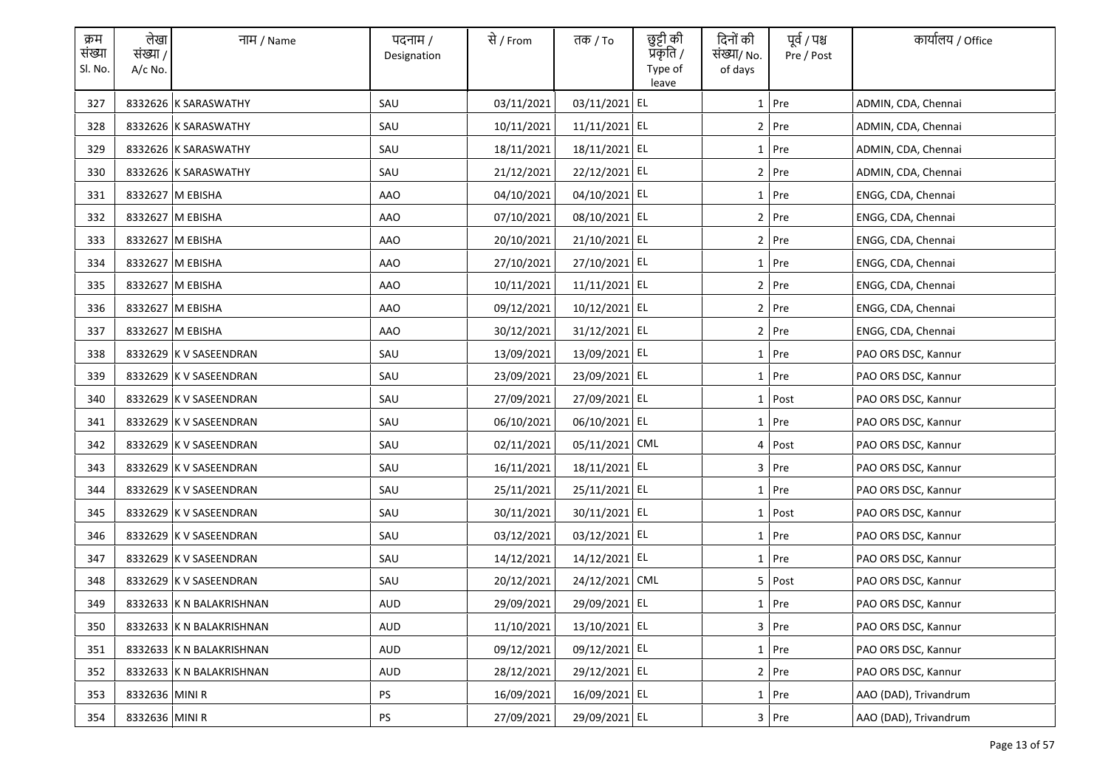| क्रम<br>संख्या<br>Sl. No. | लेखा<br>संख्या /<br>A/c No. | नाम / Name               | पदनाम /<br>Designation | से / From  | तक / To        | छुट्टी की<br>प्रकृति /<br>Type of<br>leave | दिनों की<br>संख्या/ No.<br>of days | पूर्व / पश्च<br>Pre / Post | कार्यालय / Office     |
|---------------------------|-----------------------------|--------------------------|------------------------|------------|----------------|--------------------------------------------|------------------------------------|----------------------------|-----------------------|
| 327                       |                             | 8332626 K SARASWATHY     | SAU                    | 03/11/2021 | 03/11/2021 EL  |                                            |                                    | $1$ Pre                    | ADMIN, CDA, Chennai   |
| 328                       |                             | 8332626 K SARASWATHY     | SAU                    | 10/11/2021 | 11/11/2021 EL  |                                            |                                    | 2 Pre                      | ADMIN, CDA, Chennai   |
| 329                       |                             | 8332626 K SARASWATHY     | SAU                    | 18/11/2021 | 18/11/2021 EL  |                                            |                                    | $1$ Pre                    | ADMIN, CDA, Chennai   |
| 330                       |                             | 8332626 K SARASWATHY     | SAU                    | 21/12/2021 | 22/12/2021 EL  |                                            |                                    | $2$ Pre                    | ADMIN, CDA, Chennai   |
| 331                       |                             | 8332627 M EBISHA         | AAO                    | 04/10/2021 | 04/10/2021 EL  |                                            |                                    | $1$ Pre                    | ENGG, CDA, Chennai    |
| 332                       |                             | 8332627 M EBISHA         | AAO                    | 07/10/2021 | 08/10/2021 EL  |                                            |                                    | $2$ Pre                    | ENGG, CDA, Chennai    |
| 333                       |                             | 8332627 M EBISHA         | AAO                    | 20/10/2021 | 21/10/2021 EL  |                                            |                                    | $2$ Pre                    | ENGG, CDA, Chennai    |
| 334                       |                             | 8332627 M EBISHA         | AAO                    | 27/10/2021 | 27/10/2021 EL  |                                            |                                    | $1$ Pre                    | ENGG, CDA, Chennai    |
| 335                       |                             | 8332627 M EBISHA         | AAO                    | 10/11/2021 | 11/11/2021 EL  |                                            |                                    | $2$ Pre                    | ENGG, CDA, Chennai    |
| 336                       |                             | 8332627 M EBISHA         | AAO                    | 09/12/2021 | 10/12/2021 EL  |                                            |                                    | 2 Pre                      | ENGG, CDA, Chennai    |
| 337                       |                             | 8332627 M EBISHA         | AAO                    | 30/12/2021 | 31/12/2021 EL  |                                            |                                    | 2 Pre                      | ENGG, CDA, Chennai    |
| 338                       |                             | 8332629 K V SASEENDRAN   | SAU                    | 13/09/2021 | 13/09/2021 EL  |                                            |                                    | $1$ Pre                    | PAO ORS DSC, Kannur   |
| 339                       |                             | 8332629 K V SASEENDRAN   | SAU                    | 23/09/2021 | 23/09/2021 EL  |                                            |                                    | $1$ Pre                    | PAO ORS DSC, Kannur   |
| 340                       |                             | 8332629 K V SASEENDRAN   | SAU                    | 27/09/2021 | 27/09/2021 EL  |                                            |                                    | 1 Post                     | PAO ORS DSC, Kannur   |
| 341                       |                             | 8332629 K V SASEENDRAN   | SAU                    | 06/10/2021 | 06/10/2021 EL  |                                            |                                    | 1 Pre                      | PAO ORS DSC, Kannur   |
| 342                       |                             | 8332629 K V SASEENDRAN   | SAU                    | 02/11/2021 | 05/11/2021 CML |                                            |                                    | 4 Post                     | PAO ORS DSC, Kannur   |
| 343                       |                             | 8332629 K V SASEENDRAN   | SAU                    | 16/11/2021 | 18/11/2021 EL  |                                            |                                    | $3$ Pre                    | PAO ORS DSC, Kannur   |
| 344                       |                             | 8332629 K V SASEENDRAN   | SAU                    | 25/11/2021 | 25/11/2021 EL  |                                            |                                    | 1 Pre                      | PAO ORS DSC, Kannur   |
| 345                       |                             | 8332629 K V SASEENDRAN   | SAU                    | 30/11/2021 | 30/11/2021 EL  |                                            |                                    | $1$ Post                   | PAO ORS DSC, Kannur   |
| 346                       |                             | 8332629 K V SASEENDRAN   | SAU                    | 03/12/2021 | 03/12/2021 EL  |                                            |                                    | $1$ Pre                    | PAO ORS DSC, Kannur   |
| 347                       |                             | 8332629 K V SASEENDRAN   | SAU                    | 14/12/2021 | 14/12/2021 EL  |                                            |                                    | $1$ Pre                    | PAO ORS DSC, Kannur   |
| 348                       |                             | 8332629 K V SASEENDRAN   | SAU                    | 20/12/2021 | 24/12/2021 CML |                                            |                                    | 5 Post                     | PAO ORS DSC, Kannur   |
| 349                       |                             | 8332633 K N BALAKRISHNAN | AUD                    | 29/09/2021 | 29/09/2021 EL  |                                            |                                    | 1   Pre                    | PAO ORS DSC, Kannur   |
| 350                       |                             | 8332633 K N BALAKRISHNAN | AUD                    | 11/10/2021 | 13/10/2021 EL  |                                            |                                    | 3 Pre                      | PAO ORS DSC, Kannur   |
| 351                       |                             | 8332633 K N BALAKRISHNAN | AUD                    | 09/12/2021 | 09/12/2021 EL  |                                            |                                    | 1 Pre                      | PAO ORS DSC, Kannur   |
| 352                       |                             | 8332633 K N BALAKRISHNAN | AUD                    | 28/12/2021 | 29/12/2021 EL  |                                            |                                    | 2 Pre                      | PAO ORS DSC, Kannur   |
| 353                       | 8332636 MINI R              |                          | <b>PS</b>              | 16/09/2021 | 16/09/2021 EL  |                                            |                                    | 1 Pre                      | AAO (DAD), Trivandrum |
| 354                       | 8332636 MINI R              |                          | PS                     | 27/09/2021 | 29/09/2021 EL  |                                            |                                    | $3$ Pre                    | AAO (DAD), Trivandrum |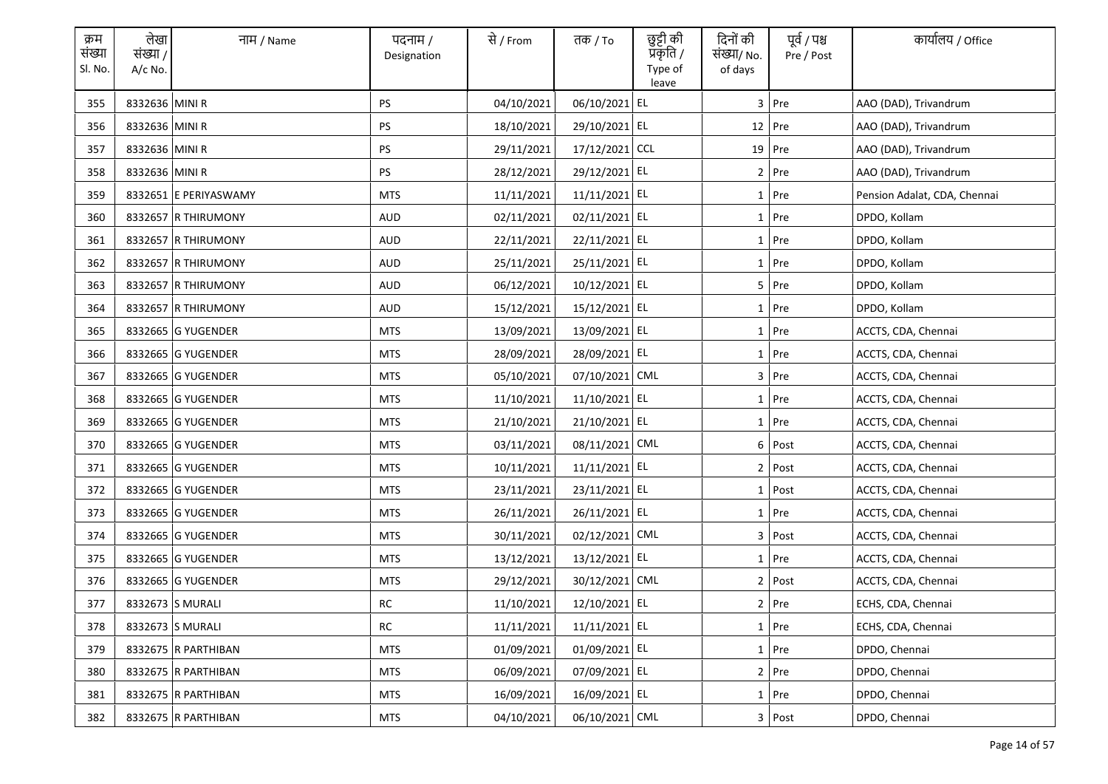| क्रम<br>संख्या<br>Sl. No. | लेखा<br>संख्या /<br>$A/c$ No. | नाम / Name            | पदनाम /<br>Designation | से / From  | तक / To        | छुट्टी की<br>प्रकृति /<br>Type of<br>leave | दिनों की<br>संख्या/ No.<br>of days | पूर्व / पश्च<br>Pre / Post | कार्यालय / Office            |
|---------------------------|-------------------------------|-----------------------|------------------------|------------|----------------|--------------------------------------------|------------------------------------|----------------------------|------------------------------|
| 355                       | 8332636 MINI R                |                       | <b>PS</b>              | 04/10/2021 | 06/10/2021 EL  |                                            |                                    | 3 Pre                      | AAO (DAD), Trivandrum        |
| 356                       | 8332636 MINI R                |                       | PS                     | 18/10/2021 | 29/10/2021 EL  |                                            |                                    | $12$ Pre                   | AAO (DAD), Trivandrum        |
| 357                       | 8332636 MINI R                |                       | PS                     | 29/11/2021 | 17/12/2021 CCL |                                            |                                    | 19 Pre                     | AAO (DAD), Trivandrum        |
| 358                       | 8332636 MINI R                |                       | <b>PS</b>              | 28/12/2021 | 29/12/2021 EL  |                                            |                                    | $2$ Pre                    | AAO (DAD), Trivandrum        |
| 359                       |                               | 8332651 E PERIYASWAMY | <b>MTS</b>             | 11/11/2021 | 11/11/2021 EL  |                                            |                                    | 1 Pre                      | Pension Adalat, CDA, Chennai |
| 360                       |                               | 8332657 R THIRUMONY   | <b>AUD</b>             | 02/11/2021 | 02/11/2021 EL  |                                            |                                    | $1$ Pre                    | DPDO, Kollam                 |
| 361                       |                               | 8332657 R THIRUMONY   | <b>AUD</b>             | 22/11/2021 | 22/11/2021 EL  |                                            |                                    | 1 Pre                      | DPDO, Kollam                 |
| 362                       |                               | 8332657 R THIRUMONY   | <b>AUD</b>             | 25/11/2021 | 25/11/2021 EL  |                                            |                                    | 1 Pre                      | DPDO, Kollam                 |
| 363                       |                               | 8332657 R THIRUMONY   | <b>AUD</b>             | 06/12/2021 | 10/12/2021 EL  |                                            |                                    | 5 Pre                      | DPDO, Kollam                 |
| 364                       |                               | 8332657 R THIRUMONY   | AUD                    | 15/12/2021 | 15/12/2021 EL  |                                            |                                    | $1$ Pre                    | DPDO, Kollam                 |
| 365                       |                               | 8332665 G YUGENDER    | MTS                    | 13/09/2021 | 13/09/2021 EL  |                                            |                                    | $1$ Pre                    | ACCTS, CDA, Chennai          |
| 366                       |                               | 8332665 G YUGENDER    | <b>MTS</b>             | 28/09/2021 | 28/09/2021 EL  |                                            |                                    | $1$ Pre                    | ACCTS, CDA, Chennai          |
| 367                       |                               | 8332665 G YUGENDER    | <b>MTS</b>             | 05/10/2021 | 07/10/2021 CML |                                            |                                    | 3 Pre                      | ACCTS, CDA, Chennai          |
| 368                       |                               | 8332665 G YUGENDER    | <b>MTS</b>             | 11/10/2021 | 11/10/2021 EL  |                                            |                                    | 1 Pre                      | ACCTS, CDA, Chennai          |
| 369                       |                               | 8332665 G YUGENDER    | <b>MTS</b>             | 21/10/2021 | 21/10/2021 EL  |                                            |                                    | 1 Pre                      | ACCTS, CDA, Chennai          |
| 370                       |                               | 8332665 G YUGENDER    | <b>MTS</b>             | 03/11/2021 | 08/11/2021 CML |                                            |                                    | 6 Post                     | ACCTS, CDA, Chennai          |
| 371                       |                               | 8332665 G YUGENDER    | <b>MTS</b>             | 10/11/2021 | 11/11/2021 EL  |                                            |                                    | 2 Post                     | ACCTS, CDA, Chennai          |
| 372                       |                               | 8332665 G YUGENDER    | <b>MTS</b>             | 23/11/2021 | 23/11/2021 EL  |                                            |                                    | 1 Post                     | ACCTS, CDA, Chennai          |
| 373                       |                               | 8332665 G YUGENDER    | <b>MTS</b>             | 26/11/2021 | 26/11/2021 EL  |                                            |                                    | $1$ Pre                    | ACCTS, CDA, Chennai          |
| 374                       |                               | 8332665 G YUGENDER    | <b>MTS</b>             | 30/11/2021 | 02/12/2021 CML |                                            |                                    | 3 Post                     | ACCTS, CDA, Chennai          |
| 375                       |                               | 8332665 G YUGENDER    | <b>MTS</b>             | 13/12/2021 | 13/12/2021 EL  |                                            |                                    | 1 Pre                      | ACCTS, CDA, Chennai          |
| 376                       |                               | 8332665 G YUGENDER    | <b>MTS</b>             | 29/12/2021 | 30/12/2021 CML |                                            |                                    | 2 Post                     | ACCTS, CDA, Chennai          |
| 377                       |                               | 8332673 S MURALI      | RC                     | 11/10/2021 | 12/10/2021 EL  |                                            |                                    | 2 Pre                      | ECHS, CDA, Chennai           |
| 378                       |                               | 8332673 S MURALI      | $\sf RC$               | 11/11/2021 | 11/11/2021 EL  |                                            |                                    | $1$ Pre                    | ECHS, CDA, Chennai           |
| 379                       |                               | 8332675 R PARTHIBAN   | <b>MTS</b>             | 01/09/2021 | 01/09/2021 EL  |                                            |                                    | $1$ Pre                    | DPDO, Chennai                |
| 380                       |                               | 8332675 R PARTHIBAN   | <b>MTS</b>             | 06/09/2021 | 07/09/2021 EL  |                                            |                                    | 2 Pre                      | DPDO, Chennai                |
| 381                       |                               | 8332675 R PARTHIBAN   | <b>MTS</b>             | 16/09/2021 | 16/09/2021 EL  |                                            |                                    | $1$ Pre                    | DPDO, Chennai                |
| 382                       |                               | 8332675 R PARTHIBAN   | <b>MTS</b>             | 04/10/2021 | 06/10/2021 CML |                                            |                                    | 3 Post                     | DPDO, Chennai                |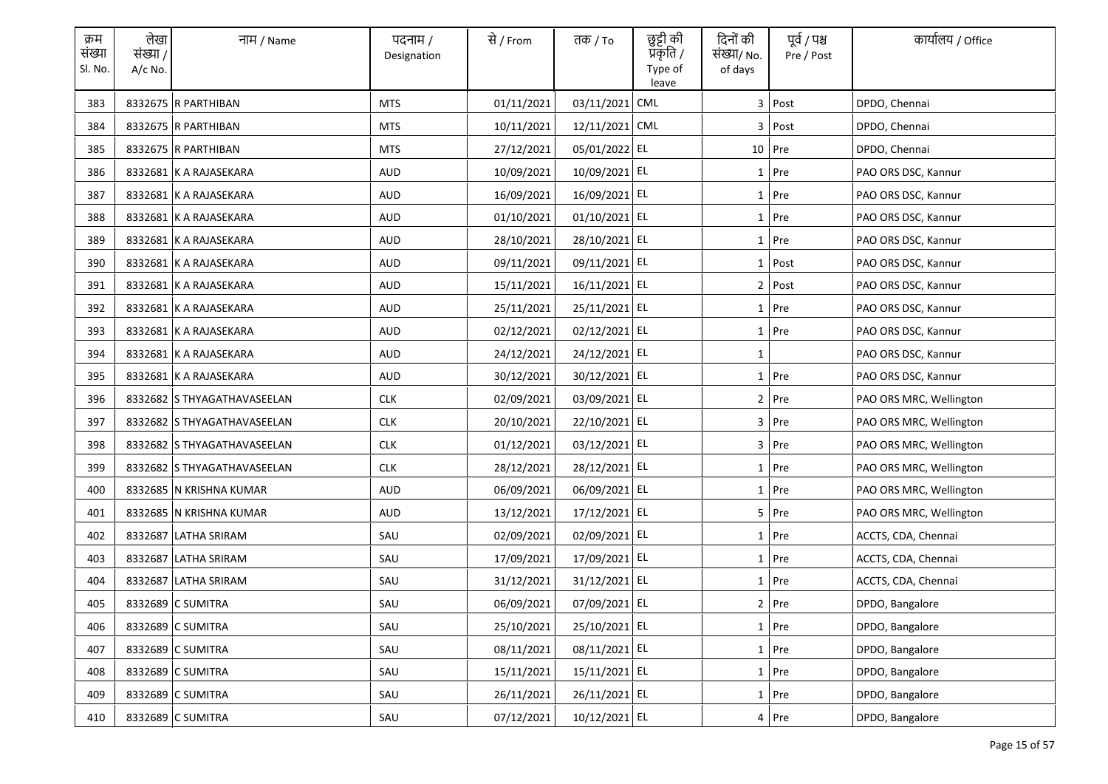| क्रम<br>संख्या<br>Sl. No. | लेखा<br>संख्या /<br>$A/c$ No. | नाम / Name                  | पदनाम /<br>Designation | से / From  | तक <i>/</i> To | छुट्टी की<br>प्रॅकृति /<br>Type of<br>leave | दिनों की<br>संख्या/ No.<br>of days | पूर्व / पश्च<br>Pre / Post | कार्यालय / Office       |
|---------------------------|-------------------------------|-----------------------------|------------------------|------------|----------------|---------------------------------------------|------------------------------------|----------------------------|-------------------------|
| 383                       |                               | 8332675 R PARTHIBAN         | <b>MTS</b>             | 01/11/2021 | 03/11/2021     | CML                                         |                                    | 3 Post                     | DPDO, Chennai           |
| 384                       |                               | 8332675 R PARTHIBAN         | <b>MTS</b>             | 10/11/2021 | 12/11/2021 CML |                                             |                                    | 3 Post                     | DPDO, Chennai           |
| 385                       |                               | 8332675 R PARTHIBAN         | MTS                    | 27/12/2021 | 05/01/2022 EL  |                                             |                                    | 10 Pre                     | DPDO, Chennai           |
| 386                       |                               | 8332681 K A RAJASEKARA      | AUD                    | 10/09/2021 | 10/09/2021 EL  |                                             |                                    | 1 Pre                      | PAO ORS DSC, Kannur     |
| 387                       |                               | 8332681 K A RAJASEKARA      | <b>AUD</b>             | 16/09/2021 | 16/09/2021 EL  |                                             |                                    | 1 Pre                      | PAO ORS DSC, Kannur     |
| 388                       |                               | 8332681 K A RAJASEKARA      | AUD                    | 01/10/2021 | 01/10/2021 EL  |                                             |                                    | 1 Pre                      | PAO ORS DSC, Kannur     |
| 389                       |                               | 8332681 K A RAJASEKARA      | <b>AUD</b>             | 28/10/2021 | 28/10/2021 EL  |                                             |                                    | 1 Pre                      | PAO ORS DSC, Kannur     |
| 390                       |                               | 8332681 K A RAJASEKARA      | <b>AUD</b>             | 09/11/2021 | 09/11/2021 EL  |                                             |                                    | 1 Post                     | PAO ORS DSC, Kannur     |
| 391                       |                               | 8332681 K A RAJASEKARA      | <b>AUD</b>             | 15/11/2021 | 16/11/2021 EL  |                                             |                                    | 2 Post                     | PAO ORS DSC, Kannur     |
| 392                       |                               | 8332681 K A RAJASEKARA      | <b>AUD</b>             | 25/11/2021 | 25/11/2021 EL  |                                             |                                    | $1$ Pre                    | PAO ORS DSC, Kannur     |
| 393                       |                               | 8332681 K A RAJASEKARA      | AUD                    | 02/12/2021 | 02/12/2021 EL  |                                             |                                    | $1$ Pre                    | PAO ORS DSC, Kannur     |
| 394                       |                               | 8332681 K A RAJASEKARA      | AUD                    | 24/12/2021 | 24/12/2021 EL  |                                             | 1                                  |                            | PAO ORS DSC, Kannur     |
| 395                       |                               | 8332681 K A RAJASEKARA      | AUD                    | 30/12/2021 | 30/12/2021 EL  |                                             |                                    | $1$ Pre                    | PAO ORS DSC, Kannur     |
| 396                       |                               | 8332682 S THYAGATHAVASEELAN | <b>CLK</b>             | 02/09/2021 | 03/09/2021 EL  |                                             |                                    | $2$ Pre                    | PAO ORS MRC, Wellington |
| 397                       |                               | 8332682 S THYAGATHAVASEELAN | <b>CLK</b>             | 20/10/2021 | 22/10/2021 EL  |                                             |                                    | 3 Pre                      | PAO ORS MRC, Wellington |
| 398                       |                               | 8332682 S THYAGATHAVASEELAN | <b>CLK</b>             | 01/12/2021 | 03/12/2021 EL  |                                             |                                    | $3$ Pre                    | PAO ORS MRC, Wellington |
| 399                       |                               | 8332682 S THYAGATHAVASEELAN | <b>CLK</b>             | 28/12/2021 | 28/12/2021 EL  |                                             |                                    | 1 Pre                      | PAO ORS MRC, Wellington |
| 400                       |                               | 8332685 N KRISHNA KUMAR     | AUD                    | 06/09/2021 | 06/09/2021 EL  |                                             |                                    | 1 Pre                      | PAO ORS MRC, Wellington |
| 401                       |                               | 8332685 N KRISHNA KUMAR     | AUD                    | 13/12/2021 | 17/12/2021 EL  |                                             |                                    | 5 Pre                      | PAO ORS MRC, Wellington |
| 402                       |                               | 8332687 LATHA SRIRAM        | SAU                    | 02/09/2021 | 02/09/2021 EL  |                                             |                                    | 1 Pre                      | ACCTS, CDA, Chennai     |
| 403                       |                               | 8332687 LATHA SRIRAM        | SAU                    | 17/09/2021 | 17/09/2021 EL  |                                             |                                    | 1 Pre                      | ACCTS, CDA, Chennai     |
| 404                       |                               | 8332687 LATHA SRIRAM        | SAU                    | 31/12/2021 | 31/12/2021 EL  |                                             |                                    | $1$ Pre                    | ACCTS, CDA, Chennai     |
| 405                       |                               | 8332689 C SUMITRA           | SAU                    | 06/09/2021 | 07/09/2021 EL  |                                             |                                    | 2 Pre                      | DPDO, Bangalore         |
| 406                       |                               | 8332689 C SUMITRA           | SAU                    | 25/10/2021 | 25/10/2021 EL  |                                             |                                    | $1$ Pre                    | DPDO, Bangalore         |
| 407                       |                               | 8332689 C SUMITRA           | SAU                    | 08/11/2021 | 08/11/2021 EL  |                                             |                                    | 1 Pre                      | DPDO, Bangalore         |
| 408                       |                               | 8332689 C SUMITRA           | SAU                    | 15/11/2021 | 15/11/2021 EL  |                                             |                                    | 1 Pre                      | DPDO, Bangalore         |
| 409                       |                               | 8332689 C SUMITRA           | SAU                    | 26/11/2021 | 26/11/2021 EL  |                                             |                                    | $1$ Pre                    | DPDO, Bangalore         |
| 410                       |                               | 8332689 C SUMITRA           | SAU                    | 07/12/2021 | 10/12/2021 EL  |                                             |                                    | $4$ Pre                    | DPDO, Bangalore         |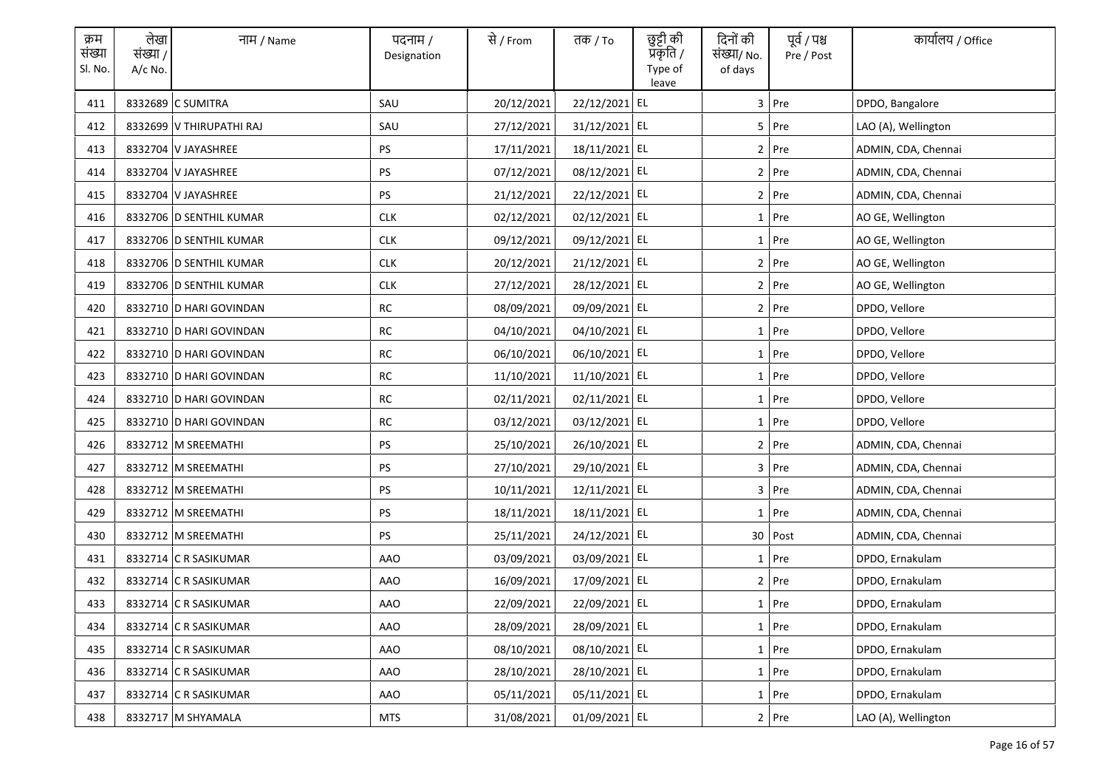| क्रम<br>संख्या<br>Sl. No. | लेखा<br>संख्या /<br>$A/c$ No. | नाम / Name               | पदनाम /<br>Designation | से / From  | तक <i>/</i> To | छुट्टी की<br>प्रकृति /<br>Type of<br>leave | दिनों की<br>संख्या/ No.<br>of days | पूर्व / पश्च<br>Pre / Post | कार्यालय / Office   |
|---------------------------|-------------------------------|--------------------------|------------------------|------------|----------------|--------------------------------------------|------------------------------------|----------------------------|---------------------|
| 411                       |                               | 8332689 C SUMITRA        | SAU                    | 20/12/2021 | 22/12/2021 EL  |                                            |                                    | 3 Pre                      | DPDO, Bangalore     |
| 412                       |                               | 8332699 V THIRUPATHI RAJ | SAU                    | 27/12/2021 | 31/12/2021 EL  |                                            |                                    | 5 Pre                      | LAO (A), Wellington |
| 413                       |                               | 8332704 V JAYASHREE      | PS                     | 17/11/2021 | 18/11/2021 EL  |                                            |                                    | 2 Pre                      | ADMIN, CDA, Chennai |
| 414                       |                               | 8332704 V JAYASHREE      | PS                     | 07/12/2021 | 08/12/2021 EL  |                                            |                                    | 2 Pre                      | ADMIN, CDA, Chennai |
| 415                       |                               | 8332704 V JAYASHREE      | PS                     | 21/12/2021 | 22/12/2021 EL  |                                            |                                    | 2 Pre                      | ADMIN, CDA, Chennai |
| 416                       |                               | 8332706 D SENTHIL KUMAR  | <b>CLK</b>             | 02/12/2021 | 02/12/2021 EL  |                                            |                                    | 1 Pre                      | AO GE, Wellington   |
| 417                       |                               | 8332706 D SENTHIL KUMAR  | <b>CLK</b>             | 09/12/2021 | 09/12/2021 EL  |                                            |                                    | 1 Pre                      | AO GE, Wellington   |
| 418                       |                               | 8332706 D SENTHIL KUMAR  | <b>CLK</b>             | 20/12/2021 | 21/12/2021 EL  |                                            |                                    | 2 Pre                      | AO GE, Wellington   |
| 419                       |                               | 8332706 D SENTHIL KUMAR  | <b>CLK</b>             | 27/12/2021 | 28/12/2021 EL  |                                            |                                    | $2$ Pre                    | AO GE, Wellington   |
| 420                       |                               | 8332710 D HARI GOVINDAN  | <b>RC</b>              | 08/09/2021 | 09/09/2021 EL  |                                            |                                    | 2 Pre                      | DPDO, Vellore       |
| 421                       |                               | 8332710 D HARI GOVINDAN  | RC                     | 04/10/2021 | 04/10/2021 EL  |                                            |                                    | $1$ Pre                    | DPDO, Vellore       |
| 422                       |                               | 8332710 D HARI GOVINDAN  | RC                     | 06/10/2021 | 06/10/2021 EL  |                                            |                                    | 1 Pre                      | DPDO, Vellore       |
| 423                       |                               | 8332710 D HARI GOVINDAN  | RC                     | 11/10/2021 | 11/10/2021 EL  |                                            |                                    | $1$ Pre                    | DPDO, Vellore       |
| 424                       |                               | 8332710 D HARI GOVINDAN  | RC                     | 02/11/2021 | 02/11/2021 EL  |                                            |                                    | 1 Pre                      | DPDO, Vellore       |
| 425                       |                               | 8332710 D HARI GOVINDAN  | <b>RC</b>              | 03/12/2021 | 03/12/2021 EL  |                                            |                                    | $1$ Pre                    | DPDO, Vellore       |
| 426                       |                               | 8332712 M SREEMATHI      | <b>PS</b>              | 25/10/2021 | 26/10/2021 EL  |                                            |                                    | 2 Pre                      | ADMIN, CDA, Chennai |
| 427                       |                               | 8332712 M SREEMATHI      | PS                     | 27/10/2021 | 29/10/2021 EL  |                                            |                                    | 3 Pre                      | ADMIN, CDA, Chennai |
| 428                       |                               | 8332712 M SREEMATHI      | PS                     | 10/11/2021 | 12/11/2021 EL  |                                            |                                    | 3 Pre                      | ADMIN, CDA, Chennai |
| 429                       |                               | 8332712 M SREEMATHI      | PS                     | 18/11/2021 | 18/11/2021 EL  |                                            |                                    | $1$ Pre                    | ADMIN, CDA, Chennai |
| 430                       |                               | 8332712 M SREEMATHI      | <b>PS</b>              | 25/11/2021 | 24/12/2021 EL  |                                            |                                    | 30 Post                    | ADMIN, CDA, Chennai |
| 431                       |                               | 8332714 C R SASIKUMAR    | AAO                    | 03/09/2021 | 03/09/2021 EL  |                                            |                                    | $1$ Pre                    | DPDO, Ernakulam     |
| 432                       |                               | 8332714 C R SASIKUMAR    | AAO                    | 16/09/2021 | 17/09/2021 EL  |                                            |                                    | $2$ Pre                    | DPDO, Ernakulam     |
| 433                       |                               | 8332714 C R SASIKUMAR    | AAO                    | 22/09/2021 | 22/09/2021 EL  |                                            |                                    | 1 Pre                      | DPDO, Ernakulam     |
| 434                       |                               | 8332714 C R SASIKUMAR    | <b>AAO</b>             | 28/09/2021 | 28/09/2021 EL  |                                            |                                    | $1$ Pre                    | DPDO, Ernakulam     |
| 435                       |                               | 8332714 C R SASIKUMAR    | AAO                    | 08/10/2021 | 08/10/2021 EL  |                                            |                                    | 1 Pre                      | DPDO, Ernakulam     |
| 436                       |                               | 8332714 C R SASIKUMAR    | AAO                    | 28/10/2021 | 28/10/2021 EL  |                                            |                                    | 1 Pre                      | DPDO, Ernakulam     |
| 437                       |                               | 8332714 C R SASIKUMAR    | AAO                    | 05/11/2021 | 05/11/2021 EL  |                                            |                                    | $1$ Pre                    | DPDO, Ernakulam     |
| 438                       |                               | 8332717 M SHYAMALA       | MTS                    | 31/08/2021 | 01/09/2021 EL  |                                            |                                    | 2 Pre                      | LAO (A), Wellington |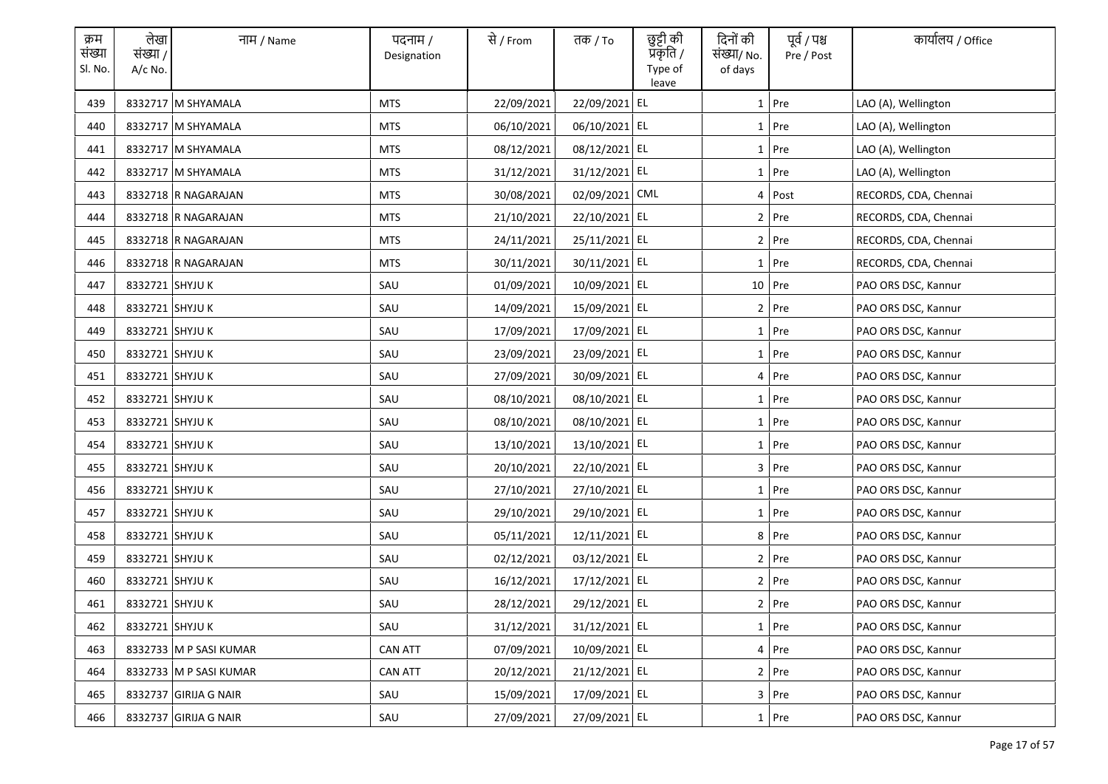| क्रम<br>संख्या<br>Sl. No. | लेखा<br>संख्या /<br>$A/c$ No. | नाम / Name             | पदनाम /<br>Designation | से / From  | तक <i>/</i> To | छुट्टी की<br>प्रकृति /<br>Type of<br>leave | दिनों की<br>संख्या/ No.<br>of days | पूर्व / पश्च<br>Pre / Post | कार्यालय / Office     |
|---------------------------|-------------------------------|------------------------|------------------------|------------|----------------|--------------------------------------------|------------------------------------|----------------------------|-----------------------|
| 439                       |                               | 8332717 M SHYAMALA     | <b>MTS</b>             | 22/09/2021 | 22/09/2021 EL  |                                            |                                    | $1$ Pre                    | LAO (A), Wellington   |
| 440                       |                               | 8332717 M SHYAMALA     | <b>MTS</b>             | 06/10/2021 | 06/10/2021 EL  |                                            |                                    | 1 Pre                      | LAO (A), Wellington   |
| 441                       |                               | 8332717 M SHYAMALA     | MTS                    | 08/12/2021 | 08/12/2021 EL  |                                            |                                    | $1$ Pre                    | LAO (A), Wellington   |
| 442                       |                               | 8332717 M SHYAMALA     | <b>MTS</b>             | 31/12/2021 | 31/12/2021 EL  |                                            |                                    | $1$ Pre                    | LAO (A), Wellington   |
| 443                       |                               | 8332718 R NAGARAJAN    | <b>MTS</b>             | 30/08/2021 | 02/09/2021 CML |                                            |                                    | 4 Post                     | RECORDS, CDA, Chennai |
| 444                       |                               | 8332718 R NAGARAJAN    | <b>MTS</b>             | 21/10/2021 | 22/10/2021 EL  |                                            |                                    | $2$ Pre                    | RECORDS, CDA, Chennai |
| 445                       |                               | 8332718 R NAGARAJAN    | <b>MTS</b>             | 24/11/2021 | 25/11/2021 EL  |                                            |                                    | $2$ Pre                    | RECORDS, CDA, Chennai |
| 446                       |                               | 8332718 R NAGARAJAN    | <b>MTS</b>             | 30/11/2021 | 30/11/2021 EL  |                                            |                                    | 1 Pre                      | RECORDS, CDA, Chennai |
| 447                       | 8332721 SHYJU K               |                        | SAU                    | 01/09/2021 | 10/09/2021 EL  |                                            |                                    | 10 Pre                     | PAO ORS DSC, Kannur   |
| 448                       | 8332721 SHYJU K               |                        | SAU                    | 14/09/2021 | 15/09/2021 EL  |                                            |                                    | 2 Pre                      | PAO ORS DSC, Kannur   |
| 449                       | 8332721 SHYJU K               |                        | SAU                    | 17/09/2021 | 17/09/2021 EL  |                                            |                                    | $1$ Pre                    | PAO ORS DSC, Kannur   |
| 450                       | 8332721 SHYJU K               |                        | SAU                    | 23/09/2021 | 23/09/2021 EL  |                                            |                                    | 1 Pre                      | PAO ORS DSC, Kannur   |
| 451                       | 8332721 SHYJU K               |                        | SAU                    | 27/09/2021 | 30/09/2021 EL  |                                            |                                    | 4 Pre                      | PAO ORS DSC, Kannur   |
| 452                       | 8332721 SHYJU K               |                        | SAU                    | 08/10/2021 | 08/10/2021 EL  |                                            |                                    | 1 Pre                      | PAO ORS DSC, Kannur   |
| 453                       | 8332721 SHYJU K               |                        | SAU                    | 08/10/2021 | 08/10/2021 EL  |                                            |                                    | $1$ Pre                    | PAO ORS DSC, Kannur   |
| 454                       | 8332721 SHYJU K               |                        | SAU                    | 13/10/2021 | 13/10/2021 EL  |                                            |                                    | 1 Pre                      | PAO ORS DSC, Kannur   |
| 455                       | 8332721 SHYJU K               |                        | SAU                    | 20/10/2021 | 22/10/2021 EL  |                                            |                                    | 3 Pre                      | PAO ORS DSC, Kannur   |
| 456                       | 8332721 SHYJU K               |                        | SAU                    | 27/10/2021 | 27/10/2021 EL  |                                            |                                    | 1 Pre                      | PAO ORS DSC, Kannur   |
| 457                       | 8332721 SHYJU K               |                        | SAU                    | 29/10/2021 | 29/10/2021 EL  |                                            |                                    | $1$ Pre                    | PAO ORS DSC, Kannur   |
| 458                       | 8332721 SHYJU K               |                        | SAU                    | 05/11/2021 | 12/11/2021 EL  |                                            |                                    | 8 Pre                      | PAO ORS DSC, Kannur   |
| 459                       | 8332721 SHYJU K               |                        | SAU                    | 02/12/2021 | 03/12/2021 EL  |                                            |                                    | 2 Pre                      | PAO ORS DSC, Kannur   |
| 460                       | 8332721 SHYJU K               |                        | SAU                    | 16/12/2021 | 17/12/2021 EL  |                                            |                                    | 2 Pre                      | PAO ORS DSC, Kannur   |
| 461                       | 8332721 SHYJU K               |                        | SAU                    | 28/12/2021 | 29/12/2021 EL  |                                            |                                    | 2 Pre                      | PAO ORS DSC, Kannur   |
| 462                       | 8332721 SHYJU K               |                        | SAU                    | 31/12/2021 | 31/12/2021 EL  |                                            |                                    | $1$ Pre                    | PAO ORS DSC, Kannur   |
| 463                       |                               | 8332733 M P SASI KUMAR | <b>CAN ATT</b>         | 07/09/2021 | 10/09/2021 EL  |                                            |                                    | 4 Pre                      | PAO ORS DSC, Kannur   |
| 464                       |                               | 8332733 M P SASI KUMAR | <b>CAN ATT</b>         | 20/12/2021 | 21/12/2021 EL  |                                            |                                    | 2 Pre                      | PAO ORS DSC, Kannur   |
| 465                       |                               | 8332737 GIRIJA G NAIR  | SAU                    | 15/09/2021 | 17/09/2021 EL  |                                            |                                    | 3 Pre                      | PAO ORS DSC, Kannur   |
| 466                       |                               | 8332737 GIRIJA G NAIR  | SAU                    | 27/09/2021 | 27/09/2021 EL  |                                            |                                    | 1 Pre                      | PAO ORS DSC, Kannur   |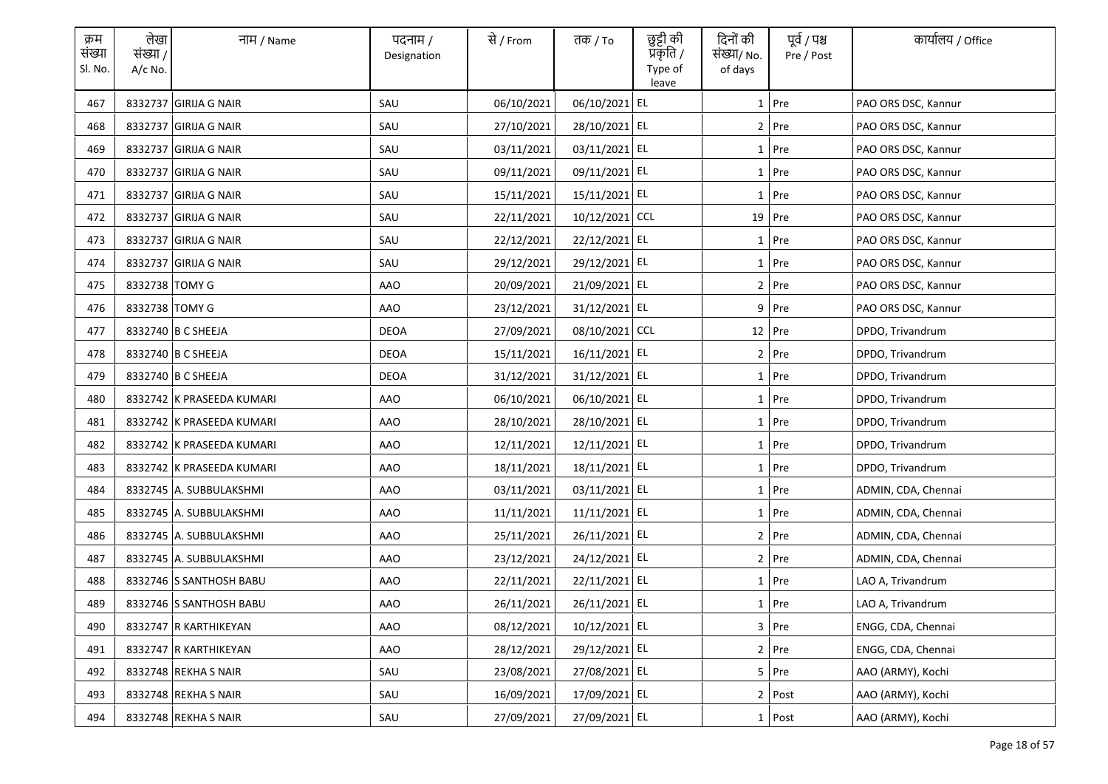| क्रम<br>संख्या<br>Sl. No. | लेखा<br>संख्या /<br>$A/c$ No. | नाम / Name                | पदनाम /<br>Designation | से / From  | तक <i>/</i> To | छुट्टी की<br>प्रॅकृति /<br>Type of<br>leave | दिनों की<br>संख्या/ No.<br>of days | पूर्व / पश्च<br>Pre / Post | कार्यालय / Office   |
|---------------------------|-------------------------------|---------------------------|------------------------|------------|----------------|---------------------------------------------|------------------------------------|----------------------------|---------------------|
| 467                       |                               | 8332737 GIRIJA G NAIR     | SAU                    | 06/10/2021 | 06/10/2021 EL  |                                             |                                    | $1$ Pre                    | PAO ORS DSC, Kannur |
| 468                       |                               | 8332737 GIRIJA G NAIR     | SAU                    | 27/10/2021 | 28/10/2021 EL  |                                             |                                    | 2 Pre                      | PAO ORS DSC, Kannur |
| 469                       |                               | 8332737 GIRIJA G NAIR     | SAU                    | 03/11/2021 | 03/11/2021 EL  |                                             |                                    | $1$ Pre                    | PAO ORS DSC, Kannur |
| 470                       |                               | 8332737 GIRIJA G NAIR     | SAU                    | 09/11/2021 | 09/11/2021 EL  |                                             |                                    | $1$ Pre                    | PAO ORS DSC, Kannur |
| 471                       |                               | 8332737 GIRIJA G NAIR     | SAU                    | 15/11/2021 | 15/11/2021 EL  |                                             |                                    | $1$ Pre                    | PAO ORS DSC, Kannur |
| 472                       |                               | 8332737 GIRIJA G NAIR     | SAU                    | 22/11/2021 | 10/12/2021 CCL |                                             |                                    | 19 Pre                     | PAO ORS DSC, Kannur |
| 473                       |                               | 8332737 GIRIJA G NAIR     | SAU                    | 22/12/2021 | 22/12/2021 EL  |                                             |                                    | 1 Pre                      | PAO ORS DSC, Kannur |
| 474                       |                               | 8332737 GIRIJA G NAIR     | SAU                    | 29/12/2021 | 29/12/2021 EL  |                                             |                                    | 1 Pre                      | PAO ORS DSC, Kannur |
| 475                       | 8332738 TOMY G                |                           | <b>AAO</b>             | 20/09/2021 | 21/09/2021 EL  |                                             |                                    | $2$ Pre                    | PAO ORS DSC, Kannur |
| 476                       | 8332738 TOMY G                |                           | AAO                    | 23/12/2021 | 31/12/2021 EL  |                                             |                                    | $9$ Pre                    | PAO ORS DSC, Kannur |
| 477                       |                               | 8332740 B C SHEEJA        | <b>DEOA</b>            | 27/09/2021 | 08/10/2021 CCL |                                             |                                    | $12$ Pre                   | DPDO, Trivandrum    |
| 478                       |                               | 8332740 B C SHEEJA        | <b>DEOA</b>            | 15/11/2021 | 16/11/2021 EL  |                                             |                                    | $2$ Pre                    | DPDO, Trivandrum    |
| 479                       |                               | 8332740 B C SHEEJA        | <b>DEOA</b>            | 31/12/2021 | 31/12/2021 EL  |                                             |                                    | $1$ Pre                    | DPDO, Trivandrum    |
| 480                       |                               | 8332742 K PRASEEDA KUMARI | AAO                    | 06/10/2021 | 06/10/2021 EL  |                                             |                                    | 1 Pre                      | DPDO, Trivandrum    |
| 481                       |                               | 8332742 K PRASEEDA KUMARI | <b>AAO</b>             | 28/10/2021 | 28/10/2021 EL  |                                             |                                    | $1$ Pre                    | DPDO, Trivandrum    |
| 482                       |                               | 8332742 K PRASEEDA KUMARI | AAO                    | 12/11/2021 | 12/11/2021 EL  |                                             |                                    | 1 Pre                      | DPDO, Trivandrum    |
| 483                       |                               | 8332742 K PRASEEDA KUMARI | <b>AAO</b>             | 18/11/2021 | 18/11/2021 EL  |                                             |                                    | 1 Pre                      | DPDO, Trivandrum    |
| 484                       |                               | 8332745 A. SUBBULAKSHMI   | AAO                    | 03/11/2021 | 03/11/2021 EL  |                                             |                                    | 1 Pre                      | ADMIN, CDA, Chennai |
| 485                       |                               | 8332745 A. SUBBULAKSHMI   | AAO                    | 11/11/2021 | 11/11/2021 EL  |                                             |                                    | $1$ Pre                    | ADMIN, CDA, Chennai |
| 486                       |                               | 8332745 A. SUBBULAKSHMI   | AAO                    | 25/11/2021 | 26/11/2021 EL  |                                             |                                    | 2 Pre                      | ADMIN, CDA, Chennai |
| 487                       |                               | 8332745 A. SUBBULAKSHMI   | AAO                    | 23/12/2021 | 24/12/2021 EL  |                                             |                                    | 2 Pre                      | ADMIN, CDA, Chennai |
| 488                       |                               | 8332746 S SANTHOSH BABU   | AAO                    | 22/11/2021 | 22/11/2021 EL  |                                             |                                    | $1$ Pre                    | LAO A, Trivandrum   |
| 489                       |                               | 8332746 S SANTHOSH BABU   | AAO                    | 26/11/2021 | 26/11/2021 EL  |                                             |                                    | 1 Pre                      | LAO A, Trivandrum   |
| 490                       |                               | 8332747 R KARTHIKEYAN     | AAO                    | 08/12/2021 | 10/12/2021 EL  |                                             |                                    | 3 Pre                      | ENGG, CDA, Chennai  |
| 491                       |                               | 8332747 R KARTHIKEYAN     | AAO                    | 28/12/2021 | 29/12/2021 EL  |                                             |                                    | 2 Pre                      | ENGG, CDA, Chennai  |
| 492                       |                               | 8332748 REKHA S NAIR      | SAU                    | 23/08/2021 | 27/08/2021 EL  |                                             |                                    | 5 Pre                      | AAO (ARMY), Kochi   |
| 493                       |                               | 8332748 REKHA S NAIR      | SAU                    | 16/09/2021 | 17/09/2021 EL  |                                             |                                    | 2 Post                     | AAO (ARMY), Kochi   |
| 494                       |                               | 8332748 REKHA S NAIR      | SAU                    | 27/09/2021 | 27/09/2021 EL  |                                             |                                    | 1 Post                     | AAO (ARMY), Kochi   |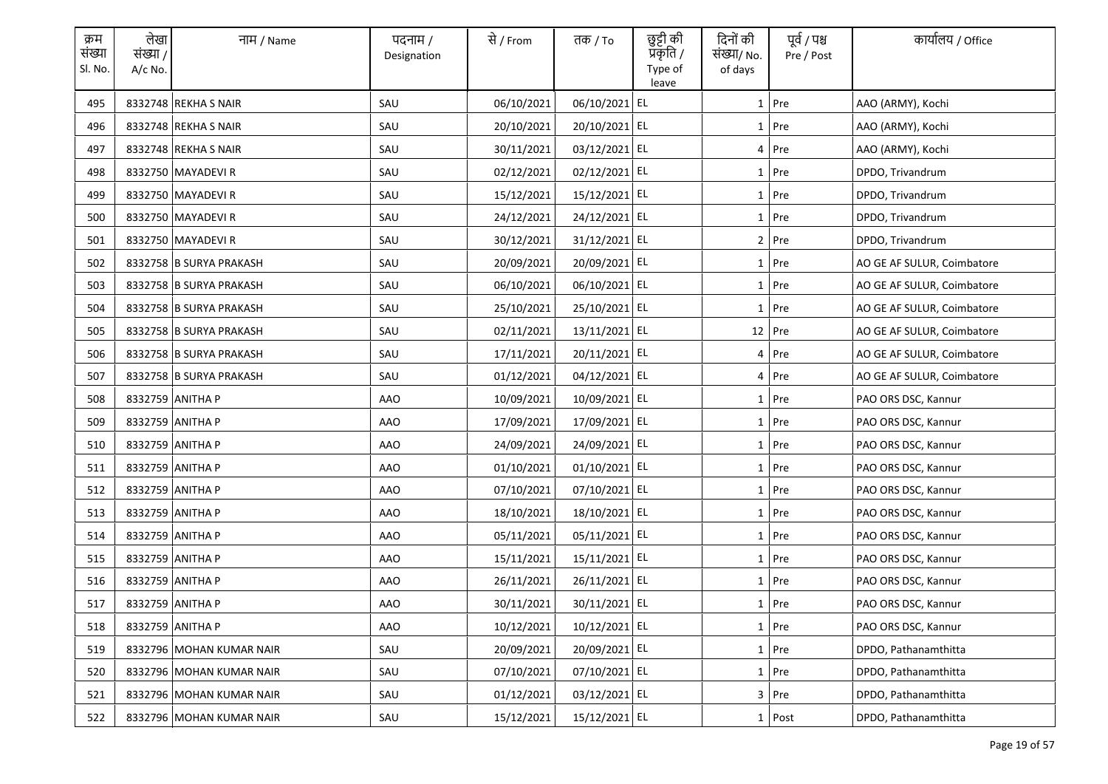| क्रम<br>संख्या<br>Sl. No. | लेखा<br>संख्या /<br>$A/c$ No. | नाम / Name               | पदनाम /<br>Designation | से / From  | तक <i>/</i> To | छुट्टी की<br>प्रकृति /<br>Type of<br>leave | दिनों की<br>संख्या/ No.<br>of days | पूर्व / पश्च<br>Pre / Post | कार्यालय / Office          |
|---------------------------|-------------------------------|--------------------------|------------------------|------------|----------------|--------------------------------------------|------------------------------------|----------------------------|----------------------------|
| 495                       |                               | 8332748 REKHA S NAIR     | SAU                    | 06/10/2021 | 06/10/2021 EL  |                                            |                                    | $1$ Pre                    | AAO (ARMY), Kochi          |
| 496                       |                               | 8332748 REKHA S NAIR     | SAU                    | 20/10/2021 | 20/10/2021 EL  |                                            |                                    | 1 Pre                      | AAO (ARMY), Kochi          |
| 497                       |                               | 8332748 REKHA S NAIR     | SAU                    | 30/11/2021 | 03/12/2021 EL  |                                            |                                    | 4 Pre                      | AAO (ARMY), Kochi          |
| 498                       |                               | 8332750 MAYADEVI R       | SAU                    | 02/12/2021 | 02/12/2021 EL  |                                            |                                    | 1 Pre                      | DPDO, Trivandrum           |
| 499                       |                               | 8332750 MAYADEVI R       | SAU                    | 15/12/2021 | 15/12/2021 EL  |                                            |                                    | $1$ Pre                    | DPDO, Trivandrum           |
| 500                       |                               | 8332750 MAYADEVI R       | SAU                    | 24/12/2021 | 24/12/2021 EL  |                                            |                                    | 1 Pre                      | DPDO, Trivandrum           |
| 501                       |                               | 8332750 MAYADEVI R       | SAU                    | 30/12/2021 | 31/12/2021 EL  |                                            |                                    | 2 Pre                      | DPDO, Trivandrum           |
| 502                       |                               | 8332758 B SURYA PRAKASH  | SAU                    | 20/09/2021 | 20/09/2021 EL  |                                            |                                    | 1 Pre                      | AO GE AF SULUR, Coimbatore |
| 503                       |                               | 8332758 B SURYA PRAKASH  | SAU                    | 06/10/2021 | 06/10/2021 EL  |                                            |                                    | 1 Pre                      | AO GE AF SULUR, Coimbatore |
| 504                       |                               | 8332758 B SURYA PRAKASH  | SAU                    | 25/10/2021 | 25/10/2021 EL  |                                            |                                    | $1$ Pre                    | AO GE AF SULUR, Coimbatore |
| 505                       |                               | 8332758 B SURYA PRAKASH  | SAU                    | 02/11/2021 | 13/11/2021 EL  |                                            |                                    | $12$ Pre                   | AO GE AF SULUR, Coimbatore |
| 506                       |                               | 8332758 B SURYA PRAKASH  | SAU                    | 17/11/2021 | 20/11/2021 EL  |                                            |                                    | 4 Pre                      | AO GE AF SULUR, Coimbatore |
| 507                       |                               | 8332758 B SURYA PRAKASH  | SAU                    | 01/12/2021 | 04/12/2021 EL  |                                            |                                    | 4 Pre                      | AO GE AF SULUR, Coimbatore |
| 508                       |                               | 8332759 ANITHA P         | <b>AAO</b>             | 10/09/2021 | 10/09/2021 EL  |                                            |                                    | 1 Pre                      | PAO ORS DSC, Kannur        |
| 509                       |                               | 8332759 ANITHA P         | <b>AAO</b>             | 17/09/2021 | 17/09/2021 EL  |                                            |                                    | $1$ Pre                    | PAO ORS DSC, Kannur        |
| 510                       |                               | 8332759 ANITHA P         | <b>AAO</b>             | 24/09/2021 | 24/09/2021 EL  |                                            |                                    | 1 Pre                      | PAO ORS DSC, Kannur        |
| 511                       |                               | 8332759 ANITHA P         | <b>AAO</b>             | 01/10/2021 | 01/10/2021 EL  |                                            |                                    | 1 Pre                      | PAO ORS DSC, Kannur        |
| 512                       |                               | 8332759 ANITHA P         | AAO                    | 07/10/2021 | 07/10/2021 EL  |                                            |                                    | 1 Pre                      | PAO ORS DSC, Kannur        |
| 513                       |                               | 8332759 ANITHA P         | AAO                    | 18/10/2021 | 18/10/2021 EL  |                                            |                                    | $1$ Pre                    | PAO ORS DSC, Kannur        |
| 514                       |                               | 8332759 ANITHA P         | AAO                    | 05/11/2021 | 05/11/2021 EL  |                                            |                                    | $1$ Pre                    | PAO ORS DSC, Kannur        |
| 515                       |                               | 8332759 ANITHA P         | AAO                    | 15/11/2021 | 15/11/2021 EL  |                                            |                                    | $1$ Pre                    | PAO ORS DSC, Kannur        |
| 516                       |                               | 8332759 ANITHA P         | AAO                    | 26/11/2021 | 26/11/2021 EL  |                                            |                                    | $1$ Pre                    | PAO ORS DSC, Kannur        |
| 517                       |                               | 8332759 ANITHA P         | <b>AAO</b>             | 30/11/2021 | 30/11/2021 EL  |                                            |                                    | 1 Pre                      | PAO ORS DSC, Kannur        |
| 518                       |                               | 8332759 ANITHA P         | <b>AAO</b>             | 10/12/2021 | 10/12/2021 EL  |                                            |                                    | $1$ Pre                    | PAO ORS DSC, Kannur        |
| 519                       |                               | 8332796 MOHAN KUMAR NAIR | SAU                    | 20/09/2021 | 20/09/2021 EL  |                                            |                                    | $1$ Pre                    | DPDO, Pathanamthitta       |
| 520                       |                               | 8332796 MOHAN KUMAR NAIR | SAU                    | 07/10/2021 | 07/10/2021 EL  |                                            |                                    | 1 Pre                      | DPDO, Pathanamthitta       |
| 521                       |                               | 8332796 MOHAN KUMAR NAIR | SAU                    | 01/12/2021 | 03/12/2021 EL  |                                            |                                    | 3 Pre                      | DPDO, Pathanamthitta       |
| 522                       |                               | 8332796 MOHAN KUMAR NAIR | SAU                    | 15/12/2021 | 15/12/2021 EL  |                                            |                                    | 1 Post                     | DPDO, Pathanamthitta       |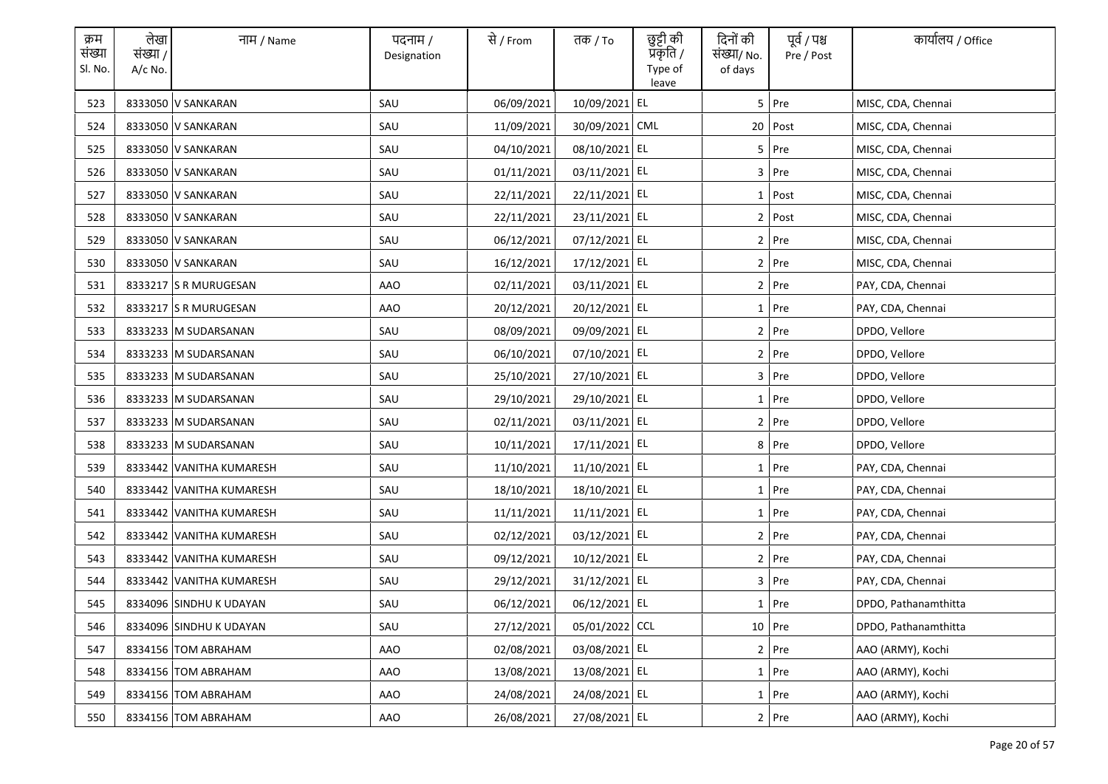| क्रम<br>संख्या<br>Sl. No. | लेखा<br>संख्या /<br>$A/c$ No. | नाम / Name               | पदनाम /<br>Designation | से / From  | तक <i>/</i> To | छुट्टी की<br>प्रकृति /<br>Type of<br>leave | दिनों की<br>संख्या/ No.<br>of days | पूर्व / पश्च<br>Pre / Post | कार्यालय / Office    |
|---------------------------|-------------------------------|--------------------------|------------------------|------------|----------------|--------------------------------------------|------------------------------------|----------------------------|----------------------|
| 523                       |                               | 8333050 V SANKARAN       | SAU                    | 06/09/2021 | 10/09/2021     | EL                                         |                                    | 5 Pre                      | MISC, CDA, Chennai   |
| 524                       |                               | 8333050 V SANKARAN       | SAU                    | 11/09/2021 | 30/09/2021 CML |                                            |                                    | 20 Post                    | MISC, CDA, Chennai   |
| 525                       |                               | 8333050 V SANKARAN       | SAU                    | 04/10/2021 | 08/10/2021 EL  |                                            |                                    | $5$ Pre                    | MISC, CDA, Chennai   |
| 526                       |                               | 8333050 V SANKARAN       | SAU                    | 01/11/2021 | 03/11/2021 EL  |                                            |                                    | $3$ Pre                    | MISC, CDA, Chennai   |
| 527                       |                               | 8333050 V SANKARAN       | SAU                    | 22/11/2021 | 22/11/2021 EL  |                                            |                                    | $1$ Post                   | MISC, CDA, Chennai   |
| 528                       |                               | 8333050 V SANKARAN       | SAU                    | 22/11/2021 | 23/11/2021 EL  |                                            |                                    | 2 Post                     | MISC, CDA, Chennai   |
| 529                       |                               | 8333050 V SANKARAN       | SAU                    | 06/12/2021 | 07/12/2021 EL  |                                            |                                    | $2$ Pre                    | MISC, CDA, Chennai   |
| 530                       |                               | 8333050 V SANKARAN       | SAU                    | 16/12/2021 | 17/12/2021 EL  |                                            |                                    | 2 Pre                      | MISC, CDA, Chennai   |
| 531                       |                               | 8333217 S R MURUGESAN    | AAO                    | 02/11/2021 | 03/11/2021 EL  |                                            |                                    | $2$ Pre                    | PAY, CDA, Chennai    |
| 532                       |                               | 8333217 S R MURUGESAN    | AAO                    | 20/12/2021 | 20/12/2021 EL  |                                            |                                    | $1$ Pre                    | PAY, CDA, Chennai    |
| 533                       |                               | 8333233 M SUDARSANAN     | SAU                    | 08/09/2021 | 09/09/2021 EL  |                                            |                                    | $2$ Pre                    | DPDO, Vellore        |
| 534                       |                               | 8333233 M SUDARSANAN     | SAU                    | 06/10/2021 | 07/10/2021 EL  |                                            |                                    | 2 Pre                      | DPDO, Vellore        |
| 535                       |                               | 8333233 M SUDARSANAN     | SAU                    | 25/10/2021 | 27/10/2021 EL  |                                            |                                    | 3 Pre                      | DPDO, Vellore        |
| 536                       |                               | 8333233 M SUDARSANAN     | SAU                    | 29/10/2021 | 29/10/2021 EL  |                                            |                                    | 1 Pre                      | DPDO, Vellore        |
| 537                       |                               | 8333233 M SUDARSANAN     | SAU                    | 02/11/2021 | 03/11/2021 EL  |                                            |                                    | $2$ Pre                    | DPDO, Vellore        |
| 538                       |                               | 8333233 M SUDARSANAN     | SAU                    | 10/11/2021 | 17/11/2021 EL  |                                            |                                    | 8 Pre                      | DPDO, Vellore        |
| 539                       |                               | 8333442 VANITHA KUMARESH | SAU                    | 11/10/2021 | 11/10/2021 EL  |                                            |                                    | 1 Pre                      | PAY, CDA, Chennai    |
| 540                       |                               | 8333442 VANITHA KUMARESH | SAU                    | 18/10/2021 | 18/10/2021 EL  |                                            |                                    | 1 Pre                      | PAY, CDA, Chennai    |
| 541                       |                               | 8333442 VANITHA KUMARESH | SAU                    | 11/11/2021 | 11/11/2021 EL  |                                            |                                    | $1$ Pre                    | PAY, CDA, Chennai    |
| 542                       |                               | 8333442 VANITHA KUMARESH | SAU                    | 02/12/2021 | 03/12/2021 EL  |                                            |                                    | 2 Pre                      | PAY, CDA, Chennai    |
| 543                       |                               | 8333442 VANITHA KUMARESH | SAU                    | 09/12/2021 | 10/12/2021 EL  |                                            |                                    | 2 Pre                      | PAY, CDA, Chennai    |
| 544                       |                               | 8333442 VANITHA KUMARESH | SAU                    | 29/12/2021 | 31/12/2021 EL  |                                            |                                    | 3 Pre                      | PAY, CDA, Chennai    |
| 545                       |                               | 8334096 SINDHU K UDAYAN  | SAU                    | 06/12/2021 | 06/12/2021 EL  |                                            |                                    | 1 Pre                      | DPDO, Pathanamthitta |
| 546                       |                               | 8334096 SINDHU K UDAYAN  | SAU                    | 27/12/2021 | 05/01/2022 CCL |                                            |                                    | 10 Pre                     | DPDO, Pathanamthitta |
| 547                       |                               | 8334156 TOM ABRAHAM      | <b>AAO</b>             | 02/08/2021 | 03/08/2021 EL  |                                            |                                    | 2 Pre                      | AAO (ARMY), Kochi    |
| 548                       |                               | 8334156 TOM ABRAHAM      | AAO                    | 13/08/2021 | 13/08/2021 EL  |                                            |                                    | 1 Pre                      | AAO (ARMY), Kochi    |
| 549                       |                               | 8334156 TOM ABRAHAM      | AAO                    | 24/08/2021 | 24/08/2021 EL  |                                            |                                    | $1$ Pre                    | AAO (ARMY), Kochi    |
| 550                       |                               | 8334156 TOM ABRAHAM      | AAO                    | 26/08/2021 | 27/08/2021 EL  |                                            |                                    | 2 Pre                      | AAO (ARMY), Kochi    |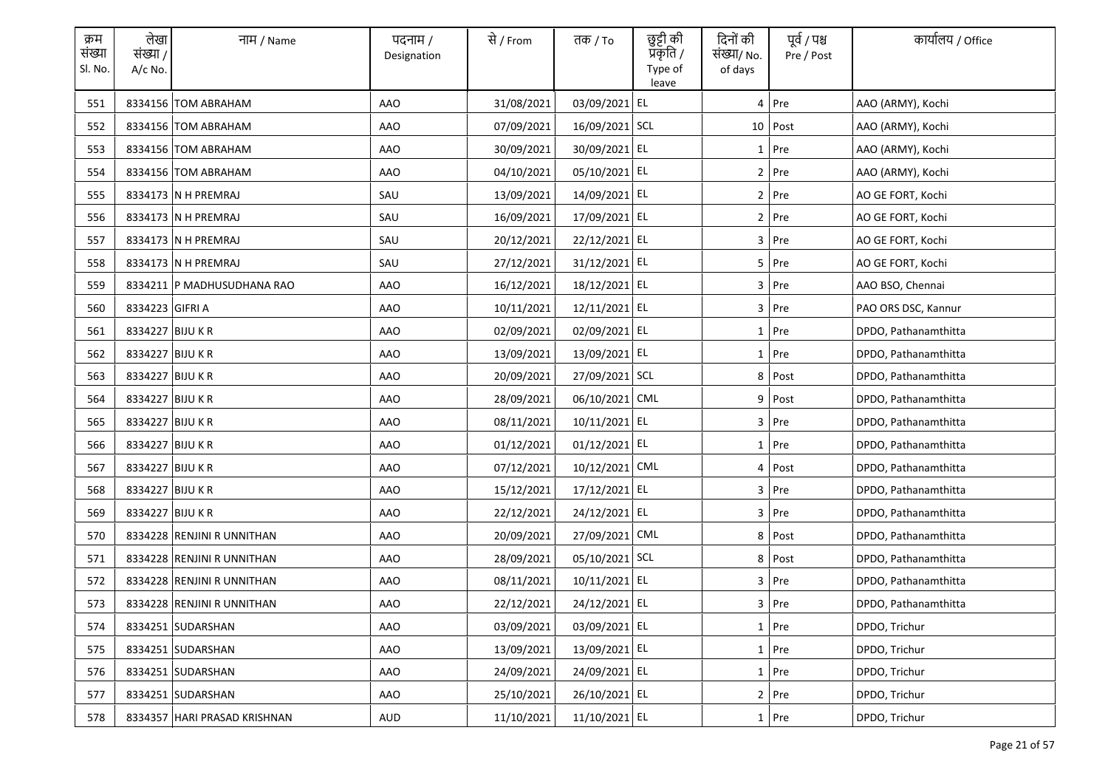| क्रम<br>संख्या<br>Sl. No. | लेखा<br>संख्या /<br>A/c No. | नाम / Name                   | पदनाम /<br>Designation | से / From  | तक <i>/</i> To | छुट्टी की<br>प्रॅकृति /<br>Type of<br>leave | दिनों की<br>संख्या/ No.<br>of days | पूर्व / पश्च<br>Pre / Post | कार्यालय / Office    |
|---------------------------|-----------------------------|------------------------------|------------------------|------------|----------------|---------------------------------------------|------------------------------------|----------------------------|----------------------|
| 551                       |                             | 8334156 TOM ABRAHAM          | <b>AAO</b>             | 31/08/2021 | 03/09/2021 EL  |                                             |                                    | 4 Pre                      | AAO (ARMY), Kochi    |
| 552                       |                             | 8334156 TOM ABRAHAM          | AAO                    | 07/09/2021 | 16/09/2021 SCL |                                             |                                    | $10$ Post                  | AAO (ARMY), Kochi    |
| 553                       |                             | 8334156 TOM ABRAHAM          | AAO                    | 30/09/2021 | 30/09/2021 EL  |                                             |                                    | $1$ Pre                    | AAO (ARMY), Kochi    |
| 554                       |                             | 8334156 TOM ABRAHAM          | AAO                    | 04/10/2021 | 05/10/2021 EL  |                                             |                                    | $2$ Pre                    | AAO (ARMY), Kochi    |
| 555                       |                             | 8334173 N H PREMRAJ          | SAU                    | 13/09/2021 | 14/09/2021 EL  |                                             |                                    | 2 Pre                      | AO GE FORT, Kochi    |
| 556                       |                             | 8334173 N H PREMRAJ          | SAU                    | 16/09/2021 | 17/09/2021 EL  |                                             |                                    | $2$ Pre                    | AO GE FORT, Kochi    |
| 557                       |                             | 8334173 N H PREMRAJ          | SAU                    | 20/12/2021 | 22/12/2021 EL  |                                             |                                    | 3 Pre                      | AO GE FORT, Kochi    |
| 558                       |                             | 8334173 N H PREMRAJ          | SAU                    | 27/12/2021 | 31/12/2021 EL  |                                             |                                    | 5 Pre                      | AO GE FORT, Kochi    |
| 559                       |                             | 8334211 P MADHUSUDHANA RAO   | <b>AAO</b>             | 16/12/2021 | 18/12/2021 EL  |                                             |                                    | $3$ Pre                    | AAO BSO, Chennai     |
| 560                       | 8334223 GIFRI A             |                              | AAO                    | 10/11/2021 | 12/11/2021 EL  |                                             |                                    | 3 Pre                      | PAO ORS DSC, Kannur  |
| 561                       | 8334227 BIJU K R            |                              | AAO                    | 02/09/2021 | 02/09/2021 EL  |                                             |                                    | $1$ Pre                    | DPDO, Pathanamthitta |
| 562                       | 8334227 BIJU K R            |                              | AAO                    | 13/09/2021 | 13/09/2021 EL  |                                             |                                    | $1$ Pre                    | DPDO, Pathanamthitta |
| 563                       | 8334227 BIJU K R            |                              | AAO                    | 20/09/2021 | 27/09/2021 SCL |                                             |                                    | 8 Post                     | DPDO, Pathanamthitta |
| 564                       | 8334227 BIJU K R            |                              | AAO                    | 28/09/2021 | 06/10/2021 CML |                                             |                                    | 9 Post                     | DPDO, Pathanamthitta |
| 565                       | 8334227 BIJU K R            |                              | <b>AAO</b>             | 08/11/2021 | 10/11/2021 EL  |                                             |                                    | 3 Pre                      | DPDO, Pathanamthitta |
| 566                       | 8334227 BIJU K R            |                              | <b>AAO</b>             | 01/12/2021 | 01/12/2021 EL  |                                             |                                    | 1 Pre                      | DPDO, Pathanamthitta |
| 567                       | 8334227 BIJU K R            |                              | <b>AAO</b>             | 07/12/2021 | 10/12/2021 CML |                                             |                                    | 4 Post                     | DPDO, Pathanamthitta |
| 568                       | 8334227 BIJU K R            |                              | AAO                    | 15/12/2021 | 17/12/2021 EL  |                                             |                                    | 3 Pre                      | DPDO, Pathanamthitta |
| 569                       | 8334227 BIJU K R            |                              | AAO                    | 22/12/2021 | 24/12/2021 EL  |                                             |                                    | 3 Pre                      | DPDO, Pathanamthitta |
| 570                       |                             | 8334228 RENJINI R UNNITHAN   | AAO                    | 20/09/2021 | 27/09/2021 CML |                                             |                                    | 8 Post                     | DPDO, Pathanamthitta |
| 571                       |                             | 8334228 RENJINI R UNNITHAN   | AAO                    | 28/09/2021 | 05/10/2021 SCL |                                             |                                    | 8 Post                     | DPDO, Pathanamthitta |
| 572                       |                             | 8334228 RENJINI R UNNITHAN   | AAO                    | 08/11/2021 | 10/11/2021 EL  |                                             |                                    | 3 Pre                      | DPDO, Pathanamthitta |
| 573                       |                             | 8334228 RENJINI R UNNITHAN   | AAO                    | 22/12/2021 | 24/12/2021 EL  |                                             |                                    | 3 Pre                      | DPDO, Pathanamthitta |
| 574                       |                             | 8334251 SUDARSHAN            | <b>AAO</b>             | 03/09/2021 | 03/09/2021 EL  |                                             |                                    | $1$ Pre                    | DPDO, Trichur        |
| 575                       |                             | 8334251 SUDARSHAN            | <b>AAO</b>             | 13/09/2021 | 13/09/2021 EL  |                                             |                                    | 1 Pre                      | DPDO, Trichur        |
| 576                       |                             | 8334251 SUDARSHAN            | AAO                    | 24/09/2021 | 24/09/2021 EL  |                                             |                                    | 1 Pre                      | DPDO, Trichur        |
| 577                       |                             | 8334251 SUDARSHAN            | AAO                    | 25/10/2021 | 26/10/2021 EL  |                                             |                                    | 2 Pre                      | DPDO, Trichur        |
| 578                       |                             | 8334357 HARI PRASAD KRISHNAN | AUD                    | 11/10/2021 | 11/10/2021 EL  |                                             |                                    | $1$ Pre                    | DPDO, Trichur        |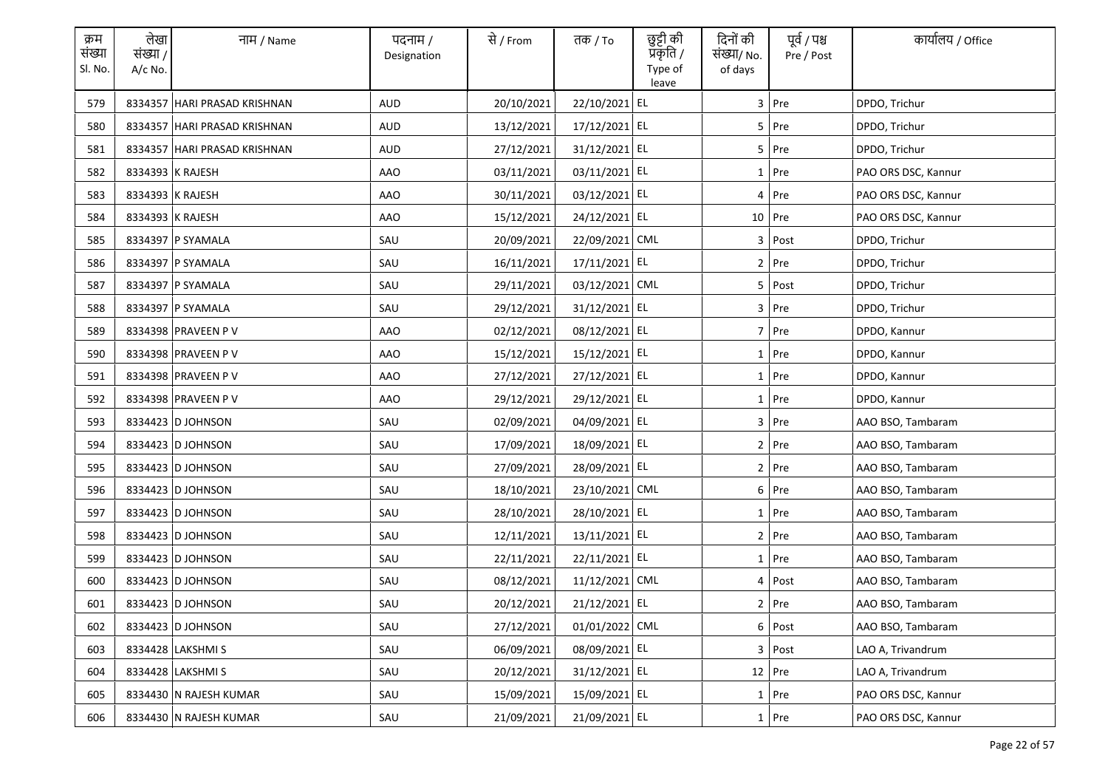| क्रम<br>संख्या<br>Sl. No. | लेखा<br>संख्या /<br>$A/c$ No. | नाम / Name                   | पदनाम /<br>Designation | से / From  | तक <i>/</i> To | छुट्टी की<br>प्रॅकृति /<br>Type of<br>leave | दिनों की<br>संख्या/ No.<br>of days | पूर्व / पश्च<br>Pre / Post | कार्यालय / Office   |
|---------------------------|-------------------------------|------------------------------|------------------------|------------|----------------|---------------------------------------------|------------------------------------|----------------------------|---------------------|
| 579                       |                               | 8334357 HARI PRASAD KRISHNAN | <b>AUD</b>             | 20/10/2021 | 22/10/2021 EL  |                                             |                                    | 3 Pre                      | DPDO, Trichur       |
| 580                       |                               | 8334357 HARI PRASAD KRISHNAN | <b>AUD</b>             | 13/12/2021 | 17/12/2021 EL  |                                             |                                    | 5 Pre                      | DPDO, Trichur       |
| 581                       |                               | 8334357 HARI PRASAD KRISHNAN | <b>AUD</b>             | 27/12/2021 | 31/12/2021 EL  |                                             |                                    | 5 Pre                      | DPDO, Trichur       |
| 582                       |                               | 8334393 K RAJESH             | AAO                    | 03/11/2021 | 03/11/2021 EL  |                                             |                                    | 1 Pre                      | PAO ORS DSC, Kannur |
| 583                       |                               | 8334393 K RAJESH             | AAO                    | 30/11/2021 | 03/12/2021 EL  |                                             |                                    | 4 Pre                      | PAO ORS DSC, Kannur |
| 584                       | 8334393 K RAJESH              |                              | <b>AAO</b>             | 15/12/2021 | 24/12/2021 EL  |                                             |                                    | $10$ Pre                   | PAO ORS DSC, Kannur |
| 585                       |                               | 8334397 P SYAMALA            | SAU                    | 20/09/2021 | 22/09/2021 CML |                                             | 3                                  | Post                       | DPDO, Trichur       |
| 586                       |                               | 8334397 P SYAMALA            | SAU                    | 16/11/2021 | 17/11/2021 EL  |                                             |                                    | 2 Pre                      | DPDO, Trichur       |
| 587                       |                               | 8334397 P SYAMALA            | SAU                    | 29/11/2021 | 03/12/2021 CML |                                             |                                    | 5 Post                     | DPDO, Trichur       |
| 588                       |                               | 8334397 P SYAMALA            | SAU                    | 29/12/2021 | 31/12/2021 EL  |                                             |                                    | 3 Pre                      | DPDO, Trichur       |
| 589                       |                               | 8334398 PRAVEEN P V          | AAO                    | 02/12/2021 | 08/12/2021 EL  |                                             |                                    | 7 Pre                      | DPDO, Kannur        |
| 590                       |                               | 8334398 PRAVEEN P V          | AAO                    | 15/12/2021 | 15/12/2021 EL  |                                             |                                    | 1 Pre                      | DPDO, Kannur        |
| 591                       |                               | 8334398 PRAVEEN P V          | AAO                    | 27/12/2021 | 27/12/2021 EL  |                                             |                                    | $1$ Pre                    | DPDO, Kannur        |
| 592                       |                               | 8334398 PRAVEEN P V          | <b>AAO</b>             | 29/12/2021 | 29/12/2021 EL  |                                             |                                    | 1 Pre                      | DPDO, Kannur        |
| 593                       |                               | 8334423 D JOHNSON            | SAU                    | 02/09/2021 | 04/09/2021 EL  |                                             |                                    | 3 Pre                      | AAO BSO, Tambaram   |
| 594                       |                               | 8334423 D JOHNSON            | SAU                    | 17/09/2021 | 18/09/2021 EL  |                                             |                                    | 2 Pre                      | AAO BSO, Tambaram   |
| 595                       |                               | 8334423 D JOHNSON            | SAU                    | 27/09/2021 | 28/09/2021 EL  |                                             |                                    | 2 Pre                      | AAO BSO, Tambaram   |
| 596                       |                               | 8334423 D JOHNSON            | SAU                    | 18/10/2021 | 23/10/2021 CML |                                             |                                    | 6 Pre                      | AAO BSO, Tambaram   |
| 597                       |                               | 8334423 D JOHNSON            | SAU                    | 28/10/2021 | 28/10/2021 EL  |                                             |                                    | $1$ Pre                    | AAO BSO, Tambaram   |
| 598                       |                               | 8334423 D JOHNSON            | SAU                    | 12/11/2021 | 13/11/2021 EL  |                                             |                                    | 2 Pre                      | AAO BSO, Tambaram   |
| 599                       |                               | 8334423 D JOHNSON            | SAU                    | 22/11/2021 | 22/11/2021 EL  |                                             |                                    | $1$ Pre                    | AAO BSO, Tambaram   |
| 600                       |                               | 8334423 D JOHNSON            | SAU                    | 08/12/2021 | 11/12/2021 CML |                                             |                                    | 4 Post                     | AAO BSO, Tambaram   |
| 601                       |                               | 8334423 D JOHNSON            | SAU                    | 20/12/2021 | 21/12/2021 EL  |                                             |                                    | 2 Pre                      | AAO BSO, Tambaram   |
| 602                       |                               | 8334423 D JOHNSON            | SAU                    | 27/12/2021 | 01/01/2022 CML |                                             |                                    | 6 Post                     | AAO BSO, Tambaram   |
| 603                       |                               | 8334428 LAKSHMI S            | SAU                    | 06/09/2021 | 08/09/2021 EL  |                                             |                                    | 3 Post                     | LAO A, Trivandrum   |
| 604                       |                               | 8334428 LAKSHMI S            | SAU                    | 20/12/2021 | 31/12/2021 EL  |                                             |                                    | 12 Pre                     | LAO A, Trivandrum   |
| 605                       |                               | 8334430 N RAJESH KUMAR       | SAU                    | 15/09/2021 | 15/09/2021 EL  |                                             |                                    | $1$ Pre                    | PAO ORS DSC, Kannur |
| 606                       |                               | 8334430 N RAJESH KUMAR       | SAU                    | 21/09/2021 | 21/09/2021 EL  |                                             |                                    | 1 Pre                      | PAO ORS DSC. Kannur |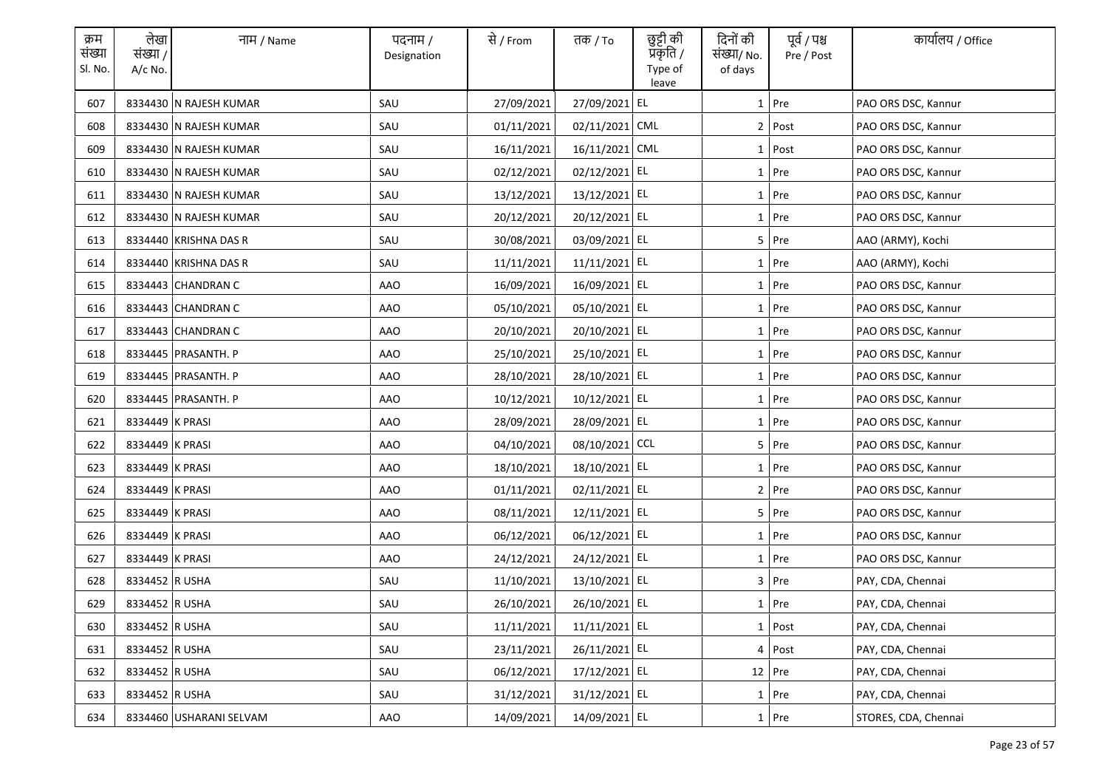| क्रम<br>संख्या<br>Sl. No. | लेखा<br>संख्या /<br>$A/c$ No. | नाम / Name              | पदनाम /<br>Designation | से / From  | तक <i>/</i> To | छुट्टी की<br>प्रॅकृति /<br>Type of<br>leave | दिनों की<br>संख्या/ No.<br>of days | पूर्व / पश्च<br>Pre / Post | कार्यालय / Office    |
|---------------------------|-------------------------------|-------------------------|------------------------|------------|----------------|---------------------------------------------|------------------------------------|----------------------------|----------------------|
| 607                       |                               | 8334430 N RAJESH KUMAR  | SAU                    | 27/09/2021 | 27/09/2021 EL  |                                             |                                    | $1$ Pre                    | PAO ORS DSC, Kannur  |
| 608                       |                               | 8334430 N RAJESH KUMAR  | SAU                    | 01/11/2021 | 02/11/2021 CML |                                             |                                    | 2 Post                     | PAO ORS DSC, Kannur  |
| 609                       |                               | 8334430 N RAJESH KUMAR  | SAU                    | 16/11/2021 | 16/11/2021 CML |                                             |                                    | $1$ Post                   | PAO ORS DSC, Kannur  |
| 610                       |                               | 8334430 N RAJESH KUMAR  | SAU                    | 02/12/2021 | 02/12/2021 EL  |                                             |                                    | 1 Pre                      | PAO ORS DSC, Kannur  |
| 611                       |                               | 8334430 N RAJESH KUMAR  | SAU                    | 13/12/2021 | 13/12/2021 EL  |                                             |                                    | 1 Pre                      | PAO ORS DSC, Kannur  |
| 612                       |                               | 8334430 N RAJESH KUMAR  | SAU                    | 20/12/2021 | 20/12/2021 EL  |                                             |                                    | 1 Pre                      | PAO ORS DSC, Kannur  |
| 613                       |                               | 8334440 KRISHNA DAS R   | SAU                    | 30/08/2021 | 03/09/2021 EL  |                                             |                                    | $5$ Pre                    | AAO (ARMY), Kochi    |
| 614                       |                               | 8334440 KRISHNA DAS R   | SAU                    | 11/11/2021 | 11/11/2021 EL  |                                             |                                    | 1 Pre                      | AAO (ARMY), Kochi    |
| 615                       |                               | 8334443 CHANDRAN C      | <b>AAO</b>             | 16/09/2021 | 16/09/2021 EL  |                                             |                                    | 1 Pre                      | PAO ORS DSC, Kannur  |
| 616                       |                               | 8334443 CHANDRAN C      | AAO                    | 05/10/2021 | 05/10/2021 EL  |                                             |                                    | $1$ Pre                    | PAO ORS DSC, Kannur  |
| 617                       |                               | 8334443 CHANDRAN C      | AAO                    | 20/10/2021 | 20/10/2021 EL  |                                             |                                    | $1$ Pre                    | PAO ORS DSC, Kannur  |
| 618                       |                               | 8334445   PRASANTH. P   | AAO                    | 25/10/2021 | 25/10/2021 EL  |                                             |                                    | 1 Pre                      | PAO ORS DSC, Kannur  |
| 619                       |                               | 8334445 PRASANTH. P     | AAO                    | 28/10/2021 | 28/10/2021 EL  |                                             |                                    | $1$ Pre                    | PAO ORS DSC, Kannur  |
| 620                       |                               | 8334445 PRASANTH. P     | AAO                    | 10/12/2021 | 10/12/2021 EL  |                                             |                                    | 1 Pre                      | PAO ORS DSC, Kannur  |
| 621                       | 8334449 K PRASI               |                         | <b>AAO</b>             | 28/09/2021 | 28/09/2021 EL  |                                             |                                    | $1$ Pre                    | PAO ORS DSC, Kannur  |
| 622                       | 8334449 K PRASI               |                         | <b>AAO</b>             | 04/10/2021 | 08/10/2021 CCL |                                             |                                    | 5 Pre                      | PAO ORS DSC, Kannur  |
| 623                       | 8334449 K PRASI               |                         | <b>AAO</b>             | 18/10/2021 | 18/10/2021 EL  |                                             |                                    | 1 Pre                      | PAO ORS DSC, Kannur  |
| 624                       | 8334449 K PRASI               |                         | AAO                    | 01/11/2021 | 02/11/2021 EL  |                                             |                                    | 2 Pre                      | PAO ORS DSC, Kannur  |
| 625                       | 8334449 K PRASI               |                         | AAO                    | 08/11/2021 | 12/11/2021 EL  |                                             |                                    | 5 Pre                      | PAO ORS DSC, Kannur  |
| 626                       | 8334449 K PRASI               |                         | AAO                    | 06/12/2021 | 06/12/2021 EL  |                                             |                                    | $1$ Pre                    | PAO ORS DSC, Kannur  |
| 627                       | 8334449 K PRASI               |                         | AAO                    | 24/12/2021 | 24/12/2021 EL  |                                             |                                    | 1 Pre                      | PAO ORS DSC, Kannur  |
| 628                       | 8334452 R USHA                |                         | SAU                    | 11/10/2021 | 13/10/2021 EL  |                                             |                                    | 3 Pre                      | PAY, CDA, Chennai    |
| 629                       | 8334452 R USHA                |                         | SAU                    | 26/10/2021 | 26/10/2021 EL  |                                             |                                    | 1 Pre                      | PAY, CDA, Chennai    |
| 630                       | 8334452 R USHA                |                         | SAU                    | 11/11/2021 | 11/11/2021 EL  |                                             |                                    | 1 Post                     | PAY, CDA, Chennai    |
| 631                       | 8334452 R USHA                |                         | SAU                    | 23/11/2021 | 26/11/2021 EL  |                                             |                                    | 4 Post                     | PAY, CDA, Chennai    |
| 632                       | 8334452 R USHA                |                         | SAU                    | 06/12/2021 | 17/12/2021 EL  |                                             |                                    | 12 Pre                     | PAY, CDA, Chennai    |
| 633                       | 8334452 R USHA                |                         | SAU                    | 31/12/2021 | 31/12/2021 EL  |                                             |                                    | $1$ Pre                    | PAY, CDA, Chennai    |
| 634                       |                               | 8334460 USHARANI SELVAM | AAO                    | 14/09/2021 | 14/09/2021 EL  |                                             |                                    | 1 Pre                      | STORES, CDA, Chennai |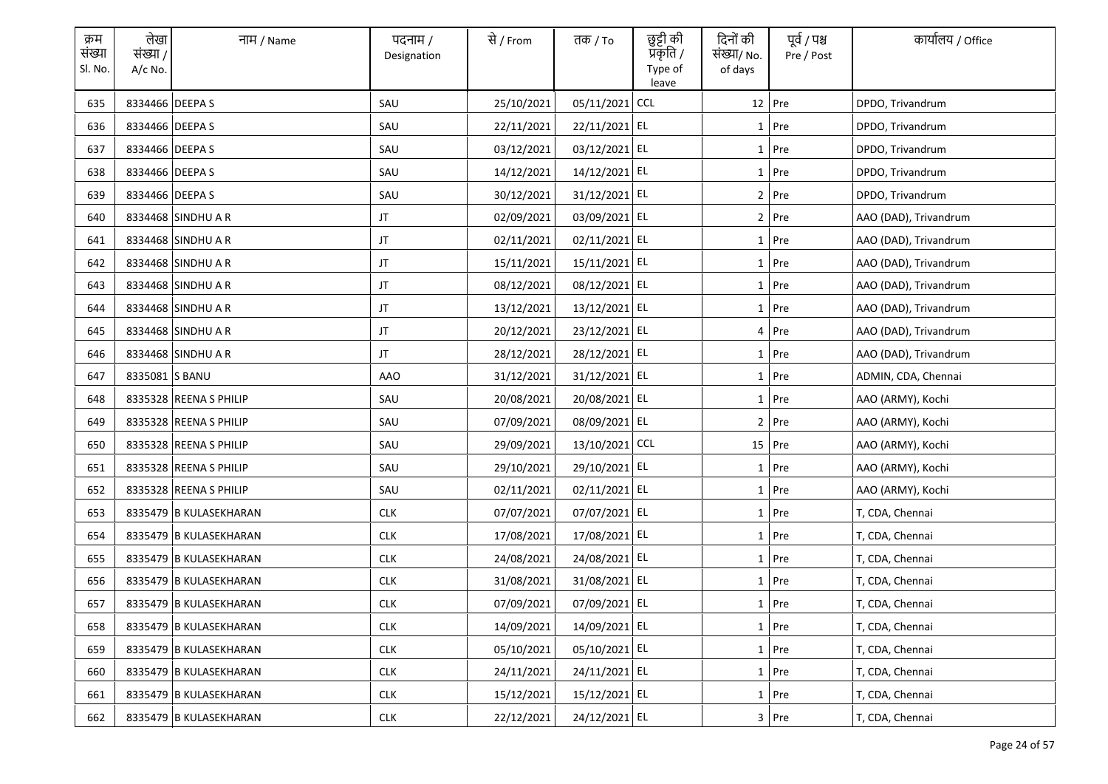| क्रम<br>संख्या<br>Sl. No. | लेखा<br>संख्या /<br>$A/c$ No. | नाम / Name             | पदनाम /<br>Designation | से / From  | तक <i>/</i> To | छुट्टी की<br>प्रकृति /<br>Type of<br>leave | दिनों की<br>संख्या/ No.<br>of days | पूर्व / पश्च<br>Pre / Post | कार्यालय / Office     |
|---------------------------|-------------------------------|------------------------|------------------------|------------|----------------|--------------------------------------------|------------------------------------|----------------------------|-----------------------|
| 635                       | 8334466 DEEPA S               |                        | SAU                    | 25/10/2021 | 05/11/2021     | <b>CCL</b>                                 |                                    | 12 Pre                     | DPDO, Trivandrum      |
| 636                       | 8334466 DEEPA S               |                        | SAU                    | 22/11/2021 | 22/11/2021 EL  |                                            |                                    | 1 Pre                      | DPDO, Trivandrum      |
| 637                       | 8334466 DEEPA S               |                        | SAU                    | 03/12/2021 | 03/12/2021 EL  |                                            |                                    | $1$ Pre                    | DPDO, Trivandrum      |
| 638                       | 8334466 DEEPA S               |                        | SAU                    | 14/12/2021 | 14/12/2021 EL  |                                            |                                    | $1$ Pre                    | DPDO, Trivandrum      |
| 639                       | 8334466 DEEPA S               |                        | SAU                    | 30/12/2021 | 31/12/2021 EL  |                                            |                                    | $2$ Pre                    | DPDO, Trivandrum      |
| 640                       |                               | 8334468 SINDHU A R     | JT                     | 02/09/2021 | 03/09/2021 EL  |                                            |                                    | $2$ Pre                    | AAO (DAD), Trivandrum |
| 641                       |                               | 8334468 SINDHU A R     | JT                     | 02/11/2021 | 02/11/2021 EL  |                                            |                                    | 1 Pre                      | AAO (DAD), Trivandrum |
| 642                       |                               | 8334468 SINDHU A R     | $\sf JT$               | 15/11/2021 | 15/11/2021 EL  |                                            |                                    | $1$ Pre                    | AAO (DAD), Trivandrum |
| 643                       |                               | 8334468 SINDHU A R     | JT                     | 08/12/2021 | 08/12/2021 EL  |                                            |                                    | 1 Pre                      | AAO (DAD), Trivandrum |
| 644                       |                               | 8334468 SINDHU A R     | JT                     | 13/12/2021 | 13/12/2021 EL  |                                            |                                    | $1$ Pre                    | AAO (DAD), Trivandrum |
| 645                       |                               | 8334468 SINDHU A R     | JT                     | 20/12/2021 | 23/12/2021 EL  |                                            |                                    | 4 Pre                      | AAO (DAD), Trivandrum |
| 646                       |                               | 8334468 SINDHU A R     | JT                     | 28/12/2021 | 28/12/2021 EL  |                                            |                                    | 1 Pre                      | AAO (DAD), Trivandrum |
| 647                       | 8335081 S BANU                |                        | AAO                    | 31/12/2021 | 31/12/2021 EL  |                                            |                                    | $1$ Pre                    | ADMIN, CDA, Chennai   |
| 648                       |                               | 8335328 REENA S PHILIP | SAU                    | 20/08/2021 | 20/08/2021 EL  |                                            |                                    | 1 Pre                      | AAO (ARMY), Kochi     |
| 649                       |                               | 8335328 REENA S PHILIP | SAU                    | 07/09/2021 | 08/09/2021 EL  |                                            |                                    | $2$ Pre                    | AAO (ARMY), Kochi     |
| 650                       |                               | 8335328 REENA S PHILIP | SAU                    | 29/09/2021 | 13/10/2021 CCL |                                            |                                    | 15 Pre                     | AAO (ARMY), Kochi     |
| 651                       |                               | 8335328 REENA S PHILIP | SAU                    | 29/10/2021 | 29/10/2021 EL  |                                            |                                    | 1 Pre                      | AAO (ARMY), Kochi     |
| 652                       |                               | 8335328 REENA S PHILIP | SAU                    | 02/11/2021 | 02/11/2021 EL  |                                            |                                    | $1$ Pre                    | AAO (ARMY), Kochi     |
| 653                       |                               | 8335479 B KULASEKHARAN | <b>CLK</b>             | 07/07/2021 | 07/07/2021 EL  |                                            |                                    | $1$ Pre                    | T, CDA, Chennai       |
| 654                       |                               | 8335479 B KULASEKHARAN | <b>CLK</b>             | 17/08/2021 | 17/08/2021 EL  |                                            |                                    | $1$ Pre                    | T, CDA, Chennai       |
| 655                       |                               | 8335479 B KULASEKHARAN | <b>CLK</b>             | 24/08/2021 | 24/08/2021 EL  |                                            |                                    | $1$ Pre                    | T, CDA, Chennai       |
| 656                       |                               | 8335479 B KULASEKHARAN | <b>CLK</b>             | 31/08/2021 | 31/08/2021 EL  |                                            |                                    | $1$ Pre                    | T, CDA, Chennai       |
| 657                       |                               | 8335479 B KULASEKHARAN | <b>CLK</b>             | 07/09/2021 | 07/09/2021 EL  |                                            |                                    | 1 Pre                      | T, CDA, Chennai       |
| 658                       |                               | 8335479 B KULASEKHARAN | CLK                    | 14/09/2021 | 14/09/2021 EL  |                                            |                                    | $1$ Pre                    | T, CDA, Chennai       |
| 659                       |                               | 8335479 B KULASEKHARAN | CLK                    | 05/10/2021 | 05/10/2021 EL  |                                            |                                    | 1 Pre                      | T, CDA, Chennai       |
| 660                       |                               | 8335479 B KULASEKHARAN | <b>CLK</b>             | 24/11/2021 | 24/11/2021 EL  |                                            |                                    | 1 Pre                      | T, CDA, Chennai       |
| 661                       |                               | 8335479 B KULASEKHARAN | <b>CLK</b>             | 15/12/2021 | 15/12/2021 EL  |                                            |                                    | $1$ Pre                    | T, CDA, Chennai       |
| 662                       |                               | 8335479 B KULASEKHARAN | <b>CLK</b>             | 22/12/2021 | 24/12/2021 EL  |                                            |                                    | 3 Pre                      | T, CDA, Chennai       |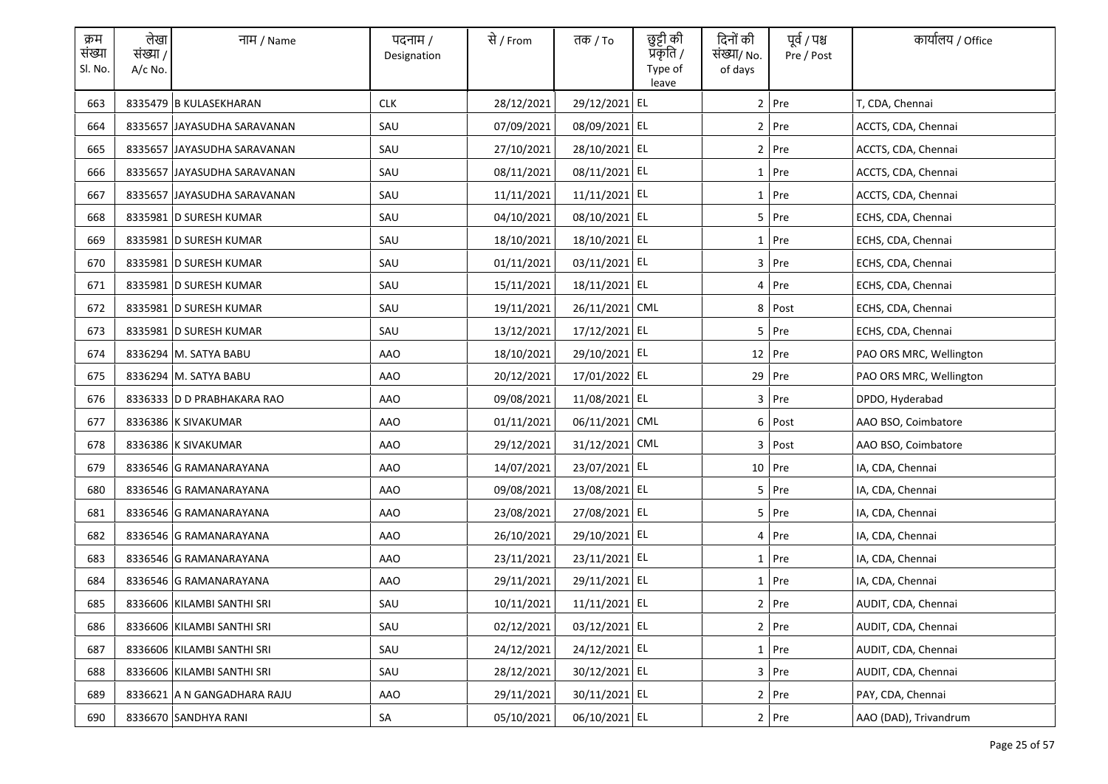| क्रम<br>संख्या<br>Sl. No. | लेखा<br>संख्या /<br>$A/c$ No. | नाम / Name                  | पदनाम /<br>Designation | से / From  | तक <i>/</i> To | छुट्टी की<br>प्रॅकृति /<br>Type of<br>leave | दिनों की<br>संख्या/ No.<br>of days | पूर्व / पश्च<br>Pre / Post | कार्यालय / Office       |
|---------------------------|-------------------------------|-----------------------------|------------------------|------------|----------------|---------------------------------------------|------------------------------------|----------------------------|-------------------------|
| 663                       |                               | 8335479 B KULASEKHARAN      | <b>CLK</b>             | 28/12/2021 | 29/12/2021 EL  |                                             |                                    | $2$ Pre                    | T, CDA, Chennai         |
| 664                       |                               | 8335657 JAYASUDHA SARAVANAN | SAU                    | 07/09/2021 | 08/09/2021 EL  |                                             |                                    | 2 Pre                      | ACCTS, CDA, Chennai     |
| 665                       |                               | 8335657 JAYASUDHA SARAVANAN | SAU                    | 27/10/2021 | 28/10/2021 EL  |                                             |                                    | $2$ Pre                    | ACCTS, CDA, Chennai     |
| 666                       |                               | 8335657 JAYASUDHA SARAVANAN | SAU                    | 08/11/2021 | 08/11/2021 EL  |                                             |                                    | 1 Pre                      | ACCTS, CDA, Chennai     |
| 667                       |                               | 8335657 JAYASUDHA SARAVANAN | SAU                    | 11/11/2021 | 11/11/2021 EL  |                                             |                                    | $1$ Pre                    | ACCTS, CDA, Chennai     |
| 668                       |                               | 8335981 D SURESH KUMAR      | SAU                    | 04/10/2021 | 08/10/2021 EL  |                                             |                                    | 5 Pre                      | ECHS, CDA, Chennai      |
| 669                       |                               | 8335981 D SURESH KUMAR      | SAU                    | 18/10/2021 | 18/10/2021 EL  |                                             |                                    | 1 Pre                      | ECHS, CDA, Chennai      |
| 670                       |                               | 8335981 D SURESH KUMAR      | SAU                    | 01/11/2021 | 03/11/2021 EL  |                                             |                                    | $3$ Pre                    | ECHS, CDA, Chennai      |
| 671                       |                               | 8335981 D SURESH KUMAR      | SAU                    | 15/11/2021 | 18/11/2021 EL  |                                             |                                    | $4$ Pre                    | ECHS, CDA, Chennai      |
| 672                       |                               | 8335981 D SURESH KUMAR      | SAU                    | 19/11/2021 | 26/11/2021 CML |                                             |                                    | 8 Post                     | ECHS, CDA, Chennai      |
| 673                       |                               | 8335981 D SURESH KUMAR      | SAU                    | 13/12/2021 | 17/12/2021 EL  |                                             |                                    | 5 Pre                      | ECHS, CDA, Chennai      |
| 674                       |                               | 8336294 M. SATYA BABU       | AAO                    | 18/10/2021 | 29/10/2021 EL  |                                             |                                    | 12 Pre                     | PAO ORS MRC, Wellington |
| 675                       |                               | 8336294 M. SATYA BABU       | AAO                    | 20/12/2021 | 17/01/2022 EL  |                                             |                                    | 29 Pre                     | PAO ORS MRC, Wellington |
| 676                       |                               | 8336333 D D PRABHAKARA RAO  | AAO                    | 09/08/2021 | 11/08/2021 EL  |                                             |                                    | $3$ Pre                    | DPDO, Hyderabad         |
| 677                       |                               | 8336386 K SIVAKUMAR         | <b>AAO</b>             | 01/11/2021 | 06/11/2021 CML |                                             |                                    | 6 Post                     | AAO BSO, Coimbatore     |
| 678                       |                               | 8336386 K SIVAKUMAR         | <b>AAO</b>             | 29/12/2021 | 31/12/2021 CML |                                             |                                    | 3 Post                     | AAO BSO, Coimbatore     |
| 679                       |                               | 8336546 G RAMANARAYANA      | AAO                    | 14/07/2021 | 23/07/2021 EL  |                                             |                                    | 10 Pre                     | IA, CDA, Chennai        |
| 680                       |                               | 8336546 G RAMANARAYANA      | AAO                    | 09/08/2021 | 13/08/2021 EL  |                                             |                                    | 5 Pre                      | IA, CDA, Chennai        |
| 681                       |                               | 8336546 G RAMANARAYANA      | AAO                    | 23/08/2021 | 27/08/2021 EL  |                                             |                                    | 5 Pre                      | IA, CDA, Chennai        |
| 682                       |                               | 8336546 G RAMANARAYANA      | AAO                    | 26/10/2021 | 29/10/2021 EL  |                                             |                                    | 4 Pre                      | IA, CDA, Chennai        |
| 683                       |                               | 8336546 G RAMANARAYANA      | AAO                    | 23/11/2021 | 23/11/2021 EL  |                                             |                                    | $1$ Pre                    | IA, CDA, Chennai        |
| 684                       |                               | 8336546 G RAMANARAYANA      | AAO                    | 29/11/2021 | 29/11/2021 EL  |                                             |                                    | $1$ Pre                    | IA, CDA, Chennai        |
| 685                       |                               | 8336606 KILAMBI SANTHI SRI  | SAU                    | 10/11/2021 | 11/11/2021 EL  |                                             |                                    | 2 Pre                      | AUDIT, CDA, Chennai     |
| 686                       |                               | 8336606 KILAMBI SANTHI SRI  | SAU                    | 02/12/2021 | 03/12/2021 EL  |                                             |                                    | $2$ Pre                    | AUDIT, CDA, Chennai     |
| 687                       |                               | 8336606 KILAMBI SANTHI SRI  | SAU                    | 24/12/2021 | 24/12/2021 EL  |                                             |                                    | 1 Pre                      | AUDIT, CDA, Chennai     |
| 688                       |                               | 8336606 KILAMBI SANTHI SRI  | SAU                    | 28/12/2021 | 30/12/2021 EL  |                                             |                                    | 3 Pre                      | AUDIT, CDA, Chennai     |
| 689                       |                               | 8336621 A N GANGADHARA RAJU | AAO                    | 29/11/2021 | 30/11/2021 EL  |                                             |                                    | 2 Pre                      | PAY, CDA, Chennai       |
| 690                       |                               | 8336670 SANDHYA RANI        | SA                     | 05/10/2021 | 06/10/2021 EL  |                                             |                                    | 2 Pre                      | AAO (DAD), Trivandrum   |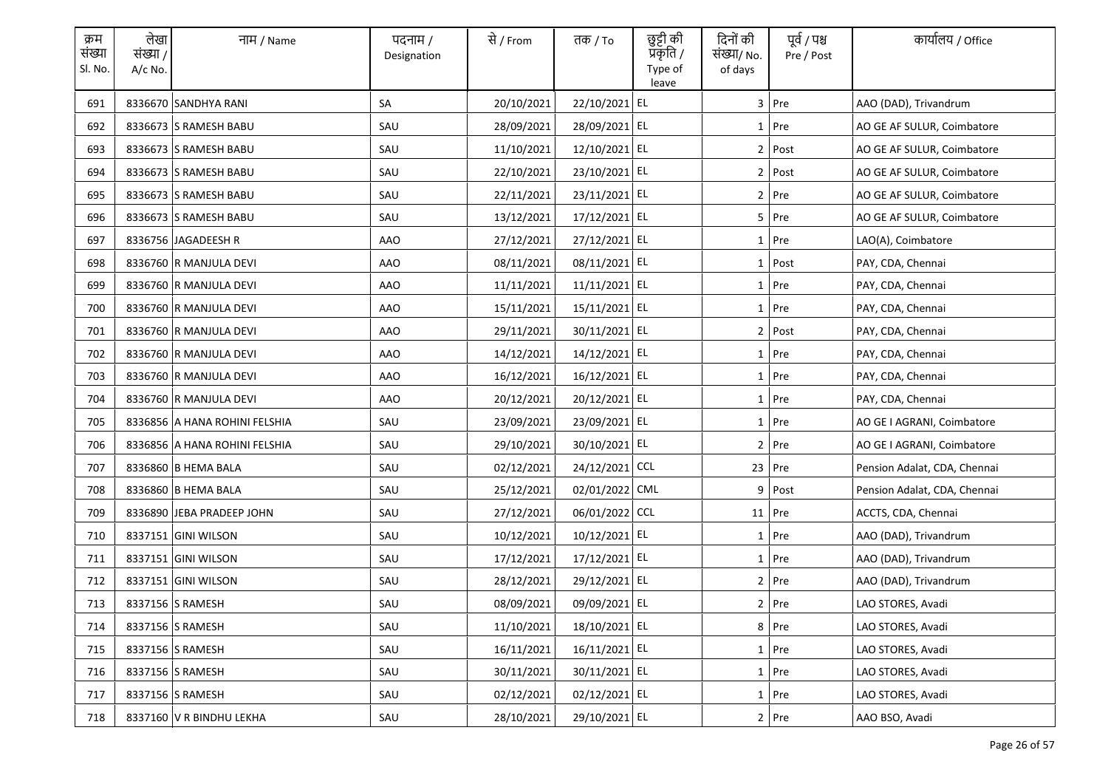| क्रम<br>संख्या<br>Sl. No. | लेखा<br>संख्या /<br>$A/c$ No. | नाम / Name                    | पदनाम /<br>Designation | से / From  | तक <i>/</i> To | छुट्टी की<br>प्रॅकृति /<br>Type of<br>leave | दिनों की<br>संख्या/ No.<br>of days | पूर्व / पश्च<br>Pre / Post | कार्यालय / Office            |
|---------------------------|-------------------------------|-------------------------------|------------------------|------------|----------------|---------------------------------------------|------------------------------------|----------------------------|------------------------------|
| 691                       |                               | 8336670 SANDHYA RANI          | SA                     | 20/10/2021 | 22/10/2021 EL  |                                             |                                    | 3 Pre                      | AAO (DAD), Trivandrum        |
| 692                       |                               | 8336673 S RAMESH BABU         | SAU                    | 28/09/2021 | 28/09/2021 EL  |                                             |                                    | 1 Pre                      | AO GE AF SULUR, Coimbatore   |
| 693                       |                               | 8336673 S RAMESH BABU         | SAU                    | 11/10/2021 | 12/10/2021 EL  |                                             |                                    | 2 Post                     | AO GE AF SULUR, Coimbatore   |
| 694                       |                               | 8336673 S RAMESH BABU         | SAU                    | 22/10/2021 | 23/10/2021 EL  |                                             |                                    | $2$ Post                   | AO GE AF SULUR, Coimbatore   |
| 695                       |                               | 8336673 S RAMESH BABU         | SAU                    | 22/11/2021 | 23/11/2021 EL  |                                             |                                    | 2 Pre                      | AO GE AF SULUR, Coimbatore   |
| 696                       |                               | 8336673 S RAMESH BABU         | SAU                    | 13/12/2021 | 17/12/2021 EL  |                                             |                                    | 5 Pre                      | AO GE AF SULUR, Coimbatore   |
| 697                       |                               | 8336756 JAGADEESH R           | <b>AAO</b>             | 27/12/2021 | 27/12/2021 EL  |                                             |                                    | 1 Pre                      | LAO(A), Coimbatore           |
| 698                       |                               | 8336760 R MANJULA DEVI        | <b>AAO</b>             | 08/11/2021 | 08/11/2021 EL  |                                             |                                    | 1 Post                     | PAY, CDA, Chennai            |
| 699                       |                               | 8336760 R MANJULA DEVI        | AAO                    | 11/11/2021 | 11/11/2021 EL  |                                             |                                    | 1 Pre                      | PAY, CDA, Chennai            |
| 700                       |                               | 8336760 R MANJULA DEVI        | <b>AAO</b>             | 15/11/2021 | 15/11/2021 EL  |                                             |                                    | $1$ Pre                    | PAY, CDA, Chennai            |
| 701                       |                               | 8336760 R MANJULA DEVI        | AAO                    | 29/11/2021 | 30/11/2021 EL  |                                             |                                    | 2 Post                     | PAY, CDA, Chennai            |
| 702                       |                               | 8336760 R MANJULA DEVI        | AAO                    | 14/12/2021 | 14/12/2021 EL  |                                             |                                    | 1 Pre                      | PAY, CDA, Chennai            |
| 703                       |                               | 8336760 R MANJULA DEVI        | AAO                    | 16/12/2021 | 16/12/2021 EL  |                                             |                                    | $1$ Pre                    | PAY, CDA, Chennai            |
| 704                       |                               | 8336760 R MANJULA DEVI        | <b>AAO</b>             | 20/12/2021 | 20/12/2021 EL  |                                             |                                    | 1 Pre                      | PAY, CDA, Chennai            |
| 705                       |                               | 8336856 A HANA ROHINI FELSHIA | SAU                    | 23/09/2021 | 23/09/2021 EL  |                                             |                                    | $1$ Pre                    | AO GE I AGRANI, Coimbatore   |
| 706                       |                               | 8336856 A HANA ROHINI FELSHIA | SAU                    | 29/10/2021 | 30/10/2021 EL  |                                             |                                    | 2 Pre                      | AO GE I AGRANI, Coimbatore   |
| 707                       |                               | 8336860 B HEMA BALA           | SAU                    | 02/12/2021 | 24/12/2021 CCL |                                             |                                    | 23 Pre                     | Pension Adalat, CDA, Chennai |
| 708                       |                               | 8336860 B HEMA BALA           | SAU                    | 25/12/2021 | 02/01/2022 CML |                                             | 9                                  | Post                       | Pension Adalat, CDA, Chennai |
| 709                       |                               | 8336890 JEBA PRADEEP JOHN     | SAU                    | 27/12/2021 | 06/01/2022 CCL |                                             |                                    | $11$ Pre                   | ACCTS, CDA, Chennai          |
| 710                       |                               | 8337151 GINI WILSON           | SAU                    | 10/12/2021 | 10/12/2021 EL  |                                             |                                    | 1 Pre                      | AAO (DAD), Trivandrum        |
| 711                       |                               | 8337151 GINI WILSON           | SAU                    | 17/12/2021 | 17/12/2021 EL  |                                             |                                    | 1 Pre                      | AAO (DAD), Trivandrum        |
| 712                       |                               | 8337151 GINI WILSON           | SAU                    | 28/12/2021 | 29/12/2021 EL  |                                             |                                    | $2$ Pre                    | AAO (DAD), Trivandrum        |
| 713                       |                               | 8337156 S RAMESH              | SAU                    | 08/09/2021 | 09/09/2021 EL  |                                             |                                    | 2 Pre                      | LAO STORES, Avadi            |
| 714                       |                               | 8337156 S RAMESH              | SAU                    | 11/10/2021 | 18/10/2021 EL  |                                             |                                    | 8 Pre                      | LAO STORES, Avadi            |
| 715                       |                               | 8337156 S RAMESH              | SAU                    | 16/11/2021 | 16/11/2021 EL  |                                             |                                    | 1 Pre                      | LAO STORES, Avadi            |
| 716                       |                               | 8337156 S RAMESH              | SAU                    | 30/11/2021 | 30/11/2021 EL  |                                             |                                    | 1 Pre                      | LAO STORES, Avadi            |
| 717                       |                               | 8337156 S RAMESH              | SAU                    | 02/12/2021 | 02/12/2021 EL  |                                             |                                    | $1$ Pre                    | LAO STORES, Avadi            |
| 718                       |                               | 8337160 V R BINDHU LEKHA      | SAU                    | 28/10/2021 | 29/10/2021 EL  |                                             |                                    | $2$ Pre                    | AAO BSO, Avadi               |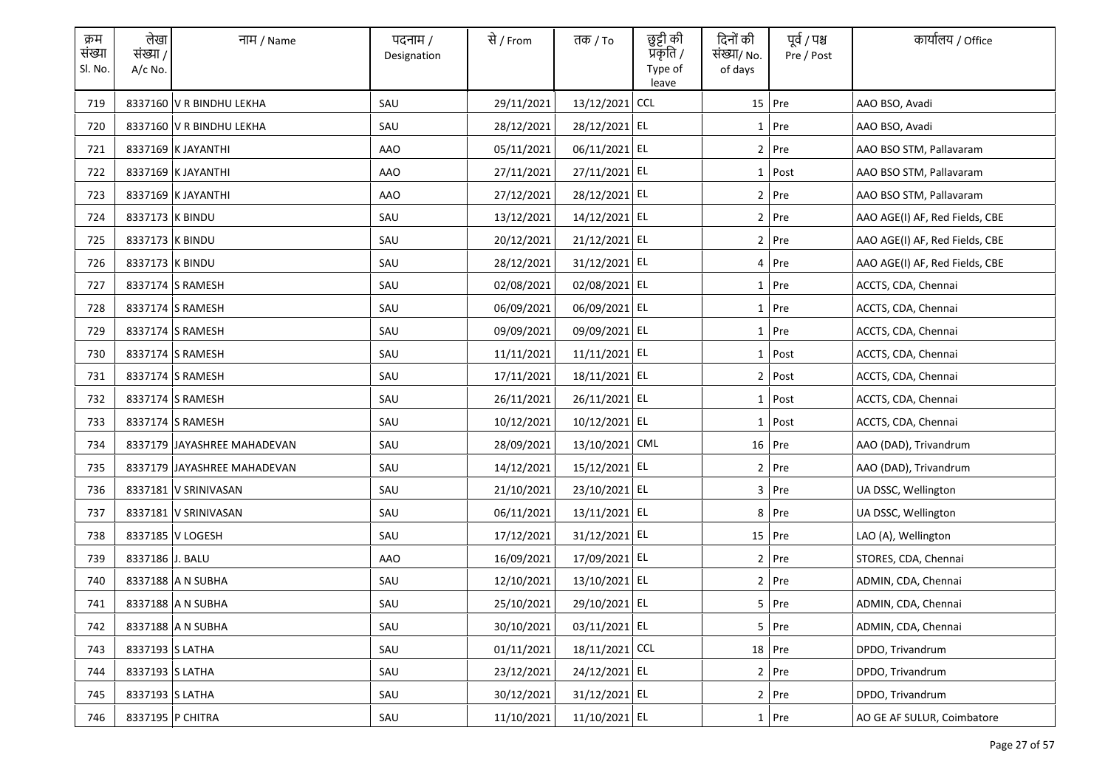| क्रम<br>संख्या<br>Sl. No. | लेखा<br>संख्या /<br>A/c No. | नाम / Name                  | पदनाम /<br>Designation | से / From  | तक <i>/</i> To | छुट्टी की<br>प्रकृति /<br>Type of<br>leave | दिनों की<br>संख्या/ No.<br>of days | पूर्व / पश्च<br>Pre / Post | कार्यालय / Office              |
|---------------------------|-----------------------------|-----------------------------|------------------------|------------|----------------|--------------------------------------------|------------------------------------|----------------------------|--------------------------------|
| 719                       |                             | 8337160 V R BINDHU LEKHA    | SAU                    | 29/11/2021 | 13/12/2021     | <b>CCL</b>                                 |                                    | 15 Pre                     | AAO BSO, Avadi                 |
| 720                       |                             | 8337160 V R BINDHU LEKHA    | SAU                    | 28/12/2021 | 28/12/2021 EL  |                                            |                                    | 1 Pre                      | AAO BSO, Avadi                 |
| 721                       |                             | 8337169 K JAYANTHI          | AAO                    | 05/11/2021 | 06/11/2021 EL  |                                            |                                    | $2$ Pre                    | AAO BSO STM, Pallavaram        |
| 722                       |                             | 8337169 K JAYANTHI          | AAO                    | 27/11/2021 | 27/11/2021 EL  |                                            |                                    | $1$ Post                   | AAO BSO STM, Pallavaram        |
| 723                       |                             | 8337169 K JAYANTHI          | AAO                    | 27/12/2021 | 28/12/2021 EL  |                                            |                                    | $2$ Pre                    | AAO BSO STM, Pallavaram        |
| 724                       | 8337173 K BINDU             |                             | SAU                    | 13/12/2021 | 14/12/2021 EL  |                                            |                                    | 2 Pre                      | AAO AGE(I) AF, Red Fields, CBE |
| 725                       | 8337173 K BINDU             |                             | SAU                    | 20/12/2021 | 21/12/2021 EL  |                                            |                                    | 2 Pre                      | AAO AGE(I) AF, Red Fields, CBE |
| 726                       | 8337173 K BINDU             |                             | SAU                    | 28/12/2021 | 31/12/2021 EL  |                                            |                                    | 4 Pre                      | AAO AGE(I) AF, Red Fields, CBE |
| 727                       |                             | 8337174 S RAMESH            | SAU                    | 02/08/2021 | 02/08/2021 EL  |                                            |                                    | 1 Pre                      | ACCTS, CDA, Chennai            |
| 728                       |                             | 8337174 S RAMESH            | SAU                    | 06/09/2021 | 06/09/2021 EL  |                                            |                                    | $1$ Pre                    | ACCTS, CDA, Chennai            |
| 729                       |                             | 8337174 S RAMESH            | SAU                    | 09/09/2021 | 09/09/2021 EL  |                                            |                                    | $1$ Pre                    | ACCTS, CDA, Chennai            |
| 730                       |                             | 8337174 S RAMESH            | SAU                    | 11/11/2021 | 11/11/2021 EL  |                                            |                                    | $1$ Post                   | ACCTS, CDA, Chennai            |
| 731                       |                             | 8337174 S RAMESH            | SAU                    | 17/11/2021 | 18/11/2021 EL  |                                            |                                    | 2 Post                     | ACCTS, CDA, Chennai            |
| 732                       |                             | 8337174 S RAMESH            | SAU                    | 26/11/2021 | 26/11/2021 EL  |                                            |                                    | $1$ Post                   | ACCTS, CDA, Chennai            |
| 733                       |                             | 8337174 S RAMESH            | SAU                    | 10/12/2021 | 10/12/2021 EL  |                                            |                                    | 1 Post                     | ACCTS, CDA, Chennai            |
| 734                       |                             | 8337179 JAYASHREE MAHADEVAN | SAU                    | 28/09/2021 | 13/10/2021 CML |                                            |                                    | 16 Pre                     | AAO (DAD), Trivandrum          |
| 735                       |                             | 8337179 JAYASHREE MAHADEVAN | SAU                    | 14/12/2021 | 15/12/2021 EL  |                                            |                                    | $2$ Pre                    | AAO (DAD), Trivandrum          |
| 736                       |                             | 8337181 V SRINIVASAN        | SAU                    | 21/10/2021 | 23/10/2021 EL  |                                            |                                    | 3 Pre                      | UA DSSC, Wellington            |
| 737                       |                             | 8337181 V SRINIVASAN        | SAU                    | 06/11/2021 | 13/11/2021 EL  |                                            |                                    | 8 Pre                      | UA DSSC, Wellington            |
| 738                       |                             | 8337185 V LOGESH            | SAU                    | 17/12/2021 | 31/12/2021 EL  |                                            |                                    | $15$ Pre                   | LAO (A), Wellington            |
| 739                       | 8337186 J. BALU             |                             | AAO                    | 16/09/2021 | 17/09/2021 EL  |                                            |                                    | $2$ Pre                    | STORES, CDA, Chennai           |
| 740                       |                             | 8337188 A N SUBHA           | SAU                    | 12/10/2021 | 13/10/2021 EL  |                                            |                                    | $2$ Pre                    | ADMIN, CDA, Chennai            |
| 741                       |                             | 8337188 A N SUBHA           | SAU                    | 25/10/2021 | 29/10/2021 EL  |                                            |                                    | 5 Pre                      | ADMIN, CDA, Chennai            |
| 742                       |                             | 8337188 A N SUBHA           | SAU                    | 30/10/2021 | 03/11/2021 EL  |                                            |                                    | 5 Pre                      | ADMIN, CDA, Chennai            |
| 743                       | 8337193 S LATHA             |                             | SAU                    | 01/11/2021 | 18/11/2021 CCL |                                            |                                    | 18 Pre                     | DPDO, Trivandrum               |
| 744                       | 8337193 S LATHA             |                             | SAU                    | 23/12/2021 | 24/12/2021 EL  |                                            |                                    | $2$ Pre                    | DPDO, Trivandrum               |
| 745                       | 8337193 S LATHA             |                             | SAU                    | 30/12/2021 | 31/12/2021 EL  |                                            |                                    | 2 Pre                      | DPDO, Trivandrum               |
| 746                       |                             | 8337195 P CHITRA            | SAU                    | 11/10/2021 | 11/10/2021 EL  |                                            |                                    | 1 Pre                      | AO GE AF SULUR, Coimbatore     |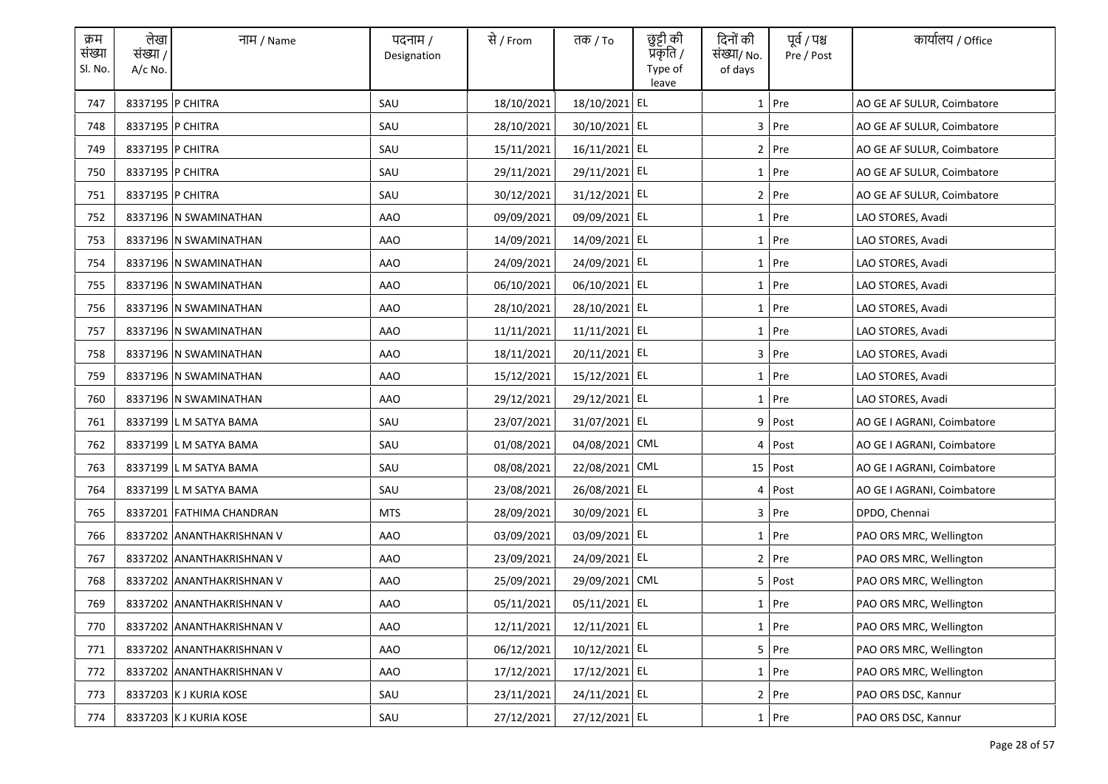| क्रम<br>संख्या<br>Sl. No. | लेखा<br>संख्या /<br>$A/c$ No. | नाम / Name                | पदनाम /<br>Designation | से / From  | तक / To        | छुट्टी की<br>प्रकृति /<br>Type of<br>leave | दिनों की<br>संख्या/ No.<br>of days | पूर्व / पश्च<br>Pre / Post | कार्यालय / Office          |
|---------------------------|-------------------------------|---------------------------|------------------------|------------|----------------|--------------------------------------------|------------------------------------|----------------------------|----------------------------|
| 747                       |                               | 8337195 P CHITRA          | SAU                    | 18/10/2021 | 18/10/2021 EL  |                                            |                                    | $1$ Pre                    | AO GE AF SULUR, Coimbatore |
| 748                       |                               | 8337195 P CHITRA          | SAU                    | 28/10/2021 | 30/10/2021 EL  |                                            |                                    | $3$ Pre                    | AO GE AF SULUR, Coimbatore |
| 749                       |                               | 8337195 P CHITRA          | SAU                    | 15/11/2021 | 16/11/2021 EL  |                                            |                                    | 2 Pre                      | AO GE AF SULUR, Coimbatore |
| 750                       |                               | 8337195 P CHITRA          | SAU                    | 29/11/2021 | 29/11/2021 EL  |                                            |                                    | 1 Pre                      | AO GE AF SULUR, Coimbatore |
| 751                       |                               | 8337195 P CHITRA          | SAU                    | 30/12/2021 | 31/12/2021 EL  |                                            |                                    | 2 Pre                      | AO GE AF SULUR, Coimbatore |
| 752                       |                               | 8337196 N SWAMINATHAN     | AAO                    | 09/09/2021 | 09/09/2021 EL  |                                            |                                    | $1$ Pre                    | LAO STORES, Avadi          |
| 753                       |                               | 8337196 N SWAMINATHAN     | AAO                    | 14/09/2021 | 14/09/2021 EL  |                                            | $\mathbf{1}$                       | Pre                        | LAO STORES, Avadi          |
| 754                       |                               | 8337196   N SWAMINATHAN   | AAO                    | 24/09/2021 | 24/09/2021 EL  |                                            | $1\vert$                           | Pre                        | LAO STORES, Avadi          |
| 755                       |                               | 8337196 N SWAMINATHAN     | AAO                    | 06/10/2021 | 06/10/2021 EL  |                                            |                                    | $1$ Pre                    | LAO STORES, Avadi          |
| 756                       |                               | 8337196 N SWAMINATHAN     | AAO                    | 28/10/2021 | 28/10/2021 EL  |                                            |                                    | $1$ Pre                    | LAO STORES, Avadi          |
| 757                       |                               | 8337196 N SWAMINATHAN     | AAO                    | 11/11/2021 | 11/11/2021 EL  |                                            |                                    | $1$ Pre                    | LAO STORES, Avadi          |
| 758                       |                               | 8337196 N SWAMINATHAN     | AAO                    | 18/11/2021 | 20/11/2021 EL  |                                            |                                    | 3 Pre                      | LAO STORES, Avadi          |
| 759                       |                               | 8337196 N SWAMINATHAN     | AAO                    | 15/12/2021 | 15/12/2021 EL  |                                            |                                    | $1$ Pre                    | LAO STORES, Avadi          |
| 760                       |                               | 8337196 N SWAMINATHAN     | AAO                    | 29/12/2021 | 29/12/2021 EL  |                                            |                                    | $1$ Pre                    | LAO STORES, Avadi          |
| 761                       |                               | 8337199 L M SATYA BAMA    | SAU                    | 23/07/2021 | 31/07/2021 EL  |                                            |                                    | $9$ Post                   | AO GE I AGRANI, Coimbatore |
| 762                       |                               | 8337199 L M SATYA BAMA    | SAU                    | 01/08/2021 | 04/08/2021     | <b>CML</b>                                 | 4                                  | Post                       | AO GE I AGRANI, Coimbatore |
| 763                       |                               | 8337199 L M SATYA BAMA    | SAU                    | 08/08/2021 | 22/08/2021     | CML                                        |                                    | 15 Post                    | AO GE I AGRANI, Coimbatore |
| 764                       |                               | 8337199 L M SATYA BAMA    | SAU                    | 23/08/2021 | 26/08/2021 EL  |                                            |                                    | 4 Post                     | AO GE I AGRANI, Coimbatore |
| 765                       |                               | 8337201 FATHIMA CHANDRAN  | <b>MTS</b>             | 28/09/2021 | 30/09/2021 EL  |                                            |                                    | 3 Pre                      | DPDO, Chennai              |
| 766                       |                               | 8337202 ANANTHAKRISHNAN V | AAO                    | 03/09/2021 | 03/09/2021 EL  |                                            |                                    | $1$ Pre                    | PAO ORS MRC, Wellington    |
| 767                       |                               | 8337202 ANANTHAKRISHNAN V | AAO                    | 23/09/2021 | 24/09/2021 EL  |                                            |                                    | $2$ Pre                    | PAO ORS MRC, Wellington    |
| 768                       |                               | 8337202 ANANTHAKRISHNAN V | AAO                    | 25/09/2021 | 29/09/2021 CML |                                            |                                    | $5$ Post                   | PAO ORS MRC, Wellington    |
| 769                       |                               | 8337202 ANANTHAKRISHNAN V | AAO                    | 05/11/2021 | 05/11/2021 EL  |                                            | $1\vert$                           | Pre                        | PAO ORS MRC, Wellington    |
| 770                       |                               | 8337202 ANANTHAKRISHNAN V | <b>AAO</b>             | 12/11/2021 | 12/11/2021 EL  |                                            | $1\vert$                           | Pre                        | PAO ORS MRC, Wellington    |
| 771                       |                               | 8337202 ANANTHAKRISHNAN V | <b>AAO</b>             | 06/12/2021 | 10/12/2021 EL  |                                            |                                    | 5 Pre                      | PAO ORS MRC, Wellington    |
| 772                       |                               | 8337202 ANANTHAKRISHNAN V | AAO                    | 17/12/2021 | 17/12/2021 EL  |                                            |                                    | 1 Pre                      | PAO ORS MRC, Wellington    |
| 773                       |                               | 8337203 K J KURIA KOSE    | SAU                    | 23/11/2021 | 24/11/2021 EL  |                                            |                                    | $2$ Pre                    | PAO ORS DSC, Kannur        |
| 774                       |                               | 8337203 K J KURIA KOSE    | SAU                    | 27/12/2021 | 27/12/2021 EL  |                                            |                                    | $1$ Pre                    | PAO ORS DSC, Kannur        |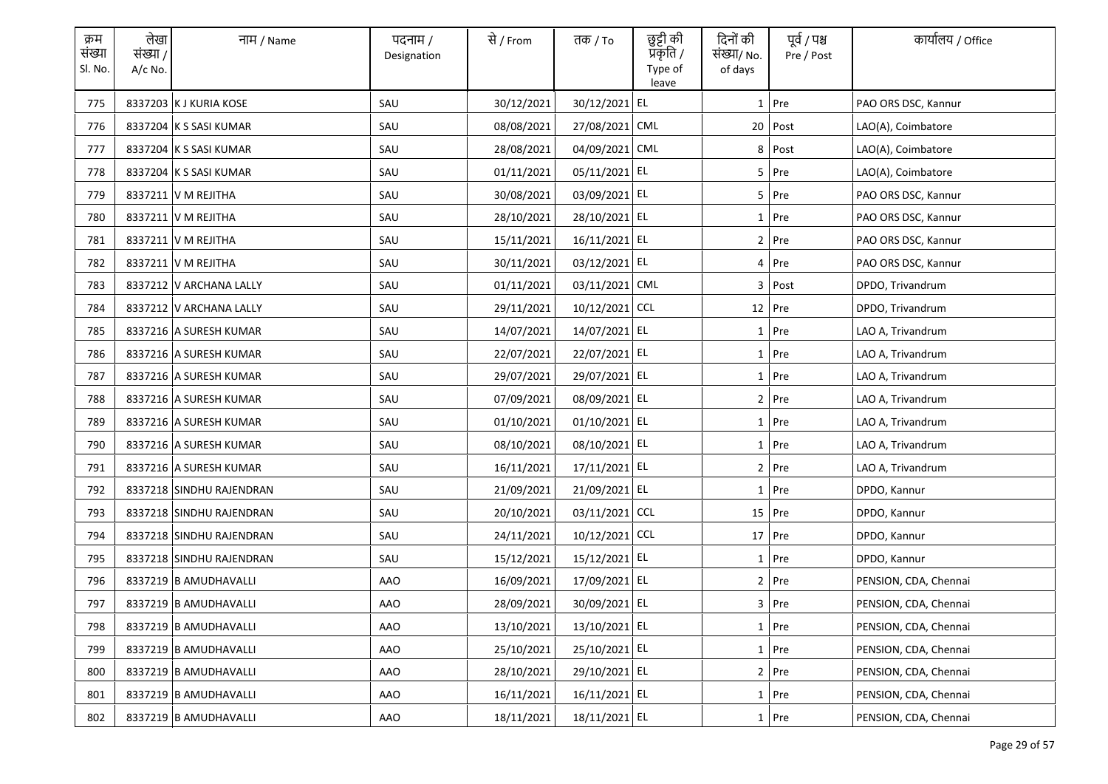| क्रम<br>संख्या<br>Sl. No. | लेखा<br>संख्या /<br>A/c No. | नाम / Name               | पदनाम /<br>Designation | से / From  | तक <i>/</i> To | छुट्टी की<br>प्रॅकृति /<br>Type of<br>leave | दिनों की<br>संख्या/ No.<br>of days | पूर्व / पश्च<br>Pre / Post | कार्यालय / Office     |
|---------------------------|-----------------------------|--------------------------|------------------------|------------|----------------|---------------------------------------------|------------------------------------|----------------------------|-----------------------|
| 775                       |                             | 8337203 K J KURIA KOSE   | SAU                    | 30/12/2021 | 30/12/2021 EL  |                                             |                                    | $1$ Pre                    | PAO ORS DSC, Kannur   |
| 776                       |                             | 8337204 K S SASI KUMAR   | SAU                    | 08/08/2021 | 27/08/2021 CML |                                             |                                    | 20 Post                    | LAO(A), Coimbatore    |
| 777                       |                             | 8337204 K S SASI KUMAR   | SAU                    | 28/08/2021 | 04/09/2021 CML |                                             |                                    | 8 Post                     | LAO(A), Coimbatore    |
| 778                       |                             | 8337204 K S SASI KUMAR   | SAU                    | 01/11/2021 | 05/11/2021 EL  |                                             |                                    | $5$ Pre                    | LAO(A), Coimbatore    |
| 779                       |                             | 8337211 V M REJITHA      | SAU                    | 30/08/2021 | 03/09/2021 EL  |                                             |                                    | 5 Pre                      | PAO ORS DSC, Kannur   |
| 780                       |                             | 8337211 V M REJITHA      | SAU                    | 28/10/2021 | 28/10/2021 EL  |                                             |                                    | 1 Pre                      | PAO ORS DSC, Kannur   |
| 781                       |                             | 8337211 V M REJITHA      | SAU                    | 15/11/2021 | 16/11/2021 EL  |                                             |                                    | 2 Pre                      | PAO ORS DSC, Kannur   |
| 782                       |                             | 8337211 V M REJITHA      | SAU                    | 30/11/2021 | 03/12/2021 EL  |                                             |                                    | 4 Pre                      | PAO ORS DSC, Kannur   |
| 783                       |                             | 8337212 V ARCHANA LALLY  | SAU                    | 01/11/2021 | 03/11/2021 CML |                                             |                                    | 3 Post                     | DPDO, Trivandrum      |
| 784                       |                             | 8337212 V ARCHANA LALLY  | SAU                    | 29/11/2021 | 10/12/2021 CCL |                                             |                                    | 12 Pre                     | DPDO, Trivandrum      |
| 785                       |                             | 8337216 A SURESH KUMAR   | SAU                    | 14/07/2021 | 14/07/2021 EL  |                                             |                                    | $1$ Pre                    | LAO A, Trivandrum     |
| 786                       |                             | 8337216 A SURESH KUMAR   | SAU                    | 22/07/2021 | 22/07/2021 EL  |                                             |                                    | 1 Pre                      | LAO A, Trivandrum     |
| 787                       |                             | 8337216 A SURESH KUMAR   | SAU                    | 29/07/2021 | 29/07/2021 EL  |                                             |                                    | $1$ Pre                    | LAO A, Trivandrum     |
| 788                       |                             | 8337216 A SURESH KUMAR   | SAU                    | 07/09/2021 | 08/09/2021 EL  |                                             |                                    | 2 Pre                      | LAO A, Trivandrum     |
| 789                       |                             | 8337216 A SURESH KUMAR   | SAU                    | 01/10/2021 | 01/10/2021 EL  |                                             |                                    | $1$ Pre                    | LAO A, Trivandrum     |
| 790                       |                             | 8337216 A SURESH KUMAR   | SAU                    | 08/10/2021 | 08/10/2021 EL  |                                             |                                    | 1 Pre                      | LAO A, Trivandrum     |
| 791                       |                             | 8337216 A SURESH KUMAR   | SAU                    | 16/11/2021 | 17/11/2021 EL  |                                             |                                    | 2 Pre                      | LAO A, Trivandrum     |
| 792                       |                             | 8337218 SINDHU RAJENDRAN | SAU                    | 21/09/2021 | 21/09/2021 EL  |                                             |                                    | $1$ Pre                    | DPDO, Kannur          |
| 793                       |                             | 8337218 SINDHU RAJENDRAN | SAU                    | 20/10/2021 | 03/11/2021 CCL |                                             |                                    | $15$ Pre                   | DPDO, Kannur          |
| 794                       |                             | 8337218 SINDHU RAJENDRAN | SAU                    | 24/11/2021 | 10/12/2021 CCL |                                             |                                    | 17 Pre                     | DPDO, Kannur          |
| 795                       |                             | 8337218 SINDHU RAJENDRAN | SAU                    | 15/12/2021 | 15/12/2021 EL  |                                             |                                    | $1$ Pre                    | DPDO, Kannur          |
| 796                       |                             | 8337219 B AMUDHAVALLI    | AAO                    | 16/09/2021 | 17/09/2021 EL  |                                             |                                    | 2 Pre                      | PENSION, CDA, Chennai |
| 797                       |                             | 8337219 B AMUDHAVALLI    | <b>AAO</b>             | 28/09/2021 | 30/09/2021 EL  |                                             |                                    | 3 Pre                      | PENSION, CDA, Chennai |
| 798                       |                             | 8337219 B AMUDHAVALLI    | AAO                    | 13/10/2021 | 13/10/2021 EL  |                                             |                                    | $1$ Pre                    | PENSION, CDA, Chennai |
| 799                       |                             | 8337219 B AMUDHAVALLI    | <b>AAO</b>             | 25/10/2021 | 25/10/2021 EL  |                                             |                                    | 1 Pre                      | PENSION, CDA, Chennai |
| 800                       |                             | 8337219 B AMUDHAVALLI    | AAO                    | 28/10/2021 | 29/10/2021 EL  |                                             |                                    | 2 Pre                      | PENSION, CDA, Chennai |
| 801                       |                             | 8337219 B AMUDHAVALLI    | AAO                    | 16/11/2021 | 16/11/2021 EL  |                                             |                                    | $1$ Pre                    | PENSION, CDA, Chennai |
| 802                       |                             | 8337219 B AMUDHAVALLI    | AAO                    | 18/11/2021 | 18/11/2021 EL  |                                             |                                    | 1 Pre                      | PENSION, CDA, Chennai |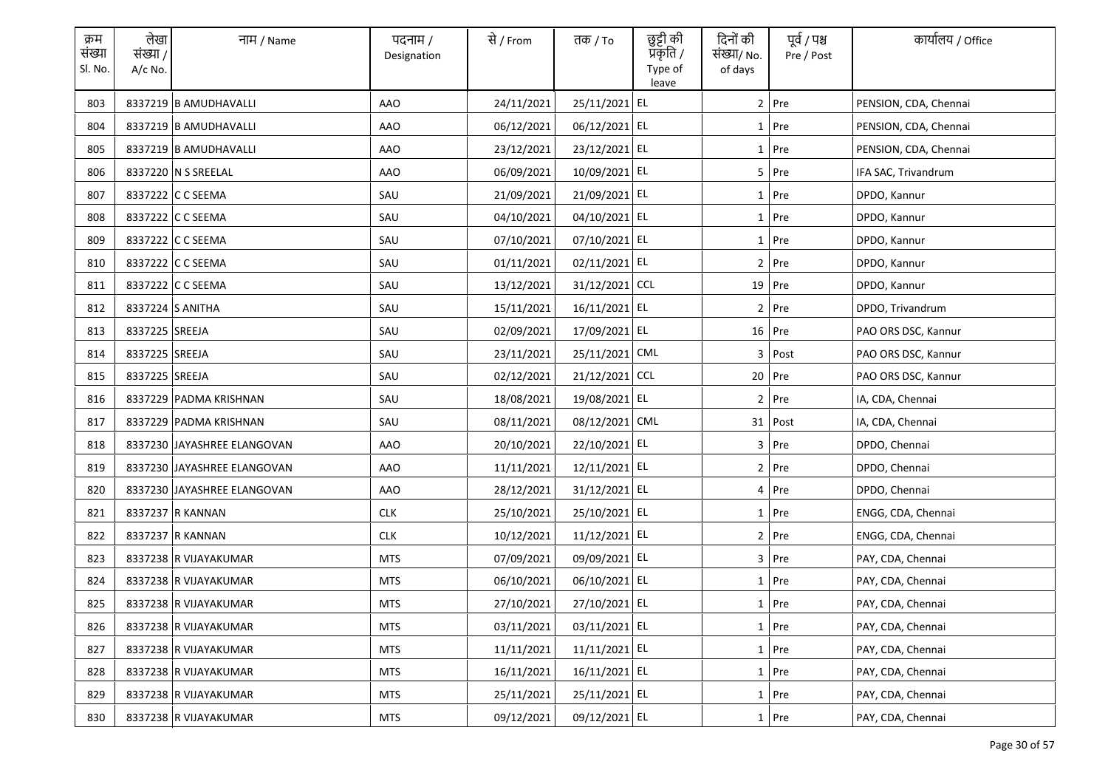| क्रम<br>संख्या<br>Sl. No. | लेखा<br>संख्या /<br>A/c No. | नाम / Name                  | पदनाम /<br>Designation | से / From  | तक <i>/</i> To | छुट्टी की<br>प्रॅकृति /<br>Type of<br>leave | दिनों की<br>संख्या/ No.<br>of days | पूर्व / पश्च<br>Pre / Post | कार्यालय / Office     |
|---------------------------|-----------------------------|-----------------------------|------------------------|------------|----------------|---------------------------------------------|------------------------------------|----------------------------|-----------------------|
| 803                       |                             | 8337219 B AMUDHAVALLI       | AAO                    | 24/11/2021 | 25/11/2021 EL  |                                             |                                    | $2$ Pre                    | PENSION, CDA, Chennai |
| 804                       |                             | 8337219 B AMUDHAVALLI       | AAO                    | 06/12/2021 | 06/12/2021 EL  |                                             |                                    | 1 Pre                      | PENSION, CDA, Chennai |
| 805                       |                             | 8337219 B AMUDHAVALLI       | AAO                    | 23/12/2021 | 23/12/2021 EL  |                                             |                                    | $1$ Pre                    | PENSION, CDA, Chennai |
| 806                       |                             | 8337220 N S SREELAL         | AAO                    | 06/09/2021 | 10/09/2021 EL  |                                             |                                    | $5$ Pre                    | IFA SAC, Trivandrum   |
| 807                       |                             | 8337222 C C SEEMA           | SAU                    | 21/09/2021 | 21/09/2021 EL  |                                             |                                    | $1$ Pre                    | DPDO, Kannur          |
| 808                       |                             | 8337222 C C SEEMA           | SAU                    | 04/10/2021 | 04/10/2021 EL  |                                             |                                    | 1 Pre                      | DPDO, Kannur          |
| 809                       |                             | 8337222 C C SEEMA           | SAU                    | 07/10/2021 | 07/10/2021 EL  |                                             |                                    | 1 Pre                      | DPDO, Kannur          |
| 810                       |                             | 8337222 C C SEEMA           | SAU                    | 01/11/2021 | 02/11/2021 EL  |                                             |                                    | 2 Pre                      | DPDO, Kannur          |
| 811                       |                             | 8337222 C C SEEMA           | SAU                    | 13/12/2021 | 31/12/2021 CCL |                                             |                                    | 19 Pre                     | DPDO, Kannur          |
| 812                       |                             | 8337224 S ANITHA            | SAU                    | 15/11/2021 | 16/11/2021 EL  |                                             |                                    | 2 Pre                      | DPDO, Trivandrum      |
| 813                       | 8337225 SREEJA              |                             | SAU                    | 02/09/2021 | 17/09/2021 EL  |                                             |                                    | $16$ Pre                   | PAO ORS DSC, Kannur   |
| 814                       | 8337225 SREEJA              |                             | SAU                    | 23/11/2021 | 25/11/2021 CML |                                             |                                    | 3 Post                     | PAO ORS DSC, Kannur   |
| 815                       | 8337225 SREEJA              |                             | SAU                    | 02/12/2021 | 21/12/2021 CCL |                                             |                                    | 20 Pre                     | PAO ORS DSC, Kannur   |
| 816                       |                             | 8337229 PADMA KRISHNAN      | SAU                    | 18/08/2021 | 19/08/2021 EL  |                                             |                                    | 2 Pre                      | IA, CDA, Chennai      |
| 817                       |                             | 8337229 PADMA KRISHNAN      | SAU                    | 08/11/2021 | 08/12/2021 CML |                                             |                                    | 31 Post                    | IA, CDA, Chennai      |
| 818                       |                             | 8337230 JAYASHREE ELANGOVAN | <b>AAO</b>             | 20/10/2021 | 22/10/2021 EL  |                                             |                                    | $3$ Pre                    | DPDO, Chennai         |
| 819                       |                             | 8337230 JAYASHREE ELANGOVAN | AAO                    | 11/11/2021 | 12/11/2021 EL  |                                             |                                    | 2 Pre                      | DPDO, Chennai         |
| 820                       |                             | 8337230 JAYASHREE ELANGOVAN | AAO                    | 28/12/2021 | 31/12/2021 EL  |                                             |                                    | 4 Pre                      | DPDO, Chennai         |
| 821                       |                             | 8337237 R KANNAN            | <b>CLK</b>             | 25/10/2021 | 25/10/2021 EL  |                                             |                                    | $1$ Pre                    | ENGG, CDA, Chennai    |
| 822                       |                             | 8337237 R KANNAN            | <b>CLK</b>             | 10/12/2021 | 11/12/2021 EL  |                                             |                                    | 2 Pre                      | ENGG, CDA, Chennai    |
| 823                       |                             | 8337238 R VIJAYAKUMAR       | <b>MTS</b>             | 07/09/2021 | 09/09/2021 EL  |                                             |                                    | 3 Pre                      | PAY, CDA, Chennai     |
| 824                       |                             | 8337238 R VIJAYAKUMAR       | <b>MTS</b>             | 06/10/2021 | 06/10/2021 EL  |                                             |                                    | $1$ Pre                    | PAY, CDA, Chennai     |
| 825                       |                             | 8337238 R VIJAYAKUMAR       | <b>MTS</b>             | 27/10/2021 | 27/10/2021 EL  |                                             |                                    | 1 Pre                      | PAY, CDA, Chennai     |
| 826                       |                             | 8337238 R VIJAYAKUMAR       | <b>MTS</b>             | 03/11/2021 | 03/11/2021 EL  |                                             |                                    | $1$ Pre                    | PAY, CDA, Chennai     |
| 827                       |                             | 8337238 R VIJAYAKUMAR       | <b>MTS</b>             | 11/11/2021 | 11/11/2021 EL  |                                             |                                    | 1 Pre                      | PAY, CDA, Chennai     |
| 828                       |                             | 8337238 R VIJAYAKUMAR       | MTS                    | 16/11/2021 | 16/11/2021 EL  |                                             |                                    | 1 Pre                      | PAY, CDA, Chennai     |
| 829                       |                             | 8337238 R VIJAYAKUMAR       | <b>MTS</b>             | 25/11/2021 | 25/11/2021 EL  |                                             |                                    | $1$ Pre                    | PAY, CDA, Chennai     |
| 830                       |                             | 8337238 R VIJAYAKUMAR       | MTS                    | 09/12/2021 | 09/12/2021 EL  |                                             |                                    | 1 Pre                      | PAY, CDA, Chennai     |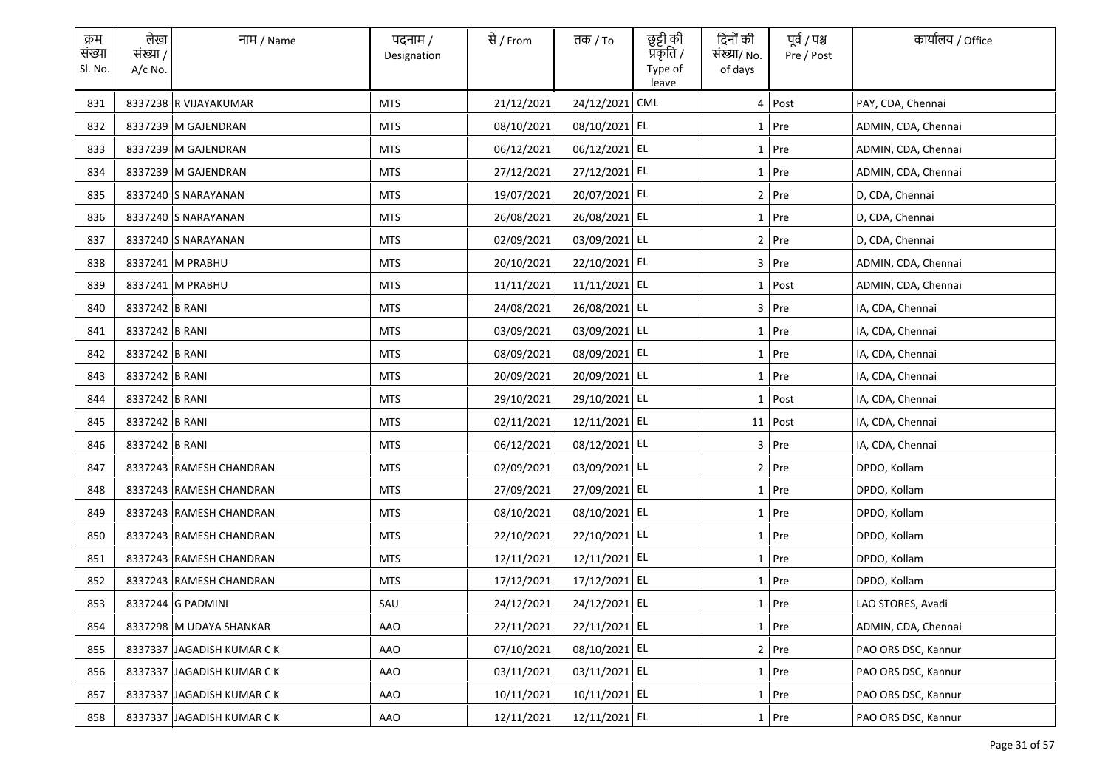| क्रम<br>संख्या<br>Sl. No. | लेखा<br>संख्या /<br>A/c No. | नाम / Name                 | पदनाम /<br>Designation | से / From  | तक <i>/</i> To | छुट्टी की<br>प्रकृति /<br>Type of<br>leave | दिनों की<br>संख्या/ No.<br>of days | पूर्व / पश्च<br>Pre / Post | कार्यालय / Office   |
|---------------------------|-----------------------------|----------------------------|------------------------|------------|----------------|--------------------------------------------|------------------------------------|----------------------------|---------------------|
| 831                       |                             | 8337238 R VIJAYAKUMAR      | <b>MTS</b>             | 21/12/2021 | 24/12/2021     | CML                                        |                                    | 4 Post                     | PAY, CDA, Chennai   |
| 832                       |                             | 8337239 M GAJENDRAN        | <b>MTS</b>             | 08/10/2021 | 08/10/2021 EL  |                                            |                                    | 1 Pre                      | ADMIN, CDA, Chennai |
| 833                       |                             | 8337239 M GAJENDRAN        | MTS                    | 06/12/2021 | 06/12/2021 EL  |                                            |                                    | $1$ Pre                    | ADMIN, CDA, Chennai |
| 834                       |                             | 8337239 M GAJENDRAN        | <b>MTS</b>             | 27/12/2021 | 27/12/2021 EL  |                                            |                                    | $1$ Pre                    | ADMIN, CDA, Chennai |
| 835                       |                             | 8337240 S NARAYANAN        | <b>MTS</b>             | 19/07/2021 | 20/07/2021 EL  |                                            |                                    | $2$ Pre                    | D, CDA, Chennai     |
| 836                       |                             | 8337240 S NARAYANAN        | <b>MTS</b>             | 26/08/2021 | 26/08/2021 EL  |                                            |                                    | $1$ Pre                    | D, CDA, Chennai     |
| 837                       |                             | 8337240 S NARAYANAN        | <b>MTS</b>             | 02/09/2021 | 03/09/2021 EL  |                                            |                                    | 2 Pre                      | D, CDA, Chennai     |
| 838                       |                             | 8337241 M PRABHU           | <b>MTS</b>             | 20/10/2021 | 22/10/2021 EL  |                                            |                                    | 3 Pre                      | ADMIN, CDA, Chennai |
| 839                       |                             | 8337241 M PRABHU           | <b>MTS</b>             | 11/11/2021 | 11/11/2021 EL  |                                            |                                    | 1 Post                     | ADMIN, CDA, Chennai |
| 840                       | 8337242 B RANI              |                            | <b>MTS</b>             | 24/08/2021 | 26/08/2021 EL  |                                            |                                    | 3 Pre                      | IA, CDA, Chennai    |
| 841                       | 8337242 B RANI              |                            | <b>MTS</b>             | 03/09/2021 | 03/09/2021 EL  |                                            |                                    | $1$ Pre                    | IA, CDA, Chennai    |
| 842                       | 8337242 B RANI              |                            | <b>MTS</b>             | 08/09/2021 | 08/09/2021 EL  |                                            |                                    | $1$ Pre                    | IA, CDA, Chennai    |
| 843                       | 8337242 B RANI              |                            | <b>MTS</b>             | 20/09/2021 | 20/09/2021 EL  |                                            |                                    | $1$ Pre                    | IA, CDA, Chennai    |
| 844                       | 8337242 B RANI              |                            | <b>MTS</b>             | 29/10/2021 | 29/10/2021 EL  |                                            |                                    | $1$ Post                   | IA, CDA, Chennai    |
| 845                       | 8337242 B RANI              |                            | <b>MTS</b>             | 02/11/2021 | 12/11/2021 EL  |                                            |                                    | 11 Post                    | IA, CDA, Chennai    |
| 846                       | 8337242 B RANI              |                            | <b>MTS</b>             | 06/12/2021 | 08/12/2021 EL  |                                            |                                    | 3 Pre                      | IA, CDA, Chennai    |
| 847                       |                             | 8337243 RAMESH CHANDRAN    | <b>MTS</b>             | 02/09/2021 | 03/09/2021 EL  |                                            |                                    | 2 Pre                      | DPDO, Kollam        |
| 848                       |                             | 8337243 RAMESH CHANDRAN    | <b>MTS</b>             | 27/09/2021 | 27/09/2021 EL  |                                            |                                    | $1$ Pre                    | DPDO, Kollam        |
| 849                       |                             | 8337243 RAMESH CHANDRAN    | <b>MTS</b>             | 08/10/2021 | 08/10/2021 EL  |                                            |                                    | $1$ Pre                    | DPDO, Kollam        |
| 850                       |                             | 8337243 RAMESH CHANDRAN    | <b>MTS</b>             | 22/10/2021 | 22/10/2021 EL  |                                            |                                    | $1$ Pre                    | DPDO, Kollam        |
| 851                       |                             | 8337243 RAMESH CHANDRAN    | <b>MTS</b>             | 12/11/2021 | 12/11/2021 EL  |                                            |                                    | $1$ Pre                    | DPDO, Kollam        |
| 852                       |                             | 8337243 RAMESH CHANDRAN    | <b>MTS</b>             | 17/12/2021 | 17/12/2021 EL  |                                            |                                    | $1$ Pre                    | DPDO, Kollam        |
| 853                       |                             | 8337244 G PADMINI          | SAU                    | 24/12/2021 | 24/12/2021 EL  |                                            |                                    | 1 Pre                      | LAO STORES, Avadi   |
| 854                       |                             | 8337298 M UDAYA SHANKAR    | AAO                    | 22/11/2021 | 22/11/2021 EL  |                                            |                                    | $1$ Pre                    | ADMIN, CDA, Chennai |
| 855                       |                             | 8337337 JAGADISH KUMAR CK  | AAO                    | 07/10/2021 | 08/10/2021 EL  |                                            |                                    | 2 Pre                      | PAO ORS DSC, Kannur |
| 856                       |                             | 8337337 JAGADISH KUMAR CK  | AAO                    | 03/11/2021 | 03/11/2021 EL  |                                            |                                    | 1 Pre                      | PAO ORS DSC, Kannur |
| 857                       |                             | 8337337 JAGADISH KUMAR CK  | AAO                    | 10/11/2021 | 10/11/2021 EL  |                                            |                                    | 1 Pre                      | PAO ORS DSC, Kannur |
| 858                       |                             | 8337337 JAGADISH KUMAR C K | AAO                    | 12/11/2021 | 12/11/2021 EL  |                                            |                                    | 1 Pre                      | PAO ORS DSC. Kannur |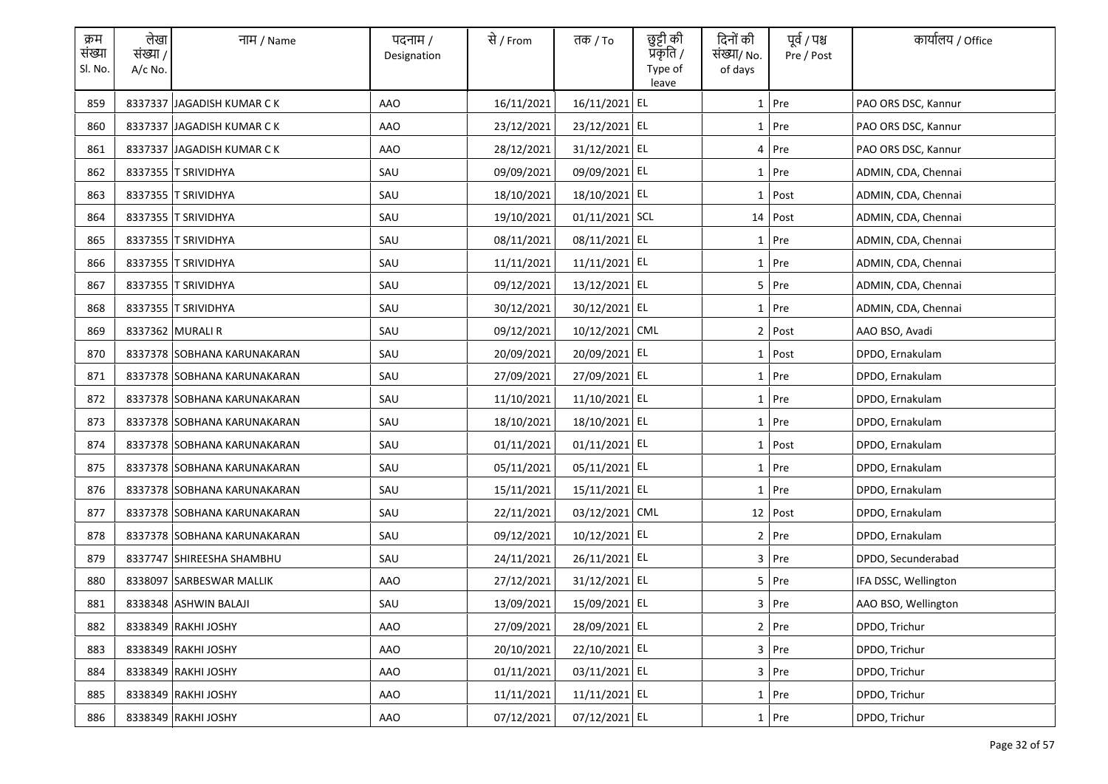| क्रम<br>संख्या<br>Sl. No. | लेखा<br>संख्या /<br>$A/c$ No. | नाम / Name                  | पदनाम /<br>Designation | से / From  | तक <i>/</i> To  | छुट्टी की<br>प्रॅकृति /<br>Type of<br>leave | दिनों की<br>संख्या/ No.<br>of days | पूर्व / पश्च<br>Pre / Post | कार्यालय / Office    |
|---------------------------|-------------------------------|-----------------------------|------------------------|------------|-----------------|---------------------------------------------|------------------------------------|----------------------------|----------------------|
| 859                       |                               | 8337337 JAGADISH KUMAR CK   | AAO                    | 16/11/2021 | 16/11/2021 EL   |                                             |                                    | $1$ Pre                    | PAO ORS DSC, Kannur  |
| 860                       |                               | 8337337 JAGADISH KUMAR CK   | AAO                    | 23/12/2021 | 23/12/2021 EL   |                                             |                                    | 1 Pre                      | PAO ORS DSC, Kannur  |
| 861                       |                               | 8337337 JAGADISH KUMAR CK   | AAO                    | 28/12/2021 | 31/12/2021 EL   |                                             |                                    | 4 Pre                      | PAO ORS DSC, Kannur  |
| 862                       |                               | 8337355 T SRIVIDHYA         | SAU                    | 09/09/2021 | 09/09/2021 EL   |                                             |                                    | 1 Pre                      | ADMIN, CDA, Chennai  |
| 863                       |                               | 8337355 T SRIVIDHYA         | SAU                    | 18/10/2021 | 18/10/2021 EL   |                                             |                                    | $1$ Post                   | ADMIN, CDA, Chennai  |
| 864                       |                               | 8337355 T SRIVIDHYA         | SAU                    | 19/10/2021 | 01/11/2021 SCL  |                                             |                                    | 14 Post                    | ADMIN, CDA, Chennai  |
| 865                       |                               | 8337355 T SRIVIDHYA         | SAU                    | 08/11/2021 | 08/11/2021 EL   |                                             |                                    | 1 Pre                      | ADMIN, CDA, Chennai  |
| 866                       |                               | 8337355 T SRIVIDHYA         | SAU                    | 11/11/2021 | 11/11/2021 EL   |                                             |                                    | 1 Pre                      | ADMIN, CDA, Chennai  |
| 867                       |                               | 8337355 T SRIVIDHYA         | SAU                    | 09/12/2021 | 13/12/2021 EL   |                                             |                                    | $5$ Pre                    | ADMIN, CDA, Chennai  |
| 868                       |                               | 8337355 T SRIVIDHYA         | SAU                    | 30/12/2021 | 30/12/2021 EL   |                                             |                                    | $1$ Pre                    | ADMIN, CDA, Chennai  |
| 869                       |                               | 8337362 MURALI R            | SAU                    | 09/12/2021 | 10/12/2021 CML  |                                             |                                    | 2 Post                     | AAO BSO, Avadi       |
| 870                       |                               | 8337378 SOBHANA KARUNAKARAN | SAU                    | 20/09/2021 | 20/09/2021 EL   |                                             |                                    | 1 Post                     | DPDO, Ernakulam      |
| 871                       |                               | 8337378 SOBHANA KARUNAKARAN | SAU                    | 27/09/2021 | 27/09/2021 EL   |                                             |                                    | $1$ Pre                    | DPDO, Ernakulam      |
| 872                       |                               | 8337378 SOBHANA KARUNAKARAN | SAU                    | 11/10/2021 | 11/10/2021 EL   |                                             |                                    | 1 Pre                      | DPDO, Ernakulam      |
| 873                       |                               | 8337378 SOBHANA KARUNAKARAN | SAU                    | 18/10/2021 | 18/10/2021 EL   |                                             |                                    | $1$ Pre                    | DPDO, Ernakulam      |
| 874                       |                               | 8337378 SOBHANA KARUNAKARAN | SAU                    | 01/11/2021 | 01/11/2021 EL   |                                             |                                    | 1 Post                     | DPDO, Ernakulam      |
| 875                       |                               | 8337378 SOBHANA KARUNAKARAN | SAU                    | 05/11/2021 | 05/11/2021 EL   |                                             |                                    | 1 Pre                      | DPDO, Ernakulam      |
| 876                       |                               | 8337378 SOBHANA KARUNAKARAN | SAU                    | 15/11/2021 | 15/11/2021 EL   |                                             |                                    | 1 Pre                      | DPDO, Ernakulam      |
| 877                       |                               | 8337378 SOBHANA KARUNAKARAN | SAU                    | 22/11/2021 | 03/12/2021 CML  |                                             |                                    | 12 Post                    | DPDO, Ernakulam      |
| 878                       |                               | 8337378 SOBHANA KARUNAKARAN | SAU                    | 09/12/2021 | 10/12/2021 EL   |                                             |                                    | 2 Pre                      | DPDO, Ernakulam      |
| 879                       |                               | 8337747 SHIREESHA SHAMBHU   | SAU                    | 24/11/2021 | 26/11/2021 EL   |                                             |                                    | 3 Pre                      | DPDO, Secunderabad   |
| 880                       |                               | 8338097 SARBESWAR MALLIK    | AAO                    | 27/12/2021 | 31/12/2021 EL   |                                             |                                    | 5 Pre                      | IFA DSSC, Wellington |
| 881                       |                               | 8338348 ASHWIN BALAJI       | SAU                    | 13/09/2021 | 15/09/2021 EL   |                                             |                                    | 3 Pre                      | AAO BSO, Wellington  |
| 882                       |                               | 8338349 RAKHI JOSHY         | <b>AAO</b>             | 27/09/2021 | 28/09/2021 EL   |                                             |                                    | $2$ Pre                    | DPDO, Trichur        |
| 883                       |                               | 8338349 RAKHI JOSHY         | <b>AAO</b>             | 20/10/2021 | 22/10/2021 EL   |                                             |                                    | 3 Pre                      | DPDO, Trichur        |
| 884                       |                               | 8338349 RAKHI JOSHY         | AAO                    | 01/11/2021 | 03/11/2021 EL   |                                             |                                    | 3 Pre                      | DPDO, Trichur        |
| 885                       |                               | 8338349 RAKHI JOSHY         | AAO                    | 11/11/2021 | $11/11/2021$ EL |                                             |                                    | $1$ Pre                    | DPDO, Trichur        |
| 886                       |                               | 8338349 RAKHI JOSHY         | AAO                    | 07/12/2021 | 07/12/2021 EL   |                                             |                                    | 1 Pre                      | DPDO, Trichur        |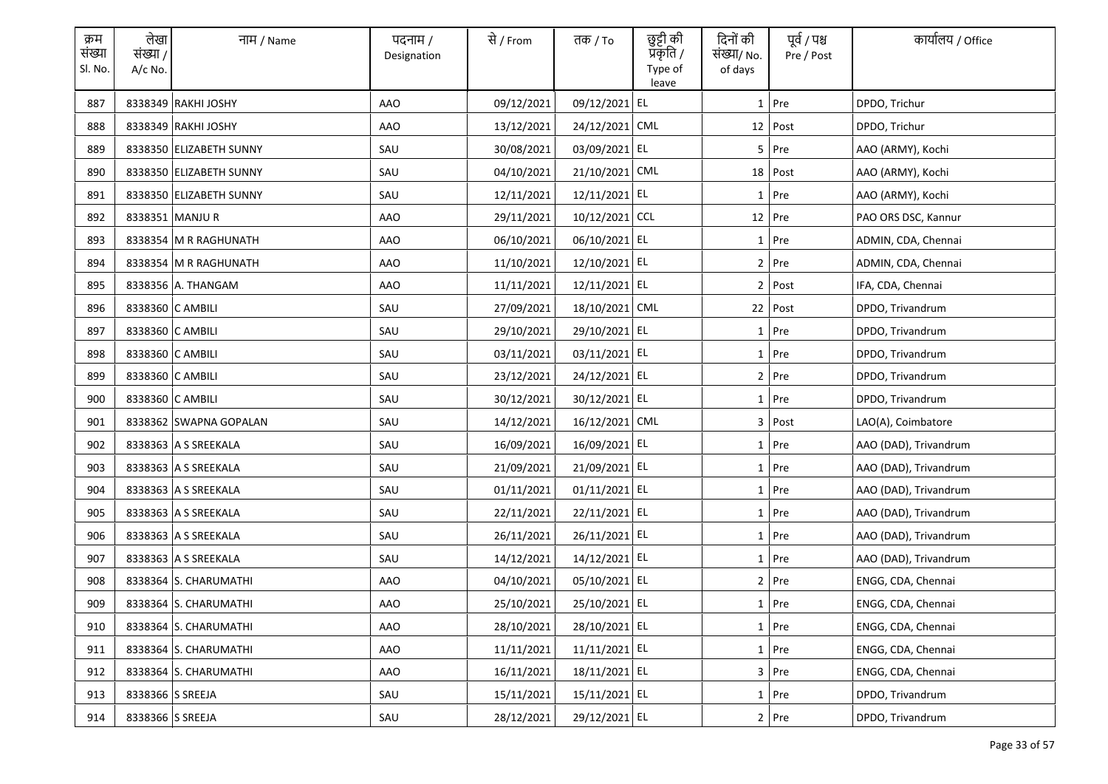| क्रम<br>संख्या<br>Sl. No. | लेखा<br>संख्या /<br>$A/c$ No. | नाम / Name              | पदनाम /<br>Designation | से / From  | तक <i>/</i> To | छुट्टी की<br>प्रकृति /<br>Type of<br>leave | दिनों की<br>संख्या/ No.<br>of days | पूर्व / पश्च<br>Pre / Post | कार्यालय / Office     |
|---------------------------|-------------------------------|-------------------------|------------------------|------------|----------------|--------------------------------------------|------------------------------------|----------------------------|-----------------------|
| 887                       |                               | 8338349 RAKHI JOSHY     | <b>AAO</b>             | 09/12/2021 | 09/12/2021 EL  |                                            |                                    | $1$ Pre                    | DPDO, Trichur         |
| 888                       |                               | 8338349 RAKHI JOSHY     | AAO                    | 13/12/2021 | 24/12/2021 CML |                                            |                                    | 12 Post                    | DPDO, Trichur         |
| 889                       |                               | 8338350 ELIZABETH SUNNY | SAU                    | 30/08/2021 | 03/09/2021 EL  |                                            |                                    | $5$ Pre                    | AAO (ARMY), Kochi     |
| 890                       |                               | 8338350 ELIZABETH SUNNY | SAU                    | 04/10/2021 | 21/10/2021 CML |                                            |                                    | $18$ Post                  | AAO (ARMY), Kochi     |
| 891                       |                               | 8338350 ELIZABETH SUNNY | SAU                    | 12/11/2021 | 12/11/2021 EL  |                                            |                                    | $1$ Pre                    | AAO (ARMY), Kochi     |
| 892                       |                               | 8338351 MANJUR          | <b>AAO</b>             | 29/11/2021 | 10/12/2021 CCL |                                            |                                    | $12$ Pre                   | PAO ORS DSC, Kannur   |
| 893                       |                               | 8338354 M R RAGHUNATH   | AAO                    | 06/10/2021 | 06/10/2021 EL  |                                            |                                    | 1 Pre                      | ADMIN, CDA, Chennai   |
| 894                       |                               | 8338354 M R RAGHUNATH   | <b>AAO</b>             | 11/10/2021 | 12/10/2021 EL  |                                            |                                    | 2 Pre                      | ADMIN, CDA, Chennai   |
| 895                       |                               | 8338356 A. THANGAM      | AAO                    | 11/11/2021 | 12/11/2021 EL  |                                            |                                    | 2 Post                     | IFA, CDA, Chennai     |
| 896                       | 8338360 C AMBILI              |                         | SAU                    | 27/09/2021 | 18/10/2021 CML |                                            |                                    | 22 Post                    | DPDO, Trivandrum      |
| 897                       | 8338360 C AMBILI              |                         | SAU                    | 29/10/2021 | 29/10/2021 EL  |                                            |                                    | $1$ Pre                    | DPDO, Trivandrum      |
| 898                       | 8338360 C AMBILI              |                         | SAU                    | 03/11/2021 | 03/11/2021 EL  |                                            |                                    | 1 Pre                      | DPDO, Trivandrum      |
| 899                       | 8338360 C AMBILI              |                         | SAU                    | 23/12/2021 | 24/12/2021 EL  |                                            |                                    | $2$ Pre                    | DPDO, Trivandrum      |
| 900                       | 8338360 C AMBILI              |                         | SAU                    | 30/12/2021 | 30/12/2021 EL  |                                            |                                    | 1 Pre                      | DPDO, Trivandrum      |
| 901                       |                               | 8338362 SWAPNA GOPALAN  | SAU                    | 14/12/2021 | 16/12/2021 CML |                                            |                                    | 3 Post                     | LAO(A), Coimbatore    |
| 902                       |                               | 8338363 A S SREEKALA    | SAU                    | 16/09/2021 | 16/09/2021 EL  |                                            |                                    | 1 Pre                      | AAO (DAD), Trivandrum |
| 903                       |                               | 8338363 A S SREEKALA    | SAU                    | 21/09/2021 | 21/09/2021 EL  |                                            |                                    | 1 Pre                      | AAO (DAD), Trivandrum |
| 904                       |                               | 8338363 A S SREEKALA    | SAU                    | 01/11/2021 | 01/11/2021 EL  |                                            |                                    | $1$ Pre                    | AAO (DAD), Trivandrum |
| 905                       |                               | 8338363 A S SREEKALA    | SAU                    | 22/11/2021 | 22/11/2021 EL  |                                            |                                    | $1$ Pre                    | AAO (DAD), Trivandrum |
| 906                       |                               | 8338363 A S SREEKALA    | SAU                    | 26/11/2021 | 26/11/2021 EL  |                                            |                                    | $1$ Pre                    | AAO (DAD), Trivandrum |
| 907                       |                               | 8338363 A S SREEKALA    | SAU                    | 14/12/2021 | 14/12/2021 EL  |                                            |                                    | $1$ Pre                    | AAO (DAD), Trivandrum |
| 908                       |                               | 8338364 S. CHARUMATHI   | AAO                    | 04/10/2021 | 05/10/2021 EL  |                                            |                                    | 2 Pre                      | ENGG, CDA, Chennai    |
| 909                       |                               | 8338364 S. CHARUMATHI   | AAO                    | 25/10/2021 | 25/10/2021 EL  |                                            |                                    | 1 Pre                      | ENGG, CDA, Chennai    |
| 910                       |                               | 8338364 S. CHARUMATHI   | <b>AAO</b>             | 28/10/2021 | 28/10/2021 EL  |                                            |                                    | $1$ Pre                    | ENGG, CDA, Chennai    |
| 911                       |                               | 8338364 S. CHARUMATHI   | <b>AAO</b>             | 11/11/2021 | 11/11/2021 EL  |                                            |                                    | 1 Pre                      | ENGG, CDA, Chennai    |
| 912                       |                               | 8338364 S. CHARUMATHI   | AAO                    | 16/11/2021 | 18/11/2021 EL  |                                            |                                    | 3 Pre                      | ENGG, CDA, Chennai    |
| 913                       | 8338366 S SREEJA              |                         | SAU                    | 15/11/2021 | 15/11/2021 EL  |                                            |                                    | $1$ Pre                    | DPDO, Trivandrum      |
| 914                       | 8338366 S SREEJA              |                         | SAU                    | 28/12/2021 | 29/12/2021 EL  |                                            |                                    | 2 Pre                      | DPDO. Trivandrum      |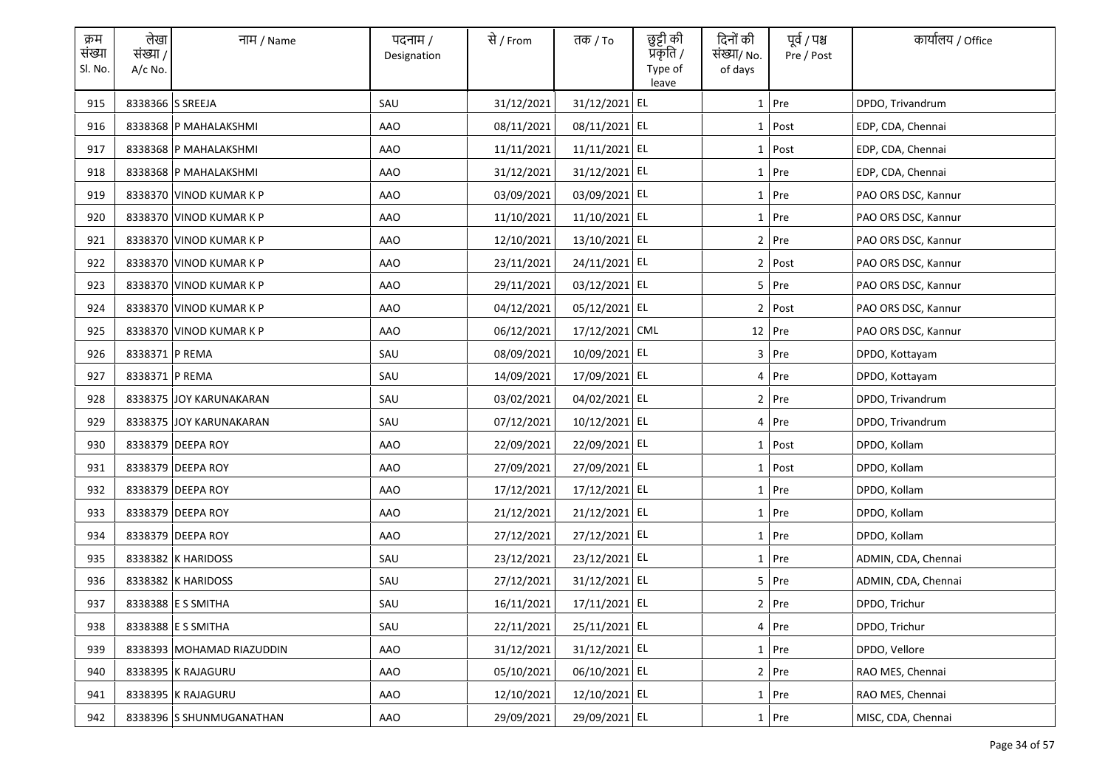| क्रम<br>संख्या<br>Sl. No. | लेखा<br>संख्या /<br>$A/c$ No. | नाम / Name                | पदनाम /<br>Designation | से / From  | तक <i>/</i> To | छुट्टी की<br>प्रकृति /<br>Type of<br>leave | दिनों की<br>संख्या/ No.<br>of days | पूर्व / पश्च<br>Pre / Post | कार्यालय / Office   |
|---------------------------|-------------------------------|---------------------------|------------------------|------------|----------------|--------------------------------------------|------------------------------------|----------------------------|---------------------|
| 915                       | 8338366 S SREEJA              |                           | SAU                    | 31/12/2021 | 31/12/2021 EL  |                                            |                                    | $1$ Pre                    | DPDO, Trivandrum    |
| 916                       |                               | 8338368 P MAHALAKSHMI     | AAO                    | 08/11/2021 | 08/11/2021 EL  |                                            |                                    | $1$ Post                   | EDP, CDA, Chennai   |
| 917                       |                               | 8338368 P MAHALAKSHMI     | AAO                    | 11/11/2021 | 11/11/2021 EL  |                                            |                                    | $1$ Post                   | EDP, CDA, Chennai   |
| 918                       |                               | 8338368 P MAHALAKSHMI     | AAO                    | 31/12/2021 | 31/12/2021 EL  |                                            |                                    | $1$ Pre                    | EDP, CDA, Chennai   |
| 919                       |                               | 8338370 VINOD KUMAR K P   | AAO                    | 03/09/2021 | 03/09/2021 EL  |                                            |                                    | 1 Pre                      | PAO ORS DSC, Kannur |
| 920                       |                               | 8338370 VINOD KUMAR K P   | <b>AAO</b>             | 11/10/2021 | 11/10/2021 EL  |                                            |                                    | 1 Pre                      | PAO ORS DSC, Kannur |
| 921                       |                               | 8338370 VINOD KUMAR K P   | AAO                    | 12/10/2021 | 13/10/2021 EL  |                                            |                                    | $2$ Pre                    | PAO ORS DSC, Kannur |
| 922                       |                               | 8338370 VINOD KUMAR K P   | <b>AAO</b>             | 23/11/2021 | 24/11/2021 EL  |                                            |                                    | 2 Post                     | PAO ORS DSC, Kannur |
| 923                       |                               | 8338370 VINOD KUMAR K P   | AAO                    | 29/11/2021 | 03/12/2021 EL  |                                            |                                    | $5$ Pre                    | PAO ORS DSC, Kannur |
| 924                       |                               | 8338370 VINOD KUMAR K P   | AAO                    | 04/12/2021 | 05/12/2021 EL  |                                            |                                    | 2 Post                     | PAO ORS DSC, Kannur |
| 925                       |                               | 8338370 VINOD KUMAR K P   | AAO                    | 06/12/2021 | 17/12/2021 CML |                                            |                                    | $12$ Pre                   | PAO ORS DSC, Kannur |
| 926                       | 8338371 P REMA                |                           | SAU                    | 08/09/2021 | 10/09/2021 EL  |                                            |                                    | $3$ Pre                    | DPDO, Kottayam      |
| 927                       | 8338371 P REMA                |                           | SAU                    | 14/09/2021 | 17/09/2021 EL  |                                            |                                    | 4 Pre                      | DPDO, Kottayam      |
| 928                       |                               | 8338375 JOY KARUNAKARAN   | SAU                    | 03/02/2021 | 04/02/2021 EL  |                                            |                                    | $2$ Pre                    | DPDO, Trivandrum    |
| 929                       |                               | 8338375 JOY KARUNAKARAN   | SAU                    | 07/12/2021 | 10/12/2021 EL  |                                            |                                    | 4 Pre                      | DPDO, Trivandrum    |
| 930                       |                               | 8338379 DEEPA ROY         | <b>AAO</b>             | 22/09/2021 | 22/09/2021 EL  |                                            |                                    | 1 Post                     | DPDO, Kollam        |
| 931                       |                               | 8338379 DEEPA ROY         | AAO                    | 27/09/2021 | 27/09/2021 EL  |                                            |                                    | $1$ Post                   | DPDO, Kollam        |
| 932                       |                               | 8338379 DEEPA ROY         | AAO                    | 17/12/2021 | 17/12/2021 EL  |                                            |                                    | 1 Pre                      | DPDO, Kollam        |
| 933                       |                               | 8338379 DEEPA ROY         | AAO                    | 21/12/2021 | 21/12/2021 EL  |                                            |                                    | $1$ Pre                    | DPDO, Kollam        |
| 934                       |                               | 8338379 DEEPA ROY         | AAO                    | 27/12/2021 | 27/12/2021 EL  |                                            |                                    | $1$ Pre                    | DPDO, Kollam        |
| 935                       |                               | 8338382 K HARIDOSS        | SAU                    | 23/12/2021 | 23/12/2021 EL  |                                            |                                    | $1$ Pre                    | ADMIN, CDA, Chennai |
| 936                       |                               | 8338382 K HARIDOSS        | SAU                    | 27/12/2021 | 31/12/2021 EL  |                                            |                                    | 5 Pre                      | ADMIN, CDA, Chennai |
| 937                       |                               | 8338388 E S SMITHA        | SAU                    | 16/11/2021 | 17/11/2021 EL  |                                            |                                    | 2 Pre                      | DPDO, Trichur       |
| 938                       |                               | 8338388 E S SMITHA        | SAU                    | 22/11/2021 | 25/11/2021 EL  |                                            |                                    | 4 Pre                      | DPDO, Trichur       |
| 939                       |                               | 8338393 MOHAMAD RIAZUDDIN | <b>AAO</b>             | 31/12/2021 | 31/12/2021 EL  |                                            |                                    | 1 Pre                      | DPDO, Vellore       |
| 940                       |                               | 8338395 K RAJAGURU        | AAO                    | 05/10/2021 | 06/10/2021 EL  |                                            |                                    | 2 Pre                      | RAO MES, Chennai    |
| 941                       |                               | 8338395 K RAJAGURU        | AAO                    | 12/10/2021 | 12/10/2021 EL  |                                            |                                    | $1$ Pre                    | RAO MES, Chennai    |
| 942                       |                               | 8338396 S SHUNMUGANATHAN  | AAO                    | 29/09/2021 | 29/09/2021 EL  |                                            |                                    | 1 Pre                      | MISC, CDA, Chennai  |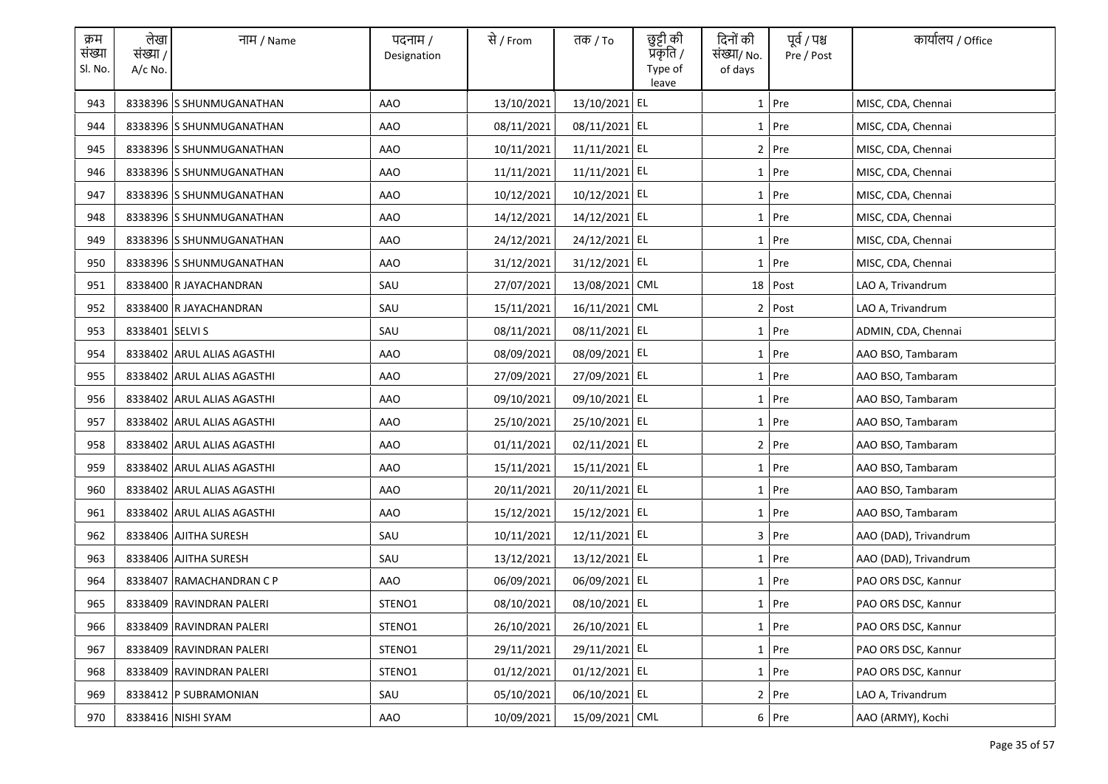| क्रम<br>संख्या<br>Sl. No. | लेखा<br>संख्या /<br>$A/c$ No. | नाम / Name                 | पदनाम /<br>Designation | से / From  | तक <i>/</i> To  | छुट्टी की<br>प्रॅकृति /<br>Type of<br>leave | दिनों की<br>संख्या/ No.<br>of days | पूर्व / पश्च<br>Pre / Post | कार्यालय / Office     |
|---------------------------|-------------------------------|----------------------------|------------------------|------------|-----------------|---------------------------------------------|------------------------------------|----------------------------|-----------------------|
| 943                       |                               | 8338396 S SHUNMUGANATHAN   | AAO                    | 13/10/2021 | 13/10/2021 EL   |                                             |                                    | $1$ Pre                    | MISC, CDA, Chennai    |
| 944                       |                               | 8338396 S SHUNMUGANATHAN   | <b>AAO</b>             | 08/11/2021 | 08/11/2021 EL   |                                             |                                    | 1 Pre                      | MISC, CDA, Chennai    |
| 945                       |                               | 8338396 S SHUNMUGANATHAN   | AAO                    | 10/11/2021 | 11/11/2021 EL   |                                             |                                    | $2$ Pre                    | MISC, CDA, Chennai    |
| 946                       |                               | 8338396 S SHUNMUGANATHAN   | AAO                    | 11/11/2021 | 11/11/2021 EL   |                                             |                                    | 1 Pre                      | MISC, CDA, Chennai    |
| 947                       |                               | 8338396 S SHUNMUGANATHAN   | AAO                    | 10/12/2021 | 10/12/2021 EL   |                                             |                                    | 1 Pre                      | MISC, CDA, Chennai    |
| 948                       |                               | 8338396 S SHUNMUGANATHAN   | <b>AAO</b>             | 14/12/2021 | 14/12/2021 EL   |                                             |                                    | 1 Pre                      | MISC, CDA, Chennai    |
| 949                       |                               | 8338396 S SHUNMUGANATHAN   | AAO                    | 24/12/2021 | 24/12/2021 EL   |                                             |                                    | 1 Pre                      | MISC, CDA, Chennai    |
| 950                       |                               | 8338396 S SHUNMUGANATHAN   | <b>AAO</b>             | 31/12/2021 | 31/12/2021 EL   |                                             |                                    | 1 Pre                      | MISC, CDA, Chennai    |
| 951                       |                               | 8338400 R JAYACHANDRAN     | SAU                    | 27/07/2021 | 13/08/2021 CML  |                                             |                                    | 18 Post                    | LAO A, Trivandrum     |
| 952                       |                               | 8338400 R JAYACHANDRAN     | SAU                    | 15/11/2021 | 16/11/2021 CML  |                                             | 2 <sub>1</sub>                     | Post                       | LAO A, Trivandrum     |
| 953                       | 8338401 SELVI S               |                            | SAU                    | 08/11/2021 | 08/11/2021 EL   |                                             |                                    | $1$ Pre                    | ADMIN, CDA, Chennai   |
| 954                       |                               | 8338402 ARUL ALIAS AGASTHI | AAO                    | 08/09/2021 | 08/09/2021 EL   |                                             |                                    | 1 Pre                      | AAO BSO, Tambaram     |
| 955                       |                               | 8338402 ARUL ALIAS AGASTHI | AAO                    | 27/09/2021 | 27/09/2021 EL   |                                             |                                    | $1$ Pre                    | AAO BSO, Tambaram     |
| 956                       |                               | 8338402 ARUL ALIAS AGASTHI | AAO                    | 09/10/2021 | 09/10/2021 EL   |                                             |                                    | 1 Pre                      | AAO BSO, Tambaram     |
| 957                       |                               | 8338402 ARUL ALIAS AGASTHI | <b>AAO</b>             | 25/10/2021 | 25/10/2021 EL   |                                             |                                    | $1$ Pre                    | AAO BSO, Tambaram     |
| 958                       |                               | 8338402 ARUL ALIAS AGASTHI | <b>AAO</b>             | 01/11/2021 | 02/11/2021 EL   |                                             |                                    | 2 Pre                      | AAO BSO, Tambaram     |
| 959                       |                               | 8338402 ARUL ALIAS AGASTHI | AAO                    | 15/11/2021 | 15/11/2021 EL   |                                             |                                    | 1 Pre                      | AAO BSO, Tambaram     |
| 960                       |                               | 8338402 ARUL ALIAS AGASTHI | AAO                    | 20/11/2021 | 20/11/2021 EL   |                                             |                                    | 1 Pre                      | AAO BSO, Tambaram     |
| 961                       |                               | 8338402 ARUL ALIAS AGASTHI | AAO                    | 15/12/2021 | 15/12/2021 EL   |                                             |                                    | $1$ Pre                    | AAO BSO, Tambaram     |
| 962                       |                               | 8338406 AJITHA SURESH      | SAU                    | 10/11/2021 | 12/11/2021 EL   |                                             |                                    | 3 Pre                      | AAO (DAD), Trivandrum |
| 963                       |                               | 8338406 AJITHA SURESH      | SAU                    | 13/12/2021 | 13/12/2021 EL   |                                             |                                    | 1 Pre                      | AAO (DAD), Trivandrum |
| 964                       |                               | 8338407 RAMACHANDRAN C P   | AAO                    | 06/09/2021 | 06/09/2021 EL   |                                             |                                    | 1 Pre                      | PAO ORS DSC, Kannur   |
| 965                       |                               | 8338409 RAVINDRAN PALERI   | STENO1                 | 08/10/2021 | 08/10/2021 EL   |                                             |                                    | 1 Pre                      | PAO ORS DSC, Kannur   |
| 966                       |                               | 8338409 RAVINDRAN PALERI   | STENO1                 | 26/10/2021 | 26/10/2021 EL   |                                             |                                    | $1$ Pre                    | PAO ORS DSC, Kannur   |
| 967                       |                               | 8338409 RAVINDRAN PALERI   | STENO1                 | 29/11/2021 | 29/11/2021 EL   |                                             |                                    | 1 Pre                      | PAO ORS DSC, Kannur   |
| 968                       |                               | 8338409 RAVINDRAN PALERI   | STENO1                 | 01/12/2021 | $01/12/2021$ EL |                                             |                                    | 1 Pre                      | PAO ORS DSC, Kannur   |
| 969                       |                               | 8338412 P SUBRAMONIAN      | SAU                    | 05/10/2021 | 06/10/2021 EL   |                                             |                                    | 2 Pre                      | LAO A, Trivandrum     |
| 970                       |                               | 8338416 NISHI SYAM         | AAO                    | 10/09/2021 | 15/09/2021 CML  |                                             |                                    | 6 Pre                      | AAO (ARMY), Kochi     |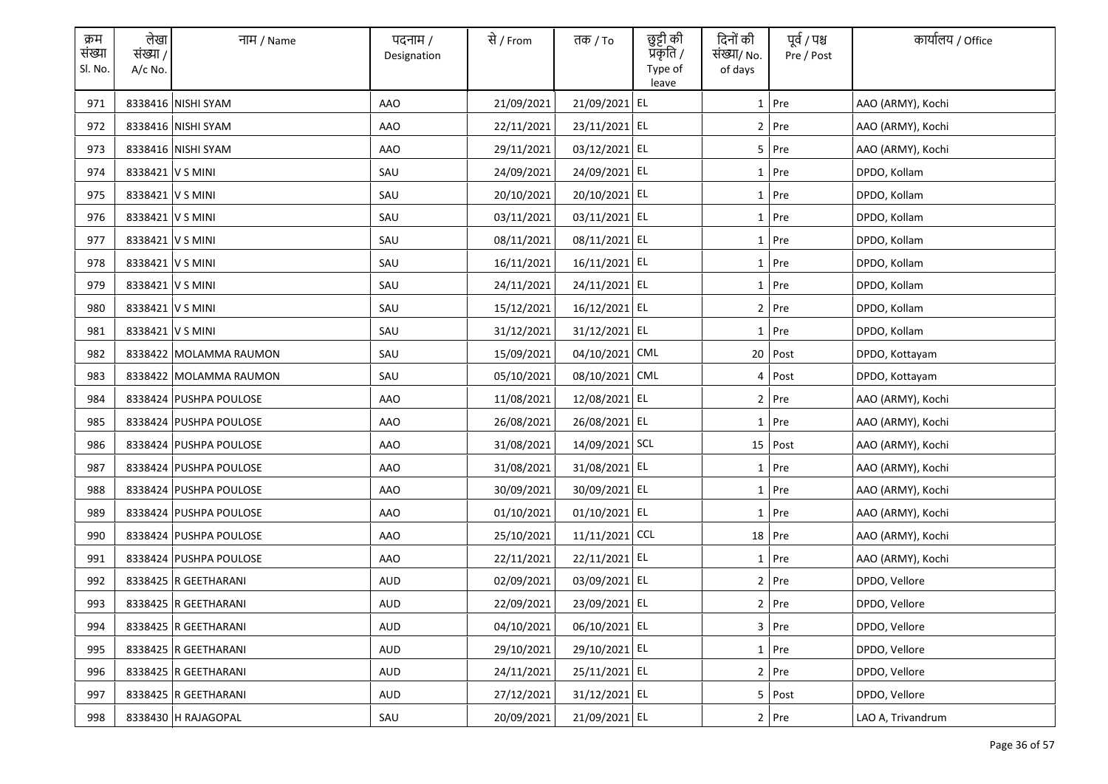| क्रम<br>संख्या<br>Sl. No. | लेखा<br>संख्या /<br>$A/c$ No. | नाम / Name             | पदनाम /<br>Designation | से / From  | तक <i>/</i> To | छुट्टी की<br>प्रकृति /<br>Type of<br>leave | दिनों की<br>संख्या/ No.<br>of days | पूर्व / पश्च<br>Pre / Post | कार्यालय / Office |
|---------------------------|-------------------------------|------------------------|------------------------|------------|----------------|--------------------------------------------|------------------------------------|----------------------------|-------------------|
| 971                       |                               | 8338416 NISHI SYAM     | AAO                    | 21/09/2021 | 21/09/2021 EL  |                                            |                                    | $1$ Pre                    | AAO (ARMY), Kochi |
| 972                       |                               | 8338416 NISHI SYAM     | AAO                    | 22/11/2021 | 23/11/2021 EL  |                                            |                                    | 2 Pre                      | AAO (ARMY), Kochi |
| 973                       |                               | 8338416 NISHI SYAM     | AAO                    | 29/11/2021 | 03/12/2021 EL  |                                            |                                    | 5 Pre                      | AAO (ARMY), Kochi |
| 974                       | 8338421 V S MINI              |                        | SAU                    | 24/09/2021 | 24/09/2021 EL  |                                            |                                    | $1$ Pre                    | DPDO, Kollam      |
| 975                       | 8338421 V S MINI              |                        | SAU                    | 20/10/2021 | 20/10/2021 EL  |                                            |                                    | $1$ Pre                    | DPDO, Kollam      |
| 976                       | 8338421 V S MINI              |                        | SAU                    | 03/11/2021 | 03/11/2021 EL  |                                            |                                    | 1 Pre                      | DPDO, Kollam      |
| 977                       | 8338421 V S MINI              |                        | SAU                    | 08/11/2021 | 08/11/2021 EL  |                                            |                                    | 1 Pre                      | DPDO, Kollam      |
| 978                       | 8338421 V S MINI              |                        | SAU                    | 16/11/2021 | 16/11/2021 EL  |                                            |                                    | 1 Pre                      | DPDO, Kollam      |
| 979                       | 8338421 V S MINI              |                        | SAU                    | 24/11/2021 | 24/11/2021 EL  |                                            |                                    | 1 Pre                      | DPDO, Kollam      |
| 980                       | 8338421 V S MINI              |                        | SAU                    | 15/12/2021 | 16/12/2021 EL  |                                            |                                    | 2 Pre                      | DPDO, Kollam      |
| 981                       | 8338421 V S MINI              |                        | SAU                    | 31/12/2021 | 31/12/2021 EL  |                                            |                                    | $1$ Pre                    | DPDO, Kollam      |
| 982                       |                               | 8338422 MOLAMMA RAUMON | SAU                    | 15/09/2021 | 04/10/2021 CML |                                            |                                    | 20 Post                    | DPDO, Kottayam    |
| 983                       |                               | 8338422 MOLAMMA RAUMON | SAU                    | 05/10/2021 | 08/10/2021 CML |                                            |                                    | 4 Post                     | DPDO, Kottayam    |
| 984                       |                               | 8338424 PUSHPA POULOSE | AAO                    | 11/08/2021 | 12/08/2021 EL  |                                            |                                    | $2$ Pre                    | AAO (ARMY), Kochi |
| 985                       |                               | 8338424 PUSHPA POULOSE | <b>AAO</b>             | 26/08/2021 | 26/08/2021 EL  |                                            |                                    | $1$ Pre                    | AAO (ARMY), Kochi |
| 986                       |                               | 8338424 PUSHPA POULOSE | AAO                    | 31/08/2021 | 14/09/2021 SCL |                                            |                                    | 15 Post                    | AAO (ARMY), Kochi |
| 987                       |                               | 8338424 PUSHPA POULOSE | AAO                    | 31/08/2021 | 31/08/2021 EL  |                                            |                                    | 1 Pre                      | AAO (ARMY), Kochi |
| 988                       |                               | 8338424 PUSHPA POULOSE | AAO                    | 30/09/2021 | 30/09/2021 EL  |                                            |                                    | 1 Pre                      | AAO (ARMY), Kochi |
| 989                       |                               | 8338424 PUSHPA POULOSE | AAO                    | 01/10/2021 | 01/10/2021 EL  |                                            |                                    | $1$ Pre                    | AAO (ARMY), Kochi |
| 990                       |                               | 8338424 PUSHPA POULOSE | AAO                    | 25/10/2021 | 11/11/2021 CCL |                                            |                                    | 18 Pre                     | AAO (ARMY), Kochi |
| 991                       |                               | 8338424 PUSHPA POULOSE | AAO                    | 22/11/2021 | 22/11/2021 EL  |                                            |                                    | $1$ Pre                    | AAO (ARMY), Kochi |
| 992                       |                               | 8338425 R GEETHARANI   | <b>AUD</b>             | 02/09/2021 | 03/09/2021 EL  |                                            |                                    | $2$ Pre                    | DPDO, Vellore     |
| 993                       |                               | 8338425 R GEETHARANI   | AUD                    | 22/09/2021 | 23/09/2021 EL  |                                            |                                    | 2 Pre                      | DPDO, Vellore     |
| 994                       |                               | 8338425 R GEETHARANI   | AUD                    | 04/10/2021 | 06/10/2021 EL  |                                            |                                    | 3 Pre                      | DPDO, Vellore     |
| 995                       |                               | 8338425 R GEETHARANI   | <b>AUD</b>             | 29/10/2021 | 29/10/2021 EL  |                                            |                                    | 1 Pre                      | DPDO, Vellore     |
| 996                       |                               | 8338425 R GEETHARANI   | AUD                    | 24/11/2021 | 25/11/2021 EL  |                                            |                                    | 2 Pre                      | DPDO, Vellore     |
| 997                       |                               | 8338425 R GEETHARANI   | AUD                    | 27/12/2021 | 31/12/2021 EL  |                                            |                                    | 5 Post                     | DPDO, Vellore     |
| 998                       |                               | 8338430 H RAJAGOPAL    | SAU                    | 20/09/2021 | 21/09/2021 EL  |                                            |                                    | $2$ Pre                    | LAO A, Trivandrum |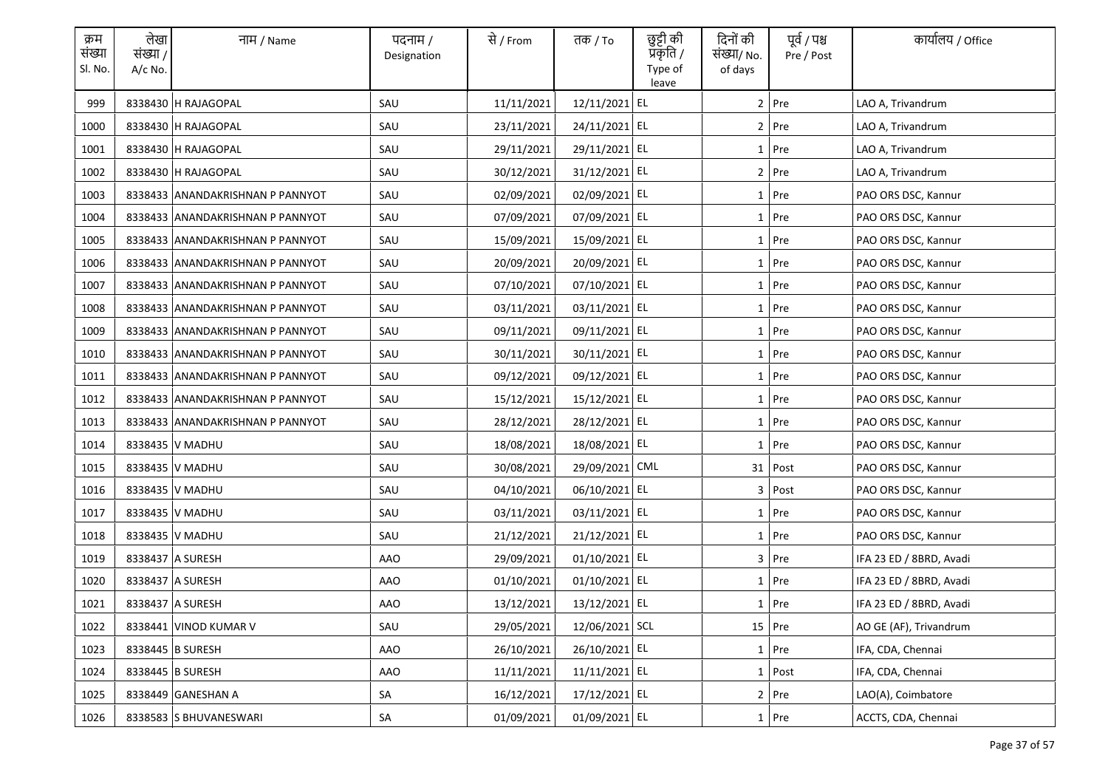| क्रम<br>संख्या<br>Sl. No. | लेखा<br>संख्या /<br>$A/c$ No. | नाम / Name                       | पदनाम /<br>Designation | से / From  | तक <i>/</i> To | छुट्टी की<br>प्रकृति /<br>Type of<br>leave | दिनों की<br>संख्या/ No.<br>of days | पूर्व / पश्च<br>Pre / Post | कार्यालय / Office       |
|---------------------------|-------------------------------|----------------------------------|------------------------|------------|----------------|--------------------------------------------|------------------------------------|----------------------------|-------------------------|
| 999                       |                               | 8338430 H RAJAGOPAL              | SAU                    | 11/11/2021 | 12/11/2021 EL  |                                            |                                    | $2$ Pre                    | LAO A, Trivandrum       |
| 1000                      |                               | 8338430 H RAJAGOPAL              | SAU                    | 23/11/2021 | 24/11/2021 EL  |                                            |                                    | 2 Pre                      | LAO A, Trivandrum       |
| 1001                      |                               | 8338430 H RAJAGOPAL              | SAU                    | 29/11/2021 | 29/11/2021 EL  |                                            |                                    | $1$ Pre                    | LAO A, Trivandrum       |
| 1002                      |                               | 8338430 H RAJAGOPAL              | SAU                    | 30/12/2021 | 31/12/2021 EL  |                                            |                                    | 2 Pre                      | LAO A, Trivandrum       |
| 1003                      |                               | 8338433 ANANDAKRISHNAN P PANNYOT | SAU                    | 02/09/2021 | 02/09/2021 EL  |                                            |                                    | 1 Pre                      | PAO ORS DSC, Kannur     |
| 1004                      |                               | 8338433 ANANDAKRISHNAN P PANNYOT | SAU                    | 07/09/2021 | 07/09/2021 EL  |                                            |                                    | 1 Pre                      | PAO ORS DSC, Kannur     |
| 1005                      |                               | 8338433 ANANDAKRISHNAN P PANNYOT | SAU                    | 15/09/2021 | 15/09/2021 EL  |                                            |                                    | 1 Pre                      | PAO ORS DSC, Kannur     |
| 1006                      |                               | 8338433 ANANDAKRISHNAN P PANNYOT | SAU                    | 20/09/2021 | 20/09/2021 EL  |                                            |                                    | 1 Pre                      | PAO ORS DSC, Kannur     |
| 1007                      |                               | 8338433 ANANDAKRISHNAN P PANNYOT | SAU                    | 07/10/2021 | 07/10/2021 EL  |                                            |                                    | 1 Pre                      | PAO ORS DSC, Kannur     |
| 1008                      |                               | 8338433 ANANDAKRISHNAN P PANNYOT | SAU                    | 03/11/2021 | 03/11/2021 EL  |                                            |                                    | 1 Pre                      | PAO ORS DSC, Kannur     |
| 1009                      |                               | 8338433 ANANDAKRISHNAN P PANNYOT | SAU                    | 09/11/2021 | 09/11/2021 EL  |                                            |                                    | $1$ Pre                    | PAO ORS DSC, Kannur     |
| 1010                      |                               | 8338433 ANANDAKRISHNAN P PANNYOT | SAU                    | 30/11/2021 | 30/11/2021 EL  |                                            |                                    | 1 Pre                      | PAO ORS DSC, Kannur     |
| 1011                      |                               | 8338433 ANANDAKRISHNAN P PANNYOT | SAU                    | 09/12/2021 | 09/12/2021 EL  |                                            |                                    | 1 Pre                      | PAO ORS DSC, Kannur     |
| 1012                      |                               | 8338433 ANANDAKRISHNAN P PANNYOT | SAU                    | 15/12/2021 | 15/12/2021 EL  |                                            |                                    | 1 Pre                      | PAO ORS DSC, Kannur     |
| 1013                      |                               | 8338433 ANANDAKRISHNAN P PANNYOT | SAU                    | 28/12/2021 | 28/12/2021 EL  |                                            |                                    | $1$ Pre                    | PAO ORS DSC, Kannur     |
| 1014                      |                               | 8338435 V MADHU                  | SAU                    | 18/08/2021 | 18/08/2021 EL  |                                            |                                    | 1 Pre                      | PAO ORS DSC, Kannur     |
| 1015                      |                               | 8338435 V MADHU                  | SAU                    | 30/08/2021 | 29/09/2021 CML |                                            |                                    | 31 Post                    | PAO ORS DSC, Kannur     |
| 1016                      |                               | 8338435 V MADHU                  | SAU                    | 04/10/2021 | 06/10/2021 EL  |                                            |                                    | 3 Post                     | PAO ORS DSC, Kannur     |
| 1017                      |                               | 8338435 V MADHU                  | SAU                    | 03/11/2021 | 03/11/2021 EL  |                                            |                                    | $1$ Pre                    | PAO ORS DSC, Kannur     |
| 1018                      |                               | 8338435 V MADHU                  | SAU                    | 21/12/2021 | 21/12/2021 EL  |                                            |                                    | 1 Pre                      | PAO ORS DSC, Kannur     |
| 1019                      |                               | 8338437 A SURESH                 | AAO                    | 29/09/2021 | 01/10/2021 EL  |                                            |                                    | $3$ Pre                    | IFA 23 ED / 8BRD, Avadi |
| 1020                      |                               | 8338437 A SURESH                 | AAO                    | 01/10/2021 | 01/10/2021 EL  |                                            |                                    | 1 Pre                      | IFA 23 ED / 8BRD, Avadi |
| 1021                      |                               | 8338437 A SURESH                 | <b>AAO</b>             | 13/12/2021 | 13/12/2021 EL  |                                            |                                    | 1 Pre                      | IFA 23 ED / 8BRD, Avadi |
| 1022                      |                               | 8338441 VINOD KUMAR V            | SAU                    | 29/05/2021 | 12/06/2021 SCL |                                            |                                    | 15 Pre                     | AO GE (AF), Trivandrum  |
| 1023                      |                               | 8338445 B SURESH                 | <b>AAO</b>             | 26/10/2021 | 26/10/2021 EL  |                                            |                                    | $1$ Pre                    | IFA, CDA, Chennai       |
| 1024                      |                               | 8338445 B SURESH                 | AAO                    | 11/11/2021 | 11/11/2021 EL  |                                            |                                    | $1$ Post                   | IFA, CDA, Chennai       |
| 1025                      |                               | 8338449 GANESHAN A               | SA                     | 16/12/2021 | 17/12/2021 EL  |                                            |                                    | $2$ Pre                    | LAO(A), Coimbatore      |
| 1026                      |                               | 8338583 S BHUVANESWARI           | SA                     | 01/09/2021 | 01/09/2021 EL  |                                            |                                    | 1 Pre                      | ACCTS, CDA, Chennai     |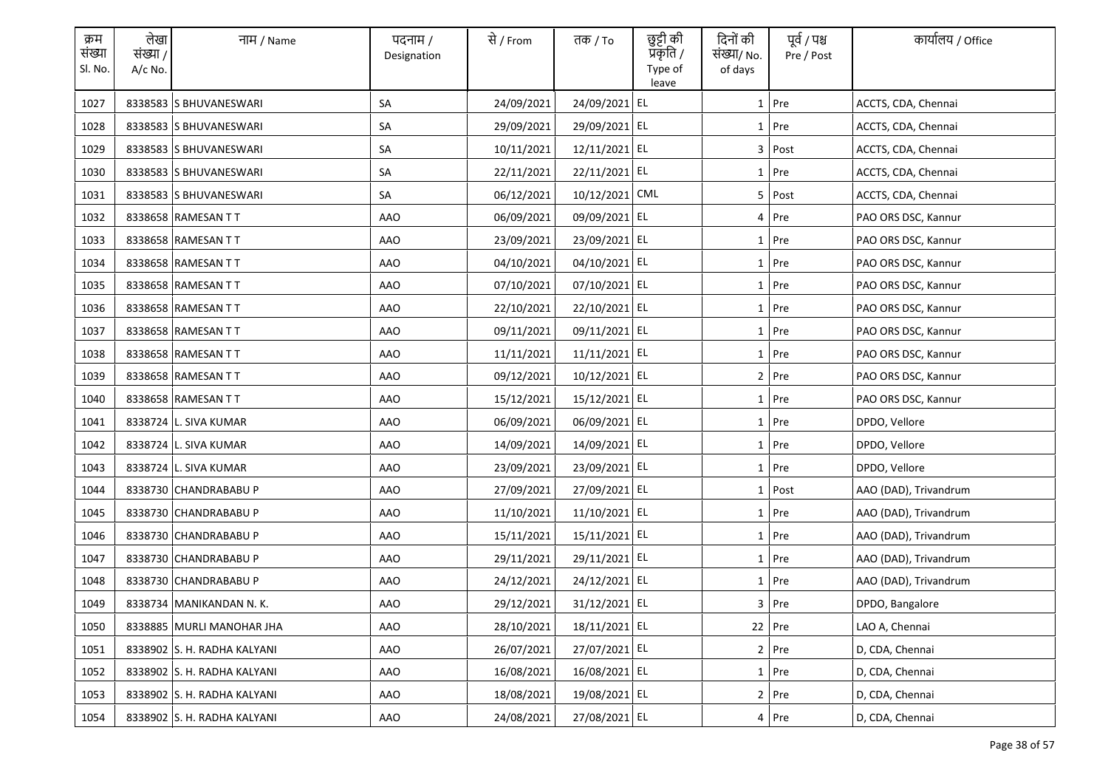| क्रम<br>संख्या<br>Sl. No. | लेखा<br>संख्या /<br>$A/c$ No. | नाम / Name                  | पदनाम /<br>Designation | से / From  | तक <i>/</i> To | छुट्टी की<br>प्रॅकृति /<br>Type of<br>leave | दिनों की<br>संख्या/ No.<br>of days | पूर्व / पश्च<br>Pre / Post | कार्यालय / Office     |
|---------------------------|-------------------------------|-----------------------------|------------------------|------------|----------------|---------------------------------------------|------------------------------------|----------------------------|-----------------------|
| 1027                      |                               | 8338583 S BHUVANESWARI      | SA                     | 24/09/2021 | 24/09/2021 EL  |                                             |                                    | $1$ Pre                    | ACCTS, CDA, Chennai   |
| 1028                      |                               | 8338583 S BHUVANESWARI      | SA                     | 29/09/2021 | 29/09/2021 EL  |                                             |                                    | 1 Pre                      | ACCTS, CDA, Chennai   |
| 1029                      |                               | 8338583 S BHUVANESWARI      | SA                     | 10/11/2021 | 12/11/2021 EL  |                                             |                                    | 3 Post                     | ACCTS, CDA, Chennai   |
| 1030                      |                               | 8338583 S BHUVANESWARI      | SA                     | 22/11/2021 | 22/11/2021 EL  |                                             |                                    | $1$ Pre                    | ACCTS, CDA, Chennai   |
| 1031                      |                               | 8338583 S BHUVANESWARI      | SA                     | 06/12/2021 | 10/12/2021 CML |                                             |                                    | 5 Post                     | ACCTS, CDA, Chennai   |
| 1032                      |                               | 8338658 RAMESAN TT          | AAO                    | 06/09/2021 | 09/09/2021 EL  |                                             |                                    | 4 Pre                      | PAO ORS DSC, Kannur   |
| 1033                      |                               | 8338658 RAMESAN TT          | <b>AAO</b>             | 23/09/2021 | 23/09/2021 EL  |                                             |                                    | 1 Pre                      | PAO ORS DSC, Kannur   |
| 1034                      |                               | 8338658 RAMESAN TT          | <b>AAO</b>             | 04/10/2021 | 04/10/2021 EL  |                                             |                                    | 1 Pre                      | PAO ORS DSC, Kannur   |
| 1035                      |                               | 8338658 RAMESAN TT          | <b>AAO</b>             | 07/10/2021 | 07/10/2021 EL  |                                             |                                    | 1 Pre                      | PAO ORS DSC, Kannur   |
| 1036                      |                               | 8338658 RAMESAN TT          | <b>AAO</b>             | 22/10/2021 | 22/10/2021 EL  |                                             |                                    | $1$ Pre                    | PAO ORS DSC, Kannur   |
| 1037                      |                               | 8338658 RAMESAN TT          | AAO                    | 09/11/2021 | 09/11/2021 EL  |                                             |                                    | $1$ Pre                    | PAO ORS DSC, Kannur   |
| 1038                      |                               | 8338658 RAMESAN TT          | AAO                    | 11/11/2021 | 11/11/2021 EL  |                                             |                                    | 1 Pre                      | PAO ORS DSC, Kannur   |
| 1039                      |                               | 8338658 RAMESAN TT          | AAO                    | 09/12/2021 | 10/12/2021 EL  |                                             |                                    | $2$ Pre                    | PAO ORS DSC, Kannur   |
| 1040                      |                               | 8338658 RAMESAN TT          | AAO                    | 15/12/2021 | 15/12/2021 EL  |                                             |                                    | 1 Pre                      | PAO ORS DSC, Kannur   |
| 1041                      |                               | 8338724 L. SIVA KUMAR       | <b>AAO</b>             | 06/09/2021 | 06/09/2021 EL  |                                             |                                    | $1$ Pre                    | DPDO, Vellore         |
| 1042                      |                               | 8338724 L. SIVA KUMAR       | <b>AAO</b>             | 14/09/2021 | 14/09/2021 EL  |                                             |                                    | 1 Pre                      | DPDO, Vellore         |
| 1043                      |                               | 8338724 L. SIVA KUMAR       | <b>AAO</b>             | 23/09/2021 | 23/09/2021 EL  |                                             |                                    | 1 Pre                      | DPDO, Vellore         |
| 1044                      |                               | 8338730 CHANDRABABU P       | AAO                    | 27/09/2021 | 27/09/2021 EL  |                                             |                                    | 1 Post                     | AAO (DAD), Trivandrum |
| 1045                      |                               | 8338730 CHANDRABABU P       | AAO                    | 11/10/2021 | 11/10/2021 EL  |                                             |                                    | $1$ Pre                    | AAO (DAD), Trivandrum |
| 1046                      |                               | 8338730 CHANDRABABU P       | AAO                    | 15/11/2021 | 15/11/2021 EL  |                                             |                                    | $1$ Pre                    | AAO (DAD), Trivandrum |
| 1047                      |                               | 8338730 CHANDRABABU P       | AAO                    | 29/11/2021 | 29/11/2021 EL  |                                             |                                    | $1$ Pre                    | AAO (DAD), Trivandrum |
| 1048                      |                               | 8338730 CHANDRABABU P       | AAO                    | 24/12/2021 | 24/12/2021 EL  |                                             |                                    | $1$ Pre                    | AAO (DAD), Trivandrum |
| 1049                      |                               | 8338734 MANIKANDAN N.K.     | <b>AAO</b>             | 29/12/2021 | 31/12/2021 EL  |                                             |                                    | 3 Pre                      | DPDO, Bangalore       |
| 1050                      |                               | 8338885 MURLI MANOHAR JHA   | AAO                    | 28/10/2021 | 18/11/2021 EL  |                                             |                                    | 22 Pre                     | LAO A, Chennai        |
| 1051                      |                               | 8338902 S. H. RADHA KALYANI | AAO                    | 26/07/2021 | 27/07/2021 EL  |                                             |                                    | 2 Pre                      | D, CDA, Chennai       |
| 1052                      |                               | 8338902 S. H. RADHA KALYANI | AAO                    | 16/08/2021 | 16/08/2021 EL  |                                             |                                    | 1 Pre                      | D, CDA, Chennai       |
| 1053                      |                               | 8338902 S. H. RADHA KALYANI | AAO                    | 18/08/2021 | 19/08/2021 EL  |                                             |                                    | 2 Pre                      | D, CDA, Chennai       |
| 1054                      |                               | 8338902 S. H. RADHA KALYANI | AAO                    | 24/08/2021 | 27/08/2021 EL  |                                             |                                    | 4 Pre                      | D, CDA, Chennai       |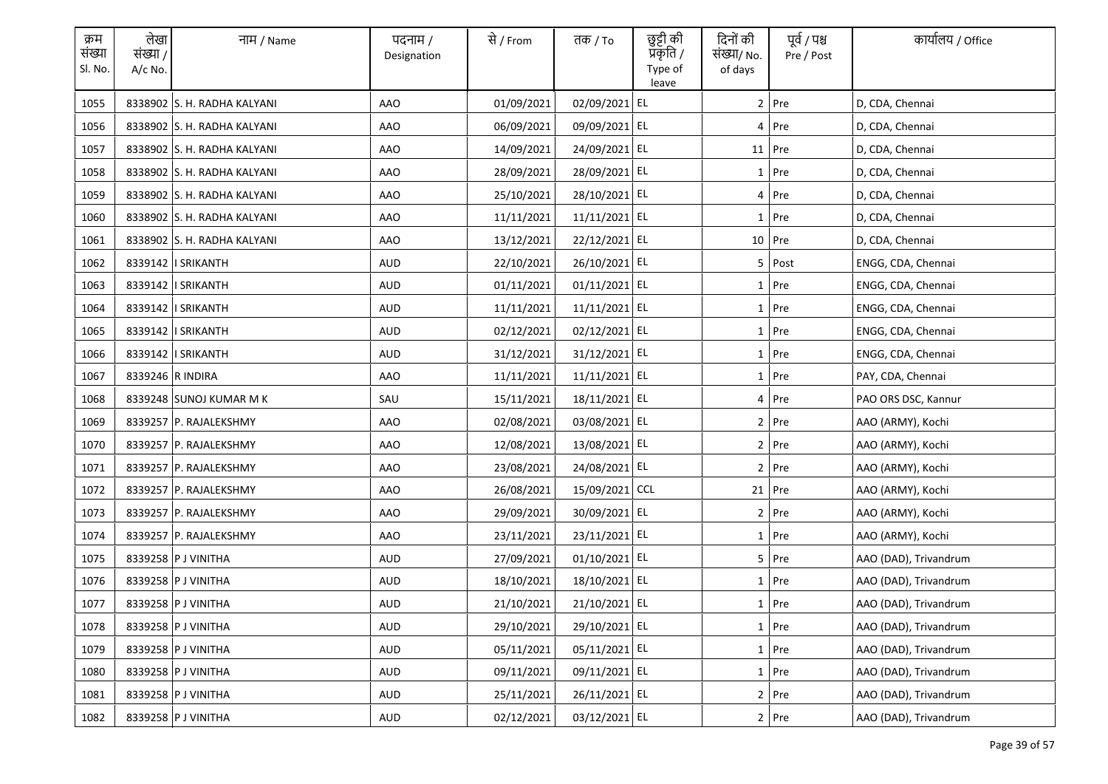| क्रम<br>संख्या<br>Sl. No. | लेखा<br>संख्या /<br>$A/c$ No. | नाम / Name                  | पदनाम /<br>Designation | से / From  | तक <i>/</i> To | छुट्टी की<br>प्रकृति /<br>Type of<br>leave | दिनों की<br>संख्या/ No.<br>of days | पूर्व / पश्च<br>Pre / Post | कार्यालय / Office     |
|---------------------------|-------------------------------|-----------------------------|------------------------|------------|----------------|--------------------------------------------|------------------------------------|----------------------------|-----------------------|
| 1055                      |                               | 8338902 S. H. RADHA KALYANI | <b>AAO</b>             | 01/09/2021 | 02/09/2021 EL  |                                            |                                    | $2$ Pre                    | D, CDA, Chennai       |
| 1056                      |                               | 8338902 S. H. RADHA KALYANI | AAO                    | 06/09/2021 | 09/09/2021 EL  |                                            |                                    | $4$ Pre                    | D, CDA, Chennai       |
| 1057                      |                               | 8338902 S. H. RADHA KALYANI | AAO                    | 14/09/2021 | 24/09/2021 EL  |                                            |                                    | 11 Pre                     | D, CDA, Chennai       |
| 1058                      |                               | 8338902 S. H. RADHA KALYANI | AAO                    | 28/09/2021 | 28/09/2021 EL  |                                            |                                    | 1 Pre                      | D, CDA, Chennai       |
| 1059                      |                               | 8338902 S. H. RADHA KALYANI | AAO                    | 25/10/2021 | 28/10/2021 EL  |                                            |                                    | 4 Pre                      | D, CDA, Chennai       |
| 1060                      |                               | 8338902 S. H. RADHA KALYANI | <b>AAO</b>             | 11/11/2021 | 11/11/2021 EL  |                                            |                                    | 1 Pre                      | D, CDA, Chennai       |
| 1061                      |                               | 8338902 S. H. RADHA KALYANI | AAO                    | 13/12/2021 | 22/12/2021 EL  |                                            |                                    | 10 Pre                     | D, CDA, Chennai       |
| 1062                      |                               | 8339142   SRIKANTH          | <b>AUD</b>             | 22/10/2021 | 26/10/2021 EL  |                                            |                                    | 5 Post                     | ENGG, CDA, Chennai    |
| 1063                      |                               | 8339142   SRIKANTH          | <b>AUD</b>             | 01/11/2021 | 01/11/2021 EL  |                                            |                                    | 1 Pre                      | ENGG, CDA, Chennai    |
| 1064                      |                               | 8339142   SRIKANTH          | <b>AUD</b>             | 11/11/2021 | 11/11/2021 EL  |                                            |                                    | $1$ Pre                    | ENGG, CDA, Chennai    |
| 1065                      |                               | 8339142   SRIKANTH          | AUD                    | 02/12/2021 | 02/12/2021 EL  |                                            |                                    | $1$ Pre                    | ENGG, CDA, Chennai    |
| 1066                      |                               | 8339142   SRIKANTH          | AUD                    | 31/12/2021 | 31/12/2021 EL  |                                            |                                    | 1 Pre                      | ENGG, CDA, Chennai    |
| 1067                      | 8339246 R INDIRA              |                             | AAO                    | 11/11/2021 | 11/11/2021 EL  |                                            |                                    | $1$ Pre                    | PAY, CDA, Chennai     |
| 1068                      |                               | 8339248 SUNOJ KUMAR M K     | SAU                    | 15/11/2021 | 18/11/2021 EL  |                                            |                                    | 4 Pre                      | PAO ORS DSC, Kannur   |
| 1069                      |                               | 8339257 P. RAJALEKSHMY      | <b>AAO</b>             | 02/08/2021 | 03/08/2021 EL  |                                            |                                    | $2$ Pre                    | AAO (ARMY), Kochi     |
| 1070                      |                               | 8339257 P. RAJALEKSHMY      | <b>AAO</b>             | 12/08/2021 | 13/08/2021 EL  |                                            |                                    | 2 Pre                      | AAO (ARMY), Kochi     |
| 1071                      |                               | 8339257 P. RAJALEKSHMY      | <b>AAO</b>             | 23/08/2021 | 24/08/2021 EL  |                                            |                                    | 2 Pre                      | AAO (ARMY), Kochi     |
| 1072                      |                               | 8339257 P. RAJALEKSHMY      | AAO                    | 26/08/2021 | 15/09/2021 CCL |                                            |                                    | $21$ Pre                   | AAO (ARMY), Kochi     |
| 1073                      |                               | 8339257 P. RAJALEKSHMY      | AAO                    | 29/09/2021 | 30/09/2021 EL  |                                            |                                    | $2$ Pre                    | AAO (ARMY), Kochi     |
| 1074                      |                               | 8339257 P. RAJALEKSHMY      | AAO                    | 23/11/2021 | 23/11/2021 EL  |                                            |                                    | $1$ Pre                    | AAO (ARMY), Kochi     |
| 1075                      |                               | 8339258 P J VINITHA         | AUD                    | 27/09/2021 | 01/10/2021 EL  |                                            |                                    | 5 Pre                      | AAO (DAD), Trivandrum |
| 1076                      |                               | 8339258 P J VINITHA         | AUD                    | 18/10/2021 | 18/10/2021 EL  |                                            |                                    | $1$ Pre                    | AAO (DAD), Trivandrum |
| 1077                      |                               | 8339258 P J VINITHA         | <b>AUD</b>             | 21/10/2021 | 21/10/2021 EL  |                                            |                                    | 1 Pre                      | AAO (DAD), Trivandrum |
| 1078                      |                               | 8339258 P J VINITHA         | AUD                    | 29/10/2021 | 29/10/2021 EL  |                                            |                                    | $1$ Pre                    | AAO (DAD), Trivandrum |
| 1079                      |                               | 8339258 P J VINITHA         | <b>AUD</b>             | 05/11/2021 | 05/11/2021 EL  |                                            |                                    | 1 Pre                      | AAO (DAD), Trivandrum |
| 1080                      |                               | 8339258 P J VINITHA         | AUD                    | 09/11/2021 | 09/11/2021 EL  |                                            |                                    | 1 Pre                      | AAO (DAD), Trivandrum |
| 1081                      |                               | 8339258 P J VINITHA         | AUD                    | 25/11/2021 | 26/11/2021 EL  |                                            |                                    | 2 Pre                      | AAO (DAD), Trivandrum |
| 1082                      |                               | 8339258 P J VINITHA         | AUD                    | 02/12/2021 | 03/12/2021 EL  |                                            |                                    | $2$ Pre                    | AAO (DAD), Trivandrum |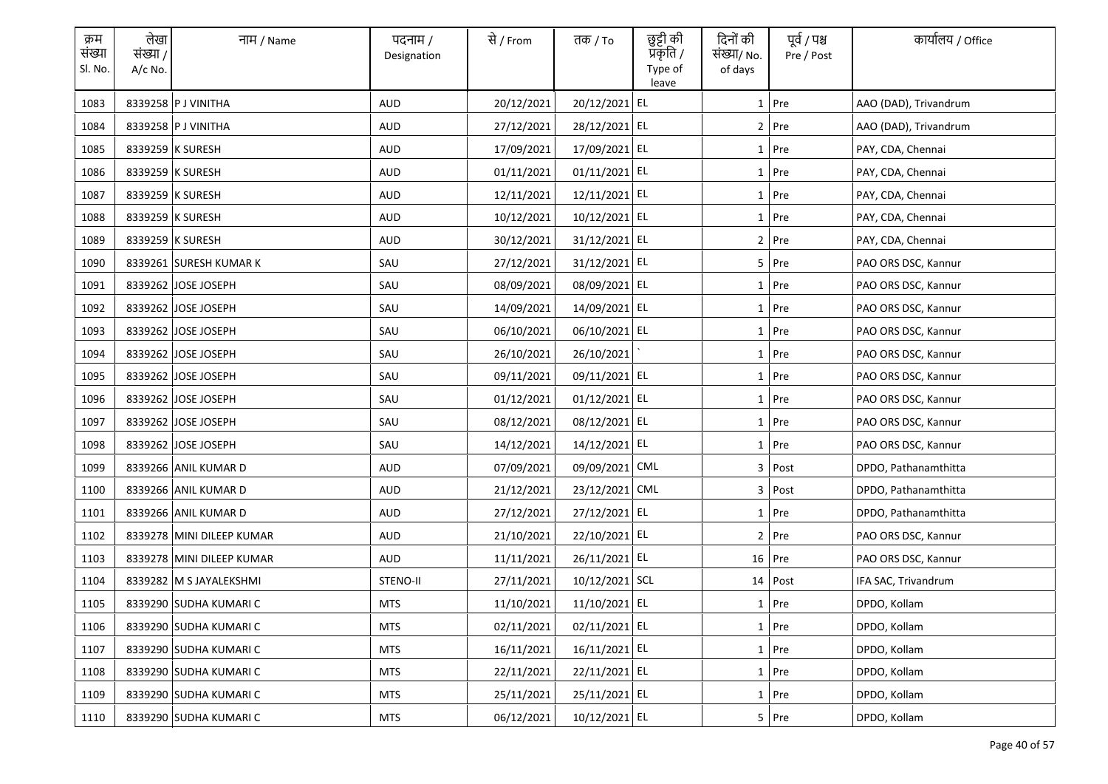| क्रम<br>संख्या<br>Sl. No. | लेखा<br>संख्या /<br>$A/c$ No. | नाम / Name                | पदनाम /<br>Designation | से / From  | तक <i>/</i> To | छुट्टी की<br>प्रॅकृति /<br>Type of<br>leave | दिनों की<br>संख्या/ No.<br>of days | पूर्व / पश्च<br>Pre / Post | कार्यालय / Office     |
|---------------------------|-------------------------------|---------------------------|------------------------|------------|----------------|---------------------------------------------|------------------------------------|----------------------------|-----------------------|
| 1083                      |                               | 8339258 P J VINITHA       | <b>AUD</b>             | 20/12/2021 | 20/12/2021 EL  |                                             |                                    | $1$ Pre                    | AAO (DAD), Trivandrum |
| 1084                      |                               | 8339258 P J VINITHA       | <b>AUD</b>             | 27/12/2021 | 28/12/2021 EL  |                                             |                                    | 2 Pre                      | AAO (DAD), Trivandrum |
| 1085                      |                               | 8339259 K SURESH          | <b>AUD</b>             | 17/09/2021 | 17/09/2021 EL  |                                             |                                    | $1$ Pre                    | PAY, CDA, Chennai     |
| 1086                      |                               | 8339259 K SURESH          | AUD                    | 01/11/2021 | 01/11/2021 EL  |                                             |                                    | $1$ Pre                    | PAY, CDA, Chennai     |
| 1087                      |                               | 8339259 K SURESH          | <b>AUD</b>             | 12/11/2021 | 12/11/2021 EL  |                                             |                                    | $1$ Pre                    | PAY, CDA, Chennai     |
| 1088                      |                               | 8339259 K SURESH          | AUD                    | 10/12/2021 | 10/12/2021 EL  |                                             |                                    | 1 Pre                      | PAY, CDA, Chennai     |
| 1089                      |                               | 8339259 K SURESH          | <b>AUD</b>             | 30/12/2021 | 31/12/2021 EL  |                                             |                                    | 2 Pre                      | PAY, CDA, Chennai     |
| 1090                      |                               | 8339261 SURESH KUMAR K    | SAU                    | 27/12/2021 | 31/12/2021 EL  |                                             |                                    | 5 Pre                      | PAO ORS DSC, Kannur   |
| 1091                      |                               | 8339262 JOSE JOSEPH       | SAU                    | 08/09/2021 | 08/09/2021 EL  |                                             |                                    | 1 Pre                      | PAO ORS DSC, Kannur   |
| 1092                      |                               | 8339262 JOSE JOSEPH       | SAU                    | 14/09/2021 | 14/09/2021 EL  |                                             |                                    | $1$ Pre                    | PAO ORS DSC, Kannur   |
| 1093                      |                               | 8339262 JOSE JOSEPH       | SAU                    | 06/10/2021 | 06/10/2021 EL  |                                             |                                    | $1$ Pre                    | PAO ORS DSC, Kannur   |
| 1094                      |                               | 8339262 JOSE JOSEPH       | SAU                    | 26/10/2021 | 26/10/2021     |                                             |                                    | 1 Pre                      | PAO ORS DSC, Kannur   |
| 1095                      |                               | 8339262 JOSE JOSEPH       | SAU                    | 09/11/2021 | 09/11/2021 EL  |                                             |                                    | $1$ Pre                    | PAO ORS DSC, Kannur   |
| 1096                      |                               | 8339262 JOSE JOSEPH       | SAU                    | 01/12/2021 | 01/12/2021 EL  |                                             |                                    | 1 Pre                      | PAO ORS DSC, Kannur   |
| 1097                      |                               | 8339262 JOSE JOSEPH       | SAU                    | 08/12/2021 | 08/12/2021 EL  |                                             |                                    | $1$ Pre                    | PAO ORS DSC, Kannur   |
| 1098                      |                               | 8339262 JOSE JOSEPH       | SAU                    | 14/12/2021 | 14/12/2021 EL  |                                             |                                    | 1 Pre                      | PAO ORS DSC, Kannur   |
| 1099                      |                               | 8339266 ANIL KUMAR D      | <b>AUD</b>             | 07/09/2021 | 09/09/2021 CML |                                             |                                    | 3 Post                     | DPDO, Pathanamthitta  |
| 1100                      |                               | 8339266 ANIL KUMAR D      | AUD                    | 21/12/2021 | 23/12/2021 CML |                                             |                                    | 3 Post                     | DPDO, Pathanamthitta  |
| 1101                      |                               | 8339266 ANIL KUMAR D      | AUD                    | 27/12/2021 | 27/12/2021 EL  |                                             |                                    | $1$ Pre                    | DPDO, Pathanamthitta  |
| 1102                      |                               | 8339278 MINI DILEEP KUMAR | <b>AUD</b>             | 21/10/2021 | 22/10/2021 EL  |                                             |                                    | 2 Pre                      | PAO ORS DSC, Kannur   |
| 1103                      |                               | 8339278 MINI DILEEP KUMAR | AUD                    | 11/11/2021 | 26/11/2021 EL  |                                             |                                    | 16 Pre                     | PAO ORS DSC, Kannur   |
| 1104                      |                               | 8339282 M S JAYALEKSHMI   | STENO-II               | 27/11/2021 | 10/12/2021 SCL |                                             |                                    | $14$ Post                  | IFA SAC, Trivandrum   |
| 1105                      |                               | 8339290 SUDHA KUMARI C    | <b>MTS</b>             | 11/10/2021 | 11/10/2021 EL  |                                             |                                    | 1 Pre                      | DPDO, Kollam          |
| 1106                      |                               | 8339290 SUDHA KUMARI C    | <b>MTS</b>             | 02/11/2021 | 02/11/2021 EL  |                                             |                                    | $1$ Pre                    | DPDO, Kollam          |
| 1107                      |                               | 8339290 SUDHA KUMARI C    | <b>MTS</b>             | 16/11/2021 | 16/11/2021 EL  |                                             |                                    | 1 Pre                      | DPDO, Kollam          |
| 1108                      |                               | 8339290 SUDHA KUMARI C    | MTS                    | 22/11/2021 | 22/11/2021 EL  |                                             |                                    | 1 Pre                      | DPDO, Kollam          |
| 1109                      |                               | 8339290 SUDHA KUMARI C    | <b>MTS</b>             | 25/11/2021 | 25/11/2021 EL  |                                             |                                    | $1$ Pre                    | DPDO, Kollam          |
| 1110                      |                               | 8339290 SUDHA KUMARI C    | MTS                    | 06/12/2021 | 10/12/2021 EL  |                                             |                                    | 5 Pre                      | DPDO, Kollam          |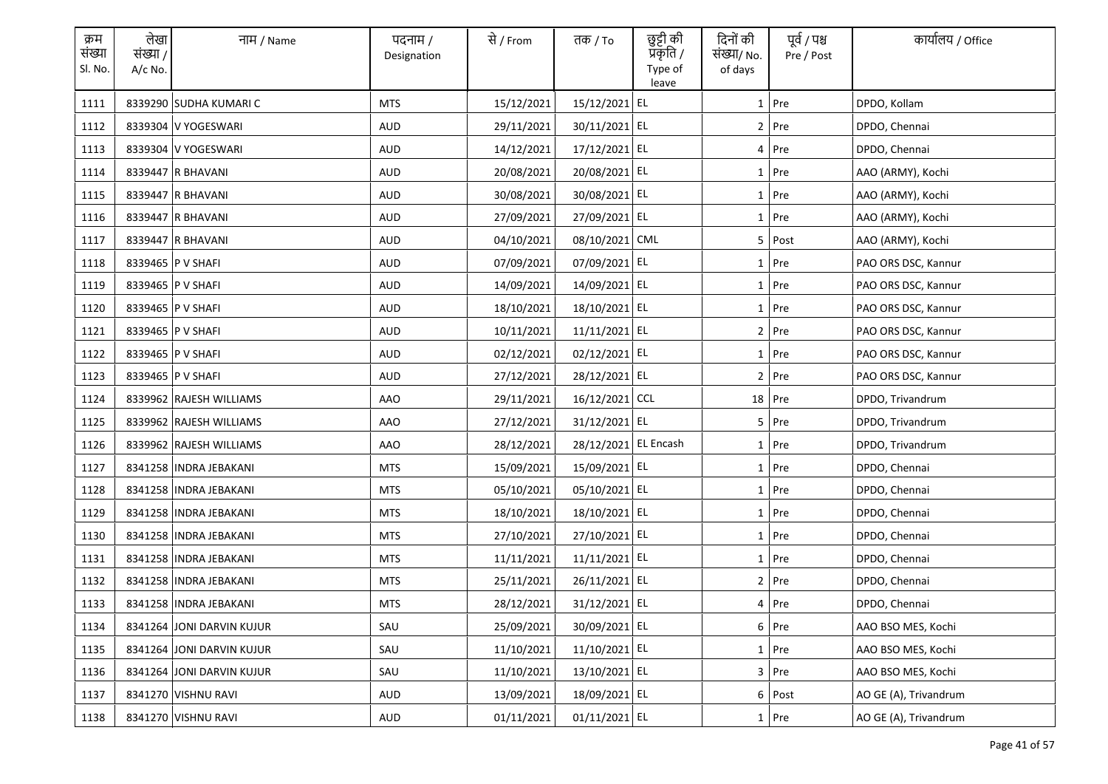| क्रम<br>संख्या<br>Sl. No. | लेखा<br>संख्या /<br>A/c No. | नाम / Name                | पदनाम /<br>Designation | से / From  | तक / To              | छुट्टी की<br>प्रकृति /<br>Type of<br>leave | दिनों की<br>संख्या/ No.<br>of days | पूर्व / पश्च<br>Pre / Post | कार्यालय / Office     |
|---------------------------|-----------------------------|---------------------------|------------------------|------------|----------------------|--------------------------------------------|------------------------------------|----------------------------|-----------------------|
| 1111                      |                             | 8339290 SUDHA KUMARI C    | <b>MTS</b>             | 15/12/2021 | 15/12/2021 EL        |                                            |                                    | 1 Pre                      | DPDO, Kollam          |
| 1112                      |                             | 8339304 V YOGESWARI       | AUD                    | 29/11/2021 | 30/11/2021 EL        |                                            |                                    | 2 Pre                      | DPDO, Chennai         |
| 1113                      |                             | 8339304 V YOGESWARI       | AUD                    | 14/12/2021 | 17/12/2021 EL        |                                            |                                    | 4 Pre                      | DPDO, Chennai         |
| 1114                      |                             | 8339447 R BHAVANI         | AUD                    | 20/08/2021 | 20/08/2021 EL        |                                            |                                    | 1 Pre                      | AAO (ARMY), Kochi     |
| 1115                      |                             | 8339447 R BHAVANI         | AUD                    | 30/08/2021 | 30/08/2021 EL        |                                            |                                    | 1 Pre                      | AAO (ARMY), Kochi     |
| 1116                      |                             | 8339447 R BHAVANI         | AUD                    | 27/09/2021 | 27/09/2021 EL        |                                            |                                    | 1 Pre                      | AAO (ARMY), Kochi     |
| 1117                      |                             | 8339447 R BHAVANI         | AUD                    | 04/10/2021 | 08/10/2021 CML       |                                            |                                    | 5 Post                     | AAO (ARMY), Kochi     |
| 1118                      |                             | 8339465   P V SHAFI       | <b>AUD</b>             | 07/09/2021 | 07/09/2021 EL        |                                            |                                    | 1 Pre                      | PAO ORS DSC, Kannur   |
| 1119                      |                             | 8339465   P V SHAFI       | <b>AUD</b>             | 14/09/2021 | 14/09/2021 EL        |                                            |                                    | 1 Pre                      | PAO ORS DSC, Kannur   |
| 1120                      |                             | 8339465 P V SHAFI         | AUD                    | 18/10/2021 | 18/10/2021 EL        |                                            |                                    | 1 Pre                      | PAO ORS DSC, Kannur   |
| 1121                      |                             | 8339465   P V SHAFI       | AUD                    | 10/11/2021 | 11/11/2021 EL        |                                            |                                    | 2 Pre                      | PAO ORS DSC, Kannur   |
| 1122                      |                             | 8339465   P V SHAFI       | AUD                    | 02/12/2021 | 02/12/2021 EL        |                                            |                                    | 1 Pre                      | PAO ORS DSC, Kannur   |
| 1123                      |                             | 8339465   P V SHAFI       | AUD                    | 27/12/2021 | 28/12/2021 EL        |                                            |                                    | 2 Pre                      | PAO ORS DSC, Kannur   |
| 1124                      |                             | 8339962 RAJESH WILLIAMS   | AAO                    | 29/11/2021 | 16/12/2021 CCL       |                                            |                                    | $18$ Pre                   | DPDO, Trivandrum      |
| 1125                      |                             | 8339962 RAJESH WILLIAMS   | AAO                    | 27/12/2021 | 31/12/2021 EL        |                                            |                                    | 5 Pre                      | DPDO, Trivandrum      |
| 1126                      |                             | 8339962 RAJESH WILLIAMS   | AAO                    | 28/12/2021 | 28/12/2021 EL Encash |                                            |                                    | 1 Pre                      | DPDO, Trivandrum      |
| 1127                      |                             | 8341258   INDRA JEBAKANI  | <b>MTS</b>             | 15/09/2021 | 15/09/2021 EL        |                                            |                                    | 1 Pre                      | DPDO, Chennai         |
| 1128                      |                             | 8341258   INDRA JEBAKANI  | <b>MTS</b>             | 05/10/2021 | 05/10/2021 EL        |                                            |                                    | 1 Pre                      | DPDO, Chennai         |
| 1129                      |                             | 8341258   INDRA JEBAKANI  | <b>MTS</b>             | 18/10/2021 | 18/10/2021 EL        |                                            |                                    | 1 Pre                      | DPDO, Chennai         |
| 1130                      |                             | 8341258   INDRA JEBAKANI  | <b>MTS</b>             | 27/10/2021 | 27/10/2021 EL        |                                            |                                    | 1 Pre                      | DPDO, Chennai         |
| 1131                      |                             | 8341258   INDRA JEBAKANI  | <b>MTS</b>             | 11/11/2021 | 11/11/2021 EL        |                                            |                                    | 1 Pre                      | DPDO, Chennai         |
| 1132                      |                             | 8341258   INDRA JEBAKANI  | <b>MTS</b>             | 25/11/2021 | 26/11/2021 EL        |                                            |                                    | 2 Pre                      | DPDO, Chennai         |
| 1133                      |                             | 8341258   INDRA JEBAKANI  | <b>MTS</b>             | 28/12/2021 | 31/12/2021 EL        |                                            |                                    | 4 Pre                      | DPDO, Chennai         |
| 1134                      |                             | 8341264 JONI DARVIN KUJUR | SAU                    | 25/09/2021 | 30/09/2021 EL        |                                            |                                    | 6 Pre                      | AAO BSO MES, Kochi    |
| 1135                      |                             | 8341264 JONI DARVIN KUJUR | SAU                    | 11/10/2021 | 11/10/2021 EL        |                                            |                                    | 1 Pre                      | AAO BSO MES, Kochi    |
| 1136                      |                             | 8341264 JONI DARVIN KUJUR | SAU                    | 11/10/2021 | 13/10/2021 EL        |                                            |                                    | 3 Pre                      | AAO BSO MES, Kochi    |
| 1137                      |                             | 8341270 VISHNU RAVI       | AUD                    | 13/09/2021 | 18/09/2021 EL        |                                            |                                    | 6 Post                     | AO GE (A), Trivandrum |
| 1138                      |                             | 8341270 VISHNU RAVI       | AUD                    | 01/11/2021 | 01/11/2021 EL        |                                            |                                    | 1 Pre                      | AO GE (A), Trivandrum |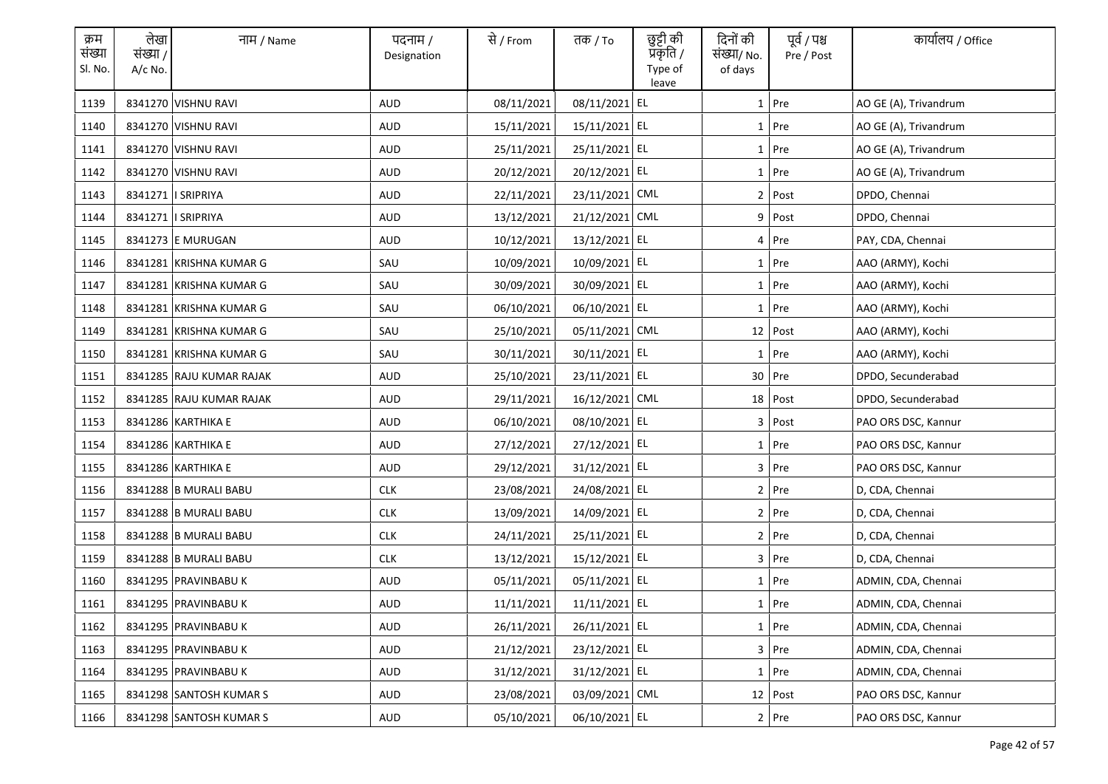| क्रम<br>संख्या<br>Sl. No. | लेखा<br>संख्या /<br>$A/c$ No. | नाम / Name               | पदनाम /<br>Designation | से / From  | तक <i>/</i> To | छुट्टी की<br>प्रकृति /<br>Type of<br>leave | दिनों की<br>संख्या/ No.<br>of days | पूर्व / पश्च<br>Pre / Post | कार्यालय / Office     |
|---------------------------|-------------------------------|--------------------------|------------------------|------------|----------------|--------------------------------------------|------------------------------------|----------------------------|-----------------------|
| 1139                      |                               | 8341270 VISHNU RAVI      | <b>AUD</b>             | 08/11/2021 | 08/11/2021 EL  |                                            |                                    | $1$ Pre                    | AO GE (A), Trivandrum |
| 1140                      |                               | 8341270 VISHNU RAVI      | AUD                    | 15/11/2021 | 15/11/2021 EL  |                                            |                                    | 1 Pre                      | AO GE (A), Trivandrum |
| 1141                      |                               | 8341270 VISHNU RAVI      | <b>AUD</b>             | 25/11/2021 | 25/11/2021 EL  |                                            |                                    | $1$ Pre                    | AO GE (A), Trivandrum |
| 1142                      |                               | 8341270 VISHNU RAVI      | AUD                    | 20/12/2021 | 20/12/2021 EL  |                                            |                                    | $1$ Pre                    | AO GE (A), Trivandrum |
| 1143                      |                               | 8341271   SRIPRIYA       | <b>AUD</b>             | 22/11/2021 | 23/11/2021 CML |                                            |                                    | 2 Post                     | DPDO, Chennai         |
| 1144                      |                               | 8341271   SRIPRIYA       | AUD                    | 13/12/2021 | 21/12/2021 CML |                                            |                                    | 9 Post                     | DPDO, Chennai         |
| 1145                      |                               | 8341273 E MURUGAN        | <b>AUD</b>             | 10/12/2021 | 13/12/2021 EL  |                                            |                                    | 4 Pre                      | PAY, CDA, Chennai     |
| 1146                      |                               | 8341281 KRISHNA KUMAR G  | SAU                    | 10/09/2021 | 10/09/2021 EL  |                                            |                                    | 1 Pre                      | AAO (ARMY), Kochi     |
| 1147                      |                               | 8341281 KRISHNA KUMAR G  | SAU                    | 30/09/2021 | 30/09/2021 EL  |                                            |                                    | 1 Pre                      | AAO (ARMY), Kochi     |
| 1148                      |                               | 8341281 KRISHNA KUMAR G  | SAU                    | 06/10/2021 | 06/10/2021 EL  |                                            |                                    | $1$ Pre                    | AAO (ARMY), Kochi     |
| 1149                      |                               | 8341281 KRISHNA KUMAR G  | SAU                    | 25/10/2021 | 05/11/2021 CML |                                            |                                    | 12 Post                    | AAO (ARMY), Kochi     |
| 1150                      |                               | 8341281 KRISHNA KUMAR G  | SAU                    | 30/11/2021 | 30/11/2021 EL  |                                            |                                    | $1$ Pre                    | AAO (ARMY), Kochi     |
| 1151                      |                               | 8341285 RAJU KUMAR RAJAK | AUD                    | 25/10/2021 | 23/11/2021 EL  |                                            |                                    | 30 Pre                     | DPDO, Secunderabad    |
| 1152                      |                               | 8341285 RAJU KUMAR RAJAK | AUD                    | 29/11/2021 | 16/12/2021 CML |                                            |                                    | 18 Post                    | DPDO, Secunderabad    |
| 1153                      |                               | 8341286 KARTHIKA E       | <b>AUD</b>             | 06/10/2021 | 08/10/2021 EL  |                                            |                                    | 3 Post                     | PAO ORS DSC, Kannur   |
| 1154                      |                               | 8341286 KARTHIKA E       | <b>AUD</b>             | 27/12/2021 | 27/12/2021 EL  |                                            |                                    | 1 Pre                      | PAO ORS DSC, Kannur   |
| 1155                      |                               | 8341286 KARTHIKA E       | <b>AUD</b>             | 29/12/2021 | 31/12/2021 EL  |                                            |                                    | 3 Pre                      | PAO ORS DSC, Kannur   |
| 1156                      |                               | 8341288 B MURALI BABU    | <b>CLK</b>             | 23/08/2021 | 24/08/2021 EL  |                                            |                                    | 2 Pre                      | D, CDA, Chennai       |
| 1157                      |                               | 8341288 B MURALI BABU    | <b>CLK</b>             | 13/09/2021 | 14/09/2021 EL  |                                            |                                    | $2$ Pre                    | D, CDA, Chennai       |
| 1158                      |                               | 8341288 B MURALI BABU    | <b>CLK</b>             | 24/11/2021 | 25/11/2021 EL  |                                            |                                    | 2 Pre                      | D, CDA, Chennai       |
| 1159                      |                               | 8341288 B MURALI BABU    | <b>CLK</b>             | 13/12/2021 | 15/12/2021 EL  |                                            |                                    | 3 Pre                      | D, CDA, Chennai       |
| 1160                      |                               | 8341295 PRAVINBABU K     | AUD                    | 05/11/2021 | 05/11/2021 EL  |                                            |                                    | $1$ Pre                    | ADMIN, CDA, Chennai   |
| 1161                      |                               | 8341295 PRAVINBABU K     | AUD                    | 11/11/2021 | 11/11/2021 EL  |                                            |                                    | 1 Pre                      | ADMIN, CDA, Chennai   |
| 1162                      |                               | 8341295 PRAVINBABU K     | AUD                    | 26/11/2021 | 26/11/2021 EL  |                                            |                                    | $1$ Pre                    | ADMIN, CDA, Chennai   |
| 1163                      |                               | 8341295 PRAVINBABU K     | AUD                    | 21/12/2021 | 23/12/2021 EL  |                                            |                                    | 3 Pre                      | ADMIN, CDA, Chennai   |
| 1164                      |                               | 8341295 PRAVINBABU K     | AUD                    | 31/12/2021 | 31/12/2021 EL  |                                            |                                    | 1 Pre                      | ADMIN, CDA, Chennai   |
| 1165                      |                               | 8341298 SANTOSH KUMAR S  | AUD                    | 23/08/2021 | 03/09/2021 CML |                                            |                                    | 12 Post                    | PAO ORS DSC, Kannur   |
| 1166                      |                               | 8341298 SANTOSH KUMAR S  | AUD                    | 05/10/2021 | 06/10/2021 EL  |                                            |                                    | 2 Pre                      | PAO ORS DSC. Kannur   |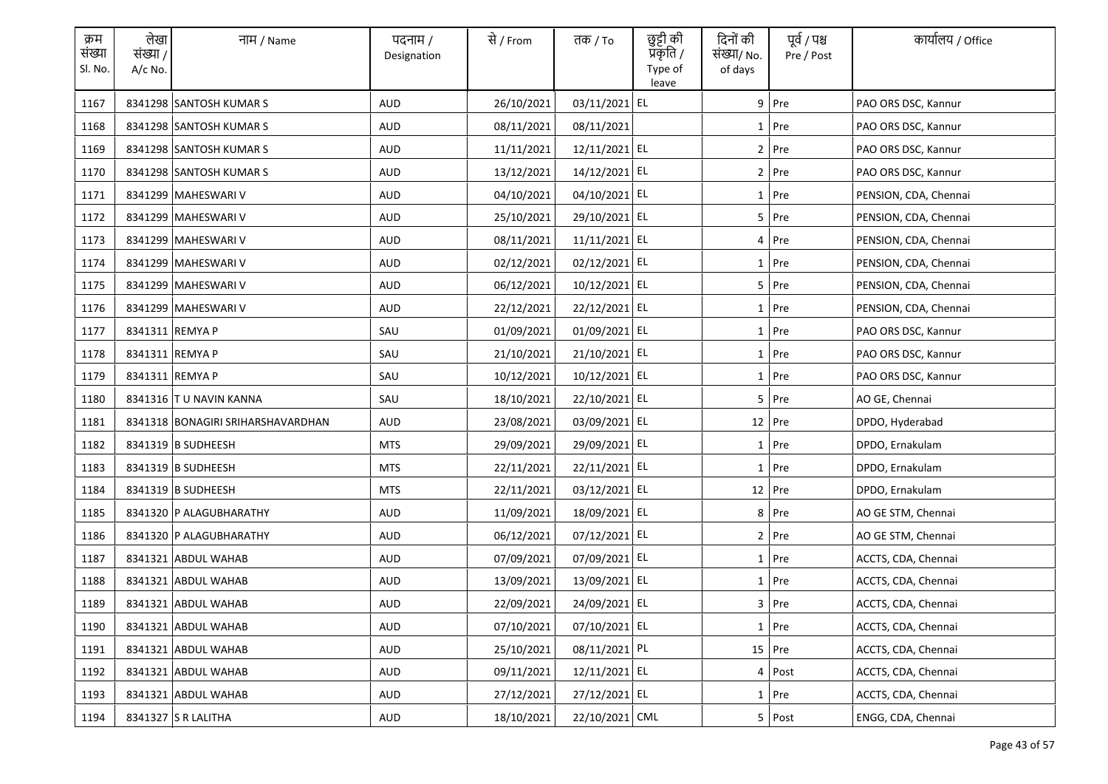| क्रम<br>संख्या<br>Sl. No. | लेखा<br>संख्या /<br>$A/c$ No. | नाम / Name                        | पदनाम /<br>Designation | से / From  | तक <i>/</i> To | छुट्टी की<br>प्रकृति /<br>Type of<br>leave | दिनों की<br>संख्या/ No.<br>of days | पूर्व / पश्च<br>Pre / Post | कार्यालय / Office     |
|---------------------------|-------------------------------|-----------------------------------|------------------------|------------|----------------|--------------------------------------------|------------------------------------|----------------------------|-----------------------|
| 1167                      |                               | 8341298 SANTOSH KUMAR S           | <b>AUD</b>             | 26/10/2021 | 03/11/2021 EL  |                                            |                                    | $9$ Pre                    | PAO ORS DSC, Kannur   |
| 1168                      |                               | 8341298 SANTOSH KUMAR S           | <b>AUD</b>             | 08/11/2021 | 08/11/2021     |                                            |                                    | 1 Pre                      | PAO ORS DSC, Kannur   |
| 1169                      |                               | 8341298 SANTOSH KUMAR S           | <b>AUD</b>             | 11/11/2021 | 12/11/2021 EL  |                                            |                                    | $2$ Pre                    | PAO ORS DSC, Kannur   |
| 1170                      |                               | 8341298 SANTOSH KUMAR S           | AUD                    | 13/12/2021 | 14/12/2021 EL  |                                            |                                    | 2 Pre                      | PAO ORS DSC, Kannur   |
| 1171                      |                               | 8341299 MAHESWARI V               | AUD                    | 04/10/2021 | 04/10/2021 EL  |                                            |                                    | $1$ Pre                    | PENSION, CDA, Chennai |
| 1172                      |                               | 8341299 MAHESWARI V               | AUD                    | 25/10/2021 | 29/10/2021 EL  |                                            |                                    | 5 Pre                      | PENSION, CDA, Chennai |
| 1173                      |                               | 8341299 MAHESWARI V               | <b>AUD</b>             | 08/11/2021 | 11/11/2021 EL  |                                            |                                    | 4 Pre                      | PENSION, CDA, Chennai |
| 1174                      |                               | 8341299 MAHESWARI V               | <b>AUD</b>             | 02/12/2021 | 02/12/2021 EL  |                                            |                                    | $1$ Pre                    | PENSION, CDA, Chennai |
| 1175                      |                               | 8341299 MAHESWARI V               | <b>AUD</b>             | 06/12/2021 | 10/12/2021 EL  |                                            |                                    | $5$ Pre                    | PENSION, CDA, Chennai |
| 1176                      |                               | 8341299 MAHESWARI V               | <b>AUD</b>             | 22/12/2021 | 22/12/2021 EL  |                                            |                                    | $1$ Pre                    | PENSION, CDA, Chennai |
| 1177                      | 8341311 REMYA P               |                                   | SAU                    | 01/09/2021 | 01/09/2021 EL  |                                            |                                    | $1$ Pre                    | PAO ORS DSC, Kannur   |
| 1178                      | 8341311 REMYA P               |                                   | SAU                    | 21/10/2021 | 21/10/2021 EL  |                                            |                                    | 1 Pre                      | PAO ORS DSC, Kannur   |
| 1179                      | 8341311 REMYA P               |                                   | SAU                    | 10/12/2021 | 10/12/2021 EL  |                                            |                                    | $1$ Pre                    | PAO ORS DSC, Kannur   |
| 1180                      |                               | 8341316 TU NAVIN KANNA            | SAU                    | 18/10/2021 | 22/10/2021 EL  |                                            |                                    | $5$ Pre                    | AO GE, Chennai        |
| 1181                      |                               | 8341318 BONAGIRI SRIHARSHAVARDHAN | <b>AUD</b>             | 23/08/2021 | 03/09/2021 EL  |                                            |                                    | $12$ Pre                   | DPDO, Hyderabad       |
| 1182                      |                               | 8341319 B SUDHEESH                | <b>MTS</b>             | 29/09/2021 | 29/09/2021 EL  |                                            |                                    | 1 Pre                      | DPDO, Ernakulam       |
| 1183                      |                               | 8341319 B SUDHEESH                | <b>MTS</b>             | 22/11/2021 | 22/11/2021 EL  |                                            |                                    | 1 Pre                      | DPDO, Ernakulam       |
| 1184                      |                               | 8341319 B SUDHEESH                | <b>MTS</b>             | 22/11/2021 | 03/12/2021 EL  |                                            |                                    | 12 Pre                     | DPDO, Ernakulam       |
| 1185                      |                               | 8341320 P ALAGUBHARATHY           | AUD                    | 11/09/2021 | 18/09/2021 EL  |                                            |                                    | 8 Pre                      | AO GE STM, Chennai    |
| 1186                      |                               | 8341320 P ALAGUBHARATHY           | <b>AUD</b>             | 06/12/2021 | 07/12/2021 EL  |                                            |                                    | 2 Pre                      | AO GE STM, Chennai    |
| 1187                      |                               | 8341321 ABDUL WAHAB               | AUD                    | 07/09/2021 | 07/09/2021 EL  |                                            |                                    | $1$ Pre                    | ACCTS, CDA, Chennai   |
| 1188                      |                               | 8341321 ABDUL WAHAB               | AUD                    | 13/09/2021 | 13/09/2021 EL  |                                            |                                    | $1$ Pre                    | ACCTS, CDA, Chennai   |
| 1189                      |                               | 8341321 ABDUL WAHAB               | AUD                    | 22/09/2021 | 24/09/2021 EL  |                                            |                                    | 3 Pre                      | ACCTS, CDA, Chennai   |
| 1190                      |                               | 8341321 ABDUL WAHAB               | AUD                    | 07/10/2021 | 07/10/2021 EL  |                                            |                                    | $1$ Pre                    | ACCTS, CDA, Chennai   |
| 1191                      |                               | 8341321 ABDUL WAHAB               | <b>AUD</b>             | 25/10/2021 | 08/11/2021 PL  |                                            |                                    | 15 Pre                     | ACCTS, CDA, Chennai   |
| 1192                      |                               | 8341321 ABDUL WAHAB               | AUD                    | 09/11/2021 | 12/11/2021 EL  |                                            |                                    | 4 Post                     | ACCTS, CDA, Chennai   |
| 1193                      |                               | 8341321 ABDUL WAHAB               | AUD                    | 27/12/2021 | 27/12/2021 EL  |                                            |                                    | $1$ Pre                    | ACCTS, CDA, Chennai   |
| 1194                      |                               | 8341327 S R LALITHA               | AUD                    | 18/10/2021 | 22/10/2021 CML |                                            |                                    | 5 Post                     | ENGG, CDA, Chennai    |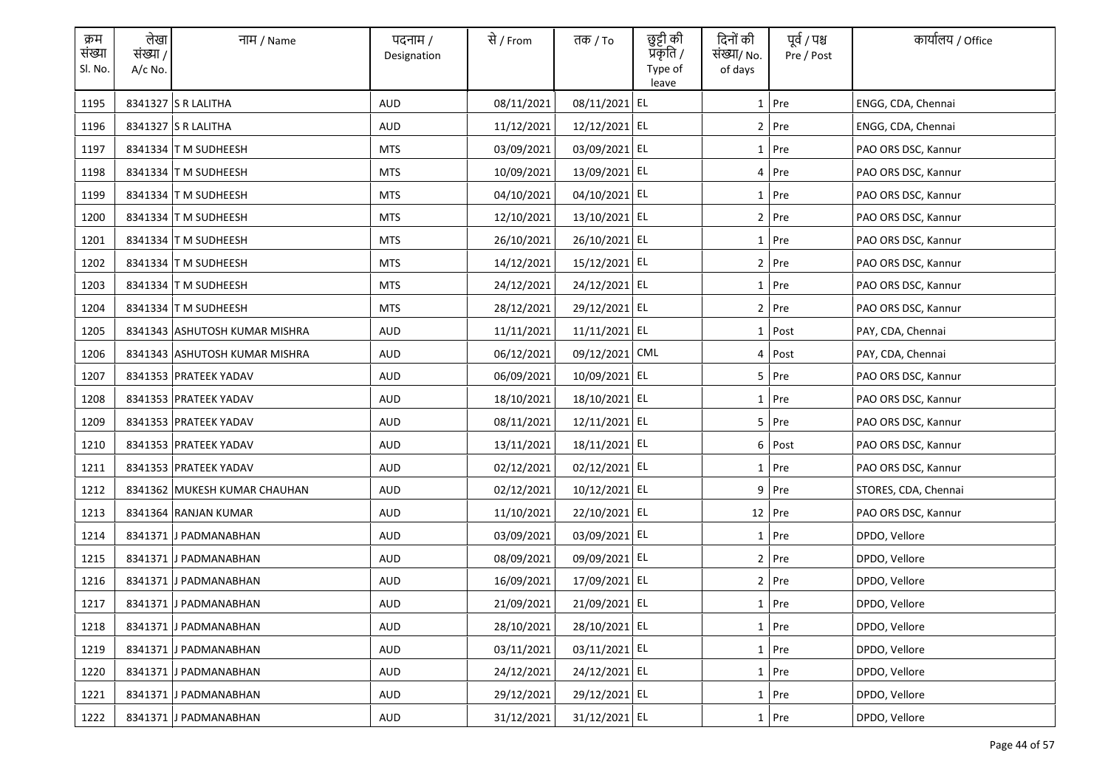| क्रम<br>संख्या<br>Sl. No. | लेखा<br>संख्या /<br>$A/c$ No. | नाम / Name                    | पदनाम /<br>Designation | से / From  | तक <i>/</i> To | छुट्टी की<br>प्रॅकृति /<br>Type of<br>leave | दिनों की<br>संख्या/ No.<br>of days | पूर्व / पश्च<br>Pre / Post | कार्यालय / Office    |
|---------------------------|-------------------------------|-------------------------------|------------------------|------------|----------------|---------------------------------------------|------------------------------------|----------------------------|----------------------|
| 1195                      |                               | 8341327 S R LALITHA           | <b>AUD</b>             | 08/11/2021 | 08/11/2021 EL  |                                             |                                    | $1$ Pre                    | ENGG, CDA, Chennai   |
| 1196                      |                               | 8341327 S R LALITHA           | AUD                    | 11/12/2021 | 12/12/2021 EL  |                                             |                                    | 2 Pre                      | ENGG, CDA, Chennai   |
| 1197                      |                               | 8341334 T M SUDHEESH          | MTS                    | 03/09/2021 | 03/09/2021 EL  |                                             |                                    | $1$ Pre                    | PAO ORS DSC, Kannur  |
| 1198                      |                               | 8341334 T M SUDHEESH          | <b>MTS</b>             | 10/09/2021 | 13/09/2021 EL  |                                             |                                    | 4 Pre                      | PAO ORS DSC, Kannur  |
| 1199                      |                               | 8341334 T M SUDHEESH          | <b>MTS</b>             | 04/10/2021 | 04/10/2021 EL  |                                             |                                    | 1 Pre                      | PAO ORS DSC, Kannur  |
| 1200                      |                               | 8341334 T M SUDHEESH          | <b>MTS</b>             | 12/10/2021 | 13/10/2021 EL  |                                             |                                    | 2 Pre                      | PAO ORS DSC, Kannur  |
| 1201                      |                               | 8341334 T M SUDHEESH          | <b>MTS</b>             | 26/10/2021 | 26/10/2021 EL  |                                             |                                    | 1 Pre                      | PAO ORS DSC, Kannur  |
| 1202                      |                               | 8341334 T M SUDHEESH          | <b>MTS</b>             | 14/12/2021 | 15/12/2021 EL  |                                             |                                    | 2 Pre                      | PAO ORS DSC, Kannur  |
| 1203                      |                               | 8341334 T M SUDHEESH          | <b>MTS</b>             | 24/12/2021 | 24/12/2021 EL  |                                             |                                    | 1 Pre                      | PAO ORS DSC, Kannur  |
| 1204                      |                               | 8341334 T M SUDHEESH          | <b>MTS</b>             | 28/12/2021 | 29/12/2021 EL  |                                             |                                    | 2 Pre                      | PAO ORS DSC, Kannur  |
| 1205                      |                               | 8341343 ASHUTOSH KUMAR MISHRA | AUD                    | 11/11/2021 | 11/11/2021 EL  |                                             |                                    | 1 Post                     | PAY, CDA, Chennai    |
| 1206                      |                               | 8341343 ASHUTOSH KUMAR MISHRA | AUD                    | 06/12/2021 | 09/12/2021 CML |                                             |                                    | 4 Post                     | PAY, CDA, Chennai    |
| 1207                      |                               | 8341353 PRATEEK YADAV         | AUD                    | 06/09/2021 | 10/09/2021 EL  |                                             |                                    | 5 Pre                      | PAO ORS DSC, Kannur  |
| 1208                      |                               | 8341353 PRATEEK YADAV         | AUD                    | 18/10/2021 | 18/10/2021 EL  |                                             |                                    | 1 Pre                      | PAO ORS DSC, Kannur  |
| 1209                      |                               | 8341353 PRATEEK YADAV         | <b>AUD</b>             | 08/11/2021 | 12/11/2021 EL  |                                             |                                    | 5 Pre                      | PAO ORS DSC, Kannur  |
| 1210                      |                               | 8341353 PRATEEK YADAV         | <b>AUD</b>             | 13/11/2021 | 18/11/2021 EL  |                                             |                                    | 6 Post                     | PAO ORS DSC, Kannur  |
| 1211                      |                               | 8341353 PRATEEK YADAV         | AUD                    | 02/12/2021 | 02/12/2021 EL  |                                             |                                    | 1 Pre                      | PAO ORS DSC, Kannur  |
| 1212                      |                               | 8341362 MUKESH KUMAR CHAUHAN  | AUD                    | 02/12/2021 | 10/12/2021 EL  |                                             |                                    | 9 Pre                      | STORES, CDA, Chennai |
| 1213                      |                               | 8341364 RANJAN KUMAR          | AUD                    | 11/10/2021 | 22/10/2021 EL  |                                             |                                    | $12$ Pre                   | PAO ORS DSC, Kannur  |
| 1214                      |                               | 8341371 J PADMANABHAN         | AUD                    | 03/09/2021 | 03/09/2021 EL  |                                             |                                    | 1 Pre                      | DPDO, Vellore        |
| 1215                      |                               | 8341371 J PADMANABHAN         | AUD                    | 08/09/2021 | 09/09/2021 EL  |                                             |                                    | 2 Pre                      | DPDO, Vellore        |
| 1216                      |                               | 8341371 J PADMANABHAN         | AUD                    | 16/09/2021 | 17/09/2021 EL  |                                             |                                    | $2$ Pre                    | DPDO, Vellore        |
| 1217                      |                               | 8341371 J PADMANABHAN         | AUD                    | 21/09/2021 | 21/09/2021 EL  |                                             |                                    | 1 Pre                      | DPDO, Vellore        |
| 1218                      |                               | 8341371 J PADMANABHAN         | AUD                    | 28/10/2021 | 28/10/2021 EL  |                                             |                                    | $1$ Pre                    | DPDO, Vellore        |
| 1219                      |                               | 8341371 J PADMANABHAN         | AUD                    | 03/11/2021 | 03/11/2021 EL  |                                             |                                    | 1 Pre                      | DPDO, Vellore        |
| 1220                      |                               | 8341371 J PADMANABHAN         | AUD                    | 24/12/2021 | 24/12/2021 EL  |                                             |                                    | 1 Pre                      | DPDO, Vellore        |
| 1221                      |                               | 8341371 J PADMANABHAN         | AUD                    | 29/12/2021 | 29/12/2021 EL  |                                             |                                    | $1$ Pre                    | DPDO, Vellore        |
| 1222                      |                               | 8341371 J PADMANABHAN         | AUD                    | 31/12/2021 | 31/12/2021 EL  |                                             |                                    | 1 Pre                      | DPDO, Vellore        |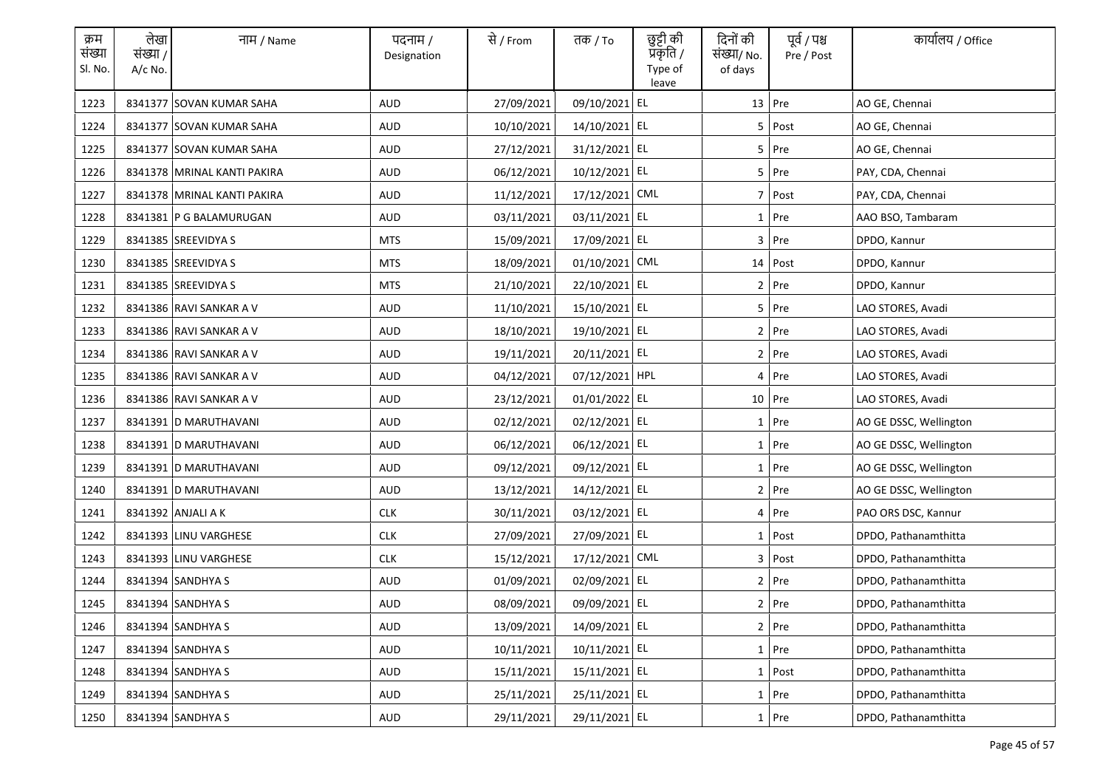| क्रम<br>संख्या<br>Sl. No. | लेखा<br>संख्या /<br>$A/c$ No. | नाम / Name                  | पदनाम /<br>Designation | से / From  | तक <i>/</i> To | छुट्टी की<br>प्रकृति /<br>Type of<br>leave | दिनों की<br>संख्या/ No.<br>of days | पूर्व / पश्च<br>Pre / Post | कार्यालय / Office      |
|---------------------------|-------------------------------|-----------------------------|------------------------|------------|----------------|--------------------------------------------|------------------------------------|----------------------------|------------------------|
| 1223                      |                               | 8341377 SOVAN KUMAR SAHA    | <b>AUD</b>             | 27/09/2021 | 09/10/2021 EL  |                                            |                                    | 13 Pre                     | AO GE, Chennai         |
| 1224                      |                               | 8341377 SOVAN KUMAR SAHA    | <b>AUD</b>             | 10/10/2021 | 14/10/2021 EL  |                                            |                                    | 5 Post                     | AO GE, Chennai         |
| 1225                      |                               | 8341377 SOVAN KUMAR SAHA    | <b>AUD</b>             | 27/12/2021 | 31/12/2021 EL  |                                            |                                    | 5 Pre                      | AO GE, Chennai         |
| 1226                      |                               | 8341378 MRINAL KANTI PAKIRA | AUD                    | 06/12/2021 | 10/12/2021 EL  |                                            |                                    | 5 Pre                      | PAY, CDA, Chennai      |
| 1227                      |                               | 8341378 MRINAL KANTI PAKIRA | AUD                    | 11/12/2021 | 17/12/2021 CML |                                            |                                    | 7 Post                     | PAY, CDA, Chennai      |
| 1228                      |                               | 8341381 P G BALAMURUGAN     | AUD                    | 03/11/2021 | 03/11/2021 EL  |                                            |                                    | 1 Pre                      | AAO BSO, Tambaram      |
| 1229                      |                               | 8341385 SREEVIDYA S         | <b>MTS</b>             | 15/09/2021 | 17/09/2021 EL  |                                            |                                    | $3$ Pre                    | DPDO, Kannur           |
| 1230                      |                               | 8341385 SREEVIDYA S         | <b>MTS</b>             | 18/09/2021 | 01/10/2021 CML |                                            |                                    | 14 Post                    | DPDO, Kannur           |
| 1231                      |                               | 8341385 SREEVIDYA S         | <b>MTS</b>             | 21/10/2021 | 22/10/2021 EL  |                                            |                                    | $2$ Pre                    | DPDO, Kannur           |
| 1232                      |                               | 8341386 RAVI SANKAR A V     | AUD                    | 11/10/2021 | 15/10/2021 EL  |                                            |                                    | 5 Pre                      | LAO STORES, Avadi      |
| 1233                      |                               | 8341386 RAVI SANKAR A V     | AUD                    | 18/10/2021 | 19/10/2021 EL  |                                            |                                    | 2 Pre                      | LAO STORES, Avadi      |
| 1234                      |                               | 8341386 RAVI SANKAR A V     | AUD                    | 19/11/2021 | 20/11/2021 EL  |                                            |                                    | 2 Pre                      | LAO STORES, Avadi      |
| 1235                      |                               | 8341386 RAVI SANKAR A V     | AUD                    | 04/12/2021 | 07/12/2021 HPL |                                            |                                    | 4 Pre                      | LAO STORES, Avadi      |
| 1236                      |                               | 8341386 RAVI SANKAR A V     | AUD                    | 23/12/2021 | 01/01/2022 EL  |                                            |                                    | 10 Pre                     | LAO STORES, Avadi      |
| 1237                      |                               | 8341391 D MARUTHAVANI       | <b>AUD</b>             | 02/12/2021 | 02/12/2021 EL  |                                            |                                    | $1$ Pre                    | AO GE DSSC, Wellington |
| 1238                      |                               | 8341391 D MARUTHAVANI       | <b>AUD</b>             | 06/12/2021 | 06/12/2021 EL  |                                            |                                    | 1 Pre                      | AO GE DSSC, Wellington |
| 1239                      |                               | 8341391 D MARUTHAVANI       | <b>AUD</b>             | 09/12/2021 | 09/12/2021 EL  |                                            |                                    | 1 Pre                      | AO GE DSSC, Wellington |
| 1240                      |                               | 8341391 D MARUTHAVANI       | AUD                    | 13/12/2021 | 14/12/2021 EL  |                                            |                                    | 2 Pre                      | AO GE DSSC, Wellington |
| 1241                      |                               | 8341392 ANJALI A K          | <b>CLK</b>             | 30/11/2021 | 03/12/2021 EL  |                                            |                                    | 4 Pre                      | PAO ORS DSC, Kannur    |
| 1242                      |                               | 8341393 LINU VARGHESE       | <b>CLK</b>             | 27/09/2021 | 27/09/2021 EL  |                                            |                                    | $1$ Post                   | DPDO, Pathanamthitta   |
| 1243                      |                               | 8341393 LINU VARGHESE       | <b>CLK</b>             | 15/12/2021 | 17/12/2021 CML |                                            |                                    | 3 Post                     | DPDO, Pathanamthitta   |
| 1244                      |                               | 8341394 SANDHYA S           | AUD                    | 01/09/2021 | 02/09/2021 EL  |                                            |                                    | 2 Pre                      | DPDO, Pathanamthitta   |
| 1245                      |                               | 8341394 SANDHYA S           | AUD                    | 08/09/2021 | 09/09/2021 EL  |                                            |                                    | 2 Pre                      | DPDO, Pathanamthitta   |
| 1246                      |                               | 8341394 SANDHYA S           | AUD                    | 13/09/2021 | 14/09/2021 EL  |                                            |                                    | 2 Pre                      | DPDO, Pathanamthitta   |
| 1247                      |                               | 8341394 SANDHYA S           | <b>AUD</b>             | 10/11/2021 | 10/11/2021 EL  |                                            |                                    | 1 Pre                      | DPDO, Pathanamthitta   |
| 1248                      |                               | 8341394 SANDHYA S           | AUD                    | 15/11/2021 | 15/11/2021 EL  |                                            |                                    | 1 Post                     | DPDO, Pathanamthitta   |
| 1249                      |                               | 8341394 SANDHYA S           | AUD                    | 25/11/2021 | 25/11/2021 EL  |                                            |                                    | $1$ Pre                    | DPDO, Pathanamthitta   |
| 1250                      |                               | 8341394 SANDHYA S           | AUD                    | 29/11/2021 | 29/11/2021 EL  |                                            |                                    | 1 Pre                      | DPDO, Pathanamthitta   |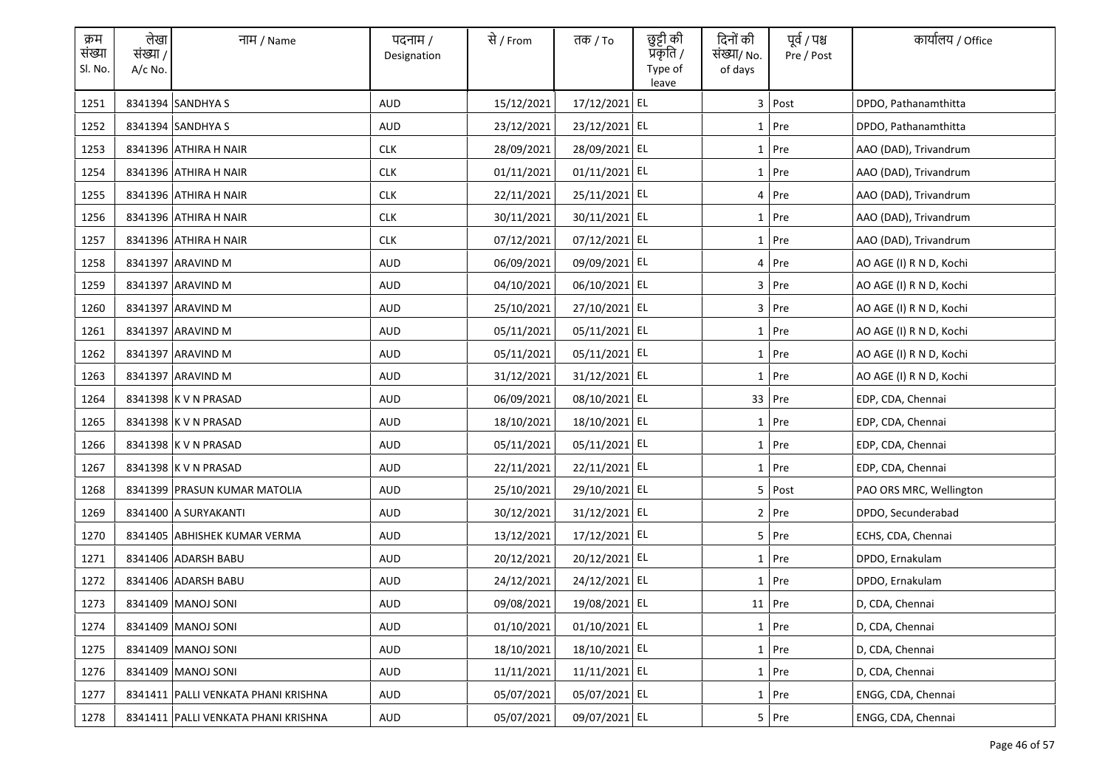| क्रम<br>संख्या<br>Sl. No. | लेखा<br>संख्या /<br>$A/c$ No. | नाम / Name                          | पदनाम /<br>Designation | से / From  | तक <i>/</i> To | छुट्टी की<br>प्रकृति /<br>Type of<br>leave | दिनों की<br>संख्या/ No.<br>of days | पूर्व / पश्च<br>Pre / Post | कार्यालय / Office       |
|---------------------------|-------------------------------|-------------------------------------|------------------------|------------|----------------|--------------------------------------------|------------------------------------|----------------------------|-------------------------|
| 1251                      |                               | 8341394 SANDHYA S                   | <b>AUD</b>             | 15/12/2021 | 17/12/2021 EL  |                                            |                                    | 3 Post                     | DPDO, Pathanamthitta    |
| 1252                      |                               | 8341394 SANDHYA S                   | AUD                    | 23/12/2021 | 23/12/2021 EL  |                                            |                                    | 1 Pre                      | DPDO, Pathanamthitta    |
| 1253                      |                               | 8341396 ATHIRA H NAIR               | <b>CLK</b>             | 28/09/2021 | 28/09/2021 EL  |                                            |                                    | $1$ Pre                    | AAO (DAD), Trivandrum   |
| 1254                      |                               | 8341396 ATHIRA H NAIR               | <b>CLK</b>             | 01/11/2021 | 01/11/2021 EL  |                                            |                                    | $1$ Pre                    | AAO (DAD), Trivandrum   |
| 1255                      |                               | 8341396 ATHIRA H NAIR               | <b>CLK</b>             | 22/11/2021 | 25/11/2021 EL  |                                            |                                    | 4 Pre                      | AAO (DAD), Trivandrum   |
| 1256                      |                               | 8341396 ATHIRA H NAIR               | <b>CLK</b>             | 30/11/2021 | 30/11/2021 EL  |                                            |                                    | 1 Pre                      | AAO (DAD), Trivandrum   |
| 1257                      |                               | 8341396 ATHIRA H NAIR               | <b>CLK</b>             | 07/12/2021 | 07/12/2021 EL  |                                            |                                    | 1 Pre                      | AAO (DAD), Trivandrum   |
| 1258                      |                               | 8341397 ARAVIND M                   | <b>AUD</b>             | 06/09/2021 | 09/09/2021 EL  |                                            |                                    | 4 Pre                      | AO AGE (I) R N D, Kochi |
| 1259                      |                               | 8341397 ARAVIND M                   | <b>AUD</b>             | 04/10/2021 | 06/10/2021 EL  |                                            |                                    | 3 Pre                      | AO AGE (I) R N D, Kochi |
| 1260                      |                               | 8341397 ARAVIND M                   | <b>AUD</b>             | 25/10/2021 | 27/10/2021 EL  |                                            |                                    | 3 Pre                      | AO AGE (I) R N D, Kochi |
| 1261                      |                               | 8341397 ARAVIND M                   | AUD                    | 05/11/2021 | 05/11/2021 EL  |                                            |                                    | $1$ Pre                    | AO AGE (I) R N D, Kochi |
| 1262                      |                               | 8341397 ARAVIND M                   | AUD                    | 05/11/2021 | 05/11/2021 EL  |                                            |                                    | 1 Pre                      | AO AGE (I) R N D, Kochi |
| 1263                      |                               | 8341397 ARAVIND M                   | AUD                    | 31/12/2021 | 31/12/2021 EL  |                                            |                                    | $1$ Pre                    | AO AGE (I) R N D, Kochi |
| 1264                      |                               | 8341398 K V N PRASAD                | AUD                    | 06/09/2021 | 08/10/2021 EL  |                                            |                                    | 33 Pre                     | EDP, CDA, Chennai       |
| 1265                      |                               | 8341398 K V N PRASAD                | <b>AUD</b>             | 18/10/2021 | 18/10/2021 EL  |                                            |                                    | $1$ Pre                    | EDP, CDA, Chennai       |
| 1266                      |                               | 8341398 K V N PRASAD                | <b>AUD</b>             | 05/11/2021 | 05/11/2021 EL  |                                            |                                    | 1 Pre                      | EDP, CDA, Chennai       |
| 1267                      |                               | 8341398 K V N PRASAD                | <b>AUD</b>             | 22/11/2021 | 22/11/2021 EL  |                                            |                                    | $1$ Pre                    | EDP, CDA, Chennai       |
| 1268                      |                               | 8341399 PRASUN KUMAR MATOLIA        | AUD                    | 25/10/2021 | 29/10/2021 EL  |                                            |                                    | 5 Post                     | PAO ORS MRC, Wellington |
| 1269                      |                               | 8341400 A SURYAKANTI                | AUD                    | 30/12/2021 | 31/12/2021 EL  |                                            |                                    | $2$ Pre                    | DPDO, Secunderabad      |
| 1270                      |                               | 8341405 ABHISHEK KUMAR VERMA        | AUD                    | 13/12/2021 | 17/12/2021 EL  |                                            |                                    | 5 Pre                      | ECHS, CDA, Chennai      |
| 1271                      |                               | 8341406 ADARSH BABU                 | AUD                    | 20/12/2021 | 20/12/2021 EL  |                                            |                                    | $1$ Pre                    | DPDO, Ernakulam         |
| 1272                      |                               | 8341406 ADARSH BABU                 | AUD                    | 24/12/2021 | 24/12/2021 EL  |                                            |                                    | $1$ Pre                    | DPDO, Ernakulam         |
| 1273                      |                               | 8341409 MANOJ SONI                  | AUD                    | 09/08/2021 | 19/08/2021 EL  |                                            |                                    | $11$ Pre                   | D, CDA, Chennai         |
| 1274                      |                               | 8341409 MANOJ SONI                  | <b>AUD</b>             | 01/10/2021 | 01/10/2021 EL  |                                            |                                    | $1$ Pre                    | D, CDA, Chennai         |
| 1275                      |                               | 8341409 MANOJ SONI                  | <b>AUD</b>             | 18/10/2021 | 18/10/2021 EL  |                                            |                                    | 1 Pre                      | D, CDA, Chennai         |
| 1276                      |                               | 8341409 MANOJ SONI                  | AUD                    | 11/11/2021 | 11/11/2021 EL  |                                            |                                    | 1 Pre                      | D, CDA, Chennai         |
| 1277                      |                               | 8341411 PALLI VENKATA PHANI KRISHNA | AUD                    | 05/07/2021 | 05/07/2021 EL  |                                            |                                    | $1$ Pre                    | ENGG, CDA, Chennai      |
| 1278                      |                               | 8341411 PALLI VENKATA PHANI KRISHNA | AUD                    | 05/07/2021 | 09/07/2021 EL  |                                            |                                    | 5 Pre                      | ENGG, CDA, Chennai      |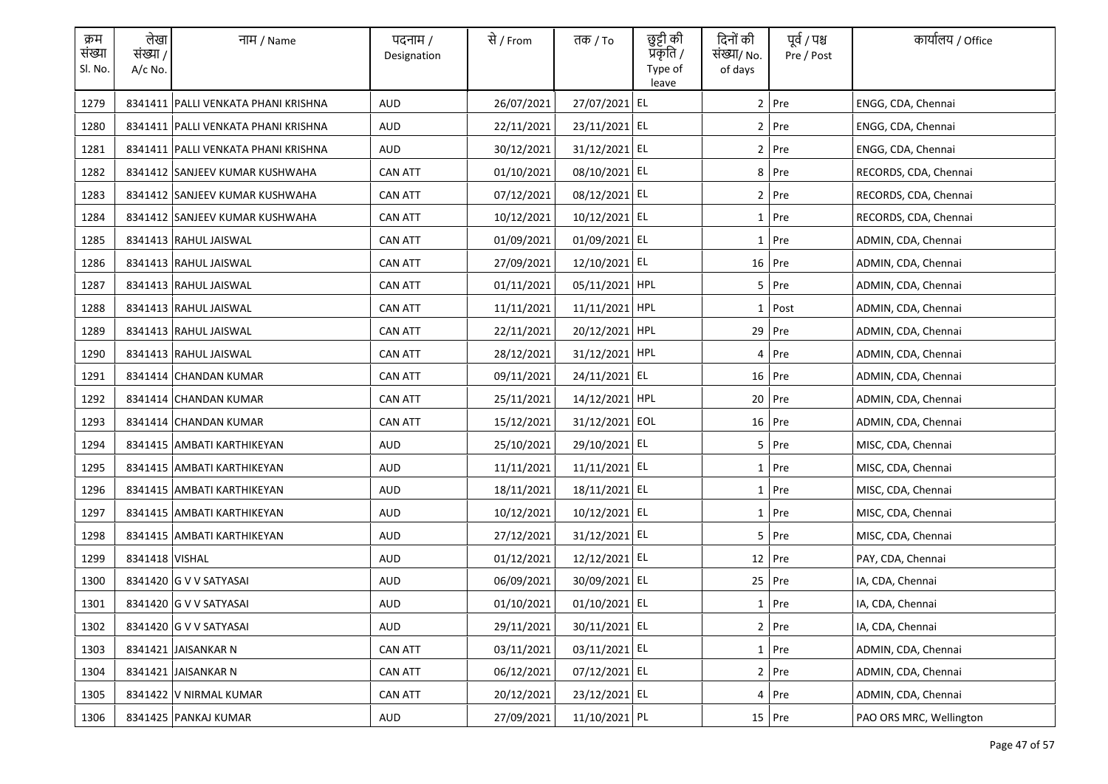| क्रम<br>संख्या<br>Sl. No. | लेखा<br>संख्या /<br>$A/c$ No. | नाम / Name                            | पदनाम /<br>Designation | से / From  | तक <i>/</i> To | छुट्टी की<br>प्रकृति /<br>Type of<br>leave | दिनों की<br>संख्या/ No.<br>of days | पूर्व / पश्च<br>Pre / Post | कार्यालय / Office       |
|---------------------------|-------------------------------|---------------------------------------|------------------------|------------|----------------|--------------------------------------------|------------------------------------|----------------------------|-------------------------|
| 1279                      |                               | 8341411 PALLI VENKATA PHANI KRISHNA   | <b>AUD</b>             | 26/07/2021 | 27/07/2021 EL  |                                            |                                    | $2$ Pre                    | ENGG, CDA, Chennai      |
| 1280                      |                               | 8341411   PALLI VENKATA PHANI KRISHNA | AUD                    | 22/11/2021 | 23/11/2021 EL  |                                            |                                    | $2$ Pre                    | ENGG, CDA, Chennai      |
| 1281                      |                               | 8341411   PALLI VENKATA PHANI KRISHNA | <b>AUD</b>             | 30/12/2021 | 31/12/2021 EL  |                                            |                                    | $2$ Pre                    | ENGG, CDA, Chennai      |
| 1282                      |                               | 8341412 SANJEEV KUMAR KUSHWAHA        | <b>CAN ATT</b>         | 01/10/2021 | 08/10/2021 EL  |                                            |                                    | 8 Pre                      | RECORDS, CDA, Chennai   |
| 1283                      |                               | 8341412 SANJEEV KUMAR KUSHWAHA        | <b>CAN ATT</b>         | 07/12/2021 | 08/12/2021 EL  |                                            |                                    | 2 Pre                      | RECORDS, CDA, Chennai   |
| 1284                      |                               | 8341412 SANJEEV KUMAR KUSHWAHA        | <b>CAN ATT</b>         | 10/12/2021 | 10/12/2021 EL  |                                            |                                    | 1 Pre                      | RECORDS, CDA, Chennai   |
| 1285                      |                               | 8341413 RAHUL JAISWAL                 | <b>CAN ATT</b>         | 01/09/2021 | 01/09/2021 EL  |                                            |                                    | 1 Pre                      | ADMIN, CDA, Chennai     |
| 1286                      |                               | 8341413 RAHUL JAISWAL                 | <b>CAN ATT</b>         | 27/09/2021 | 12/10/2021 EL  |                                            |                                    | 16 Pre                     | ADMIN, CDA, Chennai     |
| 1287                      |                               | 8341413 RAHUL JAISWAL                 | <b>CAN ATT</b>         | 01/11/2021 | 05/11/2021 HPL |                                            |                                    | $5$ Pre                    | ADMIN, CDA, Chennai     |
| 1288                      |                               | 8341413 RAHUL JAISWAL                 | <b>CAN ATT</b>         | 11/11/2021 | 11/11/2021 HPL |                                            |                                    | $1$ Post                   | ADMIN, CDA, Chennai     |
| 1289                      |                               | 8341413 RAHUL JAISWAL                 | <b>CAN ATT</b>         | 22/11/2021 | 20/12/2021 HPL |                                            |                                    | 29 Pre                     | ADMIN, CDA, Chennai     |
| 1290                      |                               | 8341413 RAHUL JAISWAL                 | <b>CAN ATT</b>         | 28/12/2021 | 31/12/2021 HPL |                                            |                                    | 4 Pre                      | ADMIN, CDA, Chennai     |
| 1291                      |                               | 8341414 CHANDAN KUMAR                 | <b>CAN ATT</b>         | 09/11/2021 | 24/11/2021 EL  |                                            |                                    | 16 Pre                     | ADMIN, CDA, Chennai     |
| 1292                      |                               | 8341414 CHANDAN KUMAR                 | <b>CAN ATT</b>         | 25/11/2021 | 14/12/2021 HPL |                                            |                                    | 20 Pre                     | ADMIN, CDA, Chennai     |
| 1293                      |                               | 8341414 CHANDAN KUMAR                 | <b>CAN ATT</b>         | 15/12/2021 | 31/12/2021 EOL |                                            |                                    | 16 Pre                     | ADMIN, CDA, Chennai     |
| 1294                      |                               | 8341415 AMBATI KARTHIKEYAN            | <b>AUD</b>             | 25/10/2021 | 29/10/2021 EL  |                                            |                                    | $5$ Pre                    | MISC, CDA, Chennai      |
| 1295                      |                               | 8341415 AMBATI KARTHIKEYAN            | <b>AUD</b>             | 11/11/2021 | 11/11/2021 EL  |                                            |                                    | 1 Pre                      | MISC, CDA, Chennai      |
| 1296                      |                               | 8341415 AMBATI KARTHIKEYAN            | AUD                    | 18/11/2021 | 18/11/2021 EL  |                                            |                                    | 1 Pre                      | MISC, CDA, Chennai      |
| 1297                      |                               | 8341415   AMBATI KARTHIKEYAN          | AUD                    | 10/12/2021 | 10/12/2021 EL  |                                            |                                    | $1$ Pre                    | MISC, CDA, Chennai      |
| 1298                      |                               | 8341415 AMBATI KARTHIKEYAN            | AUD                    | 27/12/2021 | 31/12/2021 EL  |                                            |                                    | 5 Pre                      | MISC, CDA, Chennai      |
| 1299                      | 8341418 VISHAL                |                                       | AUD                    | 01/12/2021 | 12/12/2021 EL  |                                            |                                    | $12$ Pre                   | PAY, CDA, Chennai       |
| 1300                      |                               | 8341420 G V V SATYASAI                | AUD                    | 06/09/2021 | 30/09/2021 EL  |                                            |                                    | 25 Pre                     | IA, CDA, Chennai        |
| 1301                      |                               | 8341420 G V V SATYASAI                | AUD                    | 01/10/2021 | 01/10/2021 EL  |                                            |                                    | 1 Pre                      | IA, CDA, Chennai        |
| 1302                      |                               | 8341420 G V V SATYASAI                | AUD                    | 29/11/2021 | 30/11/2021 EL  |                                            |                                    | $2$ Pre                    | IA, CDA, Chennai        |
| 1303                      |                               | 8341421 JAISANKAR N                   | <b>CAN ATT</b>         | 03/11/2021 | 03/11/2021 EL  |                                            |                                    | 1 Pre                      | ADMIN, CDA, Chennai     |
| 1304                      |                               | 8341421 JAISANKAR N                   | <b>CAN ATT</b>         | 06/12/2021 | 07/12/2021 EL  |                                            |                                    | 2 Pre                      | ADMIN, CDA, Chennai     |
| 1305                      |                               | 8341422 V NIRMAL KUMAR                | <b>CAN ATT</b>         | 20/12/2021 | 23/12/2021 EL  |                                            |                                    | 4 Pre                      | ADMIN, CDA, Chennai     |
| 1306                      |                               | 8341425 PANKAJ KUMAR                  | AUD                    | 27/09/2021 | 11/10/2021 PL  |                                            |                                    | 15 Pre                     | PAO ORS MRC, Wellington |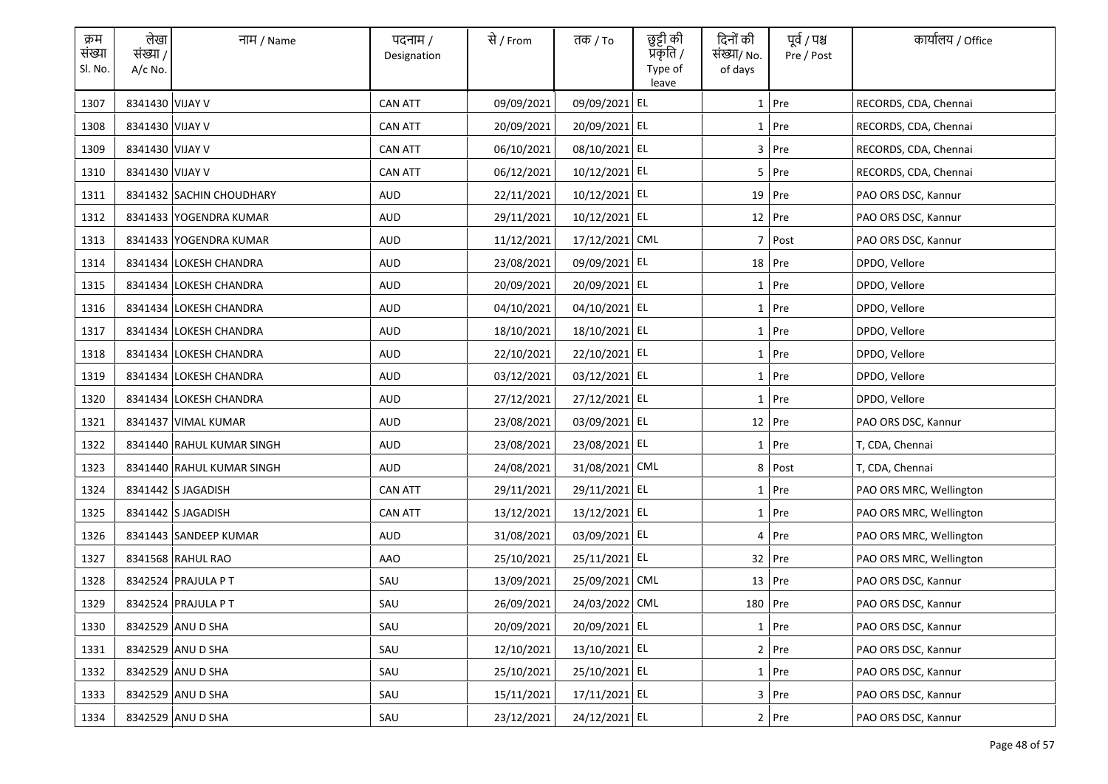| क्रम<br>संख्या<br>Sl. No. | लेखा<br>संख्या /<br>$A/c$ No. | नाम / Name                | पदनाम /<br>Designation | से / From  | तक <i>/</i> To | छुट्टी की<br>प्रकृति /<br>Type of<br>leave | दिनों की<br>संख्या/ No.<br>of days | पूर्व / पश्च<br>Pre / Post | कार्यालय / Office       |
|---------------------------|-------------------------------|---------------------------|------------------------|------------|----------------|--------------------------------------------|------------------------------------|----------------------------|-------------------------|
| 1307                      | 8341430 VIJAY V               |                           | <b>CAN ATT</b>         | 09/09/2021 | 09/09/2021 EL  |                                            |                                    | $1$ Pre                    | RECORDS, CDA, Chennai   |
| 1308                      | 8341430 VIJAY V               |                           | <b>CAN ATT</b>         | 20/09/2021 | 20/09/2021 EL  |                                            |                                    | 1 Pre                      | RECORDS, CDA, Chennai   |
| 1309                      | 8341430 VIJAY V               |                           | <b>CAN ATT</b>         | 06/10/2021 | 08/10/2021 EL  |                                            |                                    | 3 Pre                      | RECORDS, CDA, Chennai   |
| 1310                      | 8341430 VIJAY V               |                           | <b>CAN ATT</b>         | 06/12/2021 | 10/12/2021 EL  |                                            |                                    | 5 Pre                      | RECORDS, CDA, Chennai   |
| 1311                      |                               | 8341432 SACHIN CHOUDHARY  | <b>AUD</b>             | 22/11/2021 | 10/12/2021 EL  |                                            |                                    | 19 Pre                     | PAO ORS DSC, Kannur     |
| 1312                      |                               | 8341433 YOGENDRA KUMAR    | AUD                    | 29/11/2021 | 10/12/2021 EL  |                                            |                                    | 12 Pre                     | PAO ORS DSC, Kannur     |
| 1313                      |                               | 8341433 YOGENDRA KUMAR    | AUD                    | 11/12/2021 | 17/12/2021 CML |                                            | 7                                  | Post                       | PAO ORS DSC, Kannur     |
| 1314                      |                               | 8341434 LOKESH CHANDRA    | <b>AUD</b>             | 23/08/2021 | 09/09/2021 EL  |                                            |                                    | 18 Pre                     | DPDO, Vellore           |
| 1315                      |                               | 8341434 LOKESH CHANDRA    | <b>AUD</b>             | 20/09/2021 | 20/09/2021 EL  |                                            |                                    | 1 Pre                      | DPDO, Vellore           |
| 1316                      |                               | 8341434 LOKESH CHANDRA    | AUD                    | 04/10/2021 | 04/10/2021 EL  |                                            |                                    | $1$ Pre                    | DPDO, Vellore           |
| 1317                      |                               | 8341434 LOKESH CHANDRA    | AUD                    | 18/10/2021 | 18/10/2021 EL  |                                            |                                    | $1$ Pre                    | DPDO, Vellore           |
| 1318                      |                               | 8341434 LOKESH CHANDRA    | AUD                    | 22/10/2021 | 22/10/2021 EL  |                                            |                                    | 1 Pre                      | DPDO, Vellore           |
| 1319                      |                               | 8341434 LOKESH CHANDRA    | AUD                    | 03/12/2021 | 03/12/2021 EL  |                                            |                                    | $1$ Pre                    | DPDO, Vellore           |
| 1320                      |                               | 8341434 LOKESH CHANDRA    | AUD                    | 27/12/2021 | 27/12/2021 EL  |                                            |                                    | 1 Pre                      | DPDO, Vellore           |
| 1321                      |                               | 8341437 VIMAL KUMAR       | <b>AUD</b>             | 23/08/2021 | 03/09/2021 EL  |                                            |                                    | $12$ Pre                   | PAO ORS DSC, Kannur     |
| 1322                      |                               | 8341440 RAHUL KUMAR SINGH | <b>AUD</b>             | 23/08/2021 | 23/08/2021 EL  |                                            |                                    | 1 Pre                      | T, CDA, Chennai         |
| 1323                      |                               | 8341440 RAHUL KUMAR SINGH | <b>AUD</b>             | 24/08/2021 | 31/08/2021 CML |                                            |                                    | 8 Post                     | T, CDA, Chennai         |
| 1324                      |                               | 8341442 S JAGADISH        | <b>CAN ATT</b>         | 29/11/2021 | 29/11/2021 EL  |                                            |                                    | 1 Pre                      | PAO ORS MRC, Wellington |
| 1325                      |                               | 8341442 S JAGADISH        | <b>CAN ATT</b>         | 13/12/2021 | 13/12/2021 EL  |                                            |                                    | $1$ Pre                    | PAO ORS MRC, Wellington |
| 1326                      |                               | 8341443 SANDEEP KUMAR     | <b>AUD</b>             | 31/08/2021 | 03/09/2021 EL  |                                            |                                    | 4 Pre                      | PAO ORS MRC, Wellington |
| 1327                      |                               | 8341568 RAHUL RAO         | AAO                    | 25/10/2021 | 25/11/2021 EL  |                                            |                                    | 32 Pre                     | PAO ORS MRC, Wellington |
| 1328                      |                               | 8342524 PRAJULA P T       | SAU                    | 13/09/2021 | 25/09/2021 CML |                                            |                                    | 13 Pre                     | PAO ORS DSC, Kannur     |
| 1329                      |                               | 8342524 PRAJULA P T       | SAU                    | 26/09/2021 | 24/03/2022 CML |                                            | 180 Pre                            |                            | PAO ORS DSC, Kannur     |
| 1330                      |                               | 8342529 ANU D SHA         | SAU                    | 20/09/2021 | 20/09/2021 EL  |                                            |                                    | $1$ Pre                    | PAO ORS DSC, Kannur     |
| 1331                      |                               | 8342529 ANU D SHA         | SAU                    | 12/10/2021 | 13/10/2021 EL  |                                            |                                    | 2 Pre                      | PAO ORS DSC, Kannur     |
| 1332                      |                               | 8342529 ANU D SHA         | SAU                    | 25/10/2021 | 25/10/2021 EL  |                                            |                                    | 1 Pre                      | PAO ORS DSC, Kannur     |
| 1333                      |                               | 8342529 ANU D SHA         | SAU                    | 15/11/2021 | 17/11/2021 EL  |                                            |                                    | 3 Pre                      | PAO ORS DSC, Kannur     |
| 1334                      |                               | 8342529 ANU D SHA         | SAU                    | 23/12/2021 | 24/12/2021 EL  |                                            |                                    | $2$ Pre                    | PAO ORS DSC, Kannur     |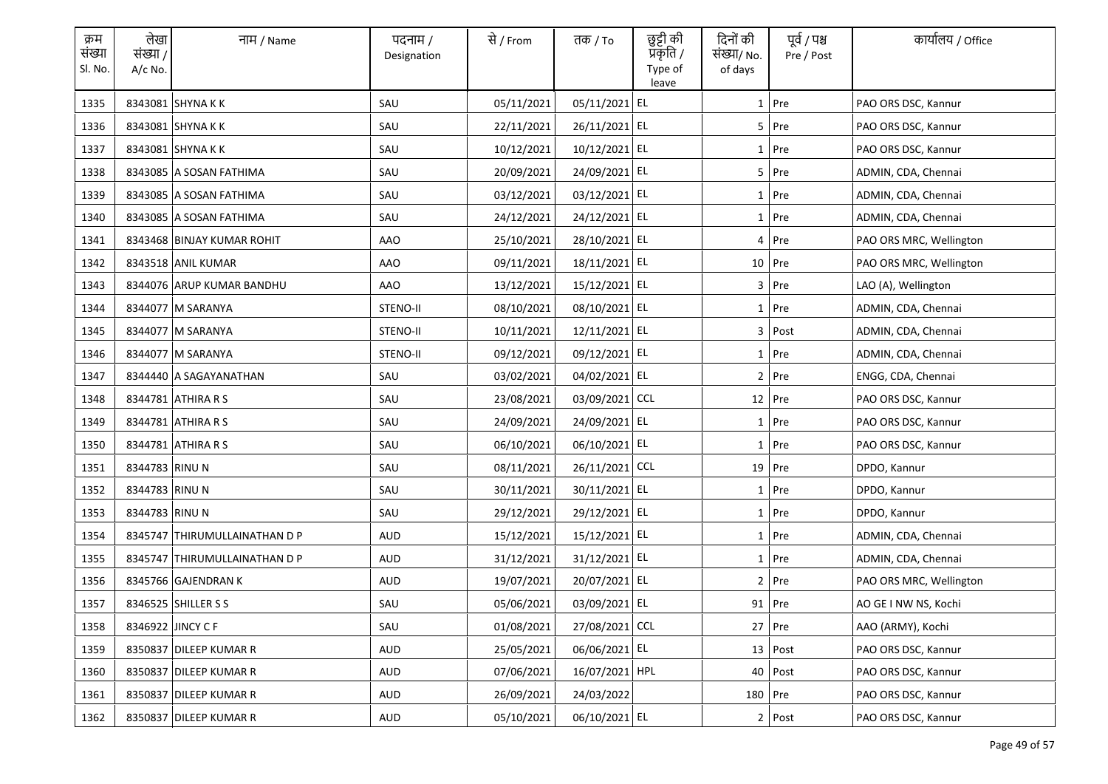| क्रम<br>संख्या<br>Sl. No. | लेखा<br>संख्या /<br>A/c No. | नाम / Name                    | पदनाम /<br>Designation | से / From  | तक / To        | छुट्टी की<br>प्रकृति /<br>Type of<br>leave | दिनों की<br>संख्या/ No.<br>of days | पूर्व / पश्च<br>Pre / Post | कार्यालय / Office       |
|---------------------------|-----------------------------|-------------------------------|------------------------|------------|----------------|--------------------------------------------|------------------------------------|----------------------------|-------------------------|
| 1335                      |                             | 8343081 SHYNA K K             | SAU                    | 05/11/2021 | 05/11/2021 EL  |                                            |                                    | $1$ Pre                    | PAO ORS DSC, Kannur     |
| 1336                      |                             | 8343081 SHYNA K K             | SAU                    | 22/11/2021 | 26/11/2021 EL  |                                            |                                    | $5$ Pre                    | PAO ORS DSC, Kannur     |
| 1337                      |                             | 8343081 SHYNA K K             | SAU                    | 10/12/2021 | 10/12/2021 EL  |                                            |                                    | $1$ Pre                    | PAO ORS DSC, Kannur     |
| 1338                      |                             | 8343085 A SOSAN FATHIMA       | SAU                    | 20/09/2021 | 24/09/2021 EL  |                                            |                                    | $5$ Pre                    | ADMIN, CDA, Chennai     |
| 1339                      |                             | 8343085 A SOSAN FATHIMA       | SAU                    | 03/12/2021 | 03/12/2021 EL  |                                            |                                    | $1$ Pre                    | ADMIN, CDA, Chennai     |
| 1340                      |                             | 8343085 A SOSAN FATHIMA       | SAU                    | 24/12/2021 | 24/12/2021 EL  |                                            |                                    | 1 Pre                      | ADMIN, CDA, Chennai     |
| 1341                      |                             | 8343468 BINJAY KUMAR ROHIT    | AAO                    | 25/10/2021 | 28/10/2021 EL  |                                            |                                    | $4$ Pre                    | PAO ORS MRC, Wellington |
| 1342                      |                             | 8343518 ANIL KUMAR            | AAO                    | 09/11/2021 | 18/11/2021 EL  |                                            |                                    | 10 Pre                     | PAO ORS MRC, Wellington |
| 1343                      |                             | 8344076 ARUP KUMAR BANDHU     | AAO                    | 13/12/2021 | 15/12/2021 EL  |                                            |                                    | $3$ Pre                    | LAO (A), Wellington     |
| 1344                      |                             | 8344077 M SARANYA             | STENO-II               | 08/10/2021 | 08/10/2021 EL  |                                            |                                    | 1 Pre                      | ADMIN, CDA, Chennai     |
| 1345                      |                             | 8344077 M SARANYA             | STENO-II               | 10/11/2021 | 12/11/2021 EL  |                                            |                                    | 3 Post                     | ADMIN, CDA, Chennai     |
| 1346                      |                             | 8344077 M SARANYA             | STENO-II               | 09/12/2021 | 09/12/2021 EL  |                                            |                                    | $1$ Pre                    | ADMIN, CDA, Chennai     |
| 1347                      |                             | 8344440 A SAGAYANATHAN        | SAU                    | 03/02/2021 | 04/02/2021 EL  |                                            |                                    | 2 Pre                      | ENGG, CDA, Chennai      |
| 1348                      |                             | 8344781 ATHIRA R S            | SAU                    | 23/08/2021 | 03/09/2021 CCL |                                            |                                    | $12$ Pre                   | PAO ORS DSC, Kannur     |
| 1349                      |                             | 8344781 ATHIRA R S            | SAU                    | 24/09/2021 | 24/09/2021 EL  |                                            |                                    | $1$ Pre                    | PAO ORS DSC, Kannur     |
| 1350                      |                             | 8344781 ATHIRA R S            | SAU                    | 06/10/2021 | 06/10/2021 EL  |                                            |                                    | 1 Pre                      | PAO ORS DSC, Kannur     |
| 1351                      | 8344783 RINU N              |                               | SAU                    | 08/11/2021 | 26/11/2021 CCL |                                            |                                    | 19 Pre                     | DPDO, Kannur            |
| 1352                      | 8344783 RINU N              |                               | SAU                    | 30/11/2021 | 30/11/2021 EL  |                                            |                                    | 1 Pre                      | DPDO, Kannur            |
| 1353                      | 8344783 RINU N              |                               | SAU                    | 29/12/2021 | 29/12/2021 EL  |                                            |                                    | $1$ Pre                    | DPDO, Kannur            |
| 1354                      |                             | 8345747 THIRUMULLAINATHAN D P | AUD                    | 15/12/2021 | 15/12/2021 EL  |                                            |                                    | $1$ Pre                    | ADMIN, CDA, Chennai     |
| 1355                      |                             | 8345747 THIRUMULLAINATHAN D P | AUD                    | 31/12/2021 | 31/12/2021 EL  |                                            |                                    | $1$ Pre                    | ADMIN, CDA, Chennai     |
| 1356                      |                             | 8345766 GAJENDRAN K           | AUD                    | 19/07/2021 | 20/07/2021 EL  |                                            |                                    | $2$ Pre                    | PAO ORS MRC, Wellington |
| 1357                      |                             | 8346525 SHILLER S S           | SAU                    | 05/06/2021 | 03/09/2021 EL  |                                            |                                    | 91 Pre                     | AO GE I NW NS, Kochi    |
| 1358                      |                             | 8346922 JINCY C F             | SAU                    | 01/08/2021 | 27/08/2021 CCL |                                            |                                    | 27 Pre                     | AAO (ARMY), Kochi       |
| 1359                      |                             | 8350837 DILEEP KUMAR R        | AUD                    | 25/05/2021 | 06/06/2021 EL  |                                            |                                    | 13 Post                    | PAO ORS DSC, Kannur     |
| 1360                      |                             | 8350837 DILEEP KUMAR R        | AUD                    | 07/06/2021 | 16/07/2021 HPL |                                            |                                    | $40$ Post                  | PAO ORS DSC, Kannur     |
| 1361                      |                             | 8350837 DILEEP KUMAR R        | AUD                    | 26/09/2021 | 24/03/2022     |                                            | 180 Pre                            |                            | PAO ORS DSC, Kannur     |
| 1362                      |                             | 8350837 DILEEP KUMAR R        | AUD                    | 05/10/2021 | 06/10/2021 EL  |                                            |                                    | 2 Post                     | PAO ORS DSC. Kannur     |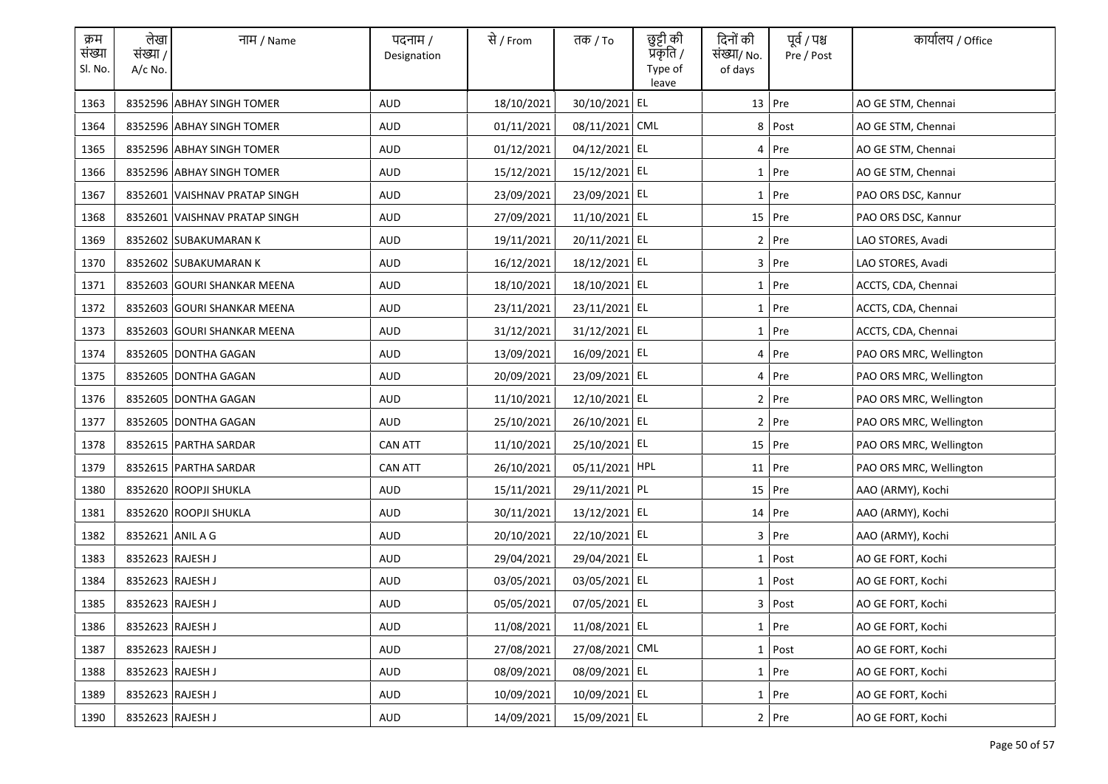| क्रम<br>संख्या<br>Sl. No. | लेखा<br>संख्या /<br>$A/c$ No. | नाम / Name                    | पदनाम /<br>Designation | से / From  | तक <i>/</i> To | छुट्टी की<br>प्रॅकृति /<br>Type of<br>leave | दिनों की<br>संख्या/ No.<br>of days | पूर्व / पश्च<br>Pre / Post | कार्यालय / Office       |
|---------------------------|-------------------------------|-------------------------------|------------------------|------------|----------------|---------------------------------------------|------------------------------------|----------------------------|-------------------------|
| 1363                      |                               | 8352596 ABHAY SINGH TOMER     | <b>AUD</b>             | 18/10/2021 | 30/10/2021 EL  |                                             |                                    | 13 Pre                     | AO GE STM, Chennai      |
| 1364                      |                               | 8352596 ABHAY SINGH TOMER     | <b>AUD</b>             | 01/11/2021 | 08/11/2021 CML |                                             | 8                                  | Post                       | AO GE STM, Chennai      |
| 1365                      |                               | 8352596 ABHAY SINGH TOMER     | <b>AUD</b>             | 01/12/2021 | 04/12/2021 EL  |                                             |                                    | 4 Pre                      | AO GE STM, Chennai      |
| 1366                      |                               | 8352596 ABHAY SINGH TOMER     | AUD                    | 15/12/2021 | 15/12/2021 EL  |                                             |                                    | 1 Pre                      | AO GE STM, Chennai      |
| 1367                      |                               | 8352601 VAISHNAV PRATAP SINGH | <b>AUD</b>             | 23/09/2021 | 23/09/2021 EL  |                                             |                                    | 1 Pre                      | PAO ORS DSC, Kannur     |
| 1368                      |                               | 8352601 VAISHNAV PRATAP SINGH | AUD                    | 27/09/2021 | 11/10/2021 EL  |                                             |                                    | $15$ Pre                   | PAO ORS DSC, Kannur     |
| 1369                      |                               | 8352602 SUBAKUMARAN K         | <b>AUD</b>             | 19/11/2021 | 20/11/2021 EL  |                                             |                                    | $2$ Pre                    | LAO STORES, Avadi       |
| 1370                      |                               | 8352602 SUBAKUMARAN K         | <b>AUD</b>             | 16/12/2021 | 18/12/2021 EL  |                                             |                                    | $3$ Pre                    | LAO STORES, Avadi       |
| 1371                      |                               | 8352603 GOURI SHANKAR MEENA   | <b>AUD</b>             | 18/10/2021 | 18/10/2021 EL  |                                             |                                    | $1$ Pre                    | ACCTS, CDA, Chennai     |
| 1372                      |                               | 8352603 GOURI SHANKAR MEENA   | <b>AUD</b>             | 23/11/2021 | 23/11/2021 EL  |                                             |                                    | $1$ Pre                    | ACCTS, CDA, Chennai     |
| 1373                      |                               | 8352603 GOURI SHANKAR MEENA   | AUD                    | 31/12/2021 | 31/12/2021 EL  |                                             |                                    | $1$ Pre                    | ACCTS, CDA, Chennai     |
| 1374                      |                               | 8352605 DONTHA GAGAN          | AUD                    | 13/09/2021 | 16/09/2021 EL  |                                             |                                    | 4 Pre                      | PAO ORS MRC, Wellington |
| 1375                      |                               | 8352605 DONTHA GAGAN          | AUD                    | 20/09/2021 | 23/09/2021 EL  |                                             |                                    | 4 Pre                      | PAO ORS MRC, Wellington |
| 1376                      |                               | 8352605 DONTHA GAGAN          | AUD                    | 11/10/2021 | 12/10/2021 EL  |                                             |                                    | $2$ Pre                    | PAO ORS MRC, Wellington |
| 1377                      |                               | 8352605 DONTHA GAGAN          | <b>AUD</b>             | 25/10/2021 | 26/10/2021 EL  |                                             |                                    | $2$ Pre                    | PAO ORS MRC, Wellington |
| 1378                      |                               | 8352615 PARTHA SARDAR         | <b>CAN ATT</b>         | 11/10/2021 | 25/10/2021 EL  |                                             |                                    | 15 Pre                     | PAO ORS MRC, Wellington |
| 1379                      |                               | 8352615 PARTHA SARDAR         | <b>CAN ATT</b>         | 26/10/2021 | 05/11/2021 HPL |                                             |                                    | 11 Pre                     | PAO ORS MRC, Wellington |
| 1380                      |                               | 8352620 ROOPJI SHUKLA         | AUD                    | 15/11/2021 | 29/11/2021 PL  |                                             |                                    | 15 Pre                     | AAO (ARMY), Kochi       |
| 1381                      |                               | 8352620 ROOPJI SHUKLA         | AUD                    | 30/11/2021 | 13/12/2021 EL  |                                             |                                    | $14$ Pre                   | AAO (ARMY), Kochi       |
| 1382                      | 8352621 ANIL A G              |                               | AUD                    | 20/10/2021 | 22/10/2021 EL  |                                             |                                    | $3$ Pre                    | AAO (ARMY), Kochi       |
| 1383                      | 8352623 RAJESH J              |                               | AUD                    | 29/04/2021 | 29/04/2021 EL  |                                             |                                    | $1$ Post                   | AO GE FORT, Kochi       |
| 1384                      | 8352623 RAJESH J              |                               | AUD                    | 03/05/2021 | 03/05/2021 EL  |                                             |                                    | $1$ Post                   | AO GE FORT, Kochi       |
| 1385                      | 8352623 RAJESH J              |                               | <b>AUD</b>             | 05/05/2021 | 07/05/2021 EL  |                                             |                                    | 3 Post                     | AO GE FORT, Kochi       |
| 1386                      | 8352623 RAJESH J              |                               | <b>AUD</b>             | 11/08/2021 | 11/08/2021 EL  |                                             |                                    | $1$ Pre                    | AO GE FORT, Kochi       |
| 1387                      | 8352623 RAJESH J              |                               | <b>AUD</b>             | 27/08/2021 | 27/08/2021 CML |                                             |                                    | $1$ Post                   | AO GE FORT, Kochi       |
| 1388                      | 8352623 RAJESH J              |                               | AUD                    | 08/09/2021 | 08/09/2021 EL  |                                             |                                    | 1 Pre                      | AO GE FORT, Kochi       |
| 1389                      | 8352623 RAJESH J              |                               | AUD                    | 10/09/2021 | 10/09/2021 EL  |                                             |                                    | $1$ Pre                    | AO GE FORT, Kochi       |
| 1390                      | 8352623 RAJESH J              |                               | AUD                    | 14/09/2021 | 15/09/2021 EL  |                                             |                                    | 2 Pre                      | AO GE FORT, Kochi       |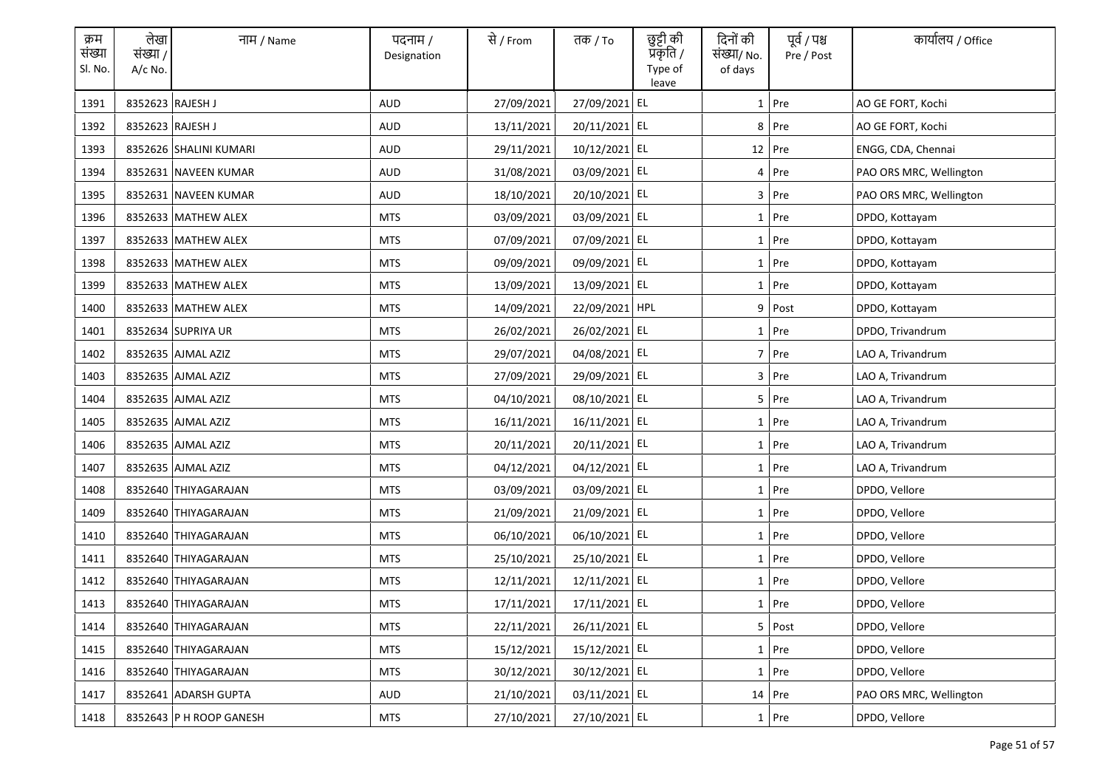| क्रम<br>संख्या<br>Sl. No. | लेखा<br>संख्या /<br>A/c No. | नाम / Name              | पदनाम /<br>Designation | से / From  | तक / To        | छुट्टी की<br>प्रकृति /<br>Type of<br>leave | दिनों की<br>संख्या/ No.<br>of days | पूर्व / पश्च<br>Pre / Post | कार्यालय / Office       |
|---------------------------|-----------------------------|-------------------------|------------------------|------------|----------------|--------------------------------------------|------------------------------------|----------------------------|-------------------------|
| 1391                      |                             | 8352623 RAJESH J        | <b>AUD</b>             | 27/09/2021 | 27/09/2021 EL  |                                            |                                    | 1 Pre                      | AO GE FORT, Kochi       |
| 1392                      |                             | 8352623 RAJESH J        | <b>AUD</b>             | 13/11/2021 | 20/11/2021 EL  |                                            |                                    | 8 Pre                      | AO GE FORT, Kochi       |
| 1393                      |                             | 8352626 SHALINI KUMARI  | AUD                    | 29/11/2021 | 10/12/2021 EL  |                                            |                                    | $12$ Pre                   | ENGG, CDA, Chennai      |
| 1394                      |                             | 8352631 NAVEEN KUMAR    | AUD                    | 31/08/2021 | 03/09/2021 EL  |                                            |                                    | 4 Pre                      | PAO ORS MRC, Wellington |
| 1395                      |                             | 8352631 NAVEEN KUMAR    | AUD                    | 18/10/2021 | 20/10/2021 EL  |                                            |                                    | 3 Pre                      | PAO ORS MRC, Wellington |
| 1396                      |                             | 8352633 MATHEW ALEX     | <b>MTS</b>             | 03/09/2021 | 03/09/2021 EL  |                                            |                                    | 1 Pre                      | DPDO, Kottayam          |
| 1397                      |                             | 8352633 MATHEW ALEX     | <b>MTS</b>             | 07/09/2021 | 07/09/2021 EL  |                                            |                                    | 1 Pre                      | DPDO, Kottayam          |
| 1398                      |                             | 8352633 MATHEW ALEX     | <b>MTS</b>             | 09/09/2021 | 09/09/2021 EL  |                                            |                                    | 1 Pre                      | DPDO, Kottayam          |
| 1399                      |                             | 8352633 MATHEW ALEX     | <b>MTS</b>             | 13/09/2021 | 13/09/2021 EL  |                                            |                                    | 1 Pre                      | DPDO, Kottayam          |
| 1400                      |                             | 8352633 MATHEW ALEX     | <b>MTS</b>             | 14/09/2021 | 22/09/2021 HPL |                                            |                                    | 9 Post                     | DPDO, Kottayam          |
| 1401                      |                             | 8352634 SUPRIYA UR      | <b>MTS</b>             | 26/02/2021 | 26/02/2021 EL  |                                            |                                    | 1 Pre                      | DPDO, Trivandrum        |
| 1402                      |                             | 8352635 AJMAL AZIZ      | <b>MTS</b>             | 29/07/2021 | 04/08/2021 EL  |                                            |                                    | 7 Pre                      | LAO A, Trivandrum       |
| 1403                      |                             | 8352635 AJMAL AZIZ      | <b>MTS</b>             | 27/09/2021 | 29/09/2021 EL  |                                            |                                    | 3 Pre                      | LAO A, Trivandrum       |
| 1404                      |                             | 8352635 AJMAL AZIZ      | <b>MTS</b>             | 04/10/2021 | 08/10/2021 EL  |                                            |                                    | 5 Pre                      | LAO A, Trivandrum       |
| 1405                      |                             | 8352635 AJMAL AZIZ      | <b>MTS</b>             | 16/11/2021 | 16/11/2021 EL  |                                            |                                    | 1 Pre                      | LAO A, Trivandrum       |
| 1406                      |                             | 8352635 AJMAL AZIZ      | <b>MTS</b>             | 20/11/2021 | 20/11/2021 EL  |                                            |                                    | 1 Pre                      | LAO A, Trivandrum       |
| 1407                      |                             | 8352635 AJMAL AZIZ      | <b>MTS</b>             | 04/12/2021 | 04/12/2021 EL  |                                            |                                    | 1 Pre                      | LAO A, Trivandrum       |
| 1408                      |                             | 8352640 THIYAGARAJAN    | <b>MTS</b>             | 03/09/2021 | 03/09/2021 EL  |                                            |                                    | 1 Pre                      | DPDO, Vellore           |
| 1409                      |                             | 8352640 THIYAGARAJAN    | <b>MTS</b>             | 21/09/2021 | 21/09/2021 EL  |                                            |                                    | 1 Pre                      | DPDO, Vellore           |
| 1410                      |                             | 8352640 THIYAGARAJAN    | <b>MTS</b>             | 06/10/2021 | 06/10/2021 EL  |                                            |                                    | 1 Pre                      | DPDO, Vellore           |
| 1411                      |                             | 8352640 THIYAGARAJAN    | <b>MTS</b>             | 25/10/2021 | 25/10/2021 EL  |                                            |                                    | 1 Pre                      | DPDO, Vellore           |
| 1412                      |                             | 8352640 THIYAGARAJAN    | <b>MTS</b>             | 12/11/2021 | 12/11/2021 EL  |                                            |                                    | $1$ Pre                    | DPDO, Vellore           |
| 1413                      |                             | 8352640 THIYAGARAJAN    | <b>MTS</b>             | 17/11/2021 | 17/11/2021 EL  |                                            |                                    | 1 Pre                      | DPDO, Vellore           |
| 1414                      |                             | 8352640 THIYAGARAJAN    | <b>MTS</b>             | 22/11/2021 | 26/11/2021 EL  |                                            |                                    | 5 Post                     | DPDO, Vellore           |
| 1415                      |                             | 8352640 THIYAGARAJAN    | <b>MTS</b>             | 15/12/2021 | 15/12/2021 EL  |                                            |                                    | 1 Pre                      | DPDO, Vellore           |
| 1416                      |                             | 8352640 THIYAGARAJAN    | <b>MTS</b>             | 30/12/2021 | 30/12/2021 EL  |                                            |                                    | 1 Pre                      | DPDO, Vellore           |
| 1417                      |                             | 8352641 ADARSH GUPTA    | AUD                    | 21/10/2021 | 03/11/2021 EL  |                                            |                                    | $14$ Pre                   | PAO ORS MRC, Wellington |
| 1418                      |                             | 8352643 P H ROOP GANESH | <b>MTS</b>             | 27/10/2021 | 27/10/2021 EL  |                                            |                                    | $1$ Pre                    | DPDO, Vellore           |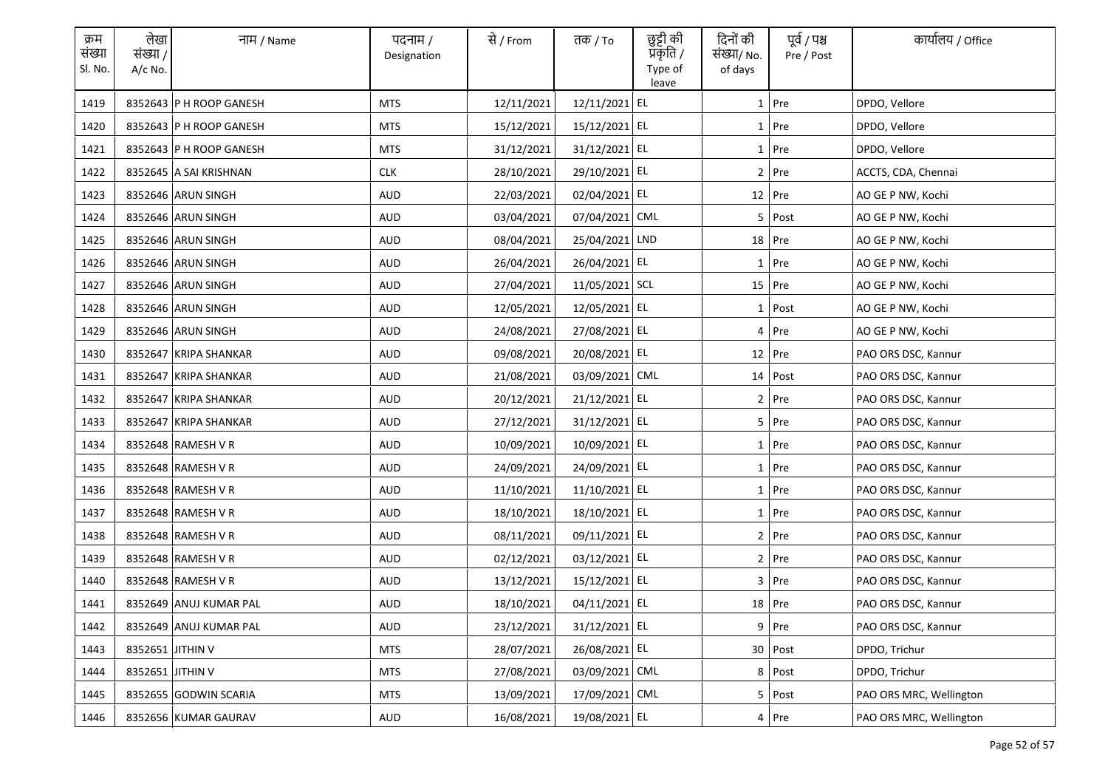| क्रम<br>संख्या<br>Sl. No. | लेखा<br>संख्या /<br>$A/c$ No. | नाम / Name              | पदनाम /<br>Designation | से / From  | तक <i>/</i> To | छुट्टी की<br>प्रॅकृति /<br>Type of<br>leave | दिनों की<br>संख्या/ No.<br>of days | पूर्व / पश्च<br>Pre / Post | कार्यालय / Office       |
|---------------------------|-------------------------------|-------------------------|------------------------|------------|----------------|---------------------------------------------|------------------------------------|----------------------------|-------------------------|
| 1419                      |                               | 8352643 P H ROOP GANESH | <b>MTS</b>             | 12/11/2021 | 12/11/2021 EL  |                                             |                                    | $1$ Pre                    | DPDO, Vellore           |
| 1420                      |                               | 8352643 P H ROOP GANESH | <b>MTS</b>             | 15/12/2021 | 15/12/2021 EL  |                                             |                                    | 1 Pre                      | DPDO, Vellore           |
| 1421                      |                               | 8352643 P H ROOP GANESH | <b>MTS</b>             | 31/12/2021 | 31/12/2021 EL  |                                             |                                    | $1$ Pre                    | DPDO, Vellore           |
| 1422                      |                               | 8352645 A SAI KRISHNAN  | <b>CLK</b>             | 28/10/2021 | 29/10/2021 EL  |                                             |                                    | 2 Pre                      | ACCTS, CDA, Chennai     |
| 1423                      |                               | 8352646 ARUN SINGH      | <b>AUD</b>             | 22/03/2021 | 02/04/2021 EL  |                                             |                                    | 12 Pre                     | AO GE P NW, Kochi       |
| 1424                      |                               | 8352646 ARUN SINGH      | AUD                    | 03/04/2021 | 07/04/2021 CML |                                             |                                    | 5 Post                     | AO GE P NW, Kochi       |
| 1425                      |                               | 8352646 ARUN SINGH      | <b>AUD</b>             | 08/04/2021 | 25/04/2021 LND |                                             |                                    | $18$ Pre                   | AO GE P NW, Kochi       |
| 1426                      |                               | 8352646 ARUN SINGH      | <b>AUD</b>             | 26/04/2021 | 26/04/2021 EL  |                                             |                                    | 1 Pre                      | AO GE P NW, Kochi       |
| 1427                      |                               | 8352646 ARUN SINGH      | <b>AUD</b>             | 27/04/2021 | 11/05/2021 SCL |                                             |                                    | $15$ Pre                   | AO GE P NW, Kochi       |
| 1428                      |                               | 8352646 ARUN SINGH      | <b>AUD</b>             | 12/05/2021 | 12/05/2021 EL  |                                             |                                    | 1 Post                     | AO GE P NW, Kochi       |
| 1429                      |                               | 8352646 ARUN SINGH      | AUD                    | 24/08/2021 | 27/08/2021 EL  |                                             |                                    | 4 Pre                      | AO GE P NW, Kochi       |
| 1430                      |                               | 8352647 KRIPA SHANKAR   | AUD                    | 09/08/2021 | 20/08/2021 EL  |                                             |                                    | 12 Pre                     | PAO ORS DSC, Kannur     |
| 1431                      |                               | 8352647 KRIPA SHANKAR   | AUD                    | 21/08/2021 | 03/09/2021 CML |                                             |                                    | 14 Post                    | PAO ORS DSC, Kannur     |
| 1432                      |                               | 8352647 KRIPA SHANKAR   | AUD                    | 20/12/2021 | 21/12/2021 EL  |                                             |                                    | 2 Pre                      | PAO ORS DSC, Kannur     |
| 1433                      |                               | 8352647 KRIPA SHANKAR   | <b>AUD</b>             | 27/12/2021 | 31/12/2021 EL  |                                             |                                    | 5 Pre                      | PAO ORS DSC, Kannur     |
| 1434                      |                               | 8352648 RAMESH V R      | <b>AUD</b>             | 10/09/2021 | 10/09/2021 EL  |                                             |                                    | 1 Pre                      | PAO ORS DSC, Kannur     |
| 1435                      |                               | 8352648 RAMESH V R      | <b>AUD</b>             | 24/09/2021 | 24/09/2021 EL  |                                             |                                    | 1 Pre                      | PAO ORS DSC, Kannur     |
| 1436                      |                               | 8352648 RAMESH V R      | AUD                    | 11/10/2021 | 11/10/2021 EL  |                                             |                                    | 1 Pre                      | PAO ORS DSC, Kannur     |
| 1437                      |                               | 8352648 RAMESH V R      | AUD                    | 18/10/2021 | 18/10/2021 EL  |                                             |                                    | $1$ Pre                    | PAO ORS DSC, Kannur     |
| 1438                      |                               | 8352648 RAMESH V R      | AUD                    | 08/11/2021 | 09/11/2021 EL  |                                             |                                    | 2 Pre                      | PAO ORS DSC, Kannur     |
| 1439                      |                               | 8352648 RAMESH V R      | AUD                    | 02/12/2021 | 03/12/2021 EL  |                                             |                                    | 2 Pre                      | PAO ORS DSC, Kannur     |
| 1440                      |                               | 8352648 RAMESH V R      | AUD                    | 13/12/2021 | 15/12/2021 EL  |                                             |                                    | $3$ Pre                    | PAO ORS DSC, Kannur     |
| 1441                      |                               | 8352649 ANUJ KUMAR PAL  | AUD                    | 18/10/2021 | 04/11/2021 EL  |                                             |                                    | $18$ Pre                   | PAO ORS DSC, Kannur     |
| 1442                      |                               | 8352649 ANUJ KUMAR PAL  | <b>AUD</b>             | 23/12/2021 | 31/12/2021 EL  |                                             |                                    | $9$ Pre                    | PAO ORS DSC, Kannur     |
| 1443                      | 8352651 JITHIN V              |                         | <b>MTS</b>             | 28/07/2021 | 26/08/2021 EL  |                                             |                                    | 30 Post                    | DPDO, Trichur           |
| 1444                      | 8352651 JITHIN V              |                         | MTS                    | 27/08/2021 | 03/09/2021 CML |                                             |                                    | 8 Post                     | DPDO, Trichur           |
| 1445                      |                               | 8352655 GODWIN SCARIA   | <b>MTS</b>             | 13/09/2021 | 17/09/2021 CML |                                             |                                    | 5 Post                     | PAO ORS MRC, Wellington |
| 1446                      |                               | 8352656 KUMAR GAURAV    | AUD                    | 16/08/2021 | 19/08/2021 EL  |                                             |                                    | $4$ Pre                    | PAO ORS MRC, Wellington |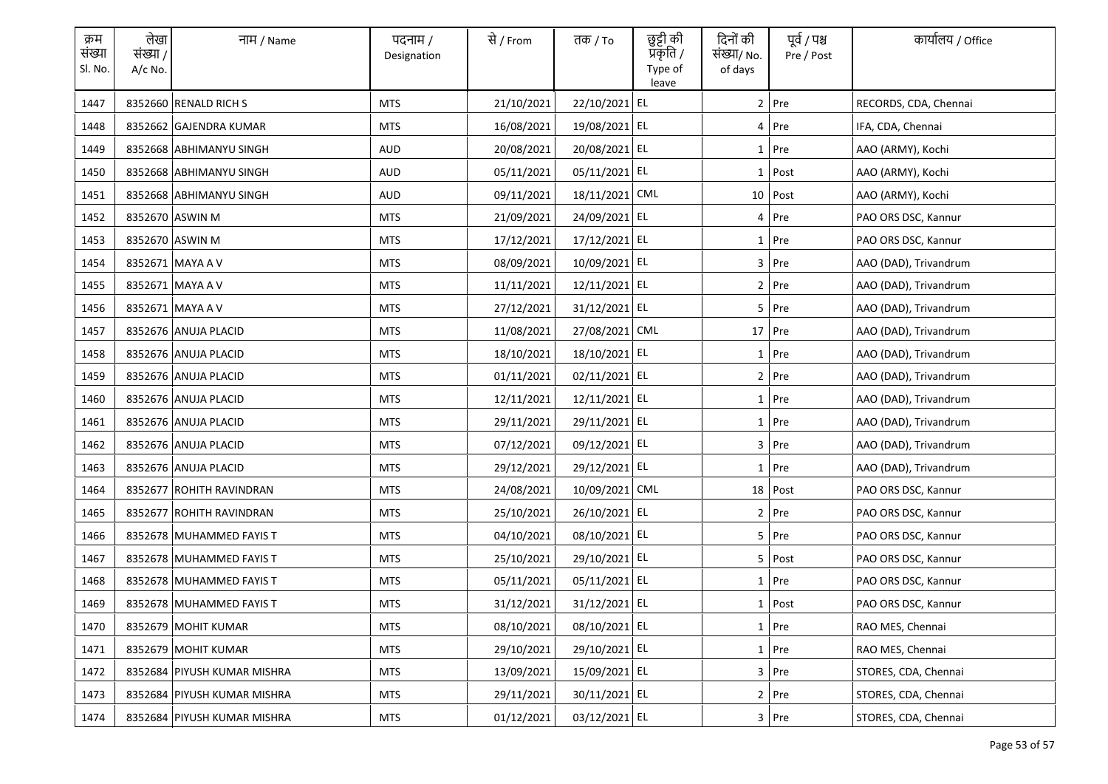| क्रम<br>संख्या<br>Sl. No. | लेखा<br>संख्या /<br>A/c No. | नाम / Name                  | पदनाम /<br>Designation | से / From  | तक / To        | छुट्टी की<br>प्रकृति /<br>Type of<br>leave | दिनों की<br>संख्या/ No.<br>of days | पूर्व / पश्च<br>Pre / Post | कार्यालय / Office     |
|---------------------------|-----------------------------|-----------------------------|------------------------|------------|----------------|--------------------------------------------|------------------------------------|----------------------------|-----------------------|
| 1447                      |                             | 8352660 RENALD RICH S       | <b>MTS</b>             | 21/10/2021 | 22/10/2021 EL  |                                            |                                    | 2 Pre                      | RECORDS, CDA, Chennai |
| 1448                      |                             | 8352662 GAJENDRA KUMAR      | <b>MTS</b>             | 16/08/2021 | 19/08/2021 EL  |                                            |                                    | $4$ Pre                    | IFA, CDA, Chennai     |
| 1449                      |                             | 8352668 ABHIMANYU SINGH     | AUD                    | 20/08/2021 | 20/08/2021 EL  |                                            |                                    | 1 Pre                      | AAO (ARMY), Kochi     |
| 1450                      |                             | 8352668 ABHIMANYU SINGH     | AUD                    | 05/11/2021 | 05/11/2021 EL  |                                            |                                    | $1$ Post                   | AAO (ARMY), Kochi     |
| 1451                      |                             | 8352668 ABHIMANYU SINGH     | AUD                    | 09/11/2021 | 18/11/2021 CML |                                            |                                    | $10$ Post                  | AAO (ARMY), Kochi     |
| 1452                      |                             | 8352670 ASWIN M             | <b>MTS</b>             | 21/09/2021 | 24/09/2021 EL  |                                            |                                    | 4 Pre                      | PAO ORS DSC, Kannur   |
| 1453                      |                             | 8352670 ASWIN M             | <b>MTS</b>             | 17/12/2021 | 17/12/2021 EL  |                                            |                                    | $1$ Pre                    | PAO ORS DSC, Kannur   |
| 1454                      |                             | 8352671 MAYA A V            | <b>MTS</b>             | 08/09/2021 | 10/09/2021 EL  |                                            |                                    | $3$ Pre                    | AAO (DAD), Trivandrum |
| 1455                      |                             | 8352671 MAYA A V            | MTS                    | 11/11/2021 | 12/11/2021 EL  |                                            |                                    | $2$ Pre                    | AAO (DAD), Trivandrum |
| 1456                      |                             | 8352671 MAYA A V            | <b>MTS</b>             | 27/12/2021 | 31/12/2021 EL  |                                            |                                    | 5 Pre                      | AAO (DAD), Trivandrum |
| 1457                      |                             | 8352676 ANUJA PLACID        | MTS                    | 11/08/2021 | 27/08/2021 CML |                                            |                                    | 17 Pre                     | AAO (DAD), Trivandrum |
| 1458                      |                             | 8352676 ANUJA PLACID        | MTS                    | 18/10/2021 | 18/10/2021 EL  |                                            |                                    | 1 Pre                      | AAO (DAD), Trivandrum |
| 1459                      |                             | 8352676 ANUJA PLACID        | <b>MTS</b>             | 01/11/2021 | 02/11/2021 EL  |                                            |                                    | 2 Pre                      | AAO (DAD), Trivandrum |
| 1460                      |                             | 8352676 ANUJA PLACID        | <b>MTS</b>             | 12/11/2021 | 12/11/2021 EL  |                                            |                                    | 1 Pre                      | AAO (DAD), Trivandrum |
| 1461                      |                             | 8352676 ANUJA PLACID        | <b>MTS</b>             | 29/11/2021 | 29/11/2021 EL  |                                            |                                    | $1$ Pre                    | AAO (DAD), Trivandrum |
| 1462                      |                             | 8352676 ANUJA PLACID        | <b>MTS</b>             | 07/12/2021 | 09/12/2021 EL  |                                            |                                    | $3$ Pre                    | AAO (DAD), Trivandrum |
| 1463                      |                             | 8352676 ANUJA PLACID        | <b>MTS</b>             | 29/12/2021 | 29/12/2021 EL  |                                            |                                    | $1$ Pre                    | AAO (DAD), Trivandrum |
| 1464                      |                             | 8352677 ROHITH RAVINDRAN    | <b>MTS</b>             | 24/08/2021 | 10/09/2021 CML |                                            |                                    | $18$ Post                  | PAO ORS DSC, Kannur   |
| 1465                      |                             | 8352677 ROHITH RAVINDRAN    | MTS                    | 25/10/2021 | 26/10/2021 EL  |                                            |                                    | 2 Pre                      | PAO ORS DSC, Kannur   |
| 1466                      |                             | 8352678 MUHAMMED FAYIS T    | <b>MTS</b>             | 04/10/2021 | 08/10/2021 EL  |                                            |                                    | 5 Pre                      | PAO ORS DSC, Kannur   |
| 1467                      |                             | 8352678 MUHAMMED FAYIS T    | MTS                    | 25/10/2021 | 29/10/2021 EL  |                                            |                                    | 5 Post                     | PAO ORS DSC, Kannur   |
| 1468                      |                             | 8352678 MUHAMMED FAYIS T    | MTS                    | 05/11/2021 | 05/11/2021 EL  |                                            |                                    | $1$ Pre                    | PAO ORS DSC, Kannur   |
| 1469                      |                             | 8352678 MUHAMMED FAYIS T    | <b>MTS</b>             | 31/12/2021 | 31/12/2021 EL  |                                            |                                    | 1   Post                   | PAO ORS DSC, Kannur   |
| 1470                      |                             | 8352679 MOHIT KUMAR         | <b>MTS</b>             | 08/10/2021 | 08/10/2021 EL  |                                            |                                    | 1 Pre                      | RAO MES, Chennai      |
| 1471                      |                             | 8352679 MOHIT KUMAR         | <b>MTS</b>             | 29/10/2021 | 29/10/2021 EL  |                                            |                                    | 1 Pre                      | RAO MES, Chennai      |
| 1472                      |                             | 8352684 PIYUSH KUMAR MISHRA | MTS                    | 13/09/2021 | 15/09/2021 EL  |                                            |                                    | 3 Pre                      | STORES, CDA, Chennai  |
| 1473                      |                             | 8352684 PIYUSH KUMAR MISHRA | <b>MTS</b>             | 29/11/2021 | 30/11/2021 EL  |                                            |                                    | 2 Pre                      | STORES, CDA, Chennai  |
| 1474                      |                             | 8352684 PIYUSH KUMAR MISHRA | MTS                    | 01/12/2021 | 03/12/2021 EL  |                                            |                                    | 3 Pre                      | STORES, CDA, Chennai  |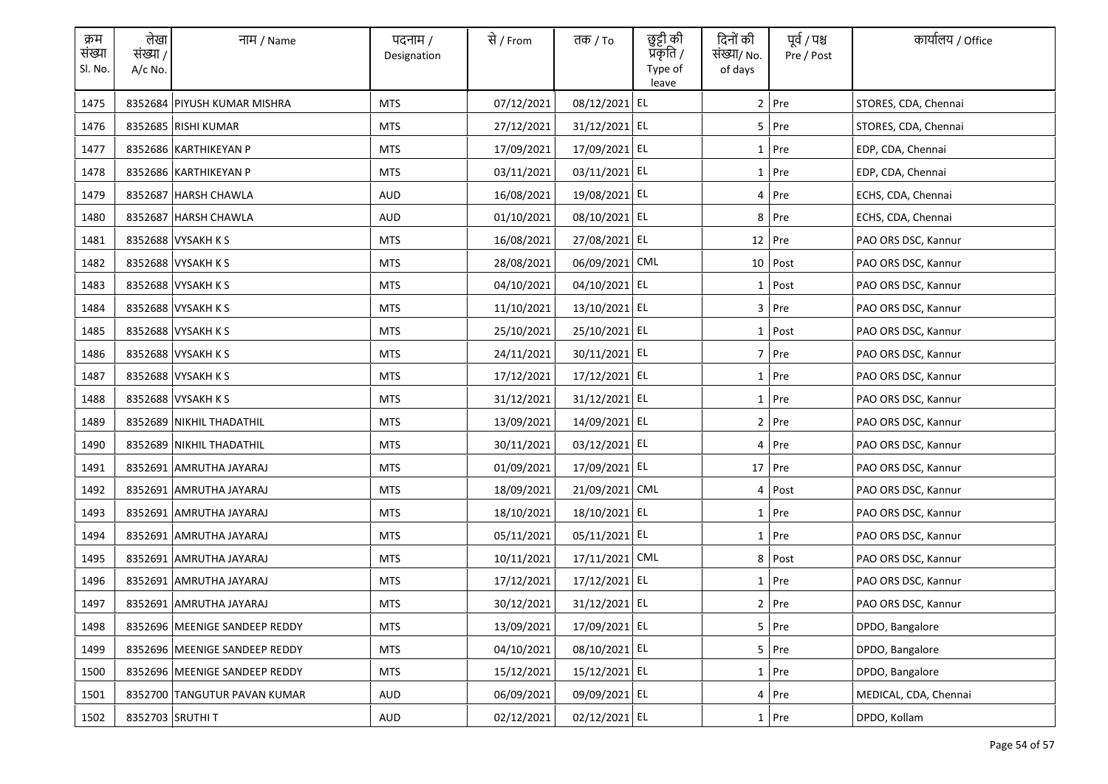| क्रम<br>संख्या<br>Sl. No. | लेखा<br>संख्या /<br>A/c No. | नाम / Name                    | पदनाम /<br>Designation | से / From  | तक / To        | छुट्टी की<br>प्रकृति /<br>Type of<br>leave | दिनों की<br>संख्या/ No.<br>of days | पूर्व / पश्च<br>Pre / Post | कार्यालय / Office     |
|---------------------------|-----------------------------|-------------------------------|------------------------|------------|----------------|--------------------------------------------|------------------------------------|----------------------------|-----------------------|
| 1475                      |                             | 8352684 PIYUSH KUMAR MISHRA   | <b>MTS</b>             | 07/12/2021 | 08/12/2021 EL  |                                            |                                    | 2 Pre                      | STORES, CDA, Chennai  |
| 1476                      |                             | 8352685 RISHI KUMAR           | <b>MTS</b>             | 27/12/2021 | 31/12/2021 EL  |                                            |                                    | $5$ Pre                    | STORES, CDA, Chennai  |
| 1477                      |                             | 8352686 KARTHIKEYAN P         | MTS                    | 17/09/2021 | 17/09/2021 EL  |                                            |                                    | $1$ Pre                    | EDP, CDA, Chennai     |
| 1478                      |                             | 8352686 KARTHIKEYAN P         | MTS                    | 03/11/2021 | 03/11/2021 EL  |                                            |                                    | $1$ Pre                    | EDP, CDA, Chennai     |
| 1479                      |                             | 8352687 HARSH CHAWLA          | AUD                    | 16/08/2021 | 19/08/2021 EL  |                                            |                                    | 4 Pre                      | ECHS, CDA, Chennai    |
| 1480                      |                             | 8352687 HARSH CHAWLA          | <b>AUD</b>             | 01/10/2021 | 08/10/2021 EL  |                                            | 8                                  | Pre                        | ECHS, CDA, Chennai    |
| 1481                      |                             | 8352688 VYSAKH K S            | <b>MTS</b>             | 16/08/2021 | 27/08/2021 EL  |                                            |                                    | 12 Pre                     | PAO ORS DSC, Kannur   |
| 1482                      |                             | 8352688 VYSAKH K S            | <b>MTS</b>             | 28/08/2021 | 06/09/2021 CML |                                            |                                    | 10 Post                    | PAO ORS DSC, Kannur   |
| 1483                      |                             | 8352688 VYSAKH K S            | MTS                    | 04/10/2021 | 04/10/2021 EL  |                                            |                                    | 1 Post                     | PAO ORS DSC, Kannur   |
| 1484                      |                             | 8352688 VYSAKH K S            | <b>MTS</b>             | 11/10/2021 | 13/10/2021 EL  |                                            |                                    | $3$ Pre                    | PAO ORS DSC, Kannur   |
| 1485                      |                             | 8352688 VYSAKH K S            | MTS                    | 25/10/2021 | 25/10/2021 EL  |                                            |                                    | 1 Post                     | PAO ORS DSC, Kannur   |
| 1486                      |                             | 8352688 VYSAKH K S            | MTS                    | 24/11/2021 | 30/11/2021 EL  |                                            |                                    | $7$ Pre                    | PAO ORS DSC, Kannur   |
| 1487                      |                             | 8352688 VYSAKH K S            | <b>MTS</b>             | 17/12/2021 | 17/12/2021 EL  |                                            |                                    | $1$ Pre                    | PAO ORS DSC, Kannur   |
| 1488                      |                             | 8352688 VYSAKH K S            | <b>MTS</b>             | 31/12/2021 | 31/12/2021 EL  |                                            |                                    | 1 Pre                      | PAO ORS DSC, Kannur   |
| 1489                      |                             | 8352689 NIKHIL THADATHIL      | <b>MTS</b>             | 13/09/2021 | 14/09/2021 EL  |                                            |                                    | 2 Pre                      | PAO ORS DSC, Kannur   |
| 1490                      |                             | 8352689 NIKHIL THADATHIL      | <b>MTS</b>             | 30/11/2021 | 03/12/2021 EL  |                                            |                                    | $4$ Pre                    | PAO ORS DSC, Kannur   |
| 1491                      |                             | 8352691 AMRUTHA JAYARAJ       | <b>MTS</b>             | 01/09/2021 | 17/09/2021 EL  |                                            |                                    | 17 Pre                     | PAO ORS DSC, Kannur   |
| 1492                      |                             | 8352691 AMRUTHA JAYARAJ       | <b>MTS</b>             | 18/09/2021 | 21/09/2021 CML |                                            | 4                                  | Post                       | PAO ORS DSC, Kannur   |
| 1493                      |                             | 8352691 AMRUTHA JAYARAJ       | MTS                    | 18/10/2021 | 18/10/2021 EL  |                                            |                                    | $1$ Pre                    | PAO ORS DSC, Kannur   |
| 1494                      |                             | 8352691 AMRUTHA JAYARAJ       | <b>MTS</b>             | 05/11/2021 | 05/11/2021 EL  |                                            |                                    | $1$ Pre                    | PAO ORS DSC, Kannur   |
| 1495                      |                             | 8352691 AMRUTHA JAYARAJ       | MTS                    | 10/11/2021 | 17/11/2021 CML |                                            |                                    | 8 Post                     | PAO ORS DSC, Kannur   |
| 1496                      |                             | 8352691 AMRUTHA JAYARAJ       | MTS                    | 17/12/2021 | 17/12/2021 EL  |                                            |                                    | $1$ Pre                    | PAO ORS DSC, Kannur   |
| 1497                      |                             | 8352691 AMRUTHA JAYARAJ       | <b>MTS</b>             | 30/12/2021 | 31/12/2021 EL  |                                            |                                    | 2 Pre                      | PAO ORS DSC, Kannur   |
| 1498                      |                             | 8352696 MEENIGE SANDEEP REDDY | <b>MTS</b>             | 13/09/2021 | 17/09/2021 EL  |                                            |                                    | 5 Pre                      | DPDO, Bangalore       |
| 1499                      |                             | 8352696 MEENIGE SANDEEP REDDY | <b>MTS</b>             | 04/10/2021 | 08/10/2021 EL  |                                            |                                    | 5 Pre                      | DPDO, Bangalore       |
| 1500                      |                             | 8352696 MEENIGE SANDEEP REDDY | MTS                    | 15/12/2021 | 15/12/2021 EL  |                                            |                                    | 1 Pre                      | DPDO, Bangalore       |
| 1501                      |                             | 8352700 TANGUTUR PAVAN KUMAR  | AUD                    | 06/09/2021 | 09/09/2021 EL  |                                            |                                    | 4 Pre                      | MEDICAL, CDA, Chennai |
| 1502                      |                             | 8352703 SRUTHIT               | AUD                    | 02/12/2021 | 02/12/2021 EL  |                                            |                                    | $1$ Pre                    | DPDO, Kollam          |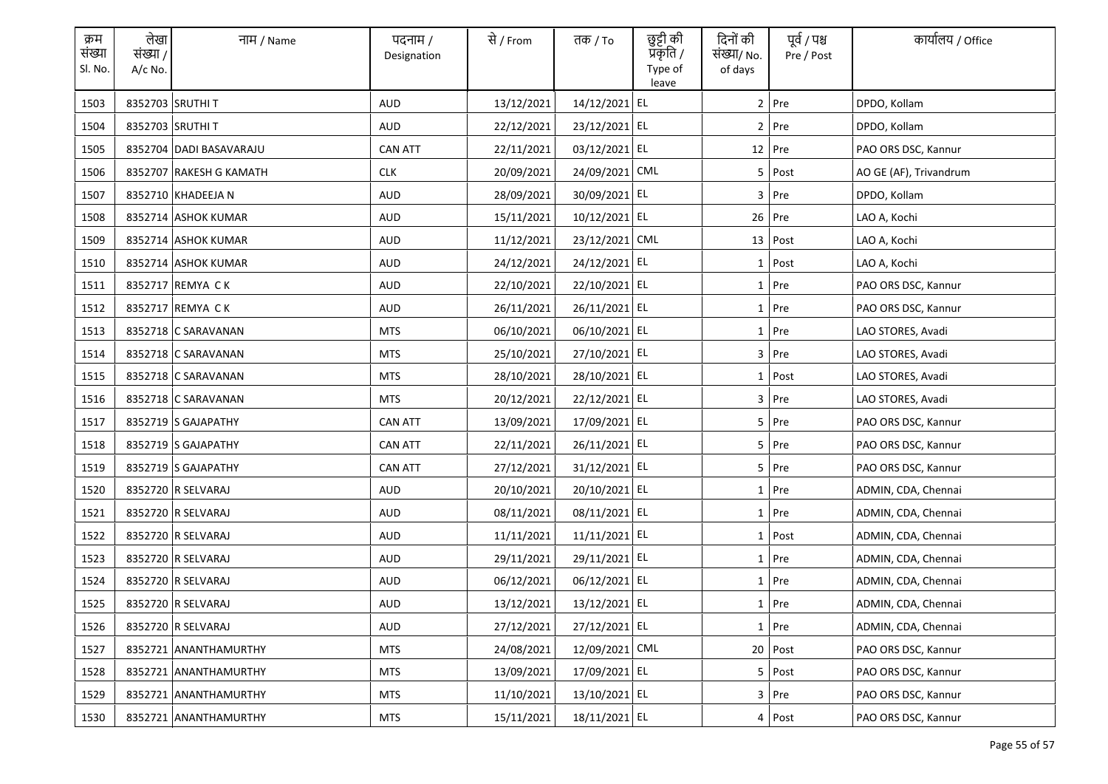| क्रम<br>संख्या<br>Sl. No. | लेखा<br>संख्या /<br>A/c No. | नाम / Name              | पदनाम /<br>Designation | से / From  | तक / To        | छुट्टी की<br>प्रकृति /<br>Type of<br>leave | दिनों की<br>संख्या/ No.<br>of days | पूर्व / पश्च<br>Pre / Post | कार्यालय / Office      |
|---------------------------|-----------------------------|-------------------------|------------------------|------------|----------------|--------------------------------------------|------------------------------------|----------------------------|------------------------|
| 1503                      |                             | 8352703 SRUTHI T        | <b>AUD</b>             | 13/12/2021 | 14/12/2021 EL  |                                            |                                    | 2 Pre                      | DPDO, Kollam           |
| 1504                      |                             | 8352703 SRUTHI T        | AUD                    | 22/12/2021 | 23/12/2021 EL  |                                            |                                    | $2$ Pre                    | DPDO, Kollam           |
| 1505                      |                             | 8352704 DADI BASAVARAJU | <b>CAN ATT</b>         | 22/11/2021 | 03/12/2021 EL  |                                            |                                    | 12 Pre                     | PAO ORS DSC, Kannur    |
| 1506                      |                             | 8352707 RAKESH G KAMATH | <b>CLK</b>             | 20/09/2021 | 24/09/2021 CML |                                            |                                    | 5 Post                     | AO GE (AF), Trivandrum |
| 1507                      |                             | 8352710 KHADEEJA N      | AUD                    | 28/09/2021 | 30/09/2021 EL  |                                            |                                    | $3$ Pre                    | DPDO, Kollam           |
| 1508                      |                             | 8352714 ASHOK KUMAR     | <b>AUD</b>             | 15/11/2021 | 10/12/2021 EL  |                                            |                                    | 26 Pre                     | LAO A, Kochi           |
| 1509                      |                             | 8352714 ASHOK KUMAR     | AUD                    | 11/12/2021 | 23/12/2021 CML |                                            |                                    | $13$ Post                  | LAO A, Kochi           |
| 1510                      |                             | 8352714 ASHOK KUMAR     | <b>AUD</b>             | 24/12/2021 | 24/12/2021 EL  |                                            |                                    | $1$ Post                   | LAO A, Kochi           |
| 1511                      |                             | 8352717 REMYA CK        | AUD                    | 22/10/2021 | 22/10/2021 EL  |                                            |                                    | $1$ Pre                    | PAO ORS DSC, Kannur    |
| 1512                      |                             | 8352717 REMYA CK        | AUD                    | 26/11/2021 | 26/11/2021 EL  |                                            |                                    | 1 Pre                      | PAO ORS DSC, Kannur    |
| 1513                      |                             | 8352718 C SARAVANAN     | MTS                    | 06/10/2021 | 06/10/2021 EL  |                                            |                                    | $1$ Pre                    | LAO STORES, Avadi      |
| 1514                      |                             | 8352718 C SARAVANAN     | MTS                    | 25/10/2021 | 27/10/2021 EL  |                                            |                                    | $3$ Pre                    | LAO STORES, Avadi      |
| 1515                      |                             | 8352718 C SARAVANAN     | <b>MTS</b>             | 28/10/2021 | 28/10/2021 EL  |                                            |                                    | $1$ Post                   | LAO STORES, Avadi      |
| 1516                      |                             | 8352718 C SARAVANAN     | MTS                    | 20/12/2021 | 22/12/2021 EL  |                                            |                                    | $3$ Pre                    | LAO STORES, Avadi      |
| 1517                      |                             | 8352719 S GAJAPATHY     | <b>CAN ATT</b>         | 13/09/2021 | 17/09/2021 EL  |                                            |                                    | 5 Pre                      | PAO ORS DSC, Kannur    |
| 1518                      |                             | 8352719 S GAJAPATHY     | <b>CAN ATT</b>         | 22/11/2021 | 26/11/2021 EL  |                                            |                                    | 5 Pre                      | PAO ORS DSC, Kannur    |
| 1519                      |                             | 8352719 S GAJAPATHY     | <b>CAN ATT</b>         | 27/12/2021 | 31/12/2021 EL  |                                            |                                    | 5 Pre                      | PAO ORS DSC, Kannur    |
| 1520                      |                             | 8352720 R SELVARAJ      | AUD                    | 20/10/2021 | 20/10/2021 EL  |                                            |                                    | 1 Pre                      | ADMIN, CDA, Chennai    |
| 1521                      |                             | 8352720 R SELVARAJ      | AUD                    | 08/11/2021 | 08/11/2021 EL  |                                            |                                    | $1$ Pre                    | ADMIN, CDA, Chennai    |
| 1522                      |                             | 8352720 R SELVARAJ      | AUD                    | 11/11/2021 | 11/11/2021 EL  |                                            |                                    | $1$ Post                   | ADMIN, CDA, Chennai    |
| 1523                      |                             | 8352720 R SELVARAJ      | AUD                    | 29/11/2021 | 29/11/2021 EL  |                                            |                                    | $1$ Pre                    | ADMIN, CDA, Chennai    |
| 1524                      |                             | 8352720 R SELVARAJ      | AUD                    | 06/12/2021 | 06/12/2021 EL  |                                            |                                    | 1 Pre                      | ADMIN, CDA, Chennai    |
| 1525                      |                             | 8352720 R SELVARAJ      | AUD                    | 13/12/2021 | 13/12/2021 EL  |                                            |                                    | 1 Pre                      | ADMIN, CDA, Chennai    |
| 1526                      |                             | 8352720 R SELVARAJ      | AUD                    | 27/12/2021 | 27/12/2021 EL  |                                            |                                    | 1 Pre                      | ADMIN, CDA, Chennai    |
| 1527                      |                             | 8352721 ANANTHAMURTHY   | <b>MTS</b>             | 24/08/2021 | 12/09/2021 CML |                                            |                                    | 20 Post                    | PAO ORS DSC, Kannur    |
| 1528                      |                             | 8352721 ANANTHAMURTHY   | MTS                    | 13/09/2021 | 17/09/2021 EL  |                                            |                                    | 5 Post                     | PAO ORS DSC, Kannur    |
| 1529                      |                             | 8352721 ANANTHAMURTHY   | <b>MTS</b>             | 11/10/2021 | 13/10/2021 EL  |                                            |                                    | 3 Pre                      | PAO ORS DSC, Kannur    |
| 1530                      |                             | 8352721 ANANTHAMURTHY   | MTS                    | 15/11/2021 | 18/11/2021 EL  |                                            |                                    | 4 Post                     | PAO ORS DSC, Kannur    |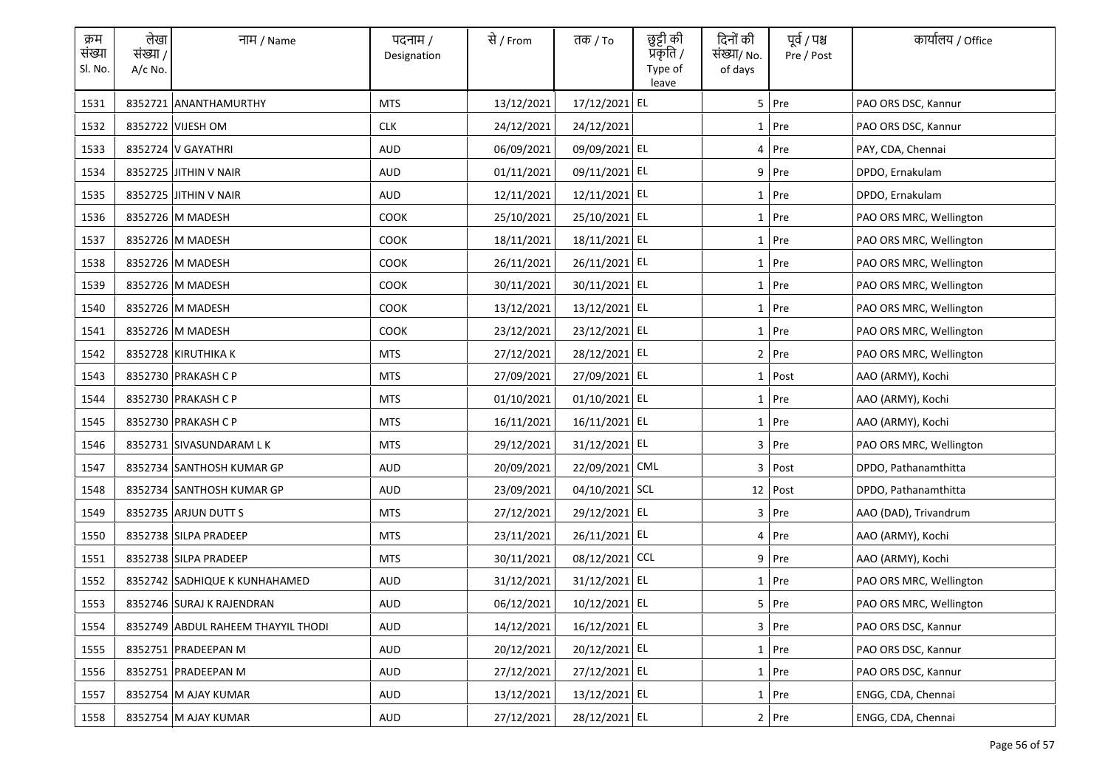| क्रम<br>संख्या<br>Sl. No. | लेखा<br>संख्या /<br>A/c No. | नाम / Name                         | पदनाम /<br>Designation | से / From  | तक / To        | छुट्टी की<br>प्रकृति /<br>Type of<br>leave | दिनों की<br>संख्या/ No.<br>of days | पूर्व / पश्च<br>Pre / Post | कार्यालय / Office       |
|---------------------------|-----------------------------|------------------------------------|------------------------|------------|----------------|--------------------------------------------|------------------------------------|----------------------------|-------------------------|
| 1531                      |                             | 8352721 ANANTHAMURTHY              | <b>MTS</b>             | 13/12/2021 | 17/12/2021 EL  |                                            |                                    | 5 Pre                      | PAO ORS DSC, Kannur     |
| 1532                      |                             | 8352722 VIJESH OM                  | <b>CLK</b>             | 24/12/2021 | 24/12/2021     |                                            |                                    | $1$ Pre                    | PAO ORS DSC, Kannur     |
| 1533                      |                             | 8352724 V GAYATHRI                 | AUD                    | 06/09/2021 | 09/09/2021 EL  |                                            |                                    | 4 Pre                      | PAY, CDA, Chennai       |
| 1534                      |                             | 8352725 JITHIN V NAIR              | AUD                    | 01/11/2021 | 09/11/2021 EL  |                                            |                                    | $9$ Pre                    | DPDO, Ernakulam         |
| 1535                      |                             | 8352725 JITHIN V NAIR              | AUD                    | 12/11/2021 | 12/11/2021 EL  |                                            |                                    | $1$ Pre                    | DPDO, Ernakulam         |
| 1536                      |                             | 8352726 M MADESH                   | <b>COOK</b>            | 25/10/2021 | 25/10/2021 EL  |                                            |                                    | 1 Pre                      | PAO ORS MRC, Wellington |
| 1537                      |                             | 8352726 M MADESH                   | <b>COOK</b>            | 18/11/2021 | 18/11/2021 EL  |                                            |                                    | $1$ Pre                    | PAO ORS MRC, Wellington |
| 1538                      |                             | 8352726 M MADESH                   | COOK                   | 26/11/2021 | 26/11/2021 EL  |                                            |                                    | 1 Pre                      | PAO ORS MRC, Wellington |
| 1539                      |                             | 8352726 M MADESH                   | COOK                   | 30/11/2021 | 30/11/2021 EL  |                                            |                                    | $1$ Pre                    | PAO ORS MRC, Wellington |
| 1540                      |                             | 8352726 M MADESH                   | COOK                   | 13/12/2021 | 13/12/2021 EL  |                                            |                                    | 1 Pre                      | PAO ORS MRC, Wellington |
| 1541                      |                             | 8352726 M MADESH                   | COOK                   | 23/12/2021 | 23/12/2021 EL  |                                            |                                    | $1$ Pre                    | PAO ORS MRC, Wellington |
| 1542                      |                             | 8352728 KIRUTHIKA K                | MTS                    | 27/12/2021 | 28/12/2021 EL  |                                            |                                    | $2$ Pre                    | PAO ORS MRC, Wellington |
| 1543                      |                             | 8352730 PRAKASH C P                | <b>MTS</b>             | 27/09/2021 | 27/09/2021 EL  |                                            |                                    | $1$ Post                   | AAO (ARMY), Kochi       |
| 1544                      |                             | 8352730 PRAKASH C P                | <b>MTS</b>             | 01/10/2021 | 01/10/2021 EL  |                                            |                                    | 1 Pre                      | AAO (ARMY), Kochi       |
| 1545                      |                             | 8352730 PRAKASH C P                | <b>MTS</b>             | 16/11/2021 | 16/11/2021 EL  |                                            |                                    | 1 Pre                      | AAO (ARMY), Kochi       |
| 1546                      |                             | 8352731 SIVASUNDARAM LK            | <b>MTS</b>             | 29/12/2021 | 31/12/2021 EL  |                                            |                                    | $3$ Pre                    | PAO ORS MRC, Wellington |
| 1547                      |                             | 8352734 SANTHOSH KUMAR GP          | AUD                    | 20/09/2021 | 22/09/2021 CML |                                            |                                    | 3 Post                     | DPDO, Pathanamthitta    |
| 1548                      |                             | 8352734 SANTHOSH KUMAR GP          | AUD                    | 23/09/2021 | 04/10/2021 SCL |                                            |                                    | $12$ Post                  | DPDO, Pathanamthitta    |
| 1549                      |                             | 8352735 ARJUN DUTT S               | MTS                    | 27/12/2021 | 29/12/2021 EL  |                                            |                                    | 3 Pre                      | AAO (DAD), Trivandrum   |
| 1550                      |                             | 8352738 SILPA PRADEEP              | <b>MTS</b>             | 23/11/2021 | 26/11/2021 EL  |                                            |                                    | $4$ Pre                    | AAO (ARMY), Kochi       |
| 1551                      |                             | 8352738 SILPA PRADEEP              | MTS                    | 30/11/2021 | 08/12/2021 CCL |                                            |                                    | 9 Pre                      | AAO (ARMY), Kochi       |
| 1552                      |                             | 8352742 SADHIQUE K KUNHAHAMED      | AUD                    | 31/12/2021 | 31/12/2021 EL  |                                            |                                    | $1$ Pre                    | PAO ORS MRC, Wellington |
| 1553                      |                             | 8352746 SURAJ K RAJENDRAN          | AUD                    | 06/12/2021 | 10/12/2021 EL  |                                            |                                    | 5 Pre                      | PAO ORS MRC, Wellington |
| 1554                      |                             | 8352749 ABDUL RAHEEM THAYYIL THODI | AUD                    | 14/12/2021 | 16/12/2021 EL  |                                            |                                    | 3 Pre                      | PAO ORS DSC, Kannur     |
| 1555                      |                             | 8352751 PRADEEPAN M                | AUD                    | 20/12/2021 | 20/12/2021 EL  |                                            |                                    | 1 Pre                      | PAO ORS DSC, Kannur     |
| 1556                      |                             | 8352751 PRADEEPAN M                | AUD                    | 27/12/2021 | 27/12/2021 EL  |                                            |                                    | 1 Pre                      | PAO ORS DSC, Kannur     |
| 1557                      |                             | 8352754 M AJAY KUMAR               | AUD                    | 13/12/2021 | 13/12/2021 EL  |                                            |                                    | 1 Pre                      | ENGG, CDA, Chennai      |
| 1558                      |                             | 8352754 M AJAY KUMAR               | AUD                    | 27/12/2021 | 28/12/2021 EL  |                                            |                                    | 2 Pre                      | ENGG, CDA, Chennai      |